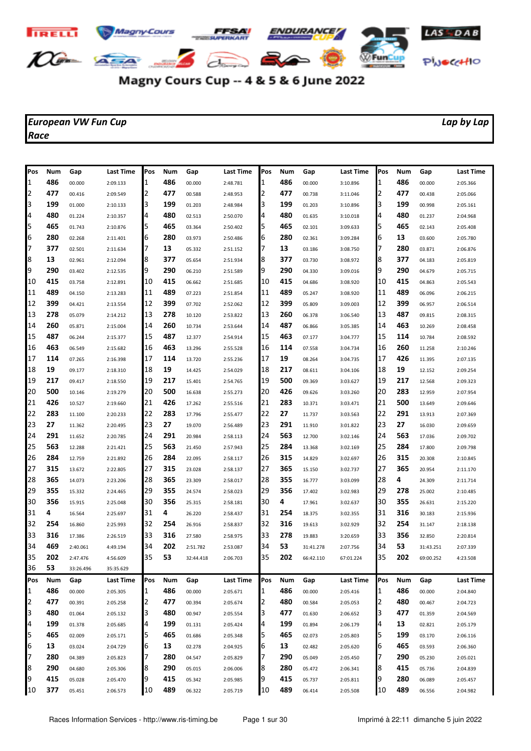

## Magny Cours Cup -- 4 & 5 & 6 June 2022

## *European VW Fun Cup Lap by Lap Race*

| Pos | Num | Gap       | <b>Last Time</b> | Pos | Num | Gap       | Last Time | Pos | Num | Gap       | Last Time        | <b>Pos</b> | Num        | Gap       | Last Time |
|-----|-----|-----------|------------------|-----|-----|-----------|-----------|-----|-----|-----------|------------------|------------|------------|-----------|-----------|
| 11  | 486 | 00.000    | 2:09.133         | 1   | 486 | 00.000    | 2:48.781  | 1   | 486 | 00.000    | 3:10.896         | 1          | 486        | 00.000    | 2:05.366  |
| 2   | 477 | 00.416    | 2:09.549         | 2   | 477 | 00.588    | 2:48.953  | 2   | 477 | 00.738    | 3:11.046         | 2          | 477        | 00.438    | 2:05.066  |
| 3   | 199 | 01.000    | 2:10.133         | 3   | 199 | 01.203    | 2:48.984  | 3   | 199 | 01.203    | 3:10.896         | 3          | 199        | 00.998    | 2:05.161  |
| 4   | 480 | 01.224    | 2:10.357         | 4   | 480 | 02.513    | 2:50.070  | 4   | 480 | 01.635    | 3:10.018         | 4          | 480        | 01.237    | 2:04.968  |
| 5   | 465 | 01.743    | 2:10.876         | 5   | 465 | 03.364    | 2:50.402  | 5   | 465 | 02.101    | 3:09.633         | 5          | 465        | 02.143    | 2:05.408  |
| 6   | 280 | 02.268    | 2:11.401         | 6   | 280 | 03.973    | 2:50.486  | 6   | 280 | 02.361    | 3:09.284         | 6          | 13         | 03.600    | 2:05.780  |
| 7   | 377 | 02.501    | 2:11.634         | 7   | 13  | 05.332    | 2:51.152  | 7   | 13  | 03.186    | 3:08.750         | 7          | 280        | 03.871    | 2:06.876  |
| 8   | 13  | 02.961    | 2:12.094         | 8   | 377 | 05.654    | 2:51.934  | 8   | 377 | 03.730    | 3:08.972         | 8          | 377        | 04.183    | 2:05.819  |
| 9   | 290 | 03.402    | 2:12.535         | 9   | 290 | 06.210    | 2:51.589  | 9   | 290 | 04.330    | 3:09.016         | 9          | 290        | 04.679    | 2:05.715  |
| 10  | 415 | 03.758    | 2:12.891         | 10  | 415 | 06.662    | 2:51.685  | 10  | 415 | 04.686    | 3:08.920         | 10         | 415        | 04.863    | 2:05.543  |
| 11  | 489 | 04.150    | 2:13.283         | 11  | 489 | 07.223    | 2:51.854  | 11  | 489 | 05.247    | 3:08.920         | 11         | 489        | 06.096    | 2:06.215  |
| 12  | 399 | 04.421    | 2:13.554         | 12  | 399 | 07.702    | 2:52.062  | 12  | 399 | 05.809    | 3:09.003         | 12         | 399        | 06.957    | 2:06.514  |
| 13  | 278 | 05.079    | 2:14.212         | 13  | 278 | 10.120    | 2:53.822  | 13  | 260 | 06.378    | 3:06.540         | 13         | 487        | 09.815    | 2:08.315  |
| 14  | 260 | 05.871    | 2:15.004         | 14  | 260 | 10.734    | 2:53.644  | 14  | 487 | 06.866    | 3:05.385         | 14         | 463        | 10.269    | 2:08.458  |
| 15  | 487 | 06.244    | 2:15.377         | 15  | 487 | 12.377    | 2:54.914  | 15  | 463 | 07.177    | 3:04.777         | 15         | 114        | 10.784    | 2:08.592  |
| 16  | 463 | 06.549    | 2:15.682         | 16  | 463 | 13.296    | 2:55.528  | 16  | 114 | 07.558    | 3:04.734         | 16         | 260        | 11.258    | 2:10.246  |
| 17  | 114 | 07.265    | 2:16.398         | 17  | 114 | 13.720    | 2:55.236  | 17  | 19  | 08.264    | 3:04.735         | 17         | 426        | 11.395    | 2:07.135  |
| 18  | 19  | 09.177    | 2:18.310         | 18  | 19  | 14.425    | 2:54.029  | 18  | 217 | 08.611    | 3:04.106         | 18         | 19         | 12.152    | 2:09.254  |
| 19  | 217 | 09.417    | 2:18.550         | 19  | 217 | 15.401    | 2:54.765  | 19  | 500 | 09.369    | 3:03.627         | 19         | 217        | 12.568    | 2:09.323  |
| 20  | 500 | 10.146    | 2:19.279         | 20  | 500 | 16.638    | 2:55.273  | 20  | 426 | 09.626    | 3:03.260         | 20         | 283        | 12.959    | 2:07.954  |
| 21  | 426 | 10.527    | 2:19.660         | 21  | 426 | 17.262    | 2:55.516  | 21  | 283 | 10.371    | 3:03.471         | 21         | 500        | 13.649    | 2:09.646  |
| 22  | 283 | 11.100    | 2:20.233         | 22  | 283 | 17.796    | 2:55.477  | 22  | 27  | 11.737    | 3:03.563         | 22         | 291        | 13.913    | 2:07.369  |
| 23  | 27  | 11.362    | 2:20.495         | 23  | 27  | 19.070    | 2:56.489  | 23  | 291 | 11.910    | 3:01.822         | 23         | 27         | 16.030    | 2:09.659  |
| 24  | 291 | 11.652    | 2:20.785         | 24  | 291 | 20.984    | 2:58.113  | 24  | 563 | 12.700    | 3:02.146         | 24         | 563        | 17.036    | 2:09.702  |
| 25  | 563 | 12.288    | 2:21.421         | 25  | 563 | 21.450    | 2:57.943  | 25  | 284 | 13.368    | 3:02.169         | 25         | 284        | 17.800    | 2:09.798  |
| 26  | 284 | 12.759    | 2:21.892         | 26  | 284 | 22.095    | 2:58.117  | 26  | 315 | 14.829    | 3:02.697         | 26         | 315        | 20.308    | 2:10.845  |
| 27  | 315 | 13.672    | 2:22.805         | 27  | 315 | 23.028    | 2:58.137  | 27  | 365 | 15.150    | 3:02.737         | 27         | 365        | 20.954    | 2:11.170  |
| 28  | 365 | 14.073    | 2:23.206         | 28  | 365 | 23.309    | 2:58.017  | 28  | 355 | 16.777    | 3:03.099         | 28         | 4          | 24.309    | 2:11.714  |
| 29  | 355 | 15.332    | 2:24.465         | 29  | 355 | 24.574    | 2:58.023  | 29  | 356 | 17.402    | 3:02.983         | 29         | 278        | 25.002    | 2:10.485  |
| 30  | 356 | 15.915    | 2:25.048         | 30  | 356 | 25.315    | 2:58.181  | 30  | 4   | 17.961    | 3:02.637         | 30         | 355        | 26.631    | 2:15.220  |
| 31  | 4   | 16.564    | 2:25.697         | 31  | 4   | 26.220    | 2:58.437  | 31  | 254 | 18.375    | 3:02.355         | 31         | 316        | 30.183    | 2:15.936  |
| 32  | 254 | 16.860    | 2:25.993         | 32  | 254 | 26.916    | 2:58.837  | 32  | 316 | 19.613    | 3:02.929         | 32         | 254        | 31.147    | 2:18.138  |
| 33  | 316 | 17.386    | 2:26.519         | 33  | 316 | 27.580    | 2:58.975  | 33  | 278 | 19.883    | 3:20.659         | 33         | 356        | 32.850    | 2:20.814  |
| 34  | 469 | 2:40.061  | 4:49.194         | 34  | 202 | 2:51.782  | 2:53.087  | 34  | 53  | 31:41.278 | 2:07.756         | 34         | 53         | 31:43.251 | 2:07.339  |
| 35  | 202 | 2:47.476  | 4:56.609         | 35  | 53  | 32:44.418 | 2:06.703  | 35  | 202 | 66:42.110 | 67:01.224        | 35         | 202        | 69:00.252 | 4:23.508  |
| 36  | 53  | 33:26.496 | 35:35.629        |     |     |           |           |     |     |           |                  |            |            |           |           |
| Pos | Num | Gap       | Last Time        | Pos | Num | Gap       | Last Time | Pos | Num | Gap       | <b>Last Time</b> | Pos        | <b>Num</b> | Gap       | Last Time |
| 1   | 486 | 00.000    | 2:05.305         | 1   | 486 | 00.000    | 2:05.671  | 1   | 486 | 00.000    | 2:05.416         | 1          | 486        | 00.000    | 2:04.840  |
| 2   | 477 | 00.391    | 2:05.258         | 2   | 477 | 00.394    | 2:05.674  | 2   | 480 | 00.584    | 2:05.053         | 2          | 480        | 00.467    | 2:04.723  |
| 3   | 480 | 01.064    | 2:05.132         | 3   | 480 | 00.947    | 2:05.554  | 3   | 477 | 01.630    | 2:06.652         | 3          | 477        | 01.359    | 2:04.569  |
| 4   | 199 | 01.378    | 2:05.685         | 4   | 199 | 01.131    | 2:05.424  | 4   | 199 | 01.894    | 2:06.179         | 4          | 13         | 02.821    | 2:05.179  |
| 5   | 465 | 02.009    | 2:05.171         | 5   | 465 | 01.686    | 2:05.348  | 5   | 465 | 02.073    | 2:05.803         | 5          | 199        | 03.170    | 2:06.116  |
| 6   | 13  | 03.024    | 2:04.729         | 6   | 13  | 02.278    | 2:04.925  | 6   | 13  | 02.482    | 2:05.620         | 6          | 465        | 03.593    | 2:06.360  |
| 7   | 280 | 04.389    | 2:05.823         |     | 280 | 04.547    | 2:05.829  | 7   | 290 | 05.049    | 2:05.450         | 7          | 290        | 05.230    | 2:05.021  |
| 8   | 290 | 04.680    | 2:05.306         | 8   | 290 | 05.015    | 2:06.006  | 8   | 280 | 05.472    | 2:06.341         | 8          | 415        | 05.736    | 2:04.839  |
| 9   | 415 | 05.028    | 2:05.470         | 9   | 415 | 05.342    | 2:05.985  | 9   | 415 | 05.737    | 2:05.811         | 9          | 280        | 06.089    | 2:05.457  |
| 10  | 377 | 05.451    | 2:06.573         | 10  | 489 | 06.322    | 2:05.719  | 10  | 489 | 06.414    | 2:05.508         | 10         | 489        | 06.556    | 2:04.982  |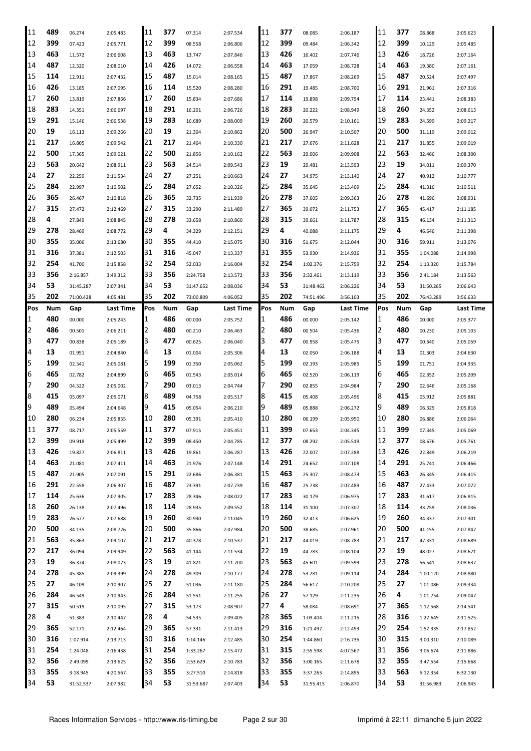| 11           | 489 | 06.274    | 2:05.483  | 11  | 377 | 07.314    | 2:07.534  | 11     | 377 | 08.085    | 2:06.187  | 11  | 377 | 08.868    | 2:05.623  |
|--------------|-----|-----------|-----------|-----|-----|-----------|-----------|--------|-----|-----------|-----------|-----|-----|-----------|-----------|
| 12           | 399 | 07.423    | 2:05.771  | 12  | 399 | 08.558    | 2:06.806  | 12     | 399 | 09.484    | 2:06.342  | 12  | 399 | 10.129    | 2:05.485  |
| 13           | 463 | 11.572    | 2:06.608  | 13  | 463 | 13.747    | 2:07.846  | 13     | 426 | 16.402    | 2:07.746  | 13  | 426 | 18.726    | 2:07.164  |
| 14           | 487 | 12.520    | 2:08.010  | 14  | 426 | 14.072    | 2:06.558  | 14     | 463 | 17.059    | 2:08.728  | 14  | 463 | 19.380    | 2:07.161  |
| 15           | 114 | 12.911    | 2:07.432  | 15  | 487 | 15.014    | 2:08.165  | 15     | 487 | 17.867    | 2:08.269  | 15  | 487 | 20.524    | 2:07.497  |
| 16           | 426 | 13.185    | 2:07.095  | 16  | 114 | 15.520    | 2:08.280  | 16     | 291 | 19.485    | 2:08.700  | 16  | 291 | 21.961    | 2:07.316  |
| 17           | 260 | 13.819    | 2:07.866  | 17  | 260 | 15.834    | 2:07.686  | 17     | 114 | 19.898    | 2:09.794  | 17  | 114 | 23.441    | 2:08.383  |
| 18           | 283 | 14.351    | 2:06.697  | 18  | 291 | 16.201    | 2:06.726  | 18     | 283 | 20.222    | 2:08.949  | 18  | 260 | 24.352    | 2:08.613  |
| 19           | 291 |           |           | 19  | 283 |           |           | 19     | 260 |           |           | 19  | 283 |           |           |
|              | 19  | 15.146    | 2:06.538  |     |     | 16.689    | 2:08.009  |        | 500 | 20.579    | 2:10.161  |     | 500 | 24.599    | 2:09.217  |
| 20           |     | 16.113    | 2:09.266  | 20  | 19  | 21.304    | 2:10.862  | 20     |     | 26.947    | 2:10.507  | 20  |     | 31.119    | 2:09.012  |
| 21           | 217 | 16.805    | 2:09.542  | 21  | 217 | 21.464    | 2:10.330  | 21     | 217 | 27.676    | 2:11.628  | 21  | 217 | 31.855    | 2:09.019  |
| 22           | 500 | 17.365    | 2:09.021  | 22  | 500 | 21.856    | 2:10.162  | 22     | 563 | 29.006    | 2:09.908  | 22  | 563 | 32.466    | 2:08.300  |
| 23           | 563 | 20.642    | 2:08.911  | 23  | 563 | 24.514    | 2:09.543  | 23     | 19  | 29.481    | 2:13.593  | 23  | 19  | 34.011    | 2:09.370  |
| 24           | 27  | 22.259    | 2:11.534  | 24  | 27  | 27.251    | 2:10.663  | 24     | 27  | 34.975    | 2:13.140  | 24  | 27  | 40.912    | 2:10.777  |
| 25           | 284 | 22.997    | 2:10.502  | 25  | 284 | 27.652    | 2:10.326  | 25     | 284 | 35.645    | 2:13.409  | 25  | 284 | 41.316    | 2:10.511  |
| 26           | 365 | 26.467    | 2:10.818  | 26  | 365 | 32.735    | 2:11.939  | 26     | 278 | 37.605    | 2:09.363  | 26  | 278 | 41.696    | 2:08.931  |
| 27           | 315 | 27.472    | 2:12.469  | 27  | 315 | 33.290    | 2:11.489  | 27     | 365 | 39.072    | 2:11.753  | 27  | 365 | 45.417    | 2:11.185  |
| 28           | 4   | 27.849    | 2:08.845  | 28  | 278 | 33.658    | 2:10.860  | 28     | 315 | 39.661    | 2:11.787  | 28  | 315 | 46.134    | 2:11.313  |
| 29           | 278 | 28.469    | 2:08.772  | 29  | 4   | 34.329    | 2:12.151  | 29     | 4   | 40.088    | 2:11.175  | 29  | 4   | 46.646    | 2:11.398  |
| 30           | 355 | 35.006    | 2:13.680  | 30  | 355 | 44.410    | 2:15.075  | 30     | 316 | 51.675    | 2:12.044  | 30  | 316 | 59.911    | 2:13.076  |
| 31           | 316 | 37.381    | 2:12.503  | 31  | 316 | 45.047    | 2:13.337  | 31     | 355 | 53.930    | 2:14.936  | 31  | 355 | 1:04.088  | 2:14.998  |
| 32           | 254 | 41.700    | 2:15.858  | 32  | 254 | 52.033    | 2:16.004  | 32     | 254 | 1:02.376  | 2:15.759  | 32  | 254 | 1:13.320  | 2:15.784  |
| 33           | 356 | 2:16.857  | 3:49.312  | 33  | 356 | 2:24.758  | 2:13.572  | 33     | 356 | 2:32.461  | 2:13.119  | 33  | 356 | 2:41.184  | 2:13.563  |
| 34           | 53  | 31:45.287 | 2:07.341  | 34  | 53  | 31:47.652 | 2:08.036  | 34     | 53  | 31:48.462 | 2:06.226  | 34  | 53  | 31:50.265 | 2:06.643  |
| 35           | 202 | 71:00.428 | 4:05.481  | 35  | 202 | 73:00.809 | 4:06.052  | 35     | 202 | 74:51.496 | 3:56.103  | 35  | 202 | 76:43.289 | 3:56.633  |
| Pos          | Num | Gap       | Last Time | Pos | Num | Gap       | Last Time | Pos    | Num | Gap       | Last Time | Pos | Num | Gap       | Last Time |
|              | 480 |           |           | 1   | 486 |           |           |        | 486 |           |           |     | 486 |           |           |
| $\mathbf{1}$ |     | 00.000    | 2:05.243  |     |     | 00.000    | 2:05.752  | 1<br>2 |     | 00.000    | 2:05.142  | 1   |     | 00.000    | 2:05.377  |
| 2            | 486 | 00.501    | 2:06.211  | 2   | 480 | 00.210    | 2:06.463  |        | 480 | 00.504    | 2:05.436  | 2   | 480 | 00.230    | 2:05.103  |
| 3            | 477 | 00.838    | 2:05.189  | 3   | 477 | 00.625    | 2:06.040  | 3      | 477 | 00.958    | 2:05.475  | 3   | 477 | 00.640    | 2:05.059  |
| 4            | 13  | 01.951    | 2:04.840  | 4   | 13  | 01.004    | 2:05.306  | 14     | 13  | 02.050    | 2:06.188  | 4   | 13  | 01.303    | 2:04.630  |
| 5            | 199 | 02.541    | 2:05.081  | 5   | 199 | 01.350    | 2:05.062  | 5      | 199 | 02.193    | 2:05.985  | 5   | 199 | 01.751    | 2:04.935  |
| 6            | 465 | 02.782    | 2:04.899  | 6   | 465 | 01.543    | 2:05.014  | 6      | 465 | 02.520    | 2:06.119  | 6   | 465 | 02.352    | 2:05.209  |
| 17           | 290 | 04.522    | 2:05.002  | 7   | 290 | 03.013    | 2:04.744  |        | 290 | 02.855    | 2:04.984  | 7   | 290 | 02.646    | 2:05.168  |
| 8            | 415 | 05.097    | 2:05.071  | 8   | 489 | 04.758    | 2:05.517  | 18     | 415 | 05.408    | 2:05.496  | 8   | 415 | 05.912    | 2:05.881  |
| 9            | 489 |           |           |     |     |           |           |        |     |           |           |     |     |           |           |
| 10           |     | 05.494    | 2:04.648  | 9   | 415 | 05.054    | 2:06.210  | 19     | 489 | 05.888    | 2:06.272  | 9   | 489 | 06.329    | 2:05.818  |
| 11           | 280 | 06.234    | 2:05.855  | 10  | 280 | 05.391    | 2:05.410  | 10     | 280 | 06.199    | 2:05.950  | 10  | 280 | 06.886    | 2:06.064  |
|              | 377 | 08.717    | 2:05.559  | 11  | 377 | 07.915    | 2:05.451  | 11     | 399 | 07.653    | 2:04.345  | 11  | 399 | 07.345    | 2:05.069  |
| 12           | 399 | 09.918    | 2:05.499  | 12  | 399 | 08.450    | 2:04.785  | 12     | 377 | 08.292    | 2:05.519  | 12  | 377 | 08.676    | 2:05.761  |
| 13           | 426 | 19.827    | 2:06.811  | 13  | 426 | 19.861    | 2:06.287  | 13     | 426 | 22.007    | 2:07.288  | 13  | 426 | 22.849    | 2:06.219  |
| 14           | 463 | 21.081    | 2:07.411  | 14  | 463 | 21.976    | 2:07.148  | 14     | 291 | 24.652    | 2:07.108  | 14  | 291 | 25.741    | 2:06.466  |
| 15           | 487 | 21.905    | 2:07.091  | 15  | 291 | 22.686    | 2:06.381  | 15     | 463 | 25.307    | 2:08.473  | 15  | 463 | 26.345    | 2:06.415  |
|              | 291 |           |           | 16  |     |           |           | 16     | 487 |           |           | 16  | 487 |           |           |
| 16           |     | 22.558    | 2:06.307  |     | 487 | 23.391    | 2:07.739  |        |     | 25.738    | 2:07.489  |     |     | 27.433    | 2:07.072  |
| 17           | 114 | 25.636    | 2:07.905  | 17  | 283 | 28.346    | 2:08.022  | 17     | 283 | 30.179    | 2:06.975  | 17  | 283 | 31.617    | 2:06.815  |
| 18           | 260 | 26.138    | 2:07.496  | 18  | 114 | 28.935    | 2:09.552  | 18     | 114 | 31.100    | 2:07.307  | 18  | 114 | 33.759    | 2:08.036  |
| 19           | 283 | 26.577    | 2:07.688  | 19  | 260 | 30.930    | 2:11.045  | 19     | 260 | 32.413    | 2:06.625  | 19  | 260 | 34.337    | 2:07.301  |
| 20           | 500 | 34.135    | 2:08.726  | 20  | 500 | 35.866    | 2:07.984  | 20     | 500 | 38.685    | 2:07.961  | 20  | 500 | 41.155    | 2:07.847  |
| 21           | 563 | 35.863    | 2:09.107  | 21  | 217 | 40.378    | 2:10.537  | 21     | 217 | 44.019    | 2:08.783  | 21  | 217 | 47.331    | 2:08.689  |
| 22           | 217 | 36.094    | 2:09.949  | 22  | 563 | 41.144    | 2:11.534  | 22     | 19  | 44.783    | 2:08.104  | 22  | 19  | 48.027    | 2:08.621  |
| 23           | 19  | 36.374    | 2:08.073  | 23  | 19  | 41.821    | 2:11.700  | 23     | 563 | 45.601    | 2:09.599  | 23  | 278 | 56.541    | 2:08.637  |
| 24           | 278 | 45.385    | 2:09.399  | 24  | 278 | 49.309    | 2:10.177  | 24     | 278 | 53.281    | 2:09.114  | 24  | 284 | 1:00.120  | 2:08.880  |
| 25           | 27  | 46.109    | 2:10.907  | 25  | 27  | 51.036    | 2:11.180  | 25     | 284 | 56.617    | 2:10.208  | 25  | 27  | 1:01.086  | 2:09.334  |
| 26           | 284 | 46.549    | 2:10.943  | 26  | 284 | 51.551    | 2:11.255  | 26     | 27  | 57.129    | 2:11.235  | 26  | 4   | 1:01.754  | 2:09.047  |
| 27           | 315 | 50.519    | 2:10.095  | 27  | 315 | 53.173    | 2:08.907  | 27     | 4   | 58.084    | 2:08.691  | 27  | 365 | 1:12.568  | 2:14.541  |
| 28           | 4   | 51.383    | 2:10.447  | 28  | 4   | 54.535    | 2:09.405  | 28     | 365 | 1:03.404  | 2:11.215  | 28  | 316 | 1:27.645  | 2:11.525  |
| 29           | 365 | 52.171    | 2:12.464  | 29  | 365 | 57.331    | 2:11.413  | 29     | 316 | 1:21.497  | 2:12.493  | 29  | 254 | 1:57.335  | 2:17.852  |
| 30           | 316 | 1:07.914  | 2:13.713  | 30  | 316 | 1:14.146  | 2:12.485  | 30     | 254 | 1:44.860  | 2:16.735  | 30  | 315 | 3:00.310  | 2:10.089  |
| 31           | 254 | 1:24.048  | 2:16.438  | 31  | 254 | 1:33.267  | 2:15.472  | 31     | 315 | 2:55.598  | 4:07.567  | 31  | 356 | 3:06.674  | 2:11.886  |
| 32           | 356 | 2:49.099  | 2:13.625  | 32  | 356 | 2:53.629  | 2:10.783  | 32     | 356 | 3:00.165  | 2:11.678  | 32  | 355 | 3:47.554  | 2:15.668  |
| 33           | 355 | 3:18.945  | 4:20.567  | 33  | 355 | 3:27.510  | 2:14.818  | 33     | 355 | 3:37.263  | 2:14.895  | 33  | 563 | 5:12.354  | 6:32.130  |
| 34           | 53  | 31:52.537 | 2:07.982  | 34  | 53  | 31:53.687 | 2:07.403  | 34     | 53  | 31:55.415 | 2:06.870  | 34  | 53  | 31:56.983 | 2:06.945  |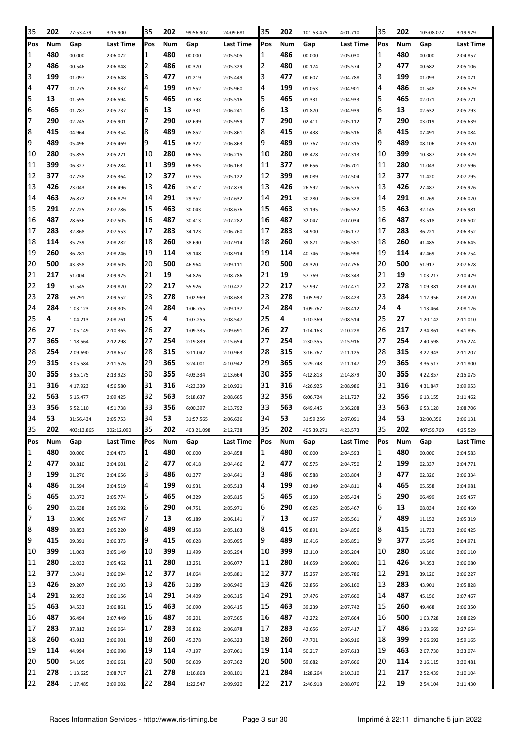| 35       | 202        | 77:53.479  | 3:15.900             | 35       | 202        | 99:56.907  | 24:09.681 | 35               | 202        | 101:53.475 | 4:01.710  | 35       | 202        | 103:08.077 | 3:19.979  |
|----------|------------|------------|----------------------|----------|------------|------------|-----------|------------------|------------|------------|-----------|----------|------------|------------|-----------|
| Pos      | Num        | Gap        | Last Time            | Pos      | Num        | Gap        | Last Time | Pos              | Num        | Gap        | Last Time | Pos      | Num        | Gap        | Last Time |
| 1        | 480        | 00.000     | 2:06.072             | 1        | 480        | 00.000     | 2:05.505  | 11               | 486        | 00.000     | 2:05.030  | 1        | 480        | 00.000     | 2:04.857  |
| 2        | 486        | 00.546     | 2:06.848             | 2        | 486        | 00.370     | 2:05.329  | 12               | 480        | 00.174     | 2:05.574  | 2        | 477        | 00.682     | 2:05.106  |
| 3        | 199        | 01.097     | 2:05.648             | 3        | 477        | 01.219     | 2:05.449  | 13               | 477        | 00.607     | 2:04.788  | 3        | 199        | 01.093     | 2:05.071  |
| 4        | 477        | 01.275     | 2:06.937             | 4        | 199        | 01.552     | 2:05.960  | 14               | 199        | 01.053     | 2:04.901  | 4        | 486        | 01.548     | 2:06.579  |
| 5        | 13         | 01.595     | 2:06.594             | 5        | 465        | 01.798     | 2:05.516  | 15               | 465        | 01.331     | 2:04.933  | 5        | 465        | 02.071     | 2:05.771  |
| 6        | 465        | 01.787     | 2:05.737             | 6        | 13         | 02.331     | 2:06.241  | 16               | 13         | 01.870     | 2:04.939  | 6        | 13         | 02.632     | 2:05.793  |
| 7        | 290        | 02.245     | 2:05.901             | 7        | 290        | 02.699     | 2:05.959  | 17               | 290        | 02.411     | 2:05.112  | 7        | 290        | 03.019     | 2:05.639  |
| 8        | 415        | 04.964     | 2:05.354             | 8        | 489        | 05.852     | 2:05.861  | 18               | 415        | 07.438     | 2:06.516  | 8        | 415        | 07.491     | 2:05.084  |
| 9        | 489        | 05.496     | 2:05.469             | 9        | 415        | 06.322     | 2:06.863  | 19               | 489        | 07.767     | 2:07.315  | 9        | 489        | 08.106     | 2:05.370  |
| 10       | 280        | 05.855     | 2:05.271             | 10       | 280        | 06.565     | 2:06.215  | 10               | 280        | 08.478     | 2:07.313  | 10       | 399        | 10.387     | 2:06.329  |
| 11       | 399        | 06.327     | 2:05.284             | 11       | 399        | 06.985     | 2:06.163  | 11               | 377        | 08.656     | 2:06.701  | 11       | 280        | 11.043     | 2:07.596  |
| 12       | 377        | 07.738     | 2:05.364             | 12       | 377        | 07.355     | 2:05.122  | 12               | 399        | 09.089     | 2:07.504  | 12       | 377        | 11.420     | 2:07.795  |
| 13       | 426        | 23.043     | 2:06.496             | 13       | 426        | 25.417     | 2:07.879  | 13               | 426        | 26.592     | 2:06.575  | 13       | 426        | 27.487     | 2:05.926  |
| 14       | 463        | 26.872     | 2:06.829             | 14       | 291        | 29.352     | 2:07.632  | 14               | 291        | 30.280     | 2:06.328  | 14       | 291        | 31.269     | 2:06.020  |
| 15       | 291        | 27.225     | 2:07.786             | 15       | 463        | 30.043     | 2:08.676  | 15               | 463        | 31.195     | 2:06.552  | 15       | 463        | 32.145     | 2:05.981  |
| 16       | 487        | 28.636     | 2:07.505             | 16       | 487        | 30.413     | 2:07.282  | 16               | 487        | 32.047     | 2:07.034  | 16       | 487        | 33.518     | 2:06.502  |
| 17       | 283        | 32.868     | 2:07.553             | 17       | 283        | 34.123     | 2:06.760  | 17               | 283        | 34.900     | 2:06.177  | 17       | 283        | 36.221     | 2:06.352  |
| 18       | 114        |            |                      | 18       | 260        | 38.690     |           | 18               | 260        |            |           | 18       | 260        |            |           |
| 19       | 260        | 35.739     | 2:08.282             | 19       | 114        |            | 2:07.914  | 19               | 114        | 39.871     | 2:06.581  | 19       | 114        | 41.485     | 2:06.645  |
|          | 500        | 36.281     | 2:08.246             | 20       | 500        | 39.148     | 2:08.914  | 120              | 500        | 40.746     | 2:06.998  | 20       | 500        | 42.469     | 2:06.754  |
| 20       | 217        | 43.358     | 2:08.505             |          |            | 46.964     | 2:09.111  |                  | 19         | 49.320     | 2:07.756  | 21       | 19         | 51.917     | 2:07.628  |
| 21       | 19         | 51.004     | 2:09.975             | 21       | 19         | 54.826     | 2:08.786  | 21<br>22         |            | 57.769     | 2:08.343  | 22       | 278        | 1:03.217   | 2:10.479  |
| 22<br>23 | 278        | 51.545     | 2:09.820             | 22<br>23 | 217<br>278 | 55.926     | 2:10.427  | 23               | 217<br>278 | 57.997     | 2:07.471  | 23       | 284        | 1:09.381   | 2:08.420  |
|          |            | 59.791     | 2:09.552             |          |            | 1:02.969   | 2:08.683  | 24               |            | 1:05.992   | 2:08.423  |          |            | 1:12.956   | 2:08.220  |
| 24       | 284<br>4   | 1:03.123   | 2:09.305             | 24       | 284        | 1:06.755   | 2:09.137  |                  | 284<br>4   | 1:09.767   | 2:08.412  | 24<br>25 | 4          | 1:13.464   | 2:08.126  |
| 25       | 27         | 1:04.213   | 2:08.761             | 25<br>26 | 4<br>27    | 1:07.255   | 2:08.547  | 25<br>26         | 27         | 1:10.369   | 2:08.514  | 26       | 27<br>217  | 1:20.142   | 2:11.010  |
| 26<br>27 | 365        | 1:05.149   | 2:10.365             | 27       | 254        | 1:09.335   | 2:09.691  | 27               | 254        | 1:14.163   | 2:10.228  | 27       | 254        | 2:34.861   | 3:41.895  |
| 28       | 254        | 1:18.564   | 2:12.298             |          | 315        | 2:19.839   | 2:15.654  | 28               | 315        | 2:30.355   | 2:15.916  | 28       | 315        | 2:40.598   | 2:15.274  |
|          |            | 2:09.690   | 2:18.657             | 28       |            | 3:11.042   | 2:10.963  |                  |            | 3:16.767   | 2:11.125  |          |            | 3:22.943   | 2:11.207  |
| 29       | 315        | 3:05.584   | 2:11.576             | 29       | 365        | 3:24.001   | 4:10.942  | 29               | 365        | 3:29.748   | 2:11.147  | 29       | 365        | 3:36.517   | 2:11.800  |
| 30       | 355        | 3:55.175   | 2:13.923             | 30       | 355        | 4:03.334   | 2:13.664  | 30               | 355        | 4:12.813   | 2:14.879  | 30       | 355        | 4:22.857   | 2:15.075  |
| 31       | 316        | 4:17.923   | 4:56.580             | 31       | 316        | 4:23.339   | 2:10.921  | 31               | 316        | 4:26.925   | 2:08.986  | 31       | 316        | 4:31.847   | 2:09.953  |
| 32       | 563<br>356 | 5:15.477   | 2:09.425             | 32       | 563        | 5:18.637   | 2:08.665  | 32               | 356        | 6:06.724   | 2:11.727  | 32<br>33 | 356        | 6:13.155   | 2:11.462  |
| 33       | 53         | 5:52.110   | 4:51.738             | 33<br>34 | 356<br>53  | 6:00.397   | 2:13.792  | 33               | 563<br>53  | 6:49.445   | 3:36.208  | 34       | 563<br>53  | 6:53.120   | 2:08.706  |
| 34<br>35 | 202        | 31:56.434  | 2:05.753             | 35       | 202        | 31:57.565  | 2:06.636  | 34<br>35         | 202        | 31:59.256  | 2:07.091  | 35       | 202        | 32:00.356  | 2:06.131  |
|          |            | 403:13.865 | 302:12.090           |          |            | 403:21.098 | 2:12.738  |                  |            | 405:39.271 | 4:23.573  |          |            | 407:59.769 | 4:25.529  |
| Pos      | Num<br>480 | Gap        | Last Time            | Pos      | Num<br>480 | Gap        | Last Time | <b>Pos</b><br>11 | Num<br>480 | Gap        | Last Time | Pos      | Num<br>480 | Gap        | Last Time |
| 1<br>2   | 477        | 00.000     | 2:04.473             | 1<br>2   | 477        | 00.000     | 2:04.858  | 12               | 477        | 00.000     | 2:04.593  | 1<br>2   | 199        | 00.000     | 2:04.583  |
| 3        | 199        | 00.810     | 2:04.601             | 3        | 486        | 00.418     | 2:04.466  | 13               | 486        | 00.575     | 2:04.750  | 3        | 477        | 02.337     | 2:04.771  |
|          | 486        | 01.276     | 2:04.656             |          |            | 01.377     | 2:04.641  | 4                | 199        | 00.588     | 2:03.804  | 4        | 465        | 02.326     | 2:06.334  |
| 4<br>5   | 465        | 01.594     | 2:04.519             | 4<br>5   | 199<br>465 | 01.931     | 2:05.513  | 5                | 465        | 02.149     | 2:04.811  | 5        | 290        | 05.558     | 2:04.981  |
|          |            | 03.372     | 2:05.774             |          |            | 04.329     | 2:05.815  |                  |            | 05.160     | 2:05.424  |          |            | 06.499     | 2:05.457  |
| 6<br>7   | 290<br>13  | 03.638     | 2:05.092<br>2:05.747 | 6<br>7   | 290<br>13  | 04.751     | 2:05.971  | 6<br>17          | 290<br>13  | 05.625     | 2:05.467  | 6<br>7   | 13<br>489  | 08.034     | 2:06.460  |
|          | 489        | 03.906     |                      | 8        | 489        | 05.189     | 2:06.141  | 8                | 415        | 06.157     | 2:05.561  | 8        | 415        | 11.152     | 2:05.319  |
| 8<br>9   | 415        | 08.853     | 2:05.220             | 9        | 415        | 09.158     | 2:05.163  | 19               | 489        | 09.891     | 2:04.856  | 9        | 377        | 11.733     | 2:06.425  |
| 10       | 399        | 09.391     | 2:06.373             | 10       | 399        | 09.628     | 2:05.095  | 10               | 399        | 10.416     | 2:05.851  | 10       | 280        | 15.645     | 2:04.971  |
| 11       | 280        | 11.063     | 2:05.149             | 11       | 280        | 11.499     | 2:05.294  | 11               | 280        | 12.110     | 2:05.204  | 11       | 426        | 16.186     | 2:06.110  |
| 12       | 377        | 12.032     | 2:05.462             | 12       | 377        | 13.251     | 2:06.077  | 12               | 377        | 14.659     | 2:06.001  | 12       | 291        | 34.353     | 2:06.080  |
| 13       | 426        | 13.041     | 2:06.094             | 13       | 426        | 14.064     | 2:05.881  | 13               | 426        | 15.257     | 2:05.786  | 13       | 283        | 39.120     | 2:06.227  |
|          |            | 29.207     | 2:06.193             |          |            | 31.289     | 2:06.940  |                  |            | 32.856     | 2:06.160  |          |            | 43.901     | 2:05.828  |
| 14       | 291        | 32.952     | 2:06.156             | 14       | 291        | 34.409     | 2:06.315  | 14<br>15         | 291        | 37.476     | 2:07.660  | 14       | 487        | 45.156     | 2:07.467  |
| 15       | 463        | 34.533     | 2:06.861             | 15       | 463        | 36.090     | 2:06.415  |                  | 463        | 39.239     | 2:07.742  | 15       | 260        | 49.468     | 2:06.350  |
| 16       | 487        | 36.494     | 2:07.449             | 16       | 487        | 39.201     | 2:07.565  | 16               | 487        | 42.272     | 2:07.664  | 16       | 500        | 1:03.728   | 2:08.629  |
| 17       | 283        | 37.812     | 2:06.064             | 17       | 283        | 39.832     | 2:06.878  | 17               | 283        | 42.656     | 2:07.417  | 17       | 486        | 1:23.669   | 3:27.664  |
| 18       | 260        | 43.913     | 2:06.901             | 18       | 260        | 45.378     | 2:06.323  | 18               | 260        | 47.701     | 2:06.916  | 18       | 399        | 2:06.692   | 3:59.165  |
| 19       | 114        | 44.994     | 2:06.998             | 19       | 114        | 47.197     | 2:07.061  | 19               | 114        | 50.217     | 2:07.613  | 19       | 463        | 2:07.730   | 3:33.074  |
| 20       | 500        | 54.105     | 2:06.661             | 20       | 500        | 56.609     | 2:07.362  | 20               | 500        | 59.682     | 2:07.666  | 20       | 114        | 2:16.115   | 3:30.481  |
| 21       | 278        | 1:13.625   | 2:08.717             | 21       | 278        | 1:16.868   | 2:08.101  | 21               | 284        | 1:28.264   | 2:10.310  | 21       | 217        | 2:52.439   | 2:10.104  |
| 22       | 284        | 1:17.485   | 2:09.002             | 22       | 284        | 1:22.547   | 2:09.920  | 22               | 217        | 2:46.918   | 2:08.076  | 22       | 19         | 2:54.104   | 2:11.430  |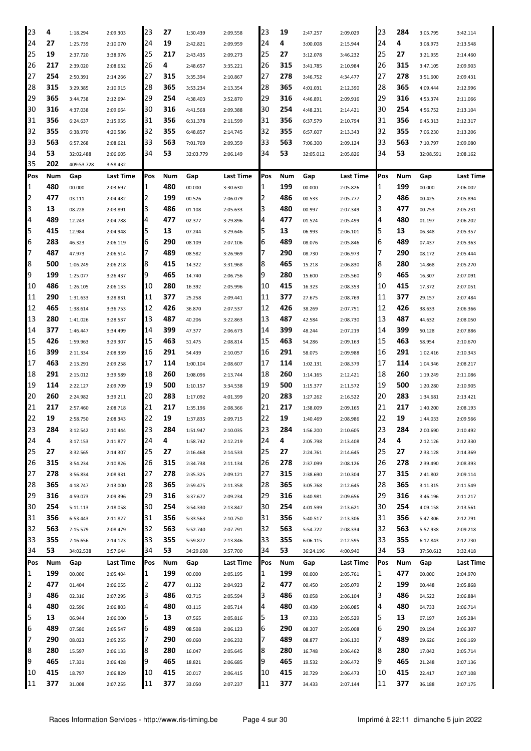| 23             | 4   | 1:18.294   | 2:09.303  | 23  | 27  | 1:30.439  | 2:09.558  | 23  | 19  | 2:47.257  | 2:09.029  | 23  | 284 | 3:05.795  | 3:42.114         |
|----------------|-----|------------|-----------|-----|-----|-----------|-----------|-----|-----|-----------|-----------|-----|-----|-----------|------------------|
| 24             | 27  | 1:25.739   | 2:10.070  | 24  | 19  | 2:42.821  | 2:09.959  | 24  | 4   | 3:00.008  | 2:15.944  | 24  | 4   | 3:08.973  | 2:13.548         |
| 25             | 19  | 2:37.720   | 3:38.976  | 25  | 217 | 2:43.435  | 2:09.273  | 25  | 27  | 3:12.078  | 3:46.232  | 25  | 27  | 3:21.955  | 2:14.460         |
| 126            | 217 | 2:39.020   | 2:08.632  | 26  | 4   | 2:48.657  | 3:35.221  | 26  | 315 | 3:41.785  | 2:10.984  | 26  | 315 | 3:47.105  | 2:09.903         |
| 27             | 254 | 2:50.391   | 2:14.266  | 27  | 315 | 3:35.394  | 2:10.867  | 27  | 278 | 3:46.752  | 4:34.477  | 27  | 278 | 3:51.600  | 2:09.431         |
| 28             | 315 | 3:29.385   | 2:10.915  | 28  | 365 | 3:53.234  | 2:13.354  | 28  | 365 | 4:01.031  | 2:12.390  | 28  | 365 | 4:09.444  | 2:12.996         |
| 29             | 365 | 3:44.738   | 2:12.694  | 29  | 254 | 4:38.403  | 3:52.870  | 29  | 316 | 4:46.891  | 2:09.916  | 29  | 316 | 4:53.374  | 2:11.066         |
| 30             | 316 | 4:37.038   | 2:09.664  | 30  | 316 | 4:41.568  | 2:09.388  | 30  | 254 | 4:48.231  | 2:14.421  | 30  | 254 | 4:56.752  | 2:13.104         |
| 31             | 356 | 6:24.637   | 2:15.955  | 31  | 356 | 6:31.378  | 2:11.599  | 31  | 356 | 6:37.579  | 2:10.794  | 31  | 356 | 6:45.313  | 2:12.317         |
| 32             | 355 | 6:38.970   | 4:20.586  | 32  | 355 | 6:48.857  | 2:14.745  | 32  | 355 | 6:57.607  | 2:13.343  | 32  | 355 | 7:06.230  | 2:13.206         |
| 33             | 563 | 6:57.268   | 2:08.621  | 33  | 563 | 7:01.769  | 2:09.359  | 33  | 563 | 7:06.300  | 2:09.124  | 33  | 563 | 7:10.797  | 2:09.080         |
| 34             | 53  | 32:02.488  | 2:06.605  | 34  | 53  | 32:03.779 | 2:06.149  | 34  | 53  | 32:05.012 | 2:05.826  | 34  | 53  | 32:08.591 | 2:08.162         |
| 135            | 202 | 409:53.728 | 3:58.432  |     |     |           |           |     |     |           |           |     |     |           |                  |
| Pos            | Num | Gap        | Last Time | Pos | Num | Gap       | Last Time | Pos | Num |           | Last Time | Pos | Num | Gap       | Last Time        |
| 11             | 480 |            |           | 1   | 480 |           |           |     | 199 | Gap       |           | 1   | 199 |           |                  |
|                | 477 | 00.000     | 2:03.697  |     | 199 | 00.000    | 3:30.630  | 1   | 486 | 00.000    | 2:05.826  |     | 486 | 00.000    | 2:06.002         |
| $\overline{2}$ |     | 03.111     | 2:04.482  | 2   |     | 00.526    | 2:06.079  | 2   |     | 00.533    | 2:05.777  | 2   |     | 00.425    | 2:05.894         |
| 3              | 13  | 08.228     | 2:03.891  | 3   | 486 | 01.108    | 2:05.633  | З   | 480 | 00.997    | 2:07.349  | 3   | 477 | 00.753    | 2:05.231         |
| 4              | 489 | 12.243     | 2:04.788  | 4   | 477 | 02.377    | 3:29.896  | 4   | 477 | 01.524    | 2:05.499  | 4   | 480 | 01.197    | 2:06.202         |
| 5              | 415 | 12.984     | 2:04.948  | 5   | 13  | 07.244    | 3:29.646  | 5   | 13  | 06.993    | 2:06.101  | 5   | 13  | 06.348    | 2:05.357         |
| 6              | 283 | 46.323     | 2:06.119  | 6   | 290 | 08.109    | 2:07.106  | 6   | 489 | 08.076    | 2:05.846  | 6   | 489 | 07.437    | 2:05.363         |
| 17             | 487 | 47.973     | 2:06.514  | 7   | 489 | 08.582    | 3:26.969  | 7   | 290 | 08.730    | 2:06.973  | 7   | 290 | 08.172    | 2:05.444         |
| 8              | 500 | 1:06.249   | 2:06.218  | 8   | 415 | 14.322    | 3:31.968  | 8   | 465 | 15.218    | 2:06.830  | 8   | 280 | 14.868    | 2:05.270         |
| 9              | 199 | 1:25.077   | 3:26.437  | 9   | 465 | 14.740    | 2:06.756  | 9   | 280 | 15.600    | 2:05.560  | 9   | 465 | 16.307    | 2:07.091         |
| 10             | 486 | 1:26.105   | 2:06.133  | 10  | 280 | 16.392    | 2:05.996  | 10  | 415 | 16.323    | 2:08.353  | 10  | 415 | 17.372    | 2:07.051         |
| 11             | 290 | 1:31.633   | 3:28.831  | 11  | 377 | 25.258    | 2:09.441  | 11  | 377 | 27.675    | 2:08.769  | 11  | 377 | 29.157    | 2:07.484         |
| 12             | 465 | 1:38.614   | 3:36.753  | 12  | 426 | 36.870    | 2:07.537  | 12  | 426 | 38.269    | 2:07.751  | 12  | 426 | 38.633    | 2:06.366         |
| 13             | 280 | 1:41.026   | 3:28.537  | 13  | 487 | 40.206    | 3:22.863  | 13  | 487 | 42.584    | 2:08.730  | 13  | 487 | 44.632    | 2:08.050         |
| 14             | 377 | 1:46.447   | 3:34.499  | 14  | 399 | 47.377    | 2:06.673  | 14  | 399 | 48.244    | 2:07.219  | 14  | 399 | 50.128    | 2:07.886         |
| 15             | 426 | 1:59.963   | 3:29.307  | 15  | 463 | 51.475    | 2:08.814  | 15  | 463 | 54.286    | 2:09.163  | 15  | 463 | 58.954    | 2:10.670         |
| 16             | 399 | 2:11.334   | 2:08.339  | 16  | 291 | 54.439    | 2:10.057  | 16  | 291 | 58.075    | 2:09.988  | 16  | 291 | 1:02.416  | 2:10.343         |
| 17             | 463 | 2:13.291   | 2:09.258  | 17  | 114 | 1:00.104  | 2:08.607  | 17  | 114 | 1:02.131  | 2:08.379  | 17  | 114 | 1:04.346  | 2:08.217         |
| 18             | 291 | 2:15.012   | 3:39.589  | 18  | 260 | 1:08.096  | 2:13.744  | 18  | 260 | 1:14.165  | 2:12.421  | 18  | 260 | 1:19.249  | 2:11.086         |
| 19             | 114 | 2:22.127   | 2:09.709  | 19  | 500 | 1:10.157  | 3:34.538  | 19  | 500 | 1:15.377  | 2:11.572  | 19  | 500 | 1:20.280  | 2:10.905         |
| 120            | 260 | 2:24.982   | 3:39.211  | 20  | 283 | 1:17.092  | 4:01.399  | 20  | 283 | 1:27.262  | 2:16.522  | 20  | 283 | 1:34.681  | 2:13.421         |
| 21             | 217 | 2:57.460   | 2:08.718  | 21  | 217 | 1:35.196  | 2:08.366  | 21  | 217 | 1:38.009  | 2:09.165  | 21  | 217 | 1:40.200  | 2:08.193         |
| 22             | 19  | 2:58.750   | 2:08.343  | 22  | 19  | 1:37.835  | 2:09.715  | 22  | 19  | 1:40.469  | 2:08.986  | 22  | 19  | 1:44.033  | 2:09.566         |
| 23             | 284 | 3:12.542   | 2:10.444  | 23  | 284 | 1:51.947  | 2:10.035  | 23  | 284 | 1:56.200  | 2:10.605  | 23  | 284 | 2:00.690  | 2:10.492         |
| 24             | 4   | 3:17.153   | 2:11.877  | 24  | 4   | 1:58.742  | 2:12.219  | 24  | 4   | 2:05.798  | 2:13.408  | 24  | 4   | 2:12.126  | 2:12.330         |
| 25             | 27  | 3:32.565   | 2:14.307  | 25  | 27  | 2:16.468  | 2:14.533  | 25  | 27  | 2:24.761  | 2:14.645  | 25  | 27  | 2:33.128  | 2:14.369         |
| 26             | 315 | 3:54.234   | 2:10.826  | 26  | 315 | 2:34.738  | 2:11.134  | 26  | 278 | 2:37.099  | 2:08.126  | 26  | 278 | 2:39.490  | 2:08.393         |
| 27             | 278 | 3:56.834   | 2:08.931  | 27  | 278 | 2:35.325  | 2:09.121  | 27  | 315 | 2:38.690  | 2:10.304  | 27  | 315 | 2:41.802  | 2:09.114         |
| 28             | 365 | 4:18.747   | 2:13.000  | 28  | 365 | 2:59.475  | 2:11.358  | 28  | 365 | 3:05.768  | 2:12.645  | 28  | 365 | 3:11.315  | 2:11.549         |
| 29             | 316 | 4:59.073   | 2:09.396  | 29  | 316 | 3:37.677  | 2:09.234  | 29  | 316 | 3:40.981  | 2:09.656  | 29  | 316 | 3:46.196  | 2:11.217         |
| 30             | 254 | 5:11.113   | 2:18.058  | 30  | 254 | 3:54.330  | 2:13.847  | 30  | 254 | 4:01.599  | 2:13.621  | 30  | 254 | 4:09.158  | 2:13.561         |
| 31             | 356 | 6:53.443   | 2:11.827  | 31  | 356 | 5:33.563  | 2:10.750  | 31  | 356 | 5:40.517  | 2:13.306  | 31  | 356 | 5:47.306  | 2:12.791         |
| 32             | 563 | 7:15.579   | 2:08.479  | 32  | 563 | 5:52.740  | 2:07.791  | 32  | 563 | 5:54.722  | 2:08.334  | 32  | 563 | 5:57.938  | 2:09.218         |
| 33             | 355 | 7:16.656   | 2:14.123  | 33  | 355 | 5:59.872  | 2:13.846  | 33  | 355 | 6:06.115  | 2:12.595  | 33  | 355 | 6:12.843  | 2:12.730         |
| 34             | 53  | 34:02.538  | 3:57.644  | 34  | 53  | 34:29.608 | 3:57.700  | 34  | 53  | 36:24.196 | 4:00.940  | 34  | 53  | 37:50.612 | 3:32.418         |
| Pos            | Num | Gap        | Last Time | Pos | Num | Gap       | Last Time | Pos | Num | Gap       | Last Time | Pos | Num | Gap       | <b>Last Time</b> |
| 1              | 199 | 00.000     | 2:05.404  | 1   | 199 | 00.000    | 2:05.195  | 1   | 199 | 00.000    | 2:05.761  | 1   | 477 | 00.000    | 2:04.970         |
| $\overline{2}$ | 477 | 01.404     | 2:06.055  | 2   | 477 | 01.132    |           | 2   | 477 | 00.450    | 2:05.079  | 2   | 199 | 00.448    | 2:05.868         |
| 3              | 486 |            |           | 3   | 486 |           | 2:04.923  | З   | 486 |           |           | 3   | 486 |           |                  |
| 4              | 480 | 02.316     | 2:07.295  |     | 480 | 02.715    | 2:05.594  | 4   | 480 | 03.058    | 2:06.104  | 4   | 480 | 04.522    | 2:06.884         |
|                |     | 02.596     | 2:06.803  | 4   |     | 03.115    | 2:05.714  |     |     | 03.439    | 2:06.085  |     |     | 04.733    | 2:06.714         |
| 5              | 13  | 06.944     | 2:06.000  | 5   | 13  | 07.565    | 2:05.816  | 5   | 13  | 07.333    | 2:05.529  | 5   | 13  | 07.197    | 2:05.284         |
| 6              | 489 | 07.580     | 2:05.547  | 6   | 489 | 08.508    | 2:06.123  | 16  | 290 | 08.307    | 2:05.008  | 6   | 290 | 09.194    | 2:06.307         |
| 17             | 290 | 08.023     | 2:05.255  | 7   | 290 | 09.060    | 2:06.232  | 7   | 489 | 08.877    | 2:06.130  | 7   | 489 | 09.626    | 2:06.169         |
| 8              | 280 | 15.597     | 2:06.133  | 8   | 280 | 16.047    | 2:05.645  | 18  | 280 | 16.748    | 2:06.462  | 8   | 280 | 17.042    | 2:05.714         |
| 9              | 465 | 17.331     | 2:06.428  | 9   | 465 | 18.821    | 2:06.685  | 9   | 465 | 19.532    | 2:06.472  | 9   | 465 | 21.248    | 2:07.136         |
| 10             | 415 | 18.797     | 2:06.829  | 10  | 415 | 20.017    | 2:06.415  | 10  | 415 | 20.729    | 2:06.473  | 10  | 415 | 22.417    | 2:07.108         |
| 11             | 377 | 31.008     | 2:07.255  | 11  | 377 | 33.050    | 2:07.237  | 11  | 377 | 34.433    | 2:07.144  | 11  | 377 | 36.188    | 2:07.175         |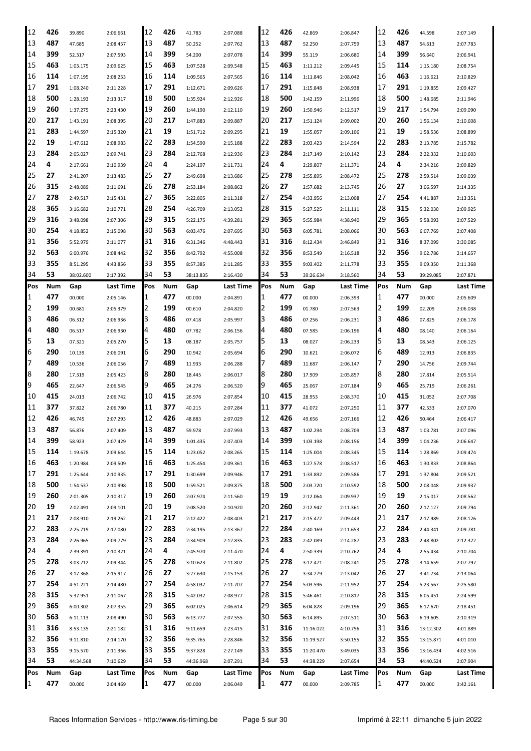| 12  | 426 | 39.890    | 2:06.661         | 12  | 426 | 41.783    | 2:07.088  | 12         | 426 | 42.869    | 2:06.847  | 12  | 426 | 44.598    | 2:07.149         |
|-----|-----|-----------|------------------|-----|-----|-----------|-----------|------------|-----|-----------|-----------|-----|-----|-----------|------------------|
| 13  | 487 | 47.685    | 2:08.457         | 13  | 487 | 50.252    | 2:07.762  | 13         | 487 | 52.250    | 2:07.759  | 13  | 487 | 54.613    | 2:07.783         |
| 14  | 399 | 52.317    | 2:07.593         | 14  | 399 | 54.200    | 2:07.078  | 14         | 399 | 55.119    | 2:06.680  | 14  | 399 | 56.640    | 2:06.941         |
| 15  | 463 | 1:03.175  | 2:09.625         | 15  | 463 | 1:07.528  | 2:09.548  | 15         | 463 | 1:11.212  | 2:09.445  | 15  | 114 | 1:15.180  | 2:08.754         |
| 16  | 114 | 1:07.195  | 2:08.253         | 16  | 114 | 1:09.565  | 2:07.565  | 16         | 114 | 1:11.846  | 2:08.042  | 16  | 463 | 1:16.621  | 2:10.829         |
| 17  | 291 | 1:08.240  | 2:11.228         | 17  | 291 | 1:12.671  | 2:09.626  | 17         | 291 | 1:15.848  | 2:08.938  | 17  | 291 | 1:19.855  | 2:09.427         |
| 18  | 500 | 1:28.193  | 2:13.317         | 18  | 500 | 1:35.924  | 2:12.926  | 18         | 500 | 1:42.159  | 2:11.996  | 18  | 500 | 1:48.685  | 2:11.946         |
| 19  | 260 | 1:37.275  | 2:23.430         | 19  | 260 | 1:44.190  | 2:12.110  | 19         | 260 | 1:50.946  | 2:12.517  | 19  | 217 | 1:54.794  | 2:09.090         |
| 20  | 217 | 1:43.191  | 2:08.395         | 20  | 217 | 1:47.883  | 2:09.887  | 20         | 217 | 1:51.124  | 2:09.002  | 20  | 260 | 1:56.134  | 2:10.608         |
| 21  | 283 | 1:44.597  | 2:15.320         | 21  | 19  | 1:51.712  | 2:09.295  | 21         | 19  | 1:55.057  | 2:09.106  | 21  | 19  | 1:58.536  | 2:08.899         |
| 22  | 19  | 1:47.612  | 2:08.983         | 22  | 283 | 1:54.590  | 2:15.188  | 22         | 283 | 2:03.423  | 2:14.594  | 22  | 283 | 2:13.785  | 2:15.782         |
| 23  | 284 | 2:05.027  | 2:09.741         | 23  | 284 | 2:12.768  | 2:12.936  | 23         | 284 | 2:17.149  | 2:10.142  | 23  | 284 | 2:22.332  | 2:10.603         |
| 24  | 4   | 2:17.661  | 2:10.939         | 24  | 4   | 2:24.197  | 2:11.731  | 24         | 4   | 2:29.807  | 2:11.371  | 24  | 4   | 2:34.216  | 2:09.829         |
| 25  | 27  | 2:41.207  | 2:13.483         | 25  | 27  | 2:49.698  | 2:13.686  | 25         | 278 | 2:55.895  | 2:08.472  | 25  | 278 | 2:59.514  | 2:09.039         |
| 26  | 315 | 2:48.089  | 2:11.691         | 26  | 278 | 2:53.184  | 2:08.862  | 26         | 27  | 2:57.682  | 2:13.745  | 26  | 27  | 3:06.597  | 2:14.335         |
| 27  | 278 | 2:49.517  | 2:15.431         | 27  | 365 | 3:22.805  | 2:11.318  | 27         | 254 | 4:33.956  | 2:13.008  | 27  | 254 | 4:41.887  | 2:13.351         |
| 28  | 365 | 3:16.682  | 2:10.771         | 28  | 254 | 4:26.709  | 2:13.052  | 28         | 315 | 5:27.525  | 2:11.111  | 28  | 315 | 5:32.030  | 2:09.925         |
| 29  | 316 | 3:48.098  | 2:07.306         | 29  | 315 | 5:22.175  | 4:39.281  | 29         | 365 | 5:55.984  | 4:38.940  | 29  | 365 | 5:58.093  | 2:07.529         |
| 30  | 254 | 4:18.852  | 2:15.098         | 30  | 563 | 6:03.476  | 2:07.695  | 30         | 563 | 6:05.781  | 2:08.066  | 30  | 563 | 6:07.769  | 2:07.408         |
| 31  | 356 | 5:52.979  | 2:11.077         | 31  | 316 | 6:31.346  | 4:48.443  | 31         | 316 | 8:12.434  | 3:46.849  | 31  | 316 | 8:37.099  | 2:30.085         |
| 32  | 563 | 6:00.976  | 2:08.442         | 32  | 356 | 8:42.792  | 4:55.008  | 32         | 356 | 8:53.549  | 2:16.518  | 32  | 356 | 9:02.786  | 2:14.657         |
| 33  | 355 | 8:51.295  | 4:43.856         | 33  | 355 | 8:57.385  | 2:11.285  | 33         | 355 | 9:03.402  | 2:11.778  | 33  | 355 | 9:09.350  | 2:11.368         |
| 34  | 53  | 38:02.600 | 2:17.392         | 34  | 53  | 38:13.835 | 2:16.430  | 34         | 53  | 39:26.634 | 3:18.560  | 34  | 53  | 39:29.085 | 2:07.871         |
| Pos | Num | Gap       | <b>Last Time</b> | Pos | Num | Gap       | Last Time | Pos        | Num | Gap       | Last Time | Pos | Num | Gap       | <b>Last Time</b> |
| 1   | 477 | 00.000    | 2:05.146         | 1   | 477 | 00.000    | 2:04.891  | 11         | 477 | 00.000    | 2:06.393  | 1   | 477 | 00.000    | 2:05.609         |
| 2   | 199 | 00.681    | 2:05.379         | 2   | 199 | 00.610    | 2:04.820  | 12         | 199 | 01.780    | 2:07.563  | 2   | 199 | 02.209    | 2:06.038         |
| 3   | 486 | 06.312    | 2:06.936         | 3   | 486 | 07.418    | 2:05.997  | 13         | 486 | 07.256    | 2:06.231  | 3   | 486 | 07.825    | 2:06.178         |
| 4   | 480 | 06.517    | 2:06.930         | 4   | 480 | 07.782    | 2:06.156  | 4          | 480 | 07.585    | 2:06.196  | 4   | 480 | 08.140    | 2:06.164         |
| 5   | 13  | 07.321    | 2:05.270         | 5   | 13  | 08.187    | 2:05.757  | 15         | 13  | 08.027    | 2:06.233  | 5   | 13  | 08.543    | 2:06.125         |
| 6   | 290 | 10.139    | 2:06.091         | 6   | 290 | 10.942    | 2:05.694  | 6          | 290 | 10.621    | 2:06.072  | 6   | 489 | 12.913    | 2:06.835         |
| 7   | 489 | 10.536    | 2:06.056         | 7   | 489 | 11.933    | 2:06.288  |            | 489 | 11.687    | 2:06.147  |     | 290 | 14.756    | 2:09.744         |
| 8   | 280 | 17.319    | 2:05.423         | 8   | 280 | 18.445    | 2:06.017  | 18         | 280 | 17.909    | 2:05.857  | 8   | 280 | 17.814    | 2:05.514         |
| 9   | 465 | 22.647    | 2:06.545         | 9   | 465 | 24.276    | 2:06.520  | 19         | 465 | 25.067    | 2:07.184  | 9   | 465 | 25.719    | 2:06.261         |
| 10  | 415 | 24.013    | 2:06.742         | 10  | 415 | 26.976    | 2:07.854  | 10         | 415 | 28.953    | 2:08.370  | 10  | 415 | 31.052    | 2:07.708         |
| 11  | 377 | 37.822    | 2:06.780         | 11  | 377 | 40.215    | 2:07.284  | 11         | 377 | 41.072    | 2:07.250  | 11  | 377 | 42.533    | 2:07.070         |
| 12  | 426 | 46.745    | 2:07.293         | 12  | 426 | 48.883    | 2:07.029  | 12         | 426 | 49.656    | 2:07.166  | 12  | 426 | 50.464    | 2:06.417         |
| 13  | 487 | 56.876    | 2:07.409         | 13  | 487 | 59.978    | 2:07.993  | 13         | 487 | 1:02.294  | 2:08.709  | 13  | 487 | 1:03.781  | 2:07.096         |
| 14  | 399 | 58.923    | 2:07.429         | 14  | 399 | 1:01.435  | 2:07.403  | 14         | 399 | 1:03.198  | 2:08.156  | 14  | 399 | 1:04.236  | 2:06.647         |
| 15  | 114 | 1:19.678  | 2:09.644         | 15  | 114 | 1:23.052  | 2:08.265  | 15         | 114 | 1:25.004  | 2:08.345  | 15  | 114 | 1:28.869  | 2:09.474         |
| 16  | 463 | 1:20.984  | 2:09.509         | 16  | 463 | 1:25.454  | 2:09.361  | 16         | 463 | 1:27.578  | 2:08.517  | 16  | 463 | 1:30.833  | 2:08.864         |
| 17  | 291 | 1:25.644  | 2:10.935         | 17  | 291 | 1:30.699  | 2:09.946  | 17         | 291 | 1:33.892  | 2:09.586  | 17  | 291 | 1:37.804  | 2:09.521         |
| 18  | 500 | 1:54.537  | 2:10.998         | 18  | 500 | 1:59.521  | 2:09.875  | 18         | 500 | 2:03.720  | 2:10.592  | 18  | 500 | 2:08.048  | 2:09.937         |
| 19  | 260 | 2:01.305  | 2:10.317         | 19  | 260 | 2:07.974  | 2:11.560  | 19         | 19  | 2:12.064  | 2:09.937  | 19  | 19  | 2:15.017  | 2:08.562         |
| 20  | 19  | 2:02.491  | 2:09.101         | 20  | 19  | 2:08.520  | 2:10.920  | 20         | 260 | 2:12.942  | 2:11.361  | 20  | 260 | 2:17.127  | 2:09.794         |
| 21  | 217 | 2:08.910  | 2:19.262         | 21  | 217 | 2:12.422  | 2:08.403  | 21         | 217 | 2:15.472  | 2:09.443  | 21  | 217 | 2:17.989  | 2:08.126         |
| 22  | 283 | 2:25.719  | 2:17.080         | 22  | 283 | 2:34.195  | 2:13.367  | 22         | 284 | 2:40.169  | 2:11.653  | 22  | 284 | 2:44.341  | 2:09.781         |
| 23  | 284 | 2:26.965  | 2:09.779         | 23  | 284 | 2:34.909  | 2:12.835  | 23         | 283 | 2:42.089  | 2:14.287  | 23  | 283 | 2:48.802  | 2:12.322         |
| 24  | 4   | 2:39.391  | 2:10.321         | 24  | 4   | 2:45.970  | 2:11.470  | 24         | 4   | 2:50.339  | 2:10.762  | 24  | 4   | 2:55.434  | 2:10.704         |
| 25  | 278 | 3:03.712  | 2:09.344         | 25  | 278 | 3:10.623  | 2:11.802  | 25         | 278 | 3:12.471  | 2:08.241  | 25  | 278 | 3:14.659  | 2:07.797         |
| 26  | 27  | 3:17.368  | 2:15.917         | 26  | 27  | 3:27.630  | 2:15.153  | 26         | 27  | 3:34.279  | 2:13.042  | 26  | 27  | 3:41.734  | 2:13.064         |
| 27  | 254 | 4:51.221  | 2:14.480         | 27  | 254 | 4:58.037  | 2:11.707  | 27         | 254 | 5:03.596  | 2:11.952  | 27  | 254 | 5:23.567  | 2:25.580         |
| 28  | 315 | 5:37.951  | 2:11.067         | 28  | 315 | 5:42.037  | 2:08.977  | 28         | 315 | 5:46.461  | 2:10.817  | 28  | 315 | 6:05.451  | 2:24.599         |
| 29  | 365 | 6:00.302  | 2:07.355         | 29  | 365 | 6:02.025  | 2:06.614  | 29         | 365 | 6:04.828  | 2:09.196  | 29  | 365 | 6:17.670  | 2:18.451         |
| 30  | 563 | 6:11.113  | 2:08.490         | 30  | 563 | 6:13.777  | 2:07.555  | 30         | 563 | 6:14.895  | 2:07.511  | 30  | 563 | 6:19.605  | 2:10.319         |
| 31  | 316 | 8:53.135  | 2:21.182         | 31  | 316 | 9:11.659  | 2:23.415  | 31         | 316 | 11:16.022 | 4:10.756  | 31  | 316 | 13:12.302 | 4:01.889         |
| 32  | 356 | 9:11.810  | 2:14.170         | 32  | 356 | 9:35.765  | 2:28.846  | 32         | 356 | 11:19.527 | 3:50.155  | 32  | 355 | 13:15.871 | 4:01.010         |
| 33  | 355 | 9:15.570  | 2:11.366         | 33  | 355 | 9:37.828  | 2:27.149  | 33         | 355 | 11:20.470 | 3:49.035  | 33  | 356 | 13:16.434 | 4:02.516         |
| 34  | 53  | 44:34.568 | 7:10.629         | 34  | 53  | 44:36.968 | 2:07.291  | 34         | 53  | 44:38.229 | 2:07.654  | 34  | 53  | 44:40.524 | 2:07.904         |
| Pos | Num | Gap       | Last Time        | Pos | Num | Gap       | Last Time | <b>Pos</b> | Num | Gap       | Last Time | Pos | Num | Gap       | Last Time        |
| 1   | 477 | 00.000    | 2:04.469         | 1   | 477 | 00.000    | 2:06.049  | 11         | 477 | 00.000    | 2:09.785  | 1   | 477 | 00.000    | 3:42.161         |
|     |     |           |                  |     |     |           |           |            |     |           |           |     |     |           |                  |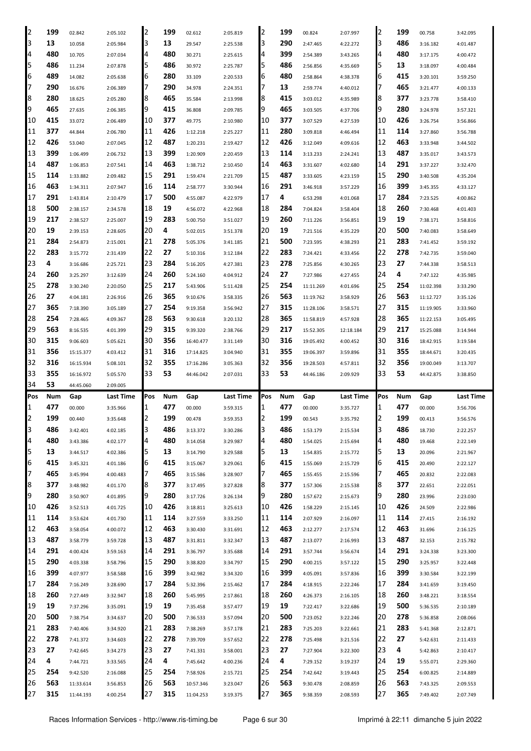| 2   | 199 | 02.842    | 2:05.102  | 2   | 199 | 02.612    | 2:05.819  | 2   | 199 | 00.824    | 2:07.997  | 2   | 199        | 00.758    | 3:42.095         |
|-----|-----|-----------|-----------|-----|-----|-----------|-----------|-----|-----|-----------|-----------|-----|------------|-----------|------------------|
| 3   | 13  | 10.058    | 2:05.984  | 3   | 13  | 29.547    | 2:25.538  | 3   | 290 | 2:47.465  | 4:22.272  | 3   | 486        | 3:16.182  | 4:01.487         |
| 4   | 480 | 10.705    | 2:07.034  | 4   | 480 | 30.271    | 2:25.615  | 4   | 399 | 2:54.389  | 3:43.265  | 4   | 480        | 3:17.175  | 4:00.472         |
| 5   | 486 | 11.234    | 2:07.878  | 5   | 486 | 30.972    | 2:25.787  | 5   | 486 | 2:56.856  | 4:35.669  | 5   | 13         | 3:18.097  | 4:00.484         |
| 6   | 489 | 14.082    | 2:05.638  | 6   | 280 | 33.109    | 2:20.533  | 6   | 480 | 2:58.864  | 4:38.378  | 6   | 415        | 3:20.101  | 3:59.250         |
| 7   | 290 | 16.676    | 2:06.389  | 7   | 290 | 34.978    | 2:24.351  | 7   | 13  | 2:59.774  | 4:40.012  | 7   | 465        | 3:21.477  | 4:00.133         |
| 8   | 280 | 18.625    | 2:05.280  | 8   | 465 | 35.584    | 2:13.998  | 8   | 415 | 3:03.012  | 4:35.989  | 8   | 377        | 3:23.778  | 3:58.410         |
| 9   | 465 | 27.635    | 2:06.385  | 9   | 415 | 36.808    | 2:09.785  | 9   | 465 | 3:03.505  | 4:37.706  | 9   | 280        | 3:24.978  | 3:57.321         |
| 10  | 415 | 33.072    | 2:06.489  | 10  | 377 | 49.775    | 2:10.980  | 10  | 377 | 3:07.529  | 4:27.539  | 10  | 426        | 3:26.754  | 3:56.866         |
| 11  | 377 | 44.844    | 2:06.780  | 11  | 426 | 1:12.218  | 2:25.227  | 11  | 280 | 3:09.818  | 4:46.494  | 11  | 114        | 3:27.860  | 3:56.788         |
| 12  | 426 | 53.040    | 2:07.045  | 12  | 487 | 1:20.231  | 2:19.427  | 12  | 426 | 3:12.049  | 4:09.616  | 12  | 463        | 3:33.948  | 3:44.502         |
| 13  | 399 | 1:06.499  | 2:06.732  | 13  | 399 | 1:20.909  | 2:20.459  | 13  | 114 | 3:13.233  | 2:24.241  | 13  | 487        | 3:35.017  | 3:43.573         |
| 14  | 487 | 1:06.853  | 2:07.541  | 14  | 463 | 1:38.712  | 2:10.450  | 14  | 463 | 3:31.607  | 4:02.680  | 14  | 291        | 3:37.227  | 3:32.470         |
| 15  | 114 | 1:33.882  | 2:09.482  | 15  | 291 | 1:59.474  | 2:21.709  | 15  | 487 | 3:33.605  | 4:23.159  | 15  | 290        | 3:40.508  | 4:35.204         |
| 16  | 463 | 1:34.311  | 2:07.947  | 16  | 114 | 2:58.777  | 3:30.944  | 16  | 291 | 3:46.918  | 3:57.229  | 16  | 399        | 3:45.355  | 4:33.127         |
| 17  | 291 | 1:43.814  |           | 17  | 500 |           |           | 17  | 4   |           |           | 17  | 284        |           |                  |
| 18  | 500 |           | 2:10.479  | 18  | 19  | 4:55.087  | 4:22.979  | 18  | 284 | 6:53.298  | 4:01.068  | 18  | 260        | 7:23.525  | 4:00.862         |
|     |     | 2:38.157  | 2:34.578  |     |     | 4:56.072  | 4:22.968  | 19  | 260 | 7:04.824  | 3:58.404  |     | 19         | 7:30.468  | 4:01.403         |
| 19  | 217 | 2:38.527  | 2:25.007  | 19  | 283 | 5:00.750  | 3:51.027  |     |     | 7:11.226  | 3:56.851  | 19  |            | 7:38.171  | 3:58.816         |
| 20  | 19  | 2:39.153  | 2:28.605  | 20  | 4   | 5:02.015  | 3:51.378  | 20  | 19  | 7:21.516  | 4:35.229  | 20  | 500        | 7:40.083  | 3:58.649         |
| 21  | 284 | 2:54.873  | 2:15.001  | 21  | 278 | 5:05.376  | 3:41.185  | 21  | 500 | 7:23.595  | 4:38.293  | 21  | 283        | 7:41.452  | 3:59.192         |
| 22  | 283 | 3:15.772  | 2:31.439  | 22  | 27  | 5:10.316  | 3:12.184  | 22  | 283 | 7:24.421  | 4:33.456  | 22  | 278        | 7:42.735  | 3:59.040         |
| 23  | 4   | 3:16.686  | 2:25.721  | 23  | 284 | 5:16.205  | 4:27.381  | 23  | 278 | 7:25.856  | 4:30.265  | 23  | 27         | 7:44.338  | 3:58.513         |
| 24  | 260 | 3:25.297  | 3:12.639  | 24  | 260 | 5:24.160  | 4:04.912  | 24  | 27  | 7:27.986  | 4:27.455  | 24  | 4          | 7:47.122  | 4:35.985         |
| 25  | 278 | 3:30.240  | 2:20.050  | 25  | 217 | 5:43.906  | 5:11.428  | 25  | 254 | 11:11.269 | 4:01.696  | 25  | 254        | 11:02.398 | 3:33.290         |
| 26  | 27  | 4:04.181  | 2:26.916  | 26  | 365 | 9:10.676  | 3:58.335  | 26  | 563 | 11:19.762 | 3:58.929  | 26  | 563        | 11:12.727 | 3:35.126         |
| 27  | 365 | 7:18.390  | 3:05.189  | 27  | 254 | 9:19.358  | 3:56.942  | 27  | 315 | 11:28.106 | 3:58.571  | 27  | 315        | 11:19.905 | 3:33.960         |
| 28  | 254 | 7:28.465  | 4:09.367  | 28  | 563 | 9:30.618  | 3:20.132  | 28  | 365 | 11:58.819 | 4:57.928  | 28  | 365        | 11:22.153 | 3:05.495         |
| 29  | 563 | 8:16.535  | 4:01.399  | 29  | 315 | 9:39.320  | 2:38.766  | 29  | 217 | 15:52.305 | 12:18.184 | 29  | 217        | 15:25.088 | 3:14.944         |
| 30  | 315 | 9:06.603  | 5:05.621  | 30  | 356 | 16:40.477 | 3:31.149  | 30  | 316 | 19:05.492 | 4:00.452  | 30  | 316        | 18:42.915 | 3:19.584         |
| 31  | 356 | 15:15.377 | 4:03.412  | 31  | 316 | 17:14.825 | 3:04.940  | 31  | 355 | 19:06.397 | 3:59.896  | 31  | 355        | 18:44.671 | 3:20.435         |
|     | 316 | 16:15.934 |           | 32  | 355 | 17:16.286 |           | 32  |     |           |           | 32  |            |           | 3:13.707         |
| 32  |     |           | 5:08.101  |     |     |           | 3:05.363  |     | 356 | 19:28.503 | 4:57.811  |     | 356        | 19:00.049 |                  |
| 33  | 355 | 16:16.972 | 5:05.570  | 33  | 53  | 44:46.042 | 2:07.031  | 33  | 53  | 44:46.186 | 2:09.929  | 33  | 53         | 44:42.875 | 3:38.850         |
| 34  | 53  | 44:45.060 | 2:09.005  |     |     |           |           |     |     |           |           |     |            |           |                  |
| Pos | Num | Gap       | Last Time | Pos | Num | Gap       | Last Time | Pos | Num | Gap       | Last Time | Pos | <b>Num</b> | Gap       | <b>Last Time</b> |
| 1   | 477 | 00.000    | 3:35.966  | 1   | 477 | 00.000    | 3:59.315  | 1   | 477 | 00.000    | 3:35.727  | 1   | 477        | 00.000    | 3:56.706         |
| 2   | 199 | 00.440    | 3:35.648  | 2   | 199 | 00.478    | 3:59.353  | 2   | 199 | 00.543    | 3:35.792  | 2   | 199        | 00.413    | 3:56.576         |
| 3   | 486 | 3:42.401  | 4:02.185  | 3   | 486 | 3:13.372  | 3:30.286  |     | 486 | 1:53.179  | 2:15.534  | 3   | 486        | 18.730    | 2:22.257         |
| 4   | 480 | 3:43.386  | 4:02.177  | 4   | 480 | 3:14.058  | 3:29.987  | 4   | 480 | 1:54.025  | 2:15.694  | 4   | 480        | 19.468    | 2:22.149         |
| 5   | 13  | 3:44.517  | 4:02.386  | 5   | 13  | 3:14.790  | 3:29.588  | 5   | 13  | 1:54.835  | 2:15.772  | 5   | 13         | 20.096    | 2:21.967         |
| 6   | 415 | 3:45.321  | 4:01.186  | 6   | 415 | 3:15.067  | 3:29.061  | 6   | 415 | 1:55.069  | 2:15.729  | 6   | 415        | 20.490    | 2:22.127         |
| 7   | 465 | 3:45.994  | 4:00.483  | 7   | 465 | 3:15.586  | 3:28.907  | 7   | 465 | 1:55.455  | 2:15.596  | 7   | 465        | 20.832    | 2:22.083         |
| 8   | 377 | 3:48.982  | 4:01.170  | 18  | 377 | 3:17.495  | 3:27.828  | 8   | 377 | 1:57.306  | 2:15.538  | 8   | 377        | 22.651    | 2:22.051         |
| 9   | 280 | 3:50.907  | 4:01.895  | 9   | 280 | 3:17.726  | 3:26.134  | 9   | 280 | 1:57.672  | 2:15.673  | 9   | 280        | 23.996    | 2:23.030         |
| 10  | 426 | 3:52.513  | 4:01.725  | 10  | 426 | 3:18.811  | 3:25.613  | 10  | 426 | 1:58.229  | 2:15.145  | 10  | 426        | 24.509    | 2:22.986         |
| 11  | 114 | 3:53.624  | 4:01.730  | 11  | 114 | 3:27.559  | 3:33.250  | 11  | 114 | 2:07.929  | 2:16.097  | 11  | 114        | 27.415    | 2:16.192         |
| 12  | 463 | 3:58.054  | 4:00.072  | 12  | 463 | 3:30.430  | 3:31.691  | 12  | 463 | 2:12.277  | 2:17.574  | 12  | 463        | 31.696    | 2:16.125         |
| 13  | 487 | 3:58.779  | 3:59.728  | 13  | 487 | 3:31.811  | 3:32.347  | 13  | 487 | 2:13.077  | 2:16.993  | 13  | 487        | 32.153    | 2:15.782         |
| 14  | 291 | 4:00.424  | 3:59.163  | 14  | 291 | 3:36.797  | 3:35.688  | 14  | 291 | 3:57.744  | 3:56.674  | 14  | 291        | 3:24.338  | 3:23.300         |
| 15  | 290 | 4:03.338  | 3:58.796  | 15  | 290 | 3:38.820  | 3:34.797  | 15  | 290 | 4:00.215  | 3:57.122  | 15  | 290        | 3:25.957  | 3:22.448         |
| 16  | 399 | 4:07.977  | 3:58.588  | 16  | 399 | 3:42.982  | 3:34.320  | 16  | 399 | 4:05.091  | 3:57.836  | 16  | 399        | 3:30.584  | 3:22.199         |
| 17  | 284 | 7:16.249  | 3:28.690  | 17  | 284 | 5:32.396  | 2:15.462  | 17  | 284 | 4:18.915  | 2:22.246  | 17  | 284        | 3:41.659  | 3:19.450         |
| 18  | 260 | 7:27.449  | 3:32.947  | 18  | 260 | 5:45.995  | 2:17.861  | 18  | 260 | 4:26.373  | 2:16.105  | 18  | 260        | 3:48.221  | 3:18.554         |
| 19  | 19  | 7:37.296  | 3:35.091  | 19  | 19  | 7:35.458  | 3:57.477  | 19  | 19  | 7:22.417  | 3:22.686  | 19  | 500        | 5:36.535  | 2:10.189         |
| 20  | 500 | 7:38.754  | 3:34.637  | 20  | 500 | 7:36.533  | 3:57.094  | 20  | 500 | 7:23.052  | 3:22.246  | 20  | 278        | 5:36.858  | 2:08.066         |
| 21  | 283 | 7:40.406  | 3:34.920  | 21  | 283 | 7:38.269  | 3:57.178  | 21  | 283 | 7:25.203  | 3:22.661  | 21  | 283        | 5:41.368  | 2:12.871         |
| 22  | 278 | 7:41.372  | 3:34.603  | 22  | 278 | 7:39.709  | 3:57.652  | 22  | 278 | 7:25.498  | 3:21.516  | 22  | 27         | 5:42.631  | 2:11.433         |
| 23  | 27  | 7:42.645  | 3:34.273  | 23  | 27  | 7:41.331  | 3:58.001  | 23  | 27  | 7:27.904  | 3:22.300  | 23  | 4          | 5:42.863  | 2:10.417         |
| 24  | 4   | 7:44.721  | 3:33.565  | 24  | 4   | 7:45.642  | 4:00.236  | 24  | 4   | 7:29.152  | 3:19.237  | 24  | 19         | 5:55.071  | 2:29.360         |
| 25  | 254 | 9:42.520  | 2:16.088  | 25  | 254 | 7:58.926  | 2:15.721  | 25  | 254 | 7:42.642  | 3:19.443  | 25  | 254        | 6:00.825  | 2:14.889         |
| 26  | 563 | 11:33.614 | 3:56.853  | 26  | 563 | 10:57.346 | 3:23.047  | 26  | 563 | 9:30.478  | 2:08.859  | 26  | 563        | 7:43.325  | 2:09.553         |
| 27  | 315 | 11:44.193 | 4:00.254  | 27  | 315 | 11:04.253 | 3:19.375  | 27  | 365 | 9:38.359  | 2:08.593  | 27  | 365        | 7:49.402  | 2:07.749         |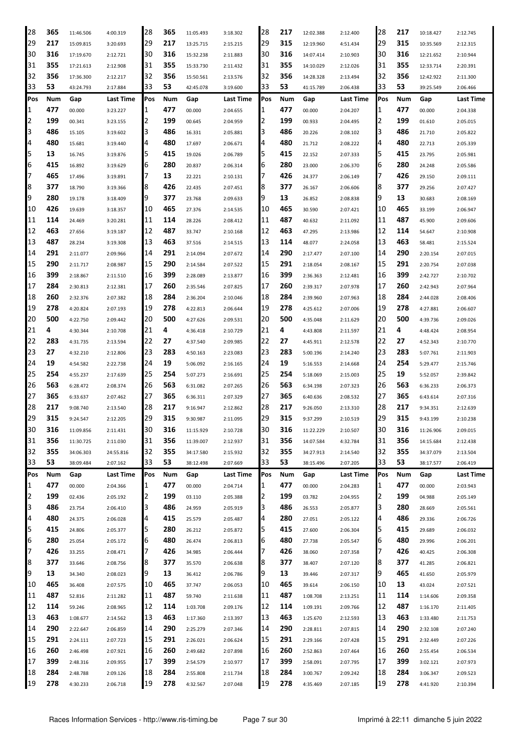| 28          | 365 | 11:46.506              | 4:00.319              | 28  | 365 | 11:05.493              | 3:18.302  | 28  | 217 | 12:02.388 | 2:12.400         | 28     | 217 | 10:18.427 | 2:12.745             |
|-------------|-----|------------------------|-----------------------|-----|-----|------------------------|-----------|-----|-----|-----------|------------------|--------|-----|-----------|----------------------|
| 29          | 217 | 15:09.815              | 3:20.693              | 29  | 217 | 13:25.715              | 2:15.215  | 29  | 315 | 12:19.960 | 4:51.434         | 29     | 315 | 10:35.569 | 2:12.315             |
| 30          | 316 | 17:19.670              | 2:12.721              | 30  | 316 | 15:32.238              | 2:11.883  | 30  | 316 | 14:07.414 | 2:10.903         | 30     | 316 | 12:21.652 | 2:10.944             |
| 31          | 355 | 17:21.613              | 2:12.908              | 31  | 355 | 15:33.730              | 2:11.432  | 31  | 355 | 14:10.029 | 2:12.026         | 31     | 355 | 12:33.714 | 2:20.391             |
| 32          | 356 | 17:36.300              | 2:12.217              | 32  | 356 | 15:50.561              | 2:13.576  | 32  | 356 | 14:28.328 | 2:13.494         | 32     | 356 | 12:42.922 | 2:11.300             |
| 33          | 53  | 43:24.793              | 2:17.884              | 33  | 53  | 42:45.078              | 3:19.600  | 33  | 53  | 41:15.789 | 2:06.438         | 33     | 53  | 39:25.549 | 2:06.466             |
| Pos         | Num | Gap                    | <b>Last Time</b>      | Pos | Num | Gap                    | Last Time | Pos | Num | Gap       | <b>Last Time</b> | Pos    | Num | Gap       | Last Time            |
| $\mathbf 1$ | 477 | 00.000                 |                       | 11  | 477 | 00.000                 |           | 1   | 477 | 00.000    |                  | 1      | 477 | 00.000    |                      |
| 2           | 199 |                        | 3:23.227              | 2   | 199 |                        | 2:04.655  | 2   | 199 |           | 2:04.207         |        | 199 |           | 2:04.338             |
| 3           | 486 | 00.341                 | 3:23.155              | 3   | 486 | 00.645                 | 2:04.959  |     |     | 00.933    | 2:04.495         | 2<br>3 |     | 01.610    | 2:05.015             |
|             |     | 15.105                 | 3:19.602              |     |     | 16.331                 | 2:05.881  | 3   | 486 | 20.226    | 2:08.102         |        | 486 | 21.710    | 2:05.822             |
| 4           | 480 | 15.681                 | 3:19.440              | 4   | 480 | 17.697                 | 2:06.671  | 4   | 480 | 21.712    | 2:08.222         | 4      | 480 | 22.713    | 2:05.339             |
| 5           | 13  | 16.745                 | 3:19.876              | 5   | 415 | 19.026                 | 2:06.789  | 5   | 415 | 22.152    | 2:07.333         | 5      | 415 | 23.795    | 2:05.981             |
| 6           | 415 | 16.892                 | 3:19.629              | 16  | 280 | 20.837                 | 2:06.314  | 6   | 280 | 23.000    | 2:06.370         | 6      | 280 | 24.248    | 2:05.586             |
| 7           | 465 | 17.496                 | 3:19.891              |     | 13  | 22.221                 | 2:10.131  |     | 426 | 24.377    | 2:06.149         | 7      | 426 | 29.150    | 2:09.111             |
| 8           | 377 | 18.790                 | 3:19.366              | 18  | 426 | 22.435                 | 2:07.451  | 8   | 377 | 26.167    | 2:06.606         | 8      | 377 | 29.256    | 2:07.427             |
| 9           | 280 | 19.178                 | 3:18.409              | 9   | 377 | 23.768                 | 2:09.633  | 9   | 13  | 26.852    | 2:08.838         | 9      | 13  | 30.683    | 2:08.169             |
| 10          | 426 | 19.639                 | 3:18.357              | 10  | 465 | 27.376                 | 2:14.535  | 10  | 465 | 30.590    | 2:07.421         | 10     | 465 | 33.199    | 2:06.947             |
| 11          | 114 | 24.469                 | 3:20.281              | 11  | 114 | 28.226                 | 2:08.412  | 11  | 487 | 40.632    | 2:11.092         | 11     | 487 | 45.900    | 2:09.606             |
| 12          | 463 | 27.656                 | 3:19.187              | 12  | 487 | 33.747                 | 2:10.168  | 12  | 463 | 47.295    | 2:13.986         | 12     | 114 | 54.647    | 2:10.908             |
| 13          | 487 | 28.234                 | 3:19.308              | 13  | 463 | 37.516                 | 2:14.515  | 13  | 114 | 48.077    | 2:24.058         | 13     | 463 | 58.481    | 2:15.524             |
| 14          | 291 | 2:11.077               | 2:09.966              | 14  | 291 | 2:14.094               | 2:07.672  | 14  | 290 | 2:17.477  | 2:07.100         | 14     | 290 | 2:20.154  | 2:07.015             |
| 15          | 290 | 2:11.717               | 2:08.987              | 15  | 290 | 2:14.584               | 2:07.522  | 15  | 291 | 2:18.054  | 2:08.167         | 15     | 291 | 2:20.754  | 2:07.038             |
| 16          | 399 | 2:18.867               | 2:11.510              | 16  | 399 | 2:28.089               | 2:13.877  | 16  | 399 | 2:36.363  | 2:12.481         | 16     | 399 | 2:42.727  | 2:10.702             |
| 17          | 284 | 2:30.813               | 2:12.381              | 17  | 260 | 2:35.546               | 2:07.825  | 17  | 260 | 2:39.317  | 2:07.978         | 17     | 260 | 2:42.943  | 2:07.964             |
| 18          | 260 | 2:32.376               | 2:07.382              | 18  | 284 | 2:36.204               | 2:10.046  | 18  | 284 | 2:39.960  | 2:07.963         | 18     | 284 | 2:44.028  | 2:08.406             |
| 19          | 278 | 4:20.824               | 2:07.193              | 19  | 278 | 4:22.813               | 2:06.644  | 19  | 278 | 4:25.612  | 2:07.006         | 19     | 278 | 4:27.881  | 2:06.607             |
| 20          | 500 | 4:22.750               | 2:09.442              | 20  | 500 | 4:27.626               | 2:09.531  | 20  | 500 | 4:35.048  | 2:11.629         | 20     | 500 | 4:39.736  | 2:09.026             |
| 21          | 4   | 4:30.344               | 2:10.708              | 21  | 4   | 4:36.418               | 2:10.729  | 21  | 4   | 4:43.808  | 2:11.597         | 21     | 4   | 4:48.424  | 2:08.954             |
| 22          | 283 | 4:31.735               | 2:13.594              | 22  | 27  | 4:37.540               | 2:09.985  | 22  | 27  | 4:45.911  | 2:12.578         | 22     | 27  | 4:52.343  | 2:10.770             |
| 23          | 27  | 4:32.210               | 2:12.806              | 23  | 283 | 4:50.163               | 2:23.083  | 23  | 283 | 5:00.196  | 2:14.240         | 23     | 283 | 5:07.761  | 2:11.903             |
| 24          | 19  | 4:54.582               | 2:22.738              | 24  | 19  | 5:06.092               | 2:16.165  | 24  | 19  | 5:16.553  | 2:14.668         | 24     | 254 | 5:29.477  | 2:15.746             |
| 25          | 254 | 4:55.237               | 2:17.639              | 25  | 254 | 5:07.273               | 2:16.691  | 25  | 254 | 5:18.069  | 2:15.003         | 25     | 19  | 5:52.057  | 2:39.842             |
| 26          | 563 | 6:28.472               | 2:08.374              | 26  | 563 | 6:31.082               | 2:07.265  | 26  | 563 | 6:34.198  | 2:07.323         | 26     | 563 | 6:36.233  | 2:06.373             |
| 27          | 365 | 6:33.637               | 2:07.462              | 27  | 365 | 6:36.311               | 2:07.329  | 27  | 365 | 6:40.636  | 2:08.532         | 27     | 365 | 6:43.614  | 2:07.316             |
| 28          | 217 | 9:08.740               | 2:13.540              | 28  | 217 | 9:16.947               | 2:12.862  | 28  | 217 | 9:26.050  | 2:13.310         | 28     | 217 | 9:34.351  | 2:12.639             |
| 29          | 315 | 9:24.547               | 2:12.205              | 29  | 315 | 9:30.987               | 2:11.095  | 29  | 315 | 9:37.299  | 2:10.519         | 29     | 315 | 9:43.199  | 2:10.238             |
| 30          | 316 | 11:09.856              | 2:11.431              | 30  | 316 | 11:15.929              | 2:10.728  | 30  | 316 | 11:22.229 | 2:10.507         | 30     | 316 | 11:26.906 | 2:09.015             |
| 31          | 356 | 11:30.725              | 2:11.030              | 31  | 356 | 11:39.007              | 2:12.937  | 31  | 356 | 14:07.584 | 4:32.784         | 31     | 356 | 14:15.684 | 2:12.438             |
| 32          | 355 |                        |                       | 32  | 355 |                        |           | 32  | 355 |           |                  | 32     | 355 |           |                      |
| 33          | 53  | 34:06.303<br>38:09.484 | 24:55.816<br>2:07.162 | 33  | 53  | 34:17.580<br>38:12.498 | 2:15.932  | 33  | 53  | 34:27.913 | 2:14.540         | 33     | 53  | 34:37.079 | 2:13.504<br>2:06.419 |
|             |     |                        |                       |     |     |                        | 2:07.669  |     |     | 38:15.496 | 2:07.205         |        |     | 38:17.577 |                      |
| Pos         | Num | Gap                    | Last Time             | Pos | Num | Gap                    | Last Time | Pos | Num | Gap       | Last Time        | Pos    | Num | Gap       | Last Time            |
| 1           | 477 | 00.000                 | 2:04.366              | 11  | 477 | 00.000                 | 2:04.714  | 1   | 477 | 00.000    | 2:04.283         | 1      | 477 | 00.000    | 2:03.943             |
| 2           | 199 | 02.436                 | 2:05.192              | 12  | 199 | 03.110                 | 2:05.388  | 2   | 199 | 03.782    | 2:04.955         | 2      | 199 | 04.988    | 2:05.149             |
| 3           | 486 | 23.754                 | 2:06.410              | 3   | 486 | 24.959                 | 2:05.919  | 3   | 486 | 26.553    | 2:05.877         | 3      | 280 | 28.669    | 2:05.561             |
| 4           | 480 | 24.375                 | 2:06.028              | 4   | 415 | 25.579                 | 2:05.487  | 4   | 280 | 27.051    | 2:05.122         | 4      | 486 | 29.336    | 2:06.726             |
| 5           | 415 | 24.806                 | 2:05.377              | I5  | 280 | 26.212                 | 2:05.872  | 5   | 415 | 27.600    | 2:06.304         | 5      | 415 | 29.689    | 2:06.032             |
| 6           | 280 | 25.054                 | 2:05.172              | 16  | 480 | 26.474                 | 2:06.813  | 6   | 480 | 27.738    | 2:05.547         | 6      | 480 | 29.996    | 2:06.201             |
| 17          | 426 | 33.255                 | 2:08.471              | 17  | 426 | 34.985                 | 2:06.444  | 7   | 426 | 38.060    | 2:07.358         | 7      | 426 | 40.425    | 2:06.308             |
| 8           | 377 | 33.646                 | 2:08.756              | 8   | 377 | 35.570                 | 2:06.638  | 8   | 377 | 38.407    | 2:07.120         | 8      | 377 | 41.285    | 2:06.821             |
| 9           | 13  | 34.340                 | 2:08.023              | 19  | 13  | 36.412                 | 2:06.786  | 9   | 13  | 39.446    | 2:07.317         | 9      | 465 | 41.650    | 2:05.979             |
| 10          | 465 | 36.408                 | 2:07.575              | 10  | 465 | 37.747                 | 2:06.053  | 10  | 465 | 39.614    | 2:06.150         | 10     | 13  | 43.024    | 2:07.521             |
| 11          | 487 | 52.816                 | 2:11.282              | 11  | 487 | 59.740                 | 2:11.638  | 11  | 487 | 1:08.708  | 2:13.251         | 11     | 114 | 1:14.606  | 2:09.358             |
| 12          | 114 | 59.246                 | 2:08.965              | 12  | 114 | 1:03.708               | 2:09.176  | 12  | 114 | 1:09.191  | 2:09.766         | 12     | 487 | 1:16.170  | 2:11.405             |
| 13          | 463 | 1:08.677               | 2:14.562              | 13  | 463 | 1:17.360               | 2:13.397  | 13  | 463 | 1:25.670  | 2:12.593         | 13     | 463 | 1:33.480  | 2:11.753             |
| 14          | 290 | 2:22.647               | 2:06.859              | 14  | 290 | 2:25.279               | 2:07.346  | 14  | 290 | 2:28.811  | 2:07.815         | 14     | 290 | 2:32.108  | 2:07.240             |
| 15          | 291 | 2:24.111               | 2:07.723              | 15  | 291 | 2:26.021               | 2:06.624  | 15  | 291 | 2:29.166  | 2:07.428         | 15     | 291 | 2:32.449  | 2:07.226             |
| 16          | 260 | 2:46.498               | 2:07.921              | 16  | 260 | 2:49.682               | 2:07.898  | 16  | 260 | 2:52.863  | 2:07.464         | 16     | 260 | 2:55.454  | 2:06.534             |
| 17          | 399 | 2:48.316               | 2:09.955              | 17  | 399 | 2:54.579               | 2:10.977  | 17  | 399 | 2:58.091  | 2:07.795         | 17     | 399 | 3:02.121  | 2:07.973             |
| 18          | 284 | 2:48.788               | 2:09.126              | 18  | 284 | 2:55.808               | 2:11.734  | 18  | 284 | 3:00.767  | 2:09.242         | 18     | 284 | 3:06.347  | 2:09.523             |
| 19          | 278 | 4:30.233               | 2:06.718              | 19  | 278 | 4:32.567               | 2:07.048  | 19  | 278 | 4:35.469  | 2:07.185         | 19     | 278 | 4:41.920  | 2:10.394             |
|             |     |                        |                       |     |     |                        |           |     |     |           |                  |        |     |           |                      |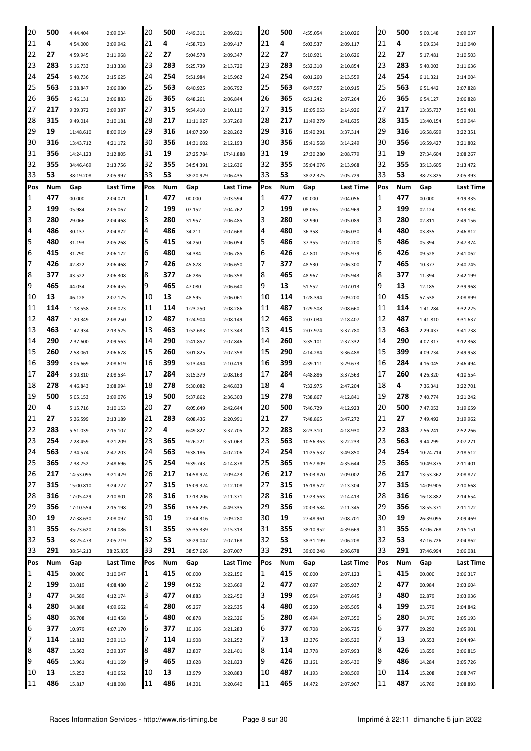| 20  | 500 | 4:44.404  | 2:09.034  | 20  | 500        | 4:49.311  | 2:09.621  | 20  | 500 | 4:55.054  | 2:10.026  | 20  | 500        | 5:00.148  | 2:09.037  |
|-----|-----|-----------|-----------|-----|------------|-----------|-----------|-----|-----|-----------|-----------|-----|------------|-----------|-----------|
| 21  | 4   | 4:54.000  | 2:09.942  | 21  | 4          | 4:58.703  | 2:09.417  | 21  | 4   | 5:03.537  | 2:09.117  | 21  | 4          | 5:09.634  | 2:10.040  |
| 22  | 27  | 4:59.945  | 2:11.968  | 22  | 27         | 5:04.578  | 2:09.347  | 22  | 27  | 5:10.921  | 2:10.626  | 22  | 27         | 5:17.481  | 2:10.503  |
| 23  | 283 | 5:16.733  | 2:13.338  | 23  | 283        | 5:25.739  | 2:13.720  | 23  | 283 | 5:32.310  | 2:10.854  | 23  | 283        | 5:40.003  | 2:11.636  |
| 24  | 254 | 5:40.736  | 2:15.625  | 24  | 254        | 5:51.984  | 2:15.962  | 24  | 254 | 6:01.260  | 2:13.559  | 24  | 254        | 6:11.321  | 2:14.004  |
| 25  | 563 | 6:38.847  | 2:06.980  | 25  | 563        | 6:40.925  | 2:06.792  | 25  | 563 | 6:47.557  | 2:10.915  | 25  | 563        | 6:51.442  | 2:07.828  |
| 26  | 365 | 6:46.131  | 2:06.883  | 26  | 365        | 6:48.261  | 2:06.844  | 26  | 365 | 6:51.242  | 2:07.264  | 26  | 365        | 6:54.127  | 2:06.828  |
| 27  | 217 | 9:39.372  | 2:09.387  | 27  | 315        | 9:54.410  | 2:10.110  | 27  | 315 | 10:05.053 | 2:14.926  | 27  | 217        | 13:35.737 | 3:50.401  |
| 28  | 315 | 9:49.014  | 2:10.181  | 28  | 217        | 11:11.927 | 3:37.269  | 28  | 217 | 11:49.279 | 2:41.635  | 28  | 315        | 13:40.154 | 5:39.044  |
| 29  | 19  | 11:48.610 | 8:00.919  | 29  | 316        | 14:07.260 | 2:28.262  | 29  | 316 | 15:40.291 | 3:37.314  | 29  | 316        | 16:58.699 | 3:22.351  |
| 30  | 316 | 13:43.712 | 4:21.172  | 30  | 356        | 14:31.602 | 2:12.193  | 30  | 356 | 15:41.568 | 3:14.249  | 30  | 356        | 16:59.427 | 3:21.802  |
| 31  | 356 | 14:24.123 | 2:12.805  | 31  | 19         | 27:25.784 | 17:41.888 | 31  | 19  | 27:30.280 | 2:08.779  | 31  | 19         | 27:34.604 | 2:08.267  |
| 32  | 355 | 34:46.469 | 2:13.756  | 32  | 355        | 34:54.391 | 2:12.636  | 32  | 355 | 35:04.076 | 2:13.968  | 32  | 355        | 35:13.605 | 2:13.472  |
| 33  | 53  | 38:19.208 | 2:05.997  | 33  | 53         | 38:20.929 | 2:06.435  | 33  | 53  | 38:22.375 | 2:05.729  | 33  | 53         | 38:23.825 | 2:05.393  |
| Pos | Num | Gap       | Last Time | Pos | <b>Num</b> | Gap       | Last Time | Pos | Num | Gap       | Last Time | Pos | Num        | Gap       | Last Time |
| 1   | 477 | 00.000    | 2:04.071  | 1   | 477        | 00.000    |           | 1   | 477 | 00.000    |           | 1   | 477        | 00.000    |           |
| 2   | 199 |           |           | 2   | 199        |           | 2:03.594  | 2   | 199 |           | 2:04.056  | 2   | 199        |           | 3:19.335  |
| 3   | 280 | 05.984    | 2:05.067  | 3   | 280        | 07.152    | 2:04.762  | 3   | 280 | 08.065    | 2:04.969  | 3   | 280        | 02.124    | 3:13.394  |
|     |     | 29.066    | 2:04.468  |     |            | 31.957    | 2:06.485  |     |     | 32.990    | 2:05.089  |     |            | 02.811    | 2:49.156  |
| 4   | 486 | 30.137    | 2:04.872  | 4   | 486<br>415 | 34.211    | 2:07.668  | 4   | 480 | 36.358    | 2:06.030  | 4   | 480<br>486 | 03.835    | 2:46.812  |
| 5   | 480 | 31.193    | 2:05.268  | 5   |            | 34.250    | 2:06.054  | 5   | 486 | 37.355    | 2:07.200  | 5   |            | 05.394    | 2:47.374  |
| 6   | 415 | 31.790    | 2:06.172  | 6   | 480        | 34.384    | 2:06.785  | 6   | 426 | 47.801    | 2:05.979  | 6   | 426        | 09.528    | 2:41.062  |
| 7   | 426 | 42.822    | 2:06.468  | 7   | 426        | 45.878    | 2:06.650  | 7   | 377 | 48.530    | 2:06.300  | 7   | 465        | 10.377    | 2:40.745  |
| 8   | 377 | 43.522    | 2:06.308  | 8   | 377        | 46.286    | 2:06.358  | 8   | 465 | 48.967    | 2:05.943  | 8   | 377        | 11.394    | 2:42.199  |
| 9   | 465 | 44.034    | 2:06.455  | 9   | 465        | 47.080    | 2:06.640  | 9   | 13  | 51.552    | 2:07.013  | 9   | 13         | 12.185    | 2:39.968  |
| 10  | 13  | 46.128    | 2:07.175  | 10  | 13         | 48.595    | 2:06.061  | 10  | 114 | 1:28.394  | 2:09.200  | 10  | 415        | 57.538    | 2:08.899  |
| 11  | 114 | 1:18.558  | 2:08.023  | 11  | 114        | 1:23.250  | 2:08.286  | 11  | 487 | 1:29.508  | 2:08.660  | 11  | 114        | 1:41.284  | 3:32.225  |
| 12  | 487 | 1:20.349  | 2:08.250  | 12  | 487        | 1:24.904  | 2:08.149  | 12  | 463 | 2:07.034  | 2:18.407  | 12  | 487        | 1:41.810  | 3:31.637  |
| 13  | 463 | 1:42.934  | 2:13.525  | 13  | 463        | 1:52.683  | 2:13.343  | 13  | 415 | 2:07.974  | 3:37.780  | 13  | 463        | 2:29.437  | 3:41.738  |
| 14  | 290 | 2:37.600  | 2:09.563  | 14  | 290        | 2:41.852  | 2:07.846  | 14  | 260 | 3:35.101  | 2:37.332  | 14  | 290        | 4:07.317  | 3:12.368  |
| 15  | 260 | 2:58.061  | 2:06.678  | 15  | 260        | 3:01.825  | 2:07.358  | 15  | 290 | 4:14.284  | 3:36.488  | 15  | 399        | 4:09.734  | 2:49.958  |
| 16  | 399 | 3:06.669  | 2:08.619  | 16  | 399        | 3:13.494  | 2:10.419  | 16  | 399 | 4:39.111  | 3:29.673  | 16  | 284        | 4:16.045  | 2:46.494  |
| 17  | 284 | 3:10.810  | 2:08.534  | 17  | 284        | 3:15.379  | 2:08.163  | 17  | 284 | 4:48.886  | 3:37.563  | 17  | 260        | 4:26.320  | 4:10.554  |
| 18  | 278 | 4:46.843  | 2:08.994  | 18  | 278        | 5:30.082  | 2:46.833  | 18  | 4   | 7:32.975  | 2:47.204  | 18  | 4          | 7:36.341  | 3:22.701  |
| 19  | 500 | 5:05.153  | 2:09.076  | 19  | 500        | 5:37.862  | 2:36.303  | 19  | 278 | 7:38.867  | 4:12.841  | 19  | 278        | 7:40.774  | 3:21.242  |
| 20  | 4   | 5:15.716  | 2:10.153  | 20  | 27         | 6:05.649  | 2:42.644  | 20  | 500 | 7:46.729  | 4:12.923  | 20  | 500        | 7:47.053  | 3:19.659  |
| 21  | 27  | 5:26.599  | 2:13.189  | 21  | 283        | 6:08.436  | 2:20.991  | 21  | 27  | 7:48.865  | 3:47.272  | 21  | 27         | 7:49.492  | 3:19.962  |
| 22  | 283 | 5:51.039  | 2:15.107  | 22  | 4          | 6:49.827  | 3:37.705  | 22  | 283 | 8:23.310  | 4:18.930  | 22  | 283        | 7:56.241  | 2:52.266  |
| 23  | 254 | 7:28.459  | 3:21.209  | 23  | 365        | 9:26.221  | 3:51.063  | 23  | 563 | 10:56.363 | 3:22.233  | 23  | 563        | 9:44.299  | 2:07.271  |
| 24  | 563 | 7:34.574  | 2:47.203  | 24  | 563        | 9:38.186  | 4:07.206  | 24  | 254 | 11:25.537 | 3:49.850  | 24  | 254        | 10:24.714 | 2:18.512  |
| 25  | 365 | 7:38.752  | 2:48.696  | 25  | 254        | 9:39.743  | 4:14.878  | 25  | 365 | 11:57.809 | 4:35.644  | 25  | 365        | 10:49.875 | 2:11.401  |
| 26  | 217 | 14:53.095 | 3:21.429  | 26  | 217        | 14:58.924 | 2:09.423  | 26  | 217 | 15:03.870 | 2:09.002  | 26  | 217        | 13:53.362 | 2:08.827  |
| 27  | 315 | 15:00.810 | 3:24.727  | 27  | 315        | 15:09.324 | 2:12.108  | 27  | 315 | 15:18.572 | 2:13.304  | 27  | 315        | 14:09.905 | 2:10.668  |
| 28  | 316 | 17:05.429 | 2:10.801  | 28  | 316        | 17:13.206 | 2:11.371  | 28  | 316 | 17:23.563 | 2:14.413  | 28  | 316        | 16:18.882 | 2:14.654  |
| 29  | 356 | 17:10.554 | 2:15.198  | 29  | 356        | 19:56.295 | 4:49.335  | 29  | 356 | 20:03.584 | 2:11.345  | 29  | 356        | 18:55.371 | 2:11.122  |
| 30  | 19  | 27:38.630 | 2:08.097  | 30  | 19         | 27:44.316 | 2:09.280  | 30  | 19  | 27:48.961 | 2:08.701  | 30  | 19         | 26:39.095 | 2:09.469  |
| 31  | 355 | 35:23.620 | 2:14.086  | 31  | 355        | 35:35.339 | 2:15.313  | 31  | 355 | 38:10.952 | 4:39.669  | 31  | 355        | 37:06.768 | 2:15.151  |
| 32  | 53  | 38:25.473 | 2:05.719  | 32  | 53         | 38:29.047 | 2:07.168  | 32  | 53  | 38:31.199 | 2:06.208  | 32  | 53         | 37:16.726 | 2:04.862  |
| 33  | 291 | 38:54.213 | 38:25.835 | 33  | 291        | 38:57.626 | 2:07.007  | 33  | 291 | 39:00.248 | 2:06.678  | 33  | 291        | 37:46.994 | 2:06.081  |
| Pos | Num | Gap       | Last Time | Pos | Num        | Gap       | Last Time | Pos | Num | Gap       | Last Time | Pos | Num        | Gap       | Last Time |
| 1   | 415 | 00.000    | 3:10.047  | 1   | 415        | 00.000    | 3:22.156  | 1   | 415 | 00.000    | 2:07.123  | 1   | 415        | 00.000    | 2:06.317  |
| 2   | 199 | 03.019    | 4:08.480  | 2   | 199        | 04.532    | 3:23.669  | 2   | 477 | 03.697    | 2:05.937  | 2   | 477        | 00.984    | 2:03.604  |
| 3   | 477 | 04.589    | 4:12.174  | 3   | 477        | 04.883    | 3:22.450  | 3   | 199 | 05.054    | 2:07.645  | 3   | 480        | 02.879    | 2:03.936  |
| 4   | 280 | 04.888    | 4:09.662  | 4   | 280        | 05.267    | 3:22.535  | 4   | 480 | 05.260    | 2:05.505  | 4   | 199        | 03.579    | 2:04.842  |
| 5   | 480 | 06.708    | 4:10.458  | 5   | 480        | 06.878    | 3:22.326  | 5   | 280 | 05.494    | 2:07.350  | 5   | 280        | 04.370    | 2:05.193  |
| 6   | 377 | 10.979    | 4:07.170  | 6   | 377        | 10.106    | 3:21.283  | 6   | 377 | 09.708    | 2:06.725  | 6   | 377        | 09.292    | 2:05.901  |
| 7   | 114 | 12.812    | 2:39.113  | 7   | 114        | 11.908    | 3:21.252  | 7   | 13  | 12.376    | 2:05.520  | 7   | 13         | 10.553    | 2:04.494  |
| 8   | 487 | 13.562    | 2:39.337  | 8   | 487        | 12.807    | 3:21.401  | 8   | 114 | 12.778    | 2:07.993  | 8   | 426        | 13.659    | 2:06.815  |
| 9   | 465 | 13.961    | 4:11.169  | 9   | 465        | 13.628    | 3:21.823  | 9   | 426 | 13.161    | 2:05.430  | 9   | 486        | 14.284    | 2:05.726  |
| 10  | 13  | 15.252    | 4:10.652  | 10  | 13         | 13.979    | 3:20.883  | 10  | 487 | 14.193    | 2:08.509  | 10  | 114        | 15.208    | 2:08.747  |
| 11  | 486 | 15.817    | 4:18.008  | 11  | 486        | 14.301    | 3:20.640  | 11  | 465 | 14.472    | 2:07.967  | 11  | 487        | 16.769    | 2:08.893  |
|     |     |           |           |     |            |           |           |     |     |           |           |     |            |           |           |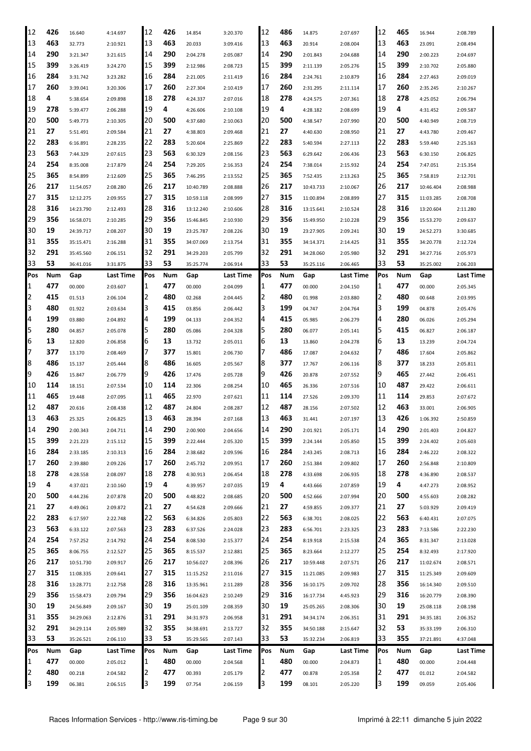| 12  | 426 | 16.640    | 4:14.697  | 12  | 426 | 14.854    | 3:20.370  | 12  | 486 | 14.875    | 2:07.697  | 12  | 465 | 16.944    | 2:08.789  |
|-----|-----|-----------|-----------|-----|-----|-----------|-----------|-----|-----|-----------|-----------|-----|-----|-----------|-----------|
| 13  | 463 | 32.773    | 2:10.921  | 13  | 463 | 20.033    | 3:09.416  | 13  | 463 | 20.914    | 2:08.004  | 13  | 463 | 23.091    | 2:08.494  |
| 14  | 290 | 3:21.347  | 3:21.615  | 14  | 290 | 2:04.278  | 2:05.087  | 14  | 290 | 2:01.843  | 2:04.688  | 14  | 290 | 2:00.223  | 2:04.697  |
| 15  | 399 | 3:26.419  | 3:24.270  | 15  | 399 | 2:12.986  | 2:08.723  | 15  | 399 | 2:11.139  | 2:05.276  | 15  | 399 | 2:10.702  | 2:05.880  |
| 16  | 284 | 3:31.742  | 3:23.282  | 16  | 284 | 2:21.005  | 2:11.419  | 16  | 284 | 2:24.761  | 2:10.879  | 16  | 284 | 2:27.463  | 2:09.019  |
| 17  | 260 | 3:39.041  | 3:20.306  | 17  | 260 | 2:27.304  | 2:10.419  | 17  | 260 | 2:31.295  | 2:11.114  | 17  | 260 | 2:35.245  | 2:10.267  |
| 18  | 4   | 5:38.654  | 2:09.898  | 18  | 278 | 4:24.337  | 2:07.016  | 18  | 278 | 4:24.575  | 2:07.361  | 18  | 278 | 4:25.052  | 2:06.794  |
| 19  | 278 | 5:39.477  | 2:06.288  | 19  | 4   | 4:26.606  | 2:10.108  | 19  | 4   | 4:28.182  | 2:08.699  | 19  | 4   | 4:31.452  | 2:09.587  |
| 20  | 500 | 5:49.773  | 2:10.305  | 20  | 500 | 4:37.680  | 2:10.063  | 20  | 500 | 4:38.547  | 2:07.990  | 20  | 500 | 4:40.949  | 2:08.719  |
| 21  | 27  | 5:51.491  | 2:09.584  | 21  | 27  | 4:38.803  | 2:09.468  | 21  | 27  | 4:40.630  | 2:08.950  | 21  | 27  | 4:43.780  | 2:09.467  |
| 22  | 283 | 6:16.891  | 2:28.235  | 22  | 283 | 5:20.604  | 2:25.869  | 22  | 283 | 5:40.594  | 2:27.113  | 22  | 283 | 5:59.440  | 2:25.163  |
| 23  | 563 | 7:44.329  | 2:07.615  | 23  | 563 | 6:30.329  | 2:08.156  | 23  | 563 | 6:29.642  | 2:06.436  | 23  | 563 | 6:30.150  | 2:06.825  |
| 24  | 254 | 8:35.008  | 2:17.879  | 24  | 254 | 7:29.205  | 2:16.353  | 24  | 254 | 7:38.014  | 2:15.932  | 24  | 254 | 7:47.051  | 2:15.354  |
| 25  | 365 | 8:54.899  | 2:12.609  | 25  | 365 | 7:46.295  | 2:13.552  | 25  | 365 | 7:52.435  | 2:13.263  | 25  | 365 | 7:58.819  | 2:12.701  |
| 26  | 217 | 11:54.057 | 2:08.280  | 26  | 217 | 10:40.789 | 2:08.888  | 26  | 217 | 10:43.733 | 2:10.067  | 26  | 217 | 10:46.404 | 2:08.988  |
| 27  | 315 | 12:12.275 | 2:09.955  | 27  | 315 | 10:59.118 | 2:08.999  | 27  | 315 | 11:00.894 | 2:08.899  | 27  | 315 | 11:03.285 | 2:08.708  |
| 28  | 316 | 14:23.790 | 2:12.493  | 28  | 316 | 13:12.240 | 2:10.606  | 28  | 316 | 13:15.641 | 2:10.524  | 28  | 316 | 13:20.604 | 2:11.280  |
| 29  | 356 | 16:58.071 | 2:10.285  | 29  | 356 | 15:46.845 | 2:10.930  | 29  | 356 | 15:49.950 | 2:10.228  | 29  | 356 | 15:53.270 | 2:09.637  |
| 30  | 19  | 24:39.717 | 2:08.207  | 30  | 19  | 23:25.787 | 2:08.226  | 30  | 19  | 23:27.905 | 2:09.241  | 30  | 19  | 24:52.273 | 3:30.685  |
| 31  | 355 |           |           | 31  | 355 | 34:07.069 |           | 31  | 355 | 34:14.371 |           | 31  | 355 | 34:20.778 |           |
| 32  | 291 | 35:15.471 | 2:16.288  | 32  | 291 |           | 2:13.754  | 32  | 291 |           | 2:14.425  | 32  | 291 |           | 2:12.724  |
| 33  | 53  | 35:45.560 | 2:06.151  | 33  | 53  | 34:29.203 | 2:05.799  | 33  | 53  | 34:28.060 | 2:05.980  | 33  | 53  | 34:27.716 | 2:05.973  |
|     |     | 36:41.016 | 3:31.875  |     |     | 35:25.774 | 2:06.914  |     |     | 35:25.116 | 2:06.465  |     |     | 35:25.002 | 2:06.203  |
| Pos | Num | Gap       | Last Time | Pos | Num | Gap       | Last Time | Pos | Num | Gap       | Last Time | Pos | Num | Gap       | Last Time |
| 1   | 477 | 00.000    | 2:03.607  | 1   | 477 | 00.000    | 2:04.099  | 1   | 477 | 00.000    | 2:04.150  | 1   | 477 | 00.000    | 2:05.345  |
| 2   | 415 | 01.513    | 2:06.104  | 2   | 480 | 02.268    | 2:04.445  | 2   | 480 | 01.998    | 2:03.880  | 2   | 480 | 00.648    | 2:03.995  |
| 3   | 480 | 01.922    | 2:03.634  | 3   | 415 | 03.856    | 2:06.442  | 3   | 199 | 04.747    | 2:04.764  | 3   | 199 | 04.878    | 2:05.476  |
| 4   | 199 | 03.880    | 2:04.892  | 4   | 199 | 04.133    | 2:04.352  | 4   | 415 | 05.985    | 2:06.279  | 4   | 280 | 06.026    | 2:05.294  |
| 5   | 280 | 04.857    | 2:05.078  | 5   | 280 | 05.086    | 2:04.328  | 5   | 280 | 06.077    | 2:05.141  | 5   | 415 | 06.827    | 2:06.187  |
| 6   | 13  | 12.820    | 2:06.858  | 6   | 13  | 13.732    | 2:05.011  | 6   | 13  | 13.860    | 2:04.278  | 6   | 13  | 13.239    | 2:04.724  |
| 7   | 377 | 13.170    | 2:08.469  | 7   | 377 | 15.801    | 2:06.730  | 7   | 486 | 17.087    | 2:04.632  | 7   | 486 | 17.604    | 2:05.862  |
| 8   | 486 | 15.137    | 2:05.444  | 8   | 486 | 16.605    | 2:05.567  | 8   | 377 | 17.767    | 2:06.116  | 8   | 377 | 18.233    | 2:05.811  |
| 9   | 426 | 15.847    | 2:06.779  | 9   | 426 | 17.476    | 2:05.728  | 9   | 426 | 20.878    | 2:07.552  | 9   | 465 | 27.442    | 2:06.451  |
| 10  | 114 | 18.151    | 2:07.534  | 10  | 114 | 22.306    | 2:08.254  | 10  | 465 | 26.336    | 2:07.516  | 10  | 487 | 29.422    | 2:06.611  |
| 11  | 465 | 19.448    | 2:07.095  | 11  | 465 | 22.970    | 2:07.621  | 11  | 114 | 27.526    | 2:09.370  | 11  | 114 | 29.853    | 2:07.672  |
| 12  | 487 | 20.616    | 2:08.438  | 12  | 487 | 24.804    | 2:08.287  | 12  | 487 | 28.156    | 2:07.502  | 12  | 463 | 33.001    | 2:06.905  |
| 13  | 463 | 25.325    | 2:06.825  | 13  | 463 | 28.394    | 2:07.168  | 13  | 463 | 31.441    | 2:07.197  | 13  | 426 | 1:06.392  | 2:50.859  |
| 14  | 290 | 2:00.343  | 2:04.711  | 14  | 290 | 2:00.900  | 2:04.656  | 14  | 290 | 2:01.921  | 2:05.171  | 14  | 290 | 2:01.403  | 2:04.827  |
| 15  | 399 | 2:21.223  | 2:15.112  | 15  | 399 | 2:22.444  | 2:05.320  | 15  | 399 | 2:24.144  | 2:05.850  | 15  | 399 | 2:24.402  | 2:05.603  |
| 16  | 284 | 2:33.185  | 2:10.313  | 16  | 284 | 2:38.682  | 2:09.596  | 16  | 284 | 2:43.245  | 2:08.713  | 16  | 284 | 2:46.222  | 2:08.322  |
| 17  | 260 | 2:39.880  | 2:09.226  | 17  | 260 | 2:45.732  | 2:09.951  | 17  | 260 | 2:51.384  | 2:09.802  | 17  | 260 | 2:56.848  | 2:10.809  |
| 18  | 278 | 4:28.558  | 2:08.097  | 18  | 278 | 4:30.913  | 2:06.454  | 18  | 278 | 4:33.698  | 2:06.935  | 18  | 278 | 4:36.890  | 2:08.537  |
| 19  | 4   | 4:37.021  | 2:10.160  | 19  | 4   | 4:39.957  | 2:07.035  | 19  | 4   | 4:43.666  | 2:07.859  | 19  | 4   | 4:47.273  | 2:08.952  |
| 20  | 500 | 4:44.236  | 2:07.878  | 20  | 500 | 4:48.822  | 2:08.685  | 20  | 500 | 4:52.666  | 2:07.994  | 20  | 500 | 4:55.603  | 2:08.282  |
| 21  | 27  | 4:49.061  | 2:09.872  | 21  | 27  | 4:54.628  | 2:09.666  | 21  | 27  | 4:59.855  | 2:09.377  | 21  | 27  | 5:03.929  | 2:09.419  |
| 22  | 283 | 6:17.597  | 2:22.748  | 22  | 563 | 6:34.826  | 2:05.803  | 22  | 563 | 6:38.701  | 2:08.025  | 22  | 563 | 6:40.431  | 2:07.075  |
| 23  | 563 | 6:33.122  | 2:07.563  | 23  | 283 | 6:37.526  | 2:24.028  | 23  | 283 | 6:56.701  | 2:23.325  | 23  | 283 | 7:13.586  | 2:22.230  |
| 24  | 254 | 7:57.252  | 2:14.792  | 24  | 254 | 8:08.530  | 2:15.377  | 24  | 254 | 8:19.918  | 2:15.538  | 24  | 365 | 8:31.347  | 2:13.028  |
| 25  | 365 | 8:06.755  | 2:12.527  | 25  | 365 | 8:15.537  | 2:12.881  | 25  | 365 | 8:23.664  | 2:12.277  | 25  | 254 | 8:32.493  | 2:17.920  |
| 26  | 217 | 10:51.730 | 2:09.917  | 26  | 217 | 10:56.027 | 2:08.396  | 26  | 217 | 10:59.448 | 2:07.571  | 26  | 217 | 11:02.674 | 2:08.571  |
| 27  | 315 | 11:08.335 | 2:09.641  | 27  | 315 | 11:15.252 | 2:11.016  | 27  | 315 | 11:21.085 | 2:09.983  | 27  | 315 | 11:25.349 | 2:09.609  |
| 28  | 316 | 13:28.771 | 2:12.758  | 28  | 316 | 13:35.961 | 2:11.289  | 28  | 356 | 16:10.175 | 2:09.702  | 28  | 356 | 16:14.340 | 2:09.510  |
| 29  | 356 | 15:58.473 | 2:09.794  | 29  | 356 | 16:04.623 | 2:10.249  | 29  | 316 | 16:17.734 | 4:45.923  | 29  | 316 | 16:20.779 | 2:08.390  |
| 30  | 19  | 24:56.849 | 2:09.167  | 30  | 19  | 25:01.109 | 2:08.359  | 30  | 19  | 25:05.265 | 2:08.306  | 30  | 19  | 25:08.118 | 2:08.198  |
| 31  | 355 | 34:29.063 | 2:12.876  | 31  | 291 | 34:31.973 | 2:06.958  | 31  | 291 | 34:34.174 | 2:06.351  | 31  | 291 | 34:35.181 | 2:06.352  |
| 32  | 291 | 34:29.114 | 2:05.989  | 32  | 355 | 34:38.691 | 2:13.727  | 32  | 355 | 34:50.188 | 2:15.647  | 32  | 53  | 35:33.199 | 2:06.310  |
| 33  | 53  | 35:26.521 | 2:06.110  | 33  | 53  | 35:29.565 | 2:07.143  | 33  | 53  | 35:32.234 | 2:06.819  | 33  | 355 | 37:21.891 | 4:37.048  |
| Pos | Num | Gap       | Last Time | Pos | Num | Gap       | Last Time | Pos | Num | Gap       | Last Time | Pos | Num | Gap       | Last Time |
| 1   | 477 | 00.000    | 2:05.012  | 1   | 480 | 00.000    | 2:04.568  | 1   | 480 | 00.000    | 2:04.873  | 1   | 480 | 00.000    | 2:04.448  |
| 2   | 480 | 00.218    | 2:04.582  | 2   | 477 | 00.393    | 2:05.179  | 2   | 477 | 00.878    | 2:05.358  | 2   | 477 | 01.012    | 2:04.582  |
| 3   | 199 | 06.381    | 2:06.515  | 3   | 199 | 07.754    | 2:06.159  | 3   | 199 | 08.101    | 2:05.220  | 3   | 199 | 09.059    | 2:05.406  |
|     |     |           |           |     |     |           |           |     |     |           |           |     |     |           |           |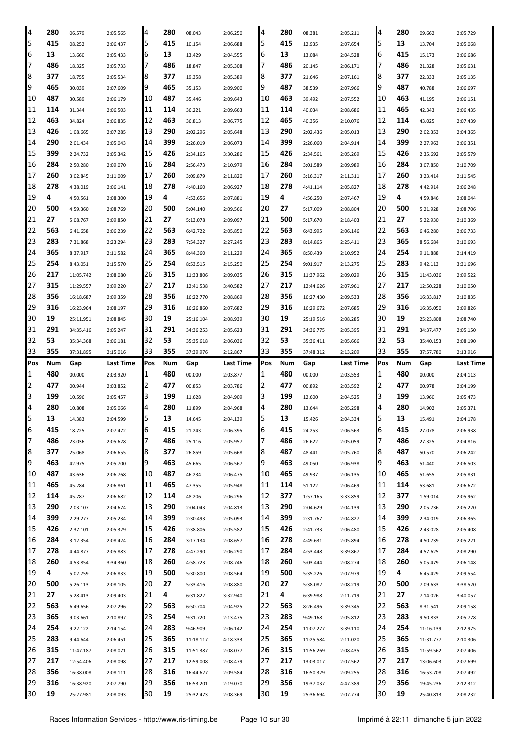| 4   | 280 | 06.579    | 2:05.565  | 4   | 280 | 08.043    | 2:06.250  | 4   | 280 | 08.381    | 2:05.211  | 4   | 280 | 09.662    | 2:05.729  |
|-----|-----|-----------|-----------|-----|-----|-----------|-----------|-----|-----|-----------|-----------|-----|-----|-----------|-----------|
| 5   | 415 | 08.252    | 2:06.437  | 5   | 415 | 10.154    | 2:06.688  | 5   | 415 | 12.935    | 2:07.654  | 5   | 13  | 13.704    | 2:05.068  |
| 6   | 13  | 13.660    | 2:05.433  | 6   | 13  | 13.429    | 2:04.555  | 6   | 13  | 13.084    | 2:04.528  | 6   | 415 | 15.173    | 2:06.686  |
| 7   | 486 | 18.325    | 2:05.733  | 7   | 486 | 18.847    | 2:05.308  | 7   | 486 | 20.145    | 2:06.171  | 17  | 486 | 21.328    | 2:05.631  |
| 8   | 377 | 18.755    | 2:05.534  | 8   | 377 | 19.358    | 2:05.389  | 8   | 377 | 21.646    | 2:07.161  | 8   | 377 | 22.333    | 2:05.135  |
| 9   | 465 | 30.039    | 2:07.609  | 9   | 465 | 35.153    | 2:09.900  | 9   | 487 | 38.539    | 2:07.966  | 9   | 487 | 40.788    | 2:06.697  |
| 10  | 487 | 30.589    | 2:06.179  | 10  | 487 | 35.446    | 2:09.643  | 10  | 463 | 39.492    | 2:07.552  | 10  | 463 | 41.195    | 2:06.151  |
| 11  | 114 | 31.344    | 2:06.503  | 11  | 114 | 36.221    | 2:09.663  | 11  | 114 | 40.034    | 2:08.686  | 11  | 465 | 42.343    | 2:06.435  |
| 12  | 463 | 34.824    | 2:06.835  | 12  | 463 | 36.813    | 2:06.775  | 12  | 465 | 40.356    | 2:10.076  | 12  | 114 | 43.025    | 2:07.439  |
| 13  | 426 | 1:08.665  | 2:07.285  | 13  | 290 | 2:02.296  | 2:05.648  | 13  | 290 | 2:02.436  | 2:05.013  | 13  | 290 | 2:02.353  | 2:04.365  |
| 14  | 290 | 2:01.434  | 2:05.043  | 14  | 399 | 2:26.019  | 2:06.073  | 14  | 399 | 2:26.060  | 2:04.914  | 14  | 399 | 2:27.963  | 2:06.351  |
| 15  | 399 | 2:24.732  | 2:05.342  | 15  | 426 | 2:34.165  | 3:30.286  | 15  | 426 | 2:34.561  | 2:05.269  | 15  | 426 | 2:35.692  | 2:05.579  |
| 16  | 284 | 2:50.280  | 2:09.070  | 16  | 284 | 2:56.473  | 2:10.979  | 16  | 284 | 3:01.589  | 2:09.989  | 16  | 284 | 3:07.850  | 2:10.709  |
| 17  | 260 | 3:02.845  | 2:11.009  | 17  | 260 | 3:09.879  | 2:11.820  | 17  | 260 | 3:16.317  | 2:11.311  | 17  | 260 | 3:23.414  | 2:11.545  |
| 18  | 278 | 4:38.019  | 2:06.141  | 18  | 278 | 4:40.160  | 2:06.927  | 18  | 278 | 4:41.114  | 2:05.827  | 18  | 278 | 4:42.914  | 2:06.248  |
| 19  | 4   | 4:50.561  | 2:08.300  | 19  | 4   | 4:53.656  | 2:07.881  | 19  | 4   | 4:56.250  | 2:07.467  | 19  | 4   | 4:59.846  | 2:08.044  |
| 20  | 500 | 4:59.360  | 2:08.769  | 20  | 500 | 5:04.140  | 2:09.566  | 20  | 27  | 5:17.009  | 2:08.804  | 20  | 500 | 5:21.928  | 2:08.706  |
| 21  | 27  | 5:08.767  | 2:09.850  | 21  | 27  | 5:13.078  | 2:09.097  | 21  | 500 | 5:17.670  | 2:18.403  | 21  | 27  | 5:22.930  | 2:10.369  |
| 22  | 563 |           |           | 22  | 563 | 6:42.722  |           | 22  | 563 |           |           | 22  | 563 |           |           |
| 23  | 283 | 6:41.658  | 2:06.239  | 23  | 283 |           | 2:05.850  | 23  | 283 | 6:43.995  | 2:06.146  | 23  | 365 | 6:46.280  | 2:06.733  |
| 24  | 365 | 7:31.868  | 2:23.294  | 24  | 365 | 7:54.327  | 2:27.245  | 24  | 365 | 8:14.865  | 2:25.411  | 24  | 254 | 8:56.684  | 2:10.693  |
| 25  | 254 | 8:37.917  | 2:11.582  |     |     | 8:44.360  | 2:11.229  | 25  | 254 | 8:50.439  | 2:10.952  |     |     | 9:11.888  | 2:14.419  |
|     |     | 8:43.051  | 2:15.570  | 25  | 254 | 8:53.515  | 2:15.250  |     |     | 9:01.917  | 2:13.275  | 25  | 283 | 9:42.113  | 3:31.696  |
| 26  | 217 | 11:05.742 | 2:08.080  | 26  | 315 | 11:33.806 | 2:09.035  | 26  | 315 | 11:37.962 | 2:09.029  | 126 | 315 | 11:43.036 | 2:09.522  |
| 27  | 315 | 11:29.557 | 2:09.220  | 27  | 217 | 12:41.538 | 3:40.582  | 27  | 217 | 12:44.626 | 2:07.961  | 27  | 217 | 12:50.228 | 2:10.050  |
| 28  | 356 | 16:18.687 | 2:09.359  | 28  | 356 | 16:22.770 | 2:08.869  | 28  | 356 | 16:27.430 | 2:09.533  | 28  | 356 | 16:33.817 | 2:10.835  |
| 29  | 316 | 16:23.964 | 2:08.197  | 29  | 316 | 16:26.860 | 2:07.682  | 29  | 316 | 16:29.672 | 2:07.685  | 29  | 316 | 16:35.050 | 2:09.826  |
| 30  | 19  | 25:11.951 | 2:08.845  | 30  | 19  | 25:16.104 | 2:08.939  | 30  | 19  | 25:19.516 | 2:08.285  | 30  | 19  | 25:23.808 | 2:08.740  |
| 31  | 291 | 34:35.416 | 2:05.247  | 31  | 291 | 34:36.253 | 2:05.623  | 31  | 291 | 34:36.775 | 2:05.395  | 31  | 291 | 34:37.477 | 2:05.150  |
| 32  | 53  | 35:34.368 | 2:06.181  | 32  | 53  | 35:35.618 | 2:06.036  | 32  | 53  | 35:36.411 | 2:05.666  | 32  | 53  | 35:40.153 | 2:08.190  |
| 33  | 355 | 37:31.895 | 2:15.016  | 33  | 355 | 37:39.976 | 2:12.867  | 33  | 355 | 37:48.312 | 2:13.209  | 33  | 355 | 37:57.780 | 2:13.916  |
|     |     |           |           |     |     |           |           |     |     |           |           |     |     |           |           |
| Pos | Num | Gap       | Last Time | Pos | Num | Gap       | Last Time | Pos | Num | Gap       | Last Time | Pos | Num | Gap       | Last Time |
| 1   | 480 | 00.000    | 2:03.920  | 1   | 480 | 00.000    | 2:03.877  | 1   | 480 | 00.000    | 2:03.553  | 1   | 480 | 00.000    | 2:04.113  |
| 2   | 477 | 00.944    | 2:03.852  | 2   | 477 | 00.853    | 2:03.786  | 2   | 477 | 00.892    | 2:03.592  | 2   | 477 | 00.978    | 2:04.199  |
| 3   | 199 | 10.596    | 2:05.457  | 3   | 199 | 11.628    | 2:04.909  | 3   | 199 | 12.600    | 2:04.525  | IЗ  | 199 | 13.960    | 2:05.473  |
| 4   | 280 | 10.808    | 2:05.066  | 4   | 280 | 11.899    | 2:04.968  | 4   | 280 | 13.644    | 2:05.298  | 4   | 280 | 14.902    | 2:05.371  |
| 5   | 13  | 14.383    | 2:04.599  | 5   | 13  | 14.645    | 2:04.139  | 5   | 13  | 15.426    | 2:04.334  | 5   | 13  | 15.491    | 2:04.178  |
| IЮ  | 415 | 18.725    | 2:07.472  | 6   | 415 | 21.243    | 2:06.395  | ь   | 415 | 24.253    | 2:06.563  | Iр  | 415 | 27.078    | 2:06.938  |
| 17  | 486 | 23.036    | 2:05.628  | 7   | 486 | 25.116    | 2:05.957  | 7   | 486 | 26.622    | 2:05.059  | 17  | 486 | 27.325    | 2:04.816  |
| 8   | 377 | 25.068    | 2:06.655  | 8   | 377 | 26.859    | 2:05.668  | 8   | 487 | 48.441    | 2:05.760  | 8   | 487 | 50.570    | 2:06.242  |
| 9   | 463 | 42.975    | 2:05.700  | 9   | 463 | 45.665    | 2:06.567  | 9   | 463 | 49.050    | 2:06.938  | 9   | 463 | 51.440    | 2:06.503  |
| 10  | 487 | 43.636    | 2:06.768  | 10  | 487 | 46.234    | 2:06.475  | 10  | 465 | 49.937    | 2:06.135  | 10  | 465 | 51.655    | 2:05.831  |
| 11  | 465 | 45.284    | 2:06.861  | 11  | 465 | 47.355    | 2:05.948  | 11  | 114 | 51.122    | 2:06.469  | 11  | 114 | 53.681    | 2:06.672  |
| 12  | 114 | 45.787    | 2:06.682  | 12  | 114 | 48.206    | 2:06.296  | 12  | 377 | 1:57.165  | 3:33.859  | 12  | 377 | 1:59.014  | 2:05.962  |
| 13  | 290 | 2:03.107  | 2:04.674  | 13  | 290 | 2:04.043  | 2:04.813  | 13  | 290 | 2:04.629  | 2:04.139  | 13  | 290 | 2:05.736  | 2:05.220  |
| 14  | 399 | 2:29.277  | 2:05.234  | 14  | 399 | 2:30.493  | 2:05.093  | 14  | 399 | 2:31.767  | 2:04.827  | 14  | 399 | 2:34.019  | 2:06.365  |
| 15  | 426 | 2:37.101  | 2:05.329  | 15  | 426 | 2:38.806  | 2:05.582  | 15  | 426 | 2:41.733  | 2:06.480  | 15  | 426 | 2:43.028  | 2:05.408  |
| 16  | 284 | 3:12.354  | 2:08.424  | 16  | 284 | 3:17.134  | 2:08.657  | 16  | 278 | 4:49.631  | 2:05.894  | 16  | 278 | 4:50.739  | 2:05.221  |
| 17  | 278 | 4:44.877  | 2:05.883  | 17  | 278 | 4:47.290  | 2:06.290  | 17  | 284 | 4:53.448  | 3:39.867  | 17  | 284 | 4:57.625  | 2:08.290  |
| 18  | 260 | 4:53.854  | 3:34.360  | 18  | 260 | 4:58.723  | 2:08.746  | 18  | 260 | 5:03.444  | 2:08.274  | 18  | 260 | 5:05.479  | 2:06.148  |
| 19  | 4   | 5:02.759  | 2:06.833  | 19  | 500 | 5:30.800  | 2:08.564  | 19  | 500 | 5:35.226  | 2:07.979  | 19  | 4   | 6:45.429  | 2:09.554  |
| 20  | 500 | 5:26.113  | 2:08.105  | 20  | 27  | 5:33.416  | 2:08.880  | 20  | 27  | 5:38.082  | 2:08.219  | 20  | 500 | 7:09.633  | 3:38.520  |
| 21  | 27  | 5:28.413  | 2:09.403  | 21  | 4   | 6:31.822  | 3:32.940  | 21  | 4   | 6:39.988  | 2:11.719  | 21  | 27  | 7:14.026  | 3:40.057  |
| 22  | 563 | 6:49.656  | 2:07.296  | 22  | 563 | 6:50.704  | 2:04.925  | 22  | 563 | 8:26.496  | 3:39.345  | 22  | 563 | 8:31.541  | 2:09.158  |
| 23  | 365 | 9:03.661  | 2:10.897  | 23  | 254 | 9:31.720  | 2:13.475  | 23  | 283 | 9:49.168  | 2:05.812  | 23  | 283 | 9:50.833  | 2:05.778  |
| 24  | 254 | 9:22.122  | 2:14.154  | 24  | 283 | 9:46.909  | 2:06.142  | 24  | 254 | 11:07.277 | 3:39.110  | 24  | 254 | 11:16.139 | 2:12.975  |
| 25  | 283 | 9:44.644  | 2:06.451  | 25  | 365 | 11:18.117 | 4:18.333  | 25  | 365 | 11:25.584 | 2:11.020  | 25  | 365 | 11:31.777 | 2:10.306  |
| 26  | 315 | 11:47.187 | 2:08.071  | 26  | 315 | 11:51.387 | 2:08.077  | 26  | 315 | 11:56.269 | 2:08.435  | 126 | 315 | 11:59.562 | 2:07.406  |
| 27  | 217 | 12:54.406 | 2:08.098  | 27  | 217 | 12:59.008 | 2:08.479  | 27  | 217 | 13:03.017 | 2:07.562  | 27  | 217 | 13:06.603 | 2:07.699  |
| 28  | 356 | 16:38.008 | 2:08.111  | 28  | 316 | 16:44.627 | 2:09.584  | 28  | 316 | 16:50.329 | 2:09.255  | 28  | 316 | 16:53.708 | 2:07.492  |
| 29  | 316 | 16:38.920 | 2:07.790  | 29  | 356 | 16:53.201 | 2:19.070  | 29  | 356 | 19:37.037 | 4:47.389  | 29  | 356 | 19:45.236 | 2:12.312  |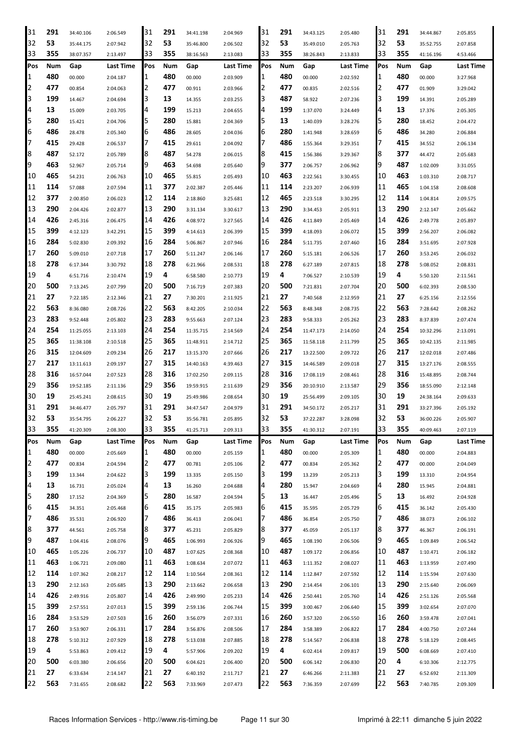| 31  | 291 | 34:40.106 | 2:06.549  | 31  | 291 | 34:41.198 | 2:04.969  | 31  | 291 | 34:43.125 | 2:05.480         | 31           | 291 | 34:44.867 | 2:05.855         |
|-----|-----|-----------|-----------|-----|-----|-----------|-----------|-----|-----|-----------|------------------|--------------|-----|-----------|------------------|
| 32  | 53  | 35:44.175 | 2:07.942  | 32  | 53  | 35:46.800 | 2:06.502  | 32  | 53  | 35:49.010 | 2:05.763         | 32           | 53  | 35:52.755 | 2:07.858         |
| 33  | 355 | 38:07.357 | 2:13.497  | 33  | 355 | 38:16.563 | 2:13.083  | 33  | 355 | 38:26.843 | 2:13.833         | 33           | 355 | 41:16.196 | 4:53.466         |
| Pos | Num | Gap       | Last Time | Pos | Num | Gap       | Last Time | Pos | Num | Gap       | <b>Last Time</b> | Pos          | Num | Gap       | <b>Last Time</b> |
| 1   | 480 | 00.000    | 2:04.187  | 1   | 480 | 00.000    | 2:03.909  | 1   | 480 | 00.000    | 2:02.592         | $\mathbf{1}$ | 480 | 00.000    | 3:27.968         |
| 2   | 477 | 00.854    | 2:04.063  | 2   | 477 | 00.911    | 2:03.966  | 2   | 477 | 00.835    | 2:02.516         | 2            | 477 | 01.909    | 3:29.042         |
| 3   | 199 | 14.467    | 2:04.694  | 3   | 13  | 14.355    | 2:03.255  | 3   | 487 | 58.922    | 2:07.236         | 3            | 199 | 14.391    | 2:05.289         |
| 4   | 13  | 15.009    | 2:03.705  | 4   | 199 | 15.213    | 2:04.655  | 4   | 199 | 1:37.070  | 3:24.449         | 4            | 13  | 17.376    | 2:05.305         |
| 5   | 280 | 15.421    | 2:04.706  | 5   | 280 | 15.881    | 2:04.369  | 5   | 13  | 1:40.039  | 3:28.276         | 5            | 280 | 18.452    | 2:04.472         |
| 6   | 486 | 28.478    | 2:05.340  | 6   | 486 | 28.605    | 2:04.036  | 6   | 280 | 1:41.948  | 3:28.659         | 6            | 486 | 34.280    | 2:06.884         |
| 7   | 415 | 29.428    | 2:06.537  | 7   | 415 | 29.611    | 2:04.092  | 7   | 486 | 1:55.364  | 3:29.351         | 17           | 415 | 34.552    | 2:06.134         |
| 8   | 487 | 52.172    |           | 8   | 487 | 54.278    |           | 8   | 415 | 1:56.386  | 3:29.367         | 8            | 377 | 44.472    | 2:05.683         |
| 9   | 463 |           | 2:05.789  | 9   | 463 |           | 2:06.015  | 9   | 377 |           |                  | 9            | 487 |           |                  |
| 10  | 465 | 52.967    | 2:05.714  | 10  | 465 | 54.698    | 2:05.640  | 10  | 463 | 2:06.757  | 2:06.962         | 10           | 463 | 1:02.009  | 3:31.055         |
|     | 114 | 54.231    | 2:06.763  | 11  | 377 | 55.815    | 2:05.493  | 11  | 114 | 2:22.561  | 3:30.455         | 11           | 465 | 1:03.310  | 2:08.717         |
| 11  | 377 | 57.088    | 2:07.594  |     |     | 2:02.387  | 2:05.446  | 12  | 465 | 2:23.207  | 2:06.939         | 12           |     | 1:04.158  | 2:08.608         |
| 12  |     | 2:00.850  | 2:06.023  | 12  | 114 | 2:18.860  | 3:25.681  |     |     | 2:23.518  | 3:30.295         |              | 114 | 1:04.814  | 2:09.575         |
| 13  | 290 | 2:04.426  | 2:02.877  | 13  | 290 | 3:31.134  | 3:30.617  | 13  | 290 | 3:34.453  | 2:05.911         | 13           | 290 | 2:12.147  | 2:05.662         |
| 14  | 426 | 2:45.316  | 2:06.475  | 14  | 426 | 4:08.972  | 3:27.565  | 14  | 426 | 4:11.849  | 2:05.469         | 14           | 426 | 2:49.778  | 2:05.897         |
| 15  | 399 | 4:12.123  | 3:42.291  | 15  | 399 | 4:14.613  | 2:06.399  | 15  | 399 | 4:18.093  | 2:06.072         | 15           | 399 | 2:56.207  | 2:06.082         |
| 16  | 284 | 5:02.830  | 2:09.392  | 16  | 284 | 5:06.867  | 2:07.946  | 16  | 284 | 5:11.735  | 2:07.460         | 16           | 284 | 3:51.695  | 2:07.928         |
| 17  | 260 | 5:09.010  | 2:07.718  | 17  | 260 | 5:11.247  | 2:06.146  | 17  | 260 | 5:15.181  | 2:06.526         | 17           | 260 | 3:53.245  | 2:06.032         |
| 18  | 278 | 6:17.344  | 3:30.792  | 18  | 278 | 6:21.966  | 2:08.531  | 18  | 278 | 6:27.189  | 2:07.815         | 18           | 278 | 5:08.052  | 2:08.831         |
| 19  | 4   | 6:51.716  | 2:10.474  | 19  | 4   | 6:58.580  | 2:10.773  | 19  | 4   | 7:06.527  | 2:10.539         | 19           | 4   | 5:50.120  | 2:11.561         |
| 20  | 500 | 7:13.245  | 2:07.799  | 20  | 500 | 7:16.719  | 2:07.383  | 20  | 500 | 7:21.831  | 2:07.704         | 20           | 500 | 6:02.393  | 2:08.530         |
| 21  | 27  | 7:22.185  | 2:12.346  | 21  | 27  | 7:30.201  | 2:11.925  | 21  | 27  | 7:40.568  | 2:12.959         | 21           | 27  | 6:25.156  | 2:12.556         |
| 22  | 563 | 8:36.080  | 2:08.726  | 22  | 563 | 8:42.205  | 2:10.034  | 22  | 563 | 8:48.348  | 2:08.735         | 22           | 563 | 7:28.642  | 2:08.262         |
| 23  | 283 | 9:52.448  | 2:05.802  | 23  | 283 | 9:55.663  | 2:07.124  | 23  | 283 | 9:58.333  | 2:05.262         | 23           | 283 | 8:37.839  | 2:07.474         |
| 24  | 254 | 11:25.055 | 2:13.103  | 24  | 254 | 11:35.715 | 2:14.569  | 24  | 254 | 11:47.173 | 2:14.050         | 24           | 254 | 10:32.296 | 2:13.091         |
| 25  | 365 | 11:38.108 | 2:10.518  | 25  | 365 | 11:48.911 | 2:14.712  | 25  | 365 | 11:58.118 | 2:11.799         | 25           | 365 | 10:42.135 | 2:11.985         |
| 26  | 315 | 12:04.609 | 2:09.234  | 26  | 217 | 13:15.370 | 2:07.666  | 26  | 217 | 13:22.500 | 2:09.722         | 26           | 217 | 12:02.018 | 2:07.486         |
| 27  | 217 | 13:11.613 | 2:09.197  | 27  | 315 | 14:40.163 | 4:39.463  | 27  | 315 | 14:46.589 | 2:09.018         | 27           | 315 | 13:27.176 | 2:08.555         |
| 28  | 316 | 16:57.044 | 2:07.523  | 28  | 316 | 17:02.250 | 2:09.115  | 28  | 316 | 17:08.119 | 2:08.461         | 28           | 316 | 15:48.895 | 2:08.744         |
| 29  | 356 | 19:52.185 | 2:11.136  | 29  | 356 | 19:59.915 | 2:11.639  | 29  | 356 | 20:10.910 | 2:13.587         | 29           | 356 | 18:55.090 | 2:12.148         |
| 30  | 19  | 25:45.241 | 2:08.615  | 30  | 19  | 25:49.986 | 2:08.654  | 30  | 19  | 25:56.499 | 2:09.105         | 30           | 19  | 24:38.164 | 2:09.633         |
| 31  | 291 | 34:46.477 | 2:05.797  | 31  | 291 | 34:47.547 | 2:04.979  | 31  | 291 | 34:50.172 | 2:05.217         | 31           | 291 | 33:27.396 | 2:05.192         |
| 32  | 53  | 35:54.795 | 2:06.227  | 32  | 53  | 35:56.781 | 2:05.895  | 32  | 53  | 37:22.287 | 3:28.098         | 32           | 53  | 36:00.226 | 2:05.907         |
| 33  | 355 | 41:20.309 | 2:08.300  | 33  | 355 | 41:25.713 | 2:09.313  | 33  | 355 | 41:30.312 | 2:07.191         | 33           | 355 | 40:09.463 | 2:07.119         |
| Pos | Num | Gap       | Last Time | Pos | Num | Gap       | Last Time | Pos | Num | Gap       | Last Time        | <b>Pos</b>   | Num | Gap       | Last Time        |
| 1   | 480 | 00.000    | 2:05.669  | 1   | 480 | 00.000    | 2:05.159  | 1   | 480 | 00.000    | 2:05.309         | 11           | 480 | 00.000    | 2:04.883         |
| 2   | 477 | 00.834    | 2:04.594  | 2   | 477 | 00.781    | 2:05.106  | 2   | 477 | 00.834    | 2:05.362         | 2            | 477 | 00.000    | 2:04.049         |
| 3   | 199 | 13.344    | 2:04.622  | 3   | 199 | 13.335    | 2:05.150  | 3   | 199 | 13.239    | 2:05.213         | 3            | 199 | 13.310    | 2:04.954         |
| 4   | 13  | 16.731    | 2:05.024  | 4   | 13  | 16.260    | 2:04.688  | 4   | 280 | 15.947    | 2:04.669         | 4            | 280 | 15.945    | 2:04.881         |
| 15  | 280 | 17.152    | 2:04.369  | 5   | 280 | 16.587    | 2:04.594  | 5   | 13  | 16.447    | 2:05.496         | 5            | 13  | 16.492    | 2:04.928         |
| 16  | 415 | 34.351    | 2:05.468  | 6   | 415 | 35.175    | 2:05.983  | 6   | 415 | 35.595    | 2:05.729         | 6            | 415 | 36.142    | 2:05.430         |
| 7   | 486 | 35.531    | 2:06.920  | 7   | 486 | 36.413    | 2:06.041  | 7   | 486 | 36.854    | 2:05.750         | 17           | 486 | 38.073    | 2:06.102         |
| 18  | 377 | 44.561    | 2:05.758  | 8   | 377 | 45.231    | 2:05.829  | 8   | 377 | 45.059    | 2:05.137         | 8            | 377 | 46.367    | 2:06.191         |
| 9   | 487 | 1:04.416  | 2:08.076  | 9   | 465 | 1:06.993  | 2:06.926  | 9   | 465 | 1:08.190  | 2:06.506         | 9            | 465 | 1:09.849  | 2:06.542         |
| 10  | 465 | 1:05.226  | 2:06.737  | 10  | 487 | 1:07.625  | 2:08.368  | 10  | 487 | 1:09.172  | 2:06.856         | 10           | 487 | 1:10.471  | 2:06.182         |
| 11  | 463 | 1:06.721  | 2:09.080  | 11  | 463 | 1:08.634  | 2:07.072  | 11  | 463 | 1:11.352  | 2:08.027         | 11           | 463 | 1:13.959  | 2:07.490         |
| 12  | 114 | 1:07.362  | 2:08.217  | 12  | 114 | 1:10.564  | 2:08.361  | 12  | 114 | 1:12.847  | 2:07.592         | 12           | 114 | 1:15.594  | 2:07.630         |
| 13  | 290 | 2:12.163  | 2:05.685  | 13  | 290 | 2:13.662  | 2:06.658  | 13  | 290 | 2:14.454  | 2:06.101         | 13           | 290 | 2:15.640  | 2:06.069         |
| 14  | 426 | 2:49.916  | 2:05.807  | 14  | 426 | 2:49.990  | 2:05.233  | 14  | 426 | 2:50.441  | 2:05.760         | 14           | 426 | 2:51.126  | 2:05.568         |
| 15  | 399 | 2:57.551  | 2:07.013  | 15  | 399 | 2:59.136  | 2:06.744  | 15  | 399 | 3:00.467  | 2:06.640         | 15           | 399 | 3:02.654  | 2:07.070         |
| 16  | 284 | 3:53.529  | 2:07.503  | 16  | 260 | 3:56.079  | 2:07.331  | 16  | 260 | 3:57.320  | 2:06.550         | 16           | 260 | 3:59.478  | 2:07.041         |
| 17  | 260 | 3:53.907  | 2:06.331  | 17  | 284 | 3:56.876  | 2:08.506  | 17  | 284 | 3:58.389  | 2:06.822         | 17           | 284 | 4:00.750  | 2:07.244         |
| 18  | 278 | 5:10.312  | 2:07.929  | 18  | 278 | 5:13.038  | 2:07.885  | 18  | 278 | 5:14.567  | 2:06.838         | 18           | 278 | 5:18.129  | 2:08.445         |
| 19  | 4   | 5:53.863  | 2:09.412  | 19  | 4   | 5:57.906  | 2:09.202  | 19  | 4   | 6:02.414  | 2:09.817         | 19           | 500 | 6:08.669  | 2:07.410         |
| 20  | 500 | 6:03.380  | 2:06.656  | 20  | 500 | 6:04.621  | 2:06.400  | 20  | 500 | 6:06.142  | 2:06.830         | 20           | 4   | 6:10.306  | 2:12.775         |
| 21  | 27  | 6:33.634  | 2:14.147  | 21  | 27  | 6:40.192  | 2:11.717  | 21  | 27  | 6:46.266  | 2:11.383         | 21           | 27  | 6:52.692  | 2:11.309         |
| 22  | 563 | 7:31.655  | 2:08.682  | 22  | 563 | 7:33.969  | 2:07.473  | 22  | 563 | 7:36.359  | 2:07.699         | 22           | 563 | 7:40.785  | 2:09.309         |
|     |     |           |           |     |     |           |           |     |     |           |                  |              |     |           |                  |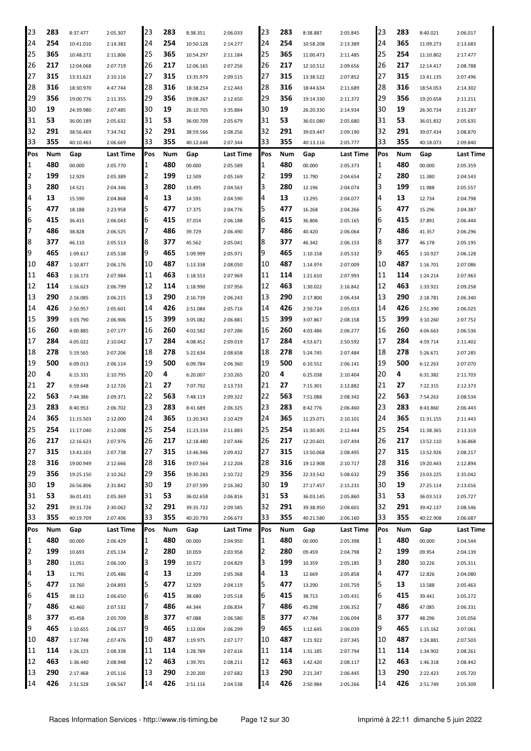| 23  | 283 | 8:37.477  | 2:05.307  | 23  | 283 | 8:38.351  | 2:06.033  | 23  | 283 | 8:38.887  | 2:05.845  | 23  | 283 | 8:40.021  | 2:06.017  |
|-----|-----|-----------|-----------|-----|-----|-----------|-----------|-----|-----|-----------|-----------|-----|-----|-----------|-----------|
| 24  | 254 | 10:41.010 | 2:14.383  | 24  | 254 | 10:50.128 | 2:14.277  | 24  | 254 | 10:58.208 | 2:13.389  | 24  | 365 | 11:09.273 | 2:13.683  |
| 25  | 365 | 10:48.272 | 2:11.806  | 25  | 365 | 10:54.297 | 2:11.184  | 25  | 365 | 11:00.473 | 2:11.485  | 25  | 254 | 11:10.802 | 2:17.477  |
| 26  | 217 | 12:04.068 | 2:07.719  | 126 | 217 | 12:06.165 | 2:07.256  | 26  | 217 | 12:10.512 | 2:09.656  | 26  | 217 | 12:14.417 | 2:08.788  |
| 27  | 315 | 13:31.623 | 2:10.116  | 27  | 315 | 13:35.979 | 2:09.515  | 27  | 315 | 13:38.522 | 2:07.852  | 27  | 315 | 13:41.135 | 2:07.496  |
| 28  | 316 | 18:30.970 | 4:47.744  | 28  | 316 | 18:38.254 | 2:12.443  | 28  | 316 | 18:44.634 | 2:11.689  | 28  | 316 | 18:54.053 | 2:14.302  |
| 29  | 356 | 19:00.776 | 2:11.355  | 29  | 356 | 19:08.267 | 2:12.650  | 29  | 356 | 19:14.330 | 2:11.372  | 29  | 356 | 19:20.658 | 2:11.211  |
| 30  | 19  | 24:39.980 | 2:07.485  | 30  | 19  | 26:10.705 | 3:35.884  | 30  | 19  | 26:20.330 | 2:14.934  | 30  | 19  | 26:30.734 | 2:15.287  |
| 31  | 53  | 36:00.189 | 2:05.632  | 31  | 53  | 36:00.709 | 2:05.679  | 31  | 53  | 36:01.080 | 2:05.680  | 31  | 53  | 36:01.832 | 2:05.635  |
| 32  | 291 | 38:56.469 | 7:34.742  | 32  | 291 | 38:59.566 | 2:08.256  | 32  | 291 | 39:03.447 | 2:09.190  | 32  | 291 | 39:07.434 | 2:08.870  |
| 33  | 355 | 40:10.463 | 2:06.669  | 33  | 355 | 40:12.648 | 2:07.344  | 33  | 355 | 40:13.116 | 2:05.777  | 33  | 355 | 40:18.073 | 2:09.840  |
| Pos | Num | Gap       | Last Time | Pos | Num | Gap       | Last Time | Pos | Num | Gap       | Last Time | Pos | Num | Gap       | Last Time |
| 1   | 480 | 00.000    | 2:05.770  | 11  | 480 | 00.000    | 2:05.589  | 1   | 480 | 00.000    | 2:05.373  | 11  | 480 | 00.000    | 2:05.359  |
| 2   | 199 | 12.929    | 2:05.389  | 12  | 199 | 12.509    | 2:05.169  | 2   | 199 | 11.790    | 2:04.654  | 2   | 280 | 11.380    | 2:04.543  |
| 3   | 280 | 14.521    | 2:04.346  | 13  | 280 | 13.495    | 2:04.563  | 3   | 280 | 12.196    | 2:04.074  | З   | 199 | 11.988    | 2:05.557  |
| 4   | 13  | 15.590    | 2:04.868  | 4   | 13  | 14.591    | 2:04.590  | 4   | 13  | 13.295    | 2:04.077  | 4   | 13  | 12.734    | 2:04.798  |
| 5   | 477 | 18.188    | 2:23.958  | 5   | 477 | 17.375    | 2:04.776  | 5   | 477 | 16.268    | 2:04.266  | 5   | 477 | 15.296    | 2:04.387  |
| 6   | 415 | 36.415    | 2:06.043  | 16  | 415 | 37.014    | 2:06.188  | 6   | 415 | 36.806    | 2:05.165  | 6   | 415 | 37.891    | 2:06.444  |
| 7   | 486 | 38.828    | 2:06.525  | 17  | 486 | 39.729    | 2:06.490  | 7   | 486 | 40.420    | 2:06.064  | 7   | 486 | 41.357    | 2:06.296  |
| 8   | 377 | 46.110    | 2:05.513  | 8   | 377 | 45.562    | 2:05.041  | 8   | 377 | 46.342    | 2:06.153  | 8   | 377 | 46.178    | 2:05.195  |
| 9   | 465 | 1:09.617  | 2:05.538  | Ι9  | 465 | 1:09.999  | 2:05.971  | 9   | 465 | 1:10.158  | 2:05.532  | 9   | 465 | 1:10.927  | 2:06.128  |
| 10  | 487 | 1:10.877  | 2:06.176  | 10  | 487 | 1:13.338  | 2:08.050  | 10  | 487 | 1:14.974  | 2:07.009  | 10  | 487 | 1:16.701  | 2:07.086  |
| 11  | 463 | 1:16.173  | 2:07.984  | 11  | 463 | 1:18.553  | 2:07.969  | 11  | 114 | 1:21.610  | 2:07.993  | 11  | 114 | 1:24.214  | 2:07.963  |
| 12  | 114 | 1:16.623  | 2:06.799  | 12  | 114 | 1:18.990  | 2:07.956  | 12  | 463 | 1:30.022  | 2:16.842  | 12  | 463 | 1:33.921  | 2:09.258  |
| 13  | 290 | 2:16.085  | 2:06.215  | 13  | 290 | 2:16.739  | 2:06.243  | 13  | 290 | 2:17.800  | 2:06.434  | 13  | 290 | 2:18.781  | 2:06.340  |
| 14  | 426 | 2:50.957  | 2:05.601  | 14  | 426 | 2:51.084  | 2:05.716  | 14  | 426 | 2:50.724  | 2:05.013  | 14  | 426 | 2:51.390  | 2:06.025  |
| 15  | 399 | 3:03.790  | 2:06.906  | 15  | 399 | 3:05.082  | 2:06.881  | 15  | 399 | 3:07.867  | 2:08.158  | 15  | 399 | 3:10.260  | 2:07.752  |
| 16  | 260 | 4:00.885  | 2:07.177  | 16  | 260 | 4:02.582  | 2:07.286  | 16  | 260 | 4:03.486  | 2:06.277  | 16  | 260 | 4:04.663  | 2:06.536  |
| 17  | 284 | 4:05.022  | 2:10.042  | 17  | 284 | 4:08.452  | 2:09.019  | 17  | 284 | 4:53.671  | 2:50.592  | 17  | 284 | 4:59.714  | 2:11.402  |
| 18  | 278 | 5:19.565  | 2:07.206  | 18  | 278 | 5:22.634  | 2:08.658  | 18  | 278 | 5:24.745  | 2:07.484  | 18  | 278 | 5:26.671  | 2:07.285  |
| 19  | 500 | 6:09.013  | 2:06.114  | 19  | 500 | 6:09.784  | 2:06.360  | 19  | 500 | 6:10.552  | 2:06.141  | 19  | 500 | 6:12.263  | 2:07.070  |
| 20  | 4   | 6:15.331  | 2:10.795  | 20  | 4   | 6:20.007  | 2:10.265  | 20  | 4   | 6:25.038  | 2:10.404  | 20  | 4   | 6:31.382  | 2:11.703  |
| 21  | 27  | 6:59.648  | 2:12.726  | 21  | 27  | 7:07.792  | 2:13.733  | 21  | 27  | 7:15.301  | 2:12.882  | 21  | 27  | 7:22.315  | 2:12.373  |
| 22  | 563 | 7:44.386  | 2:09.371  | 22  | 563 | 7:48.119  | 2:09.322  | 22  | 563 | 7:51.088  | 2:08.342  | 22  | 563 | 7:54.263  | 2:08.534  |
| 23  | 283 | 8:40.953  | 2:06.702  | 23  | 283 | 8:41.689  | 2:06.325  | 23  | 283 | 8:42.776  | 2:06.460  | 23  | 283 | 8:43.860  | 2:06.443  |
| 24  | 365 | 11:15.503 | 2:12.000  | 24  | 365 | 11:20.343 | 2:10.429  | 24  | 365 | 11:25.071 | 2:10.101  | 24  | 365 | 11:31.155 | 2:11.443  |
| 25  | 254 | 11:17.040 | 2:12.008  | 25  | 254 | 11:23.334 | 2:11.883  | 25  | 254 | 11:30.405 | 2:12.444  | 25  | 254 | 11:38.365 | 2:13.319  |
| 26  | 217 | 12:16.623 | 2:07.976  | 26  | 217 | 12:18.480 | 2:07.446  | 26  | 217 | 12:20.601 | 2:07.494  | 26  | 217 | 13:52.110 | 3:36.868  |
| 27  | 315 | 13:43.103 | 2:07.738  | 27  | 315 | 13:46.946 | 2:09.432  | 27  | 315 | 13:50.068 | 2:08.495  | 27  | 315 | 13:52.926 | 2:08.217  |
| 28  | 316 | 19:00.949 | 2:12.666  | 28  | 316 | 19:07.564 | 2:12.204  | 28  | 316 | 19:12.908 | 2:10.717  | 28  | 316 | 19:20.443 | 2:12.894  |
| 29  | 356 | 19:25.150 | 2:10.262  | 29  | 356 | 19:30.283 | 2:10.722  | 29  | 356 | 22:33.542 | 5:08.632  | 29  | 356 | 23:03.225 | 2:35.042  |
| 30  | 19  | 26:56.806 | 2:31.842  | 30  | 19  | 27:07.599 | 2:16.382  | 30  | 19  | 27:17.457 | 2:15.231  | 30  | 19  | 27:25.114 | 2:13.016  |
| 31  | 53  | 36:01.431 | 2:05.369  | 31  | 53  | 36:02.658 | 2:06.816  | 31  | 53  | 36:03.145 | 2:05.860  | 31  | 53  | 36:03.513 | 2:05.727  |
| 32  | 291 | 39:31.726 | 2:30.062  | 32  | 291 | 39:35.722 | 2:09.585  | 32  | 291 | 39:38.950 | 2:08.601  | 32  | 291 | 39:42.137 | 2:08.546  |
| 33  | 355 | 40:19.709 | 2:07.406  | 33  | 355 | 40:20.793 | 2:06.673  | 33  | 355 | 40:21.580 | 2:06.160  | 33  | 355 | 40:22.908 | 2:06.687  |
| Pos | Num | Gap       | Last Time | Pos | Num | Gap       | Last Time | Pos | Num | Gap       | Last Time | Pos | Num | Gap       | Last Time |
| 1   | 480 | 00.000    | 2:06.429  | 11  | 480 | 00.000    | 2:04.950  | 1   | 480 | 00.000    | 2:05.398  | 1   | 480 | 00.000    | 2:04.544  |
| 2   | 199 | 10.693    | 2:05.134  | 12  | 280 | 10.059    | 2:03.958  | 2   | 280 | 09.459    | 2:04.798  | 2   | 199 | 09.954    | 2:04.139  |
| 3   | 280 | 11.051    | 2:06.100  | 13  | 199 | 10.572    | 2:04.829  | 3   | 199 | 10.359    | 2:05.185  | 3   | 280 | 10.226    | 2:05.311  |
| 4   | 13  | 11.791    | 2:05.486  | 4   | 13  | 12.209    | 2:05.368  | 4   | 13  | 12.669    | 2:05.858  | 4   | 477 | 12.826    | 2:04.080  |
| 5   | 477 | 13.760    | 2:04.893  | 5   | 477 | 12.929    | 2:04.119  | 5   | 477 | 13.290    | 2:05.759  | 5   | 13  | 13.588    | 2:05.463  |
| 6   | 415 | 38.112    | 2:06.650  | 6   | 415 | 38.680    | 2:05.518  | 6   | 415 | 38.713    | 2:05.431  | 6   | 415 | 39.441    | 2:05.272  |
| 7   | 486 | 42.460    | 2:07.532  | 17  | 486 | 44.344    | 2:06.834  | 7   | 486 | 45.298    | 2:06.352  | 17  | 486 | 47.085    | 2:06.331  |
| 8   | 377 | 45.458    | 2:05.709  | 8   | 377 | 47.088    | 2:06.580  | 8   | 377 | 47.784    | 2:06.094  | 8   | 377 | 48.296    | 2:05.056  |
| 9   | 465 | 1:10.655  | 2:06.157  | 9   | 465 | 1:12.004  | 2:06.299  | 9   | 465 | 1:12.645  | 2:06.039  | 9   | 465 | 1:15.162  | 2:07.061  |
| 10  | 487 | 1:17.748  | 2:07.476  | 10  | 487 | 1:19.975  | 2:07.177  | 10  | 487 | 1:21.922  | 2:07.345  | 10  | 487 | 1:24.881  | 2:07.503  |
| 11  | 114 | 1:26.123  | 2:08.338  | 11  | 114 | 1:28.789  | 2:07.616  | 11  | 114 | 1:31.185  | 2:07.794  | 11  | 114 | 1:34.902  | 2:08.261  |
| 12  | 463 | 1:36.440  | 2:08.948  | 12  | 463 | 1:39.701  | 2:08.211  | 12  | 463 | 1:42.420  | 2:08.117  | 12  | 463 | 1:46.318  | 2:08.442  |
| 13  | 290 | 2:17.468  | 2:05.116  | 13  | 290 | 2:20.200  | 2:07.682  | 13  | 290 | 2:21.247  | 2:06.445  | 13  | 290 | 2:22.423  | 2:05.720  |
| 14  | 426 | 2:51.528  | 2:06.567  | 14  | 426 | 2:51.116  | 2:04.538  | 14  | 426 | 2:50.984  | 2:05.266  | 14  | 426 | 2:51.749  | 2:05.309  |
|     |     |           |           |     |     |           |           |     |     |           |           |     |     |           |           |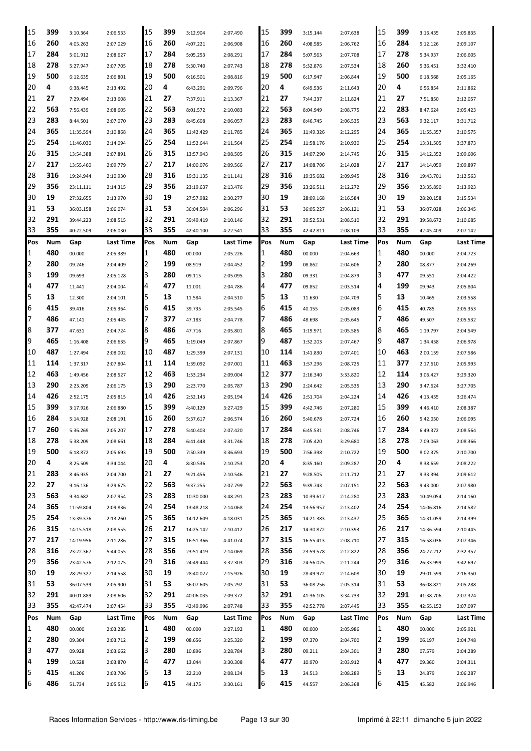| 15             | 399 | 3:10.364  | 2:06.533  | 15  | 399 | 3:12.904  | 2:07.490  | 15  | 399 | 3:15.144  | 2:07.638  | 15  | 399 | 3:16.435  | 2:05.835             |
|----------------|-----|-----------|-----------|-----|-----|-----------|-----------|-----|-----|-----------|-----------|-----|-----|-----------|----------------------|
| 16             | 260 | 4:05.263  | 2:07.029  | 16  | 260 | 4:07.221  | 2:06.908  | 16  | 260 | 4:08.585  | 2:06.762  | 16  | 284 | 5:12.126  | 2:09.107             |
| 17             | 284 | 5:01.912  | 2:08.627  | 17  | 284 | 5:05.253  | 2:08.291  | 17  | 284 | 5:07.563  | 2:07.708  | 17  | 278 | 5:34.937  | 2:06.605             |
| 18             | 278 | 5:27.947  | 2:07.705  | 18  | 278 | 5:30.740  | 2:07.743  | 18  | 278 | 5:32.876  | 2:07.534  | 18  | 260 | 5:36.451  | 3:32.410             |
| 19             | 500 | 6:12.635  | 2:06.801  | 19  | 500 | 6:16.501  | 2:08.816  | 19  | 500 | 6:17.947  | 2:06.844  | 19  | 500 | 6:18.568  | 2:05.165             |
| 20             | 4   | 6:38.445  | 2:13.492  | 20  | 4   | 6:43.291  | 2:09.796  | 20  | 4   | 6:49.536  | 2:11.643  | 20  | 4   | 6:56.854  | 2:11.862             |
| 21             | 27  | 7:29.494  | 2:13.608  | 21  | 27  | 7:37.911  | 2:13.367  | 21  | 27  | 7:44.337  | 2:11.824  | 21  | 27  | 7:51.850  | 2:12.057             |
| 22             | 563 | 7:56.439  | 2:08.605  | 22  | 563 | 8:01.572  | 2:10.083  | 22  | 563 | 8:04.949  | 2:08.775  | 22  | 283 | 8:47.624  | 2:05.423             |
| 23             | 283 | 8:44.501  | 2:07.070  | 23  | 283 | 8:45.608  | 2:06.057  | 23  | 283 | 8:46.745  | 2:06.535  | 23  | 563 | 9:32.117  | 3:31.712             |
| 24             | 365 |           |           | 24  | 365 |           | 2:11.785  | 24  | 365 |           |           | 24  | 365 |           |                      |
| 25             | 254 | 11:35.594 | 2:10.868  | 25  | 254 | 11:42.429 |           | 25  | 254 | 11:49.326 | 2:12.295  | 25  | 254 | 11:55.357 | 2:10.575<br>3:37.873 |
|                | 315 | 11:46.030 | 2:14.094  | 26  | 315 | 11:52.644 | 2:11.564  |     | 315 | 11:58.176 | 2:10.930  | 26  | 315 | 13:31.505 |                      |
| 26             |     | 13:54.388 | 2:07.891  |     |     | 13:57.943 | 2:08.505  | 26  |     | 14:07.290 | 2:14.745  |     |     | 14:12.352 | 2:09.606             |
| 27             | 217 | 13:55.460 | 2:09.779  | 27  | 217 | 14:00.076 | 2:09.566  | 27  | 217 | 14:08.706 | 2:14.028  | 27  | 217 | 14:14.059 | 2:09.897             |
| 28             | 316 | 19:24.944 | 2:10.930  | 28  | 316 | 19:31.135 | 2:11.141  | 28  | 316 | 19:35.682 | 2:09.945  | 28  | 316 | 19:43.701 | 2:12.563             |
| 29             | 356 | 23:11.111 | 2:14.315  | 29  | 356 | 23:19.637 | 2:13.476  | 29  | 356 | 23:26.511 | 2:12.272  | 29  | 356 | 23:35.890 | 2:13.923             |
| 30             | 19  | 27:32.655 | 2:13.970  | 30  | 19  | 27:57.982 | 2:30.277  | 30  | 19  | 28:09.168 | 2:16.584  | 30  | 19  | 28:20.158 | 2:15.534             |
| 31             | 53  | 36:03.158 | 2:06.074  | 31  | 53  | 36:04.504 | 2:06.296  | 31  | 53  | 36:05.227 | 2:06.121  | 31  | 53  | 36:07.028 | 2:06.345             |
| 32             | 291 | 39:44.223 | 2:08.515  | 32  | 291 | 39:49.419 | 2:10.146  | 32  | 291 | 39:52.531 | 2:08.510  | 32  | 291 | 39:58.672 | 2:10.685             |
| 33             | 355 | 40:22.509 | 2:06.030  | 33  | 355 | 42:40.100 | 4:22.541  | 33  | 355 | 42:42.811 | 2:08.109  | 33  | 355 | 42:45.409 | 2:07.142             |
| Pos            | Num | Gap       | Last Time | Pos | Num | Gap       | Last Time | Pos | Num | Gap       | Last Time | Pos | Num | Gap       | Last Time            |
| 1              | 480 | 00.000    | 2:05.389  | 1   | 480 | 00.000    | 2:05.226  | 1   | 480 | 00.000    | 2:04.663  | 1   | 480 | 00.000    | 2:04.723             |
| 2              | 280 | 09.246    | 2:04.409  | 2   | 199 | 08.919    | 2:04.452  | 2   | 199 | 08.862    | 2:04.606  | 2   | 280 | 08.877    | 2:04.269             |
| 3              | 199 | 09.693    | 2:05.128  | 3   | 280 | 09.115    | 2:05.095  | З   | 280 | 09.331    | 2:04.879  | 3   | 477 | 09.551    | 2:04.422             |
| 4              | 477 | 11.441    | 2:04.004  | 4   | 477 | 11.001    | 2:04.786  | 4   | 477 | 09.852    | 2:03.514  | 4   | 199 | 09.943    | 2:05.804             |
| 5              | 13  | 12.300    | 2:04.101  | 5   | 13  | 11.584    | 2:04.510  | 5   | 13  | 11.630    | 2:04.709  | 5   | 13  | 10.465    | 2:03.558             |
| 6              | 415 | 39.416    | 2:05.364  | 16  | 415 | 39.735    | 2:05.545  | 16  | 415 | 40.155    | 2:05.083  | 6   | 415 | 40.785    | 2:05.353             |
| 7              | 486 | 47.141    | 2:05.445  | 7   | 377 | 47.183    | 2:04.778  | 7   | 486 | 48.698    | 2:05.645  | 7   | 486 | 49.507    | 2:05.532             |
| 8              | 377 | 47.631    | 2:04.724  | 18  | 486 | 47.716    | 2:05.801  | 18  | 465 | 1:19.971  | 2:05.585  | 8   | 465 | 1:19.797  | 2:04.549             |
| 9              | 465 | 1:16.408  | 2:06.635  | 9   | 465 | 1:19.049  | 2:07.867  | q   | 487 | 1:32.203  | 2:07.467  | 9   | 487 | 1:34.458  | 2:06.978             |
| 10             | 487 | 1:27.494  | 2:08.002  | 10  | 487 | 1:29.399  | 2:07.131  | 10  | 114 | 1:41.830  | 2:07.401  | 10  | 463 | 2:00.159  | 2:07.586             |
| 11             | 114 | 1:37.317  | 2:07.804  | 11  | 114 | 1:39.092  | 2:07.001  | 11  | 463 | 1:57.296  | 2:08.725  | 11  | 377 | 2:17.610  | 2:05.993             |
| 12             | 463 | 1:49.456  | 2:08.527  | 12  | 463 | 1:53.234  | 2:09.004  | 12  | 377 | 2:16.340  | 3:33.820  | 12  | 114 | 3:06.427  | 3:29.320             |
| 13             | 290 | 2:23.209  | 2:06.175  | 13  | 290 | 2:23.770  | 2:05.787  | 13  | 290 | 2:24.642  | 2:05.535  | 13  | 290 | 3:47.624  | 3:27.705             |
| 14             | 426 | 2:52.175  | 2:05.815  | 14  | 426 | 2:52.143  | 2:05.194  | 14  | 426 | 2:51.704  | 2:04.224  | 14  | 426 | 4:13.455  | 3:26.474             |
| 15             | 399 | 3:17.926  | 2:06.880  | 15  | 399 | 4:40.129  | 3:27.429  | 15  | 399 | 4:42.746  | 2:07.280  | 15  | 399 | 4:46.410  | 2:08.387             |
| 16             | 284 | 5:14.928  | 2:08.191  | 16  | 260 | 5:37.617  | 2:06.574  | 16  | 260 | 5:40.678  | 2:07.724  | 16  | 260 | 5:42.050  | 2:06.095             |
| 17             | 260 |           |           | 17  | 278 | 5:40.403  |           | 17  | 284 |           |           | 17  | 284 |           |                      |
| 18             | 278 | 5:36.269  | 2:05.207  | 18  | 284 |           | 2:07.420  | 18  | 278 | 6:45.531  | 2:08.746  | 18  | 278 | 6:49.372  | 2:08.564             |
| 19             | 500 | 5:38.209  | 2:08.661  |     | 500 | 6:41.448  | 3:31.746  | 19  | 500 | 7:05.420  | 3:29.680  | 19  | 500 | 7:09.063  | 2:08.366             |
|                |     | 6:18.872  | 2:05.693  | 19  |     | 7:50.339  | 3:36.693  |     |     | 7:56.398  | 2:10.722  |     |     | 8:02.375  | 2:10.700             |
| 20             | 4   | 8:25.509  | 3:34.044  | 20  | 4   | 8:30.536  | 2:10.253  | 20  | 4   | 8:35.160  | 2:09.287  | 20  | 4   | 8:38.659  | 2:08.222             |
| 21             | 283 | 8:46.935  | 2:04.700  | 21  | 27  | 9:21.456  | 2:10.546  | 21  | 27  | 9:28.505  | 2:11.712  | 21  | 27  | 9:33.394  | 2:09.612             |
| 22             | 27  | 9:16.136  | 3:29.675  | 22  | 563 | 9:37.255  | 2:07.799  | 22  | 563 | 9:39.743  | 2:07.151  | 22  | 563 | 9:43.000  | 2:07.980             |
| 23             | 563 | 9:34.682  | 2:07.954  | 23  | 283 | 10:30.000 | 3:48.291  | 23  | 283 | 10:39.617 | 2:14.280  | 23  | 283 | 10:49.054 | 2:14.160             |
| 24             | 365 | 11:59.804 | 2:09.836  | 24  | 254 | 13:48.218 | 2:14.068  | 24  | 254 | 13:56.957 | 2:13.402  | 24  | 254 | 14:06.816 | 2:14.582             |
| 25             | 254 | 13:39.376 | 2:13.260  | 25  | 365 | 14:12.609 | 4:18.031  | 25  | 365 | 14:21.383 | 2:13.437  | 25  | 365 | 14:31.059 | 2:14.399             |
| 26             | 315 | 14:15.518 | 2:08.555  | 26  | 217 | 14:25.142 | 2:10.412  | 26  | 217 | 14:30.872 | 2:10.393  | 26  | 217 | 14:36.594 | 2:10.445             |
| 27             | 217 | 14:19.956 | 2:11.286  | 27  | 315 | 16:51.366 | 4:41.074  | 27  | 315 | 16:55.413 | 2:08.710  | 27  | 315 | 16:58.036 | 2:07.346             |
| 28             | 316 | 23:22.367 | 5:44.055  | 28  | 356 | 23:51.419 | 2:14.069  | 28  | 356 | 23:59.578 | 2:12.822  | 28  | 356 | 24:27.212 | 2:32.357             |
| 29             | 356 | 23:42.576 | 2:12.075  | 29  | 316 | 24:49.444 | 3:32.303  | 29  | 316 | 24:56.025 | 2:11.244  | 29  | 316 | 26:33.999 | 3:42.697             |
| 30             | 19  | 28:29.327 | 2:14.558  | 30  | 19  | 28:40.027 | 2:15.926  | 30  | 19  | 28:49.972 | 2:14.608  | 30  | 19  | 29:01.599 | 2:16.350             |
| 31             | 53  | 36:07.539 | 2:05.900  | 31  | 53  | 36:07.605 | 2:05.292  | 31  | 53  | 36:08.256 | 2:05.314  | 31  | 53  | 36:08.821 | 2:05.288             |
| 32             | 291 | 40:01.889 | 2:08.606  | 32  | 291 | 40:06.035 | 2:09.372  | 32  | 291 | 41:36.105 | 3:34.733  | 32  | 291 | 41:38.706 | 2:07.324             |
| 33             | 355 | 42:47.474 | 2:07.454  | 33  | 355 | 42:49.996 | 2:07.748  | 33  | 355 | 42:52.778 | 2:07.445  | 33  | 355 | 42:55.152 | 2:07.097             |
| Pos            | Num | Gap       | Last Time | Pos | Num | Gap       | Last Time | Pos | Num | Gap       | Last Time | Pos | Num | Gap       | Last Time            |
| $\mathbf{1}$   | 480 | 00.000    | 2:03.285  | 1   | 480 | 00.000    | 3:27.192  | 1   | 480 | 00.000    | 2:05.986  | 1   | 480 | 00.000    | 2:05.921             |
| $\overline{2}$ | 280 | 09.304    | 2:03.712  | 2   | 199 | 08.656    | 3:25.320  | 2   | 199 | 07.370    | 2:04.700  | 2   | 199 | 06.197    | 2:04.748             |
| 3              | 477 | 09.928    | 2:03.662  | 3   | 280 | 10.896    | 3:28.784  | З   | 280 | 09.211    | 2:04.301  | 3   | 280 | 07.579    | 2:04.289             |
| 4              | 199 | 10.528    | 2:03.870  | 4   | 477 | 13.044    | 3:30.308  | 4   | 477 | 10.970    | 2:03.912  | 4   | 477 | 09.360    | 2:04.311             |
| 5              | 415 | 41.206    | 2:03.706  | 5   | 13  | 22.210    | 2:08.134  | 5   | 13  | 24.513    | 2:08.289  | 5   | 13  | 24.879    | 2:06.287             |
| 6              | 486 | 51.734    | 2:05.512  | 6   | 415 | 44.175    | 3:30.161  | 6   | 415 | 44.557    | 2:06.368  | 6   | 415 | 45.582    | 2:06.946             |
|                |     |           |           |     |     |           |           |     |     |           |           |     |     |           |                      |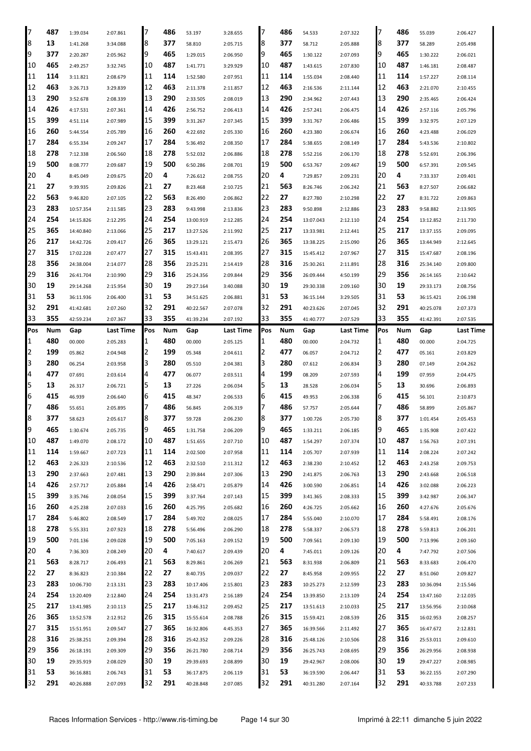| 17       | 487       | 1:39.034               | 2:07.861             | 17       | 486       | 53.197                 | 3:28.655             | 7        | 486       | 54.533                 | 2:07.322             | 17       | 486       | 55.039                 | 2:06.427             |
|----------|-----------|------------------------|----------------------|----------|-----------|------------------------|----------------------|----------|-----------|------------------------|----------------------|----------|-----------|------------------------|----------------------|
| 8        | 13        |                        |                      | 8        | 377       |                        |                      | 8        | 377       |                        |                      | 8        | 377       |                        |                      |
|          |           | 1:41.268               | 3:34.088             |          |           | 58.810                 | 2:05.715             |          |           | 58.712                 | 2:05.888             |          |           | 58.289                 | 2:05.498             |
| 9        | 377       | 2:20.287               | 2:05.962             | 9        | 465       | 1:29.015               | 2:06.950             | 9        | 465       | 1:30.122               | 2:07.093             | 9        | 465       | 1:30.222               | 2:06.021             |
| 10       | 465       | 2:49.257               | 3:32.745             | 10       | 487       | 1:41.771               | 3:29.929             | 10       | 487       | 1:43.615               | 2:07.830             | 10       | 487       | 1:46.181               | 2:08.487             |
| 11       | 114       | 3:11.821               | 2:08.679             | 11       | 114       | 1:52.580               | 2:07.951             | 11       | 114       | 1:55.034               | 2:08.440             | 11       | 114       | 1:57.227               | 2:08.114             |
| 12       | 463       | 3:26.713               | 3:29.839             | 12       | 463       | 2:11.378               | 2:11.857             | 12       | 463       | 2:16.536               | 2:11.144             | 12       | 463       | 2:21.070               | 2:10.455             |
| 13       | 290       | 3:52.678               | 2:08.339             | 13       | 290       | 2:33.505               | 2:08.019             | 13       | 290       | 2:34.962               | 2:07.443             | 13       | 290       | 2:35.465               | 2:06.424             |
| 14       | 426       | 4:17.531               | 2:07.361             | 14       | 426       | 2:56.752               | 2:06.413             | 14       | 426       | 2:57.241               | 2:06.475             | 14       | 426       | 2:57.116               | 2:05.796             |
| 15       | 399       | 4:51.114               | 2:07.989             | 15       | 399       | 3:31.267               | 2:07.345             | 15       | 399       | 3:31.767               | 2:06.486             | 15       | 399       | 3:32.975               | 2:07.129             |
| 16       | 260       | 5:44.554               | 2:05.789             | 16       | 260       | 4:22.692               | 2:05.330             | 16       | 260       | 4:23.380               | 2:06.674             | 16       | 260       | 4:23.488               | 2:06.029             |
| 17       | 284       | 6:55.334               | 2:09.247             | 17       | 284       | 5:36.492               | 2:08.350             | 17       | 284       | 5:38.655               | 2:08.149             | 17       | 284       | 5:43.536               | 2:10.802             |
| 18       | 278       | 7:12.338               | 2:06.560             | 18       | 278       | 5:52.032               | 2:06.886             | 18       | 278       | 5:52.216               | 2:06.170             | 18       | 278       | 5:52.691               | 2:06.396             |
| 19       | 500       | 8:08.777               | 2:09.687             | 19       | 500       | 6:50.286               | 2:08.701             | 19       | 500       | 6:53.767               | 2:09.467             | 19       | 500       | 6:57.391               | 2:09.545             |
| 20       | 4         | 8:45.049               | 2:09.675             | 20       | 4         | 7:26.612               | 2:08.755             | 20       | 4         | 7:29.857               | 2:09.231             | 20       | 4         | 7:33.337               | 2:09.401             |
| 21       | 27        | 9:39.935               | 2:09.826             | 21       | 27        | 8:23.468               | 2:10.725             | 21       | 563       | 8:26.746               | 2:06.242             | 21       | 563       | 8:27.507               | 2:06.682             |
| 22       | 563       | 9:46.820               | 2:07.105             | 22       | 563       | 8:26.490               | 2:06.862             | 22       | 27        | 8:27.780               | 2:10.298             | 22       | 27        | 8:31.722               | 2:09.863             |
| 23       | 283       | 10:57.354              | 2:11.585             | 23       | 283       | 9:43.998               | 2:13.836             | 23       | 283       | 9:50.898               | 2:12.886             | 23       | 283       | 9:58.882               | 2:13.905             |
| 24       | 254       | 14:15.826              | 2:12.295             | 24       | 254       | 13:00.919              | 2:12.285             | 24       | 254       | 13:07.043              | 2:12.110             | 24       | 254       | 13:12.852              | 2:11.730             |
| 25       | 365       | 14:40.840              | 2:13.066             | 25       | 217       | 13:27.526              | 2:11.992             | 25       | 217       | 13:33.981              | 2:12.441             | 25       | 217       | 13:37.155              | 2:09.095             |
| 26       | 217       | 14:42.726              | 2:09.417             | 26       | 365       | 13:29.121              | 2:15.473             | 26       | 365       | 13:38.225              | 2:15.090             | 126      | 365       | 13:44.949              | 2:12.645             |
| 27       | 315       |                        |                      | 27       | 315       |                        |                      | 27       | 315       |                        |                      | 27       | 315       |                        |                      |
|          |           | 17:02.228              | 2:07.477             |          |           | 15:43.431              | 2:08.395             |          |           | 15:45.412              | 2:07.967             |          |           | 15:47.687              | 2:08.196             |
| 28       | 356       | 24:38.004              | 2:14.077             | 28       | 356       | 23:25.231              | 2:14.419             | 28       | 316       | 25:30.261              | 2:11.891             | 28       | 316       | 25:34.140              | 2:09.800             |
| 29       | 316       | 26:41.704              | 2:10.990             | 29       | 316       | 25:24.356              | 2:09.844             | 29       | 356       | 26:09.444              | 4:50.199             | 29       | 356       | 26:14.165              | 2:10.642             |
| 30       | 19        | 29:14.268              | 2:15.954             | 30       | 19        | 29:27.164              | 3:40.088             | 30       | 19        | 29:30.338              | 2:09.160             | 30       | 19        | 29:33.173              | 2:08.756             |
| 31       | 53        | 36:11.936              | 2:06.400             | 31       | 53        | 34:51.625              | 2:06.881             | 31       | 53        | 36:15.144              | 3:29.505             | 31       | 53        | 36:15.421              | 2:06.198             |
| 32       | 291       | 41:42.681              | 2:07.260             | 32       | 291       | 40:22.567              | 2:07.078             | 32       | 291       | 40:23.626              | 2:07.045             | 32       | 291       | 40:25.078              | 2:07.373             |
| 33       | 355       | 42:59.234              | 2:07.367             | 33       | 355       | 41:39.234              | 2:07.192             | 33       | 355       | 41:40.777              | 2:07.529             | 33       | 355       | 41:42.391              | 2:07.535             |
| Pos      | Num       | Gap                    | Last Time            | Pos      | Num       | Gap                    | Last Time            | Pos      | Num       | Gap                    | Last Time            | Pos      | Num       | Gap                    | Last Time            |
| 1        | 480       | 00.000                 | 2:05.283             | 1        | 480       | 00.000                 | 2:05.125             | 1        | 480       | 00.000                 | 2:04.732             | 1        | 480       | 00.000                 | 2:04.725             |
|          | 199       | 05.862                 | 2:04.948             | 2        | 199       | 05.348                 | 2:04.611             | 2        | 477       | 06.057                 | 2:04.712             | 2        | 477       | 05.161                 | 2:03.829             |
| 2        |           |                        |                      |          |           |                        |                      |          |           |                        |                      |          |           |                        |                      |
| 3        | 280       | 06.254                 | 2:03.958             | 3        | 280       | 05.510                 | 2:04.381             | 3        | 280       | 07.612                 | 2:06.834             | 3        | 280       | 07.149                 | 2:04.262             |
| 4        | 477       | 07.691                 | 2:03.614             | 4        | 477       | 06.077                 | 2:03.511             | 4        | 199       | 08.209                 | 2:07.593             | 4        | 199       | 07.959                 | 2:04.475             |
| 5        | 13        | 26.317                 | 2:06.721             | 5        | 13        | 27.226                 | 2:06.034             | 5        | 13        | 28.528                 | 2:06.034             | 5        | 13        | 30.696                 | 2:06.893             |
| 6        | 415       | 46.939                 | 2:06.640             | 6        | 415       | 48.347                 | 2:06.533             | 6        | 415       | 49.953                 | 2:06.338             | 6        | 415       | 56.101                 | 2:10.873             |
| 7        | 486       | 55.651                 | 2:05.895             | 7        | 486       | 56.845                 | 2:06.319             | 7        | 486       | 57.757                 | 2:05.644             | 7        | 486       | 58.899                 | 2:05.867             |
| 8        | 377       | 58.623                 | 2:05.617             | 8        | 377       | 59.728                 | 2:06.230             | 8        | 377       | 1:00.726               | 2:05.730             | 8        | 377       | 1:01.454               | 2:05.453             |
|          | 465       | 1:30.674               | 2:05.735             | 9        | 465       |                        |                      |          | 465       | 1:33.211               |                      |          | 465       |                        |                      |
| 9        |           |                        |                      |          |           | 1:31.758               | 2:06.209             | 9        |           |                        | 2:06.185             | 9        |           | 1:35.908               | 2:07.422             |
| 10       | 487       | 1:49.070               | 2:08.172             | 10       | 487       | 1:51.655               | 2:07.710             | 10       | 487       | 1:54.297               | 2:07.374             | 10       | 487       | 1:56.763               | 2:07.191             |
| 11       | 114       | 1:59.667               | 2:07.723             | 11       | 114       | 2:02.500               | 2:07.958             | 11       | 114       | 2:05.707               | 2:07.939             | 11       | 114       | 2:08.224               | 2:07.242             |
| 12       | 463       | 2:26.323               | 2:10.536             | 12       | 463       | 2:32.510               | 2:11.312             | 12       | 463       | 2:38.230               | 2:10.452             | 12       | 463       | 2:43.258               | 2:09.753             |
| 13       | 290       | 2:37.663               | 2:07.481             | 13       | 290       | 2:39.844               | 2:07.306             | 13       | 290       | 2:41.875               | 2:06.763             | 13       | 290       | 2:43.668               | 2:06.518             |
| 14       | 426       | 2:57.717               | 2:05.884             | 14       | 426       | 2:58.471               | 2:05.879             | 14       | 426       | 3:00.590               | 2:06.851             | 14       | 426       | 3:02.088               | 2:06.223             |
| 15       | 399       | 3:35.746               | 2:08.054             | 15       | 399       | 3:37.764               | 2:07.143             | 15       | 399       | 3:41.365               | 2:08.333             | 15       | 399       | 3:42.987               | 2:06.347             |
| 16       | 260       | 4:25.238               | 2:07.033             | 16       | 260       | 4:25.795               | 2:05.682             | 16       | 260       | 4:26.725               | 2:05.662             | 16       | 260       | 4:27.676               | 2:05.676             |
| 17       | 284       | 5:46.802               | 2:08.549             | 17       | 284       | 5:49.702               | 2:08.025             | 17       | 284       | 5:55.040               | 2:10.070             | 17       | 284       | 5:58.491               | 2:08.176             |
| 18       | 278       | 5:55.331               | 2:07.923             | 18       | 278       | 5:56.496               | 2:06.290             | 18       | 278       | 5:58.337               | 2:06.573             | 18       | 278       | 5:59.813               | 2:06.201             |
| 19       | 500       | 7:01.136               | 2:09.028             | 19       | 500       | 7:05.163               | 2:09.152             | 19       | 500       | 7:09.561               | 2:09.130             | 19       | 500       | 7:13.996               | 2:09.160             |
| 20       | 4         | 7:36.303               | 2:08.249             | 20       | 4         | 7:40.617               | 2:09.439             | 20       | 4         | 7:45.011               | 2:09.126             | 20       | 4         | 7:47.792               | 2:07.506             |
| 21       | 563       | 8:28.717               | 2:06.493             | 21       | 563       | 8:29.861               | 2:06.269             | 21       | 563       | 8:31.938               | 2:06.809             | 21       | 563       | 8:33.683               | 2:06.470             |
| 22       | 27        | 8:36.823               | 2:10.384             | 22       | 27        | 8:40.735               | 2:09.037             | 22       | 27        | 8:45.958               | 2:09.955             | 22       | 27        | 8:51.060               | 2:09.827             |
| 23       | 283       | 10:06.730              | 2:13.131             | 23       | 283       | 10:17.406              | 2:15.801             | 23       | 283       | 10:25.273              | 2:12.599             | 23       | 283       | 10:36.094              | 2:15.546             |
| 24       | 254       | 13:20.409              | 2:12.840             | 24       | 254       | 13:31.473              | 2:16.189             | 24       | 254       | 13:39.850              | 2:13.109             | 24       | 254       | 13:47.160              | 2:12.035             |
| 25       | 217       | 13:41.985              | 2:10.113             | 25       | 217       | 13:46.312              | 2:09.452             | 25       | 217       | 13:51.613              | 2:10.033             | 25       | 217       | 13:56.956              | 2:10.068             |
| 26       | 365       | 13:52.578              | 2:12.912             | 26       | 315       | 15:55.614              | 2:08.788             | 26       | 315       | 15:59.421              | 2:08.539             | 126      | 315       | 16:02.953              | 2:08.257             |
| 27       | 315       | 15:51.951              | 2:09.547             | 27       | 365       | 16:32.806              | 4:45.353             | 27       | 365       | 16:39.566              | 2:11.492             | 27       | 365       | 16:47.672              | 2:12.831             |
| 28       | 316       | 25:38.251              | 2:09.394             | 28       | 316       | 25:42.352              | 2:09.226             | 28       | 316       | 25:48.126              | 2:10.506             | 28       | 316       | 25:53.011              | 2:09.610             |
|          |           |                        |                      |          |           |                        |                      |          |           |                        |                      |          |           |                        |                      |
| 29       | 356       | 26:18.191              | 2:09.309             | 29       | 356       | 26:21.780              | 2:08.714             | 29       | 356       | 26:25.743              | 2:08.695             | 29       | 356       | 26:29.956              | 2:08.938             |
| 30       | 19        | 29:35.919              | 2:08.029             | 30       | 19        | 29:39.693              | 2:08.899             | 30       | 19        | 29:42.967              | 2:08.006             | 30       | 19        | 29:47.227              | 2:08.985             |
| 31<br>32 | 53<br>291 | 36:16.881<br>40:26.888 | 2:06.743<br>2:07.093 | 31<br>32 | 53<br>291 | 36:17.875<br>40:28.848 | 2:06.119<br>2:07.085 | 31<br>32 | 53<br>291 | 36:19.590<br>40:31.280 | 2:06.447<br>2:07.164 | 31<br>32 | 53<br>291 | 36:22.155<br>40:33.788 | 2:07.290<br>2:07.233 |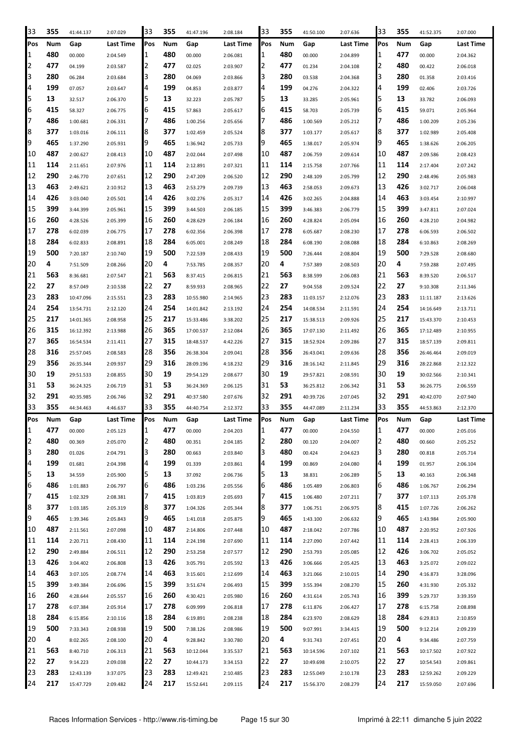| 33             | 355        | 41:44.137 | 2:07.029  | 33       | 355        | 41:47.196 | 2:08.184  | 33         | 355        | 41:50.100 | 2:07.636  | 33             | 355        | 41:52.375 | 2:07.000  |
|----------------|------------|-----------|-----------|----------|------------|-----------|-----------|------------|------------|-----------|-----------|----------------|------------|-----------|-----------|
| Pos            | Num        | Gap       | Last Time | Pos      | Num        | Gap       | Last Time | <b>Pos</b> | Num        | Gap       | Last Time | Pos            | Num        | Gap       | Last Time |
| 11             | 480        | 00.000    | 2:04.549  | 1        | 480        | 00.000    | 2:06.081  | 1          | 480        | 00.000    | 2:04.899  | 1              | 477        | 00.000    | 2:04.362  |
| 2              | 477        | 04.199    | 2:03.587  | 2        | 477        | 02.025    | 2:03.907  | 2          | 477        | 01.234    | 2:04.108  | 2              | 480        | 00.422    | 2:06.018  |
| 3              | 280        | 06.284    | 2:03.684  | 3        | 280        | 04.069    | 2:03.866  | 3          | 280        | 03.538    | 2:04.368  | 3              | 280        | 01.358    | 2:03.416  |
| 4              | 199        | 07.057    | 2:03.647  | 4        | 199        | 04.853    | 2:03.877  | 4          | 199        | 04.276    | 2:04.322  | 4              | 199        | 02.406    | 2:03.726  |
| 5              | 13         | 32.517    | 2:06.370  | 5        | 13         | 32.223    | 2:05.787  | 5          | 13         | 33.285    | 2:05.961  | 5              | 13         | 33.782    | 2:06.093  |
| 6              | 415        | 58.327    | 2:06.775  | 6        | 415        | 57.863    | 2:05.617  | 6          | 415        | 58.703    | 2:05.739  | 6              | 415        | 59.071    | 2:05.964  |
| 17             | 486        | 1:00.681  | 2:06.331  | 7        | 486        | 1:00.256  | 2:05.656  | 7          | 486        | 1:00.569  | 2:05.212  | 7              | 486        | 1:00.209  | 2:05.236  |
| 8              | 377        | 1:03.016  | 2:06.111  | 18       | 377        | 1:02.459  | 2:05.524  | 8          | 377        | 1:03.177  | 2:05.617  | 8              | 377        | 1:02.989  | 2:05.408  |
| 9              | 465        | 1:37.290  | 2:05.931  | 9        | 465        | 1:36.942  | 2:05.733  | 19         | 465        | 1:38.017  | 2:05.974  | $\overline{9}$ | 465        | 1:38.626  | 2:06.205  |
| 10             | 487        | 2:00.627  | 2:08.413  | 10       | 487        | 2:02.044  | 2:07.498  | 10         | 487        | 2:06.759  | 2:09.614  | 10             | 487        | 2:09.586  | 2:08.423  |
| 11             | 114        | 2:11.651  | 2:07.976  | 11       | 114        | 2:12.891  | 2:07.321  | 11         | 114        | 2:15.758  | 2:07.766  | 11             | 114        | 2:17.404  | 2:07.242  |
| 12             | 290        | 2:46.770  | 2:07.651  | 12       | 290        | 2:47.209  | 2:06.520  | 12         | 290        | 2:48.109  | 2:05.799  | 12             | 290        | 2:48.496  | 2:05.983  |
| 13             | 463        | 2:49.621  | 2:10.912  | 13       | 463        | 2:53.279  | 2:09.739  | 13         | 463        | 2:58.053  | 2:09.673  | 13             | 426        | 3:02.717  | 2:06.048  |
| 14             | 426        | 3:03.040  | 2:05.501  | 14       | 426        | 3:02.276  | 2:05.317  | 14         | 426        | 3:02.265  | 2:04.888  | 14             | 463        | 3:03.454  | 2:10.997  |
| 15             | 399        | 3:44.399  | 2:05.961  | 15       | 399        | 3:44.503  | 2:06.185  | 15         | 399        | 3:46.383  | 2:06.779  | 15             | 399        | 3:47.811  | 2:07.024  |
| 16             | 260        | 4:28.526  | 2:05.399  | 16       | 260        | 4:28.629  | 2:06.184  | 16         | 260        | 4:28.824  | 2:05.094  | 16             | 260        | 4:28.210  | 2:04.982  |
| 17             | 278        | 6:02.039  | 2:06.775  | 17       | 278        | 6:02.356  | 2:06.398  | 17         | 278        | 6:05.687  | 2:08.230  | 17             | 278        | 6:06.593  | 2:06.502  |
| 18             | 284        | 6:02.833  | 2:08.891  | 18       | 284        | 6:05.001  | 2:08.249  | 18         | 284        | 6:08.190  | 2:08.088  | 18             | 284        | 6:10.863  | 2:08.269  |
| 19             | 500        | 7:20.187  | 2:10.740  | 19       | 500        | 7:22.539  | 2:08.433  | 19         | 500        | 7:26.444  | 2:08.804  | 19             | 500        | 7:29.528  | 2:08.680  |
| 20             | 4          | 7:51.509  | 2:08.266  | 20       | 4          | 7:53.785  | 2:08.357  | 20         | 4          | 7:57.389  | 2:08.503  | 20             | 4          | 7:59.288  | 2:07.495  |
| 21             | 563        | 8:36.681  | 2:07.547  | 21       | 563        | 8:37.415  | 2:06.815  | 21         | 563        | 8:38.599  | 2:06.083  | 21             | 563        | 8:39.520  | 2:06.517  |
| 22             | 27         | 8:57.049  | 2:10.538  | 22       | 27         | 8:59.933  | 2:08.965  | 22         | 27         | 9:04.558  | 2:09.524  | 22             | 27         | 9:10.308  | 2:11.346  |
| 23             | 283        | 10:47.096 | 2:15.551  | 23       | 283        | 10:55.980 |           | 23         | 283        | 11:03.157 |           | 23             | 283        | 11:11.187 |           |
| 24             | 254        |           |           | 24       | 254        |           | 2:14.965  | 24         | 254        |           | 2:12.076  | 24             | 254        |           | 2:13.626  |
| 25             | 217        | 13:54.731 | 2:12.120  | 25       | 217        | 14:01.842 | 2:13.192  | 25         | 217        | 14:08.534 | 2:11.591  | 25             | 217        | 14:16.649 | 2:13.711  |
| 26             | 315        | 14:01.365 | 2:08.958  | 26       | 365        | 15:33.486 | 3:38.202  | 26         | 365        | 15:38.513 | 2:09.926  | 26             | 365        | 15:43.370 | 2:10.453  |
| 27             | 365        | 16:12.392 | 2:13.988  | 27       | 315        | 17:00.537 | 2:12.084  | 27         | 315        | 17:07.130 | 2:11.492  | 27             | 315        | 17:12.489 | 2:10.955  |
| 28             | 316        | 16:54.534 | 2:11.411  | 28       | 356        | 18:48.537 | 4:42.226  | 28         | 356        | 18:52.924 | 2:09.286  | 28             | 356        | 18:57.139 | 2:09.811  |
|                | 356        | 25:57.045 | 2:08.583  | 29       | 316        | 26:38.304 | 2:09.041  | 29         | 316        | 26:43.041 | 2:09.636  | 29             | 316        | 26:46.464 | 2:09.019  |
| 29             |            | 26:35.344 | 2:09.937  |          |            | 28:09.196 | 4:18.232  |            |            | 28:16.142 | 2:11.845  |                |            | 28:22.868 | 2:12.322  |
| 30             | 19<br>53   | 29:51.533 | 2:08.855  | 30       | 19<br>53   | 29:54.129 | 2:08.677  | 30         | 19<br>53   | 29:57.821 | 2:08.591  | 30<br>31       | 19<br>53   | 30:02.566 | 2:10.341  |
| 31             |            | 36:24.325 | 2:06.719  | 31       |            | 36:24.369 | 2:06.125  | 31         |            | 36:25.812 | 2:06.342  |                |            | 36:26.775 | 2:06.559  |
| 32             | 291        | 40:35.985 | 2:06.746  | 32       | 291        | 40:37.580 | 2:07.676  | 32         | 291        | 40:39.726 | 2:07.045  | 32             | 291        | 40:42.070 | 2:07.940  |
| 33             | 355        | 44:34.463 | 4:46.637  | 33       | 355        | 44:40.754 | 2:12.372  | 33         | 355        | 44:47.089 | 2:11.234  | 33             | 355        | 44:53.863 | 2:12.370  |
| Pos            | Num        | Gap       | Last Time | Pos      | Num        | Gap       | Last Time | Pos        | Num        | Gap       | Last Time | Pos            | Num        | Gap       | Last Time |
| I1             | 477        | 00.000    | 2:05.123  | 1        | 477        | 00.000    | 2:04.203  | I1         | 477        | 00.000    | 2:04.550  | 11             | 477        | 00.000    | 2:05.016  |
| $\overline{2}$ | 480        | 00.369    | 2:05.070  | 2        | 480        | 00.351    | 2:04.185  | 2          | 280        | 00.120    | 2:04.007  | 2              | 480        | 00.660    | 2:05.252  |
| 3              | 280        | 01.026    | 2:04.791  | 3        | 280        | 00.663    | 2:03.840  | 3          | 480        | 00.424    | 2:04.623  | 3              | 280        | 00.818    | 2:05.714  |
| 4              | 199        | 01.681    | 2:04.398  | 4        | 199        | 01.339    | 2:03.861  | 4          | 199        | 00.869    | 2:04.080  | 4              | 199        | 01.957    | 2:06.104  |
| 5              | 13         | 34.559    | 2:05.900  | 5        | 13         | 37.092    | 2:06.736  | 5          | 13         | 38.831    | 2:06.289  | 5              | 13         | 40.163    | 2:06.348  |
| 6              | 486        | 1:01.883  | 2:06.797  | 6        | 486        | 1:03.236  | 2:05.556  | 6          | 486        | 1:05.489  | 2:06.803  | 6              | 486        | 1:06.767  | 2:06.294  |
| 17             | 415        | 1:02.329  | 2:08.381  | 7        | 415        | 1:03.819  | 2:05.693  | 17         | 415        | 1:06.480  | 2:07.211  | 7              | 377        | 1:07.113  | 2:05.378  |
| 8              | 377        | 1:03.185  | 2:05.319  | 8        | 377        | 1:04.326  | 2:05.344  | 8          | 377        | 1:06.751  | 2:06.975  | 8              | 415        | 1:07.726  | 2:06.262  |
| 9              | 465        | 1:39.346  | 2:05.843  | 9        | 465        | 1:41.018  | 2:05.875  | 9          | 465        | 1:43.100  | 2:06.632  | 9              | 465        | 1:43.984  | 2:05.900  |
| 10             | 487        | 2:11.561  | 2:07.098  | 10       | 487        | 2:14.806  | 2:07.448  | 10         | 487        | 2:18.042  | 2:07.786  | 10             | 487        | 2:20.952  | 2:07.926  |
| 11             | 114        | 2:20.711  | 2:08.430  | 11       | 114        | 2:24.198  | 2:07.690  | 11         | 114        | 2:27.090  | 2:07.442  | 11             | 114        | 2:28.413  | 2:06.339  |
| 12             | 290        | 2:49.884  | 2:06.511  | 12       | 290        | 2:53.258  | 2:07.577  | 12         | 290        | 2:53.793  | 2:05.085  | 12             | 426        | 3:06.702  | 2:05.052  |
| 13             | 426        | 3:04.402  | 2:06.808  | 13       | 426        | 3:05.791  | 2:05.592  | 13         | 426        | 3:06.666  | 2:05.425  | 13             | 463        | 3:25.072  | 2:09.022  |
| 14             | 463        | 3:07.105  | 2:08.774  | 14       | 463        | 3:15.601  | 2:12.699  | 14         | 463        | 3:21.066  | 2:10.015  | 14             | 290        | 4:16.873  | 3:28.096  |
| 15             | 399        | 3:49.384  | 2:06.696  | 15       | 399        | 3:51.674  | 2:06.493  | 15         | 399        | 3:55.394  | 2:08.270  | 15             | 260        | 4:31.930  | 2:05.332  |
| 16             | 260        | 4:28.644  | 2:05.557  | 16       | 260        | 4:30.421  | 2:05.980  | 16         | 260        | 4:31.614  | 2:05.743  | 16             | 399        | 5:29.737  | 3:39.359  |
| 17             | 278        | 6:07.384  | 2:05.914  | 17       | 278        | 6:09.999  | 2:06.818  | 17         | 278        | 6:11.876  | 2:06.427  | 17             | 278        | 6:15.758  | 2:08.898  |
| 18             | 284        | 6:15.856  | 2:10.116  | 18       | 284        | 6:19.891  | 2:08.238  | 18         | 284        | 6:23.970  | 2:08.629  | 18             | 284        | 6:29.813  | 2:10.859  |
| 19             | 500        | 7:33.343  | 2:08.938  | 19       | 500        | 7:38.126  | 2:08.986  | 19         | 500        | 9:07.991  | 3:34.415  | 19             | 500        | 9:12.214  | 2:09.239  |
| 20             | 4          | 8:02.265  | 2:08.100  | 20       | 4          | 9:28.842  | 3:30.780  | 20         | 4          | 9:31.743  | 2:07.451  | 20             | 4          | 9:34.486  | 2:07.759  |
| 21             | 563        | 8:40.710  | 2:06.313  | 21       | 563        | 10:12.044 | 3:35.537  | 21         | 563        | 10:14.596 | 2:07.102  | 21             | 563        | 10:17.502 | 2:07.922  |
| 22             | 27         |           |           |          |            |           |           | 22         |            |           |           | 22             | 27         |           | 2:09.861  |
|                |            | 9:14.223  | 2:09.038  | 22       | 27         | 10:44.173 | 3:34.153  |            | 27         | 10:49.698 | 2:10.075  |                |            | 10:54.543 |           |
| 23<br>24       | 283<br>217 | 12:43.139 | 3:37.075  | 23<br>24 | 283<br>217 | 12:49.421 | 2:10.485  | 23<br>24   | 283<br>217 | 12:55.049 | 2:10.178  | 23<br>24       | 283<br>217 | 12:59.262 | 2:09.229  |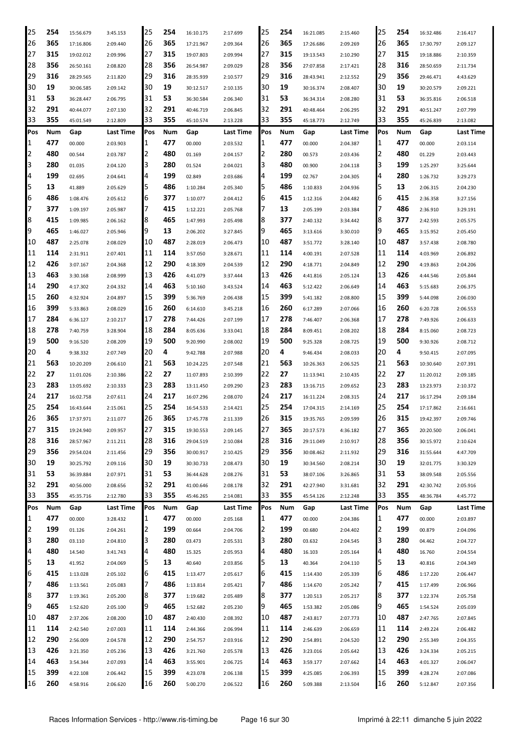| 25             | 254 | 15:56.679 | 3:45.153  | 25       | 254 | 16:10.175 | 2:17.699  | 25       | 254 | 16:21.085 | 2:15.460  | 25  | 254        | 16:32.486 | 2:16.417         |
|----------------|-----|-----------|-----------|----------|-----|-----------|-----------|----------|-----|-----------|-----------|-----|------------|-----------|------------------|
| 26             | 365 | 17:16.806 | 2:09.440  | 26       | 365 | 17:21.967 | 2:09.364  | 26       | 365 | 17:26.686 | 2:09.269  | 26  | 365        | 17:30.797 | 2:09.127         |
| 27             | 315 | 19:02.012 | 2:09.996  | 27       | 315 | 19:07.803 | 2:09.994  | 27       | 315 | 19:13.543 | 2:10.290  | 27  | 315        | 19:18.886 | 2:10.359         |
| 28             | 356 | 26:50.161 | 2:08.820  | 28       | 356 | 26:54.987 | 2:09.029  | 28       | 356 | 27:07.858 | 2:17.421  | 28  | 316        | 28:50.659 | 2:11.734         |
| 29             | 316 | 28:29.565 | 2:11.820  | 29       | 316 | 28:35.939 | 2:10.577  | 29       | 316 | 28:43.941 | 2:12.552  | 29  | 356        | 29:46.471 | 4:43.629         |
| 30             | 19  | 30:06.585 | 2:09.142  | 30       | 19  | 30:12.517 | 2:10.135  | 30       | 19  | 30:16.374 | 2:08.407  | 30  | 19         | 30:20.579 | 2:09.221         |
| 31             | 53  | 36:28.447 | 2:06.795  | 31       | 53  | 36:30.584 | 2:06.340  | 31       | 53  | 36:34.314 | 2:08.280  | 31  | 53         | 36:35.816 | 2:06.518         |
| 32             | 291 | 40:44.077 | 2:07.130  | 32       | 291 | 40:46.719 | 2:06.845  | 32       | 291 | 40:48.464 | 2:06.295  | 32  | 291        | 40:51.247 | 2:07.799         |
| 33             | 355 | 45:01.549 | 2:12.809  | 33       | 355 | 45:10.574 | 2:13.228  | 33       | 355 | 45:18.773 | 2:12.749  | 33  | 355        | 45:26.839 | 2:13.082         |
| Pos            | Num | Gap       | Last Time | Pos      | Num | Gap       | Last Time | Pos      | Num | Gap       | Last Time | Pos | Num        | Gap       | Last Time        |
| 1              | 477 | 00.000    | 2:03.903  | 1        | 477 | 00.000    | 2:03.532  | 1        | 477 | 00.000    | 2:04.387  | 1   | 477        | 00.000    | 2:03.114         |
| 2              | 480 | 00.544    | 2:03.787  | 12       | 480 | 01.169    | 2:04.157  | 2        | 280 | 00.573    | 2:03.436  | 2   | 480        | 01.229    | 2:03.443         |
| 3              | 280 | 01.035    | 2:04.120  | 3        | 280 | 01.524    | 2:04.021  | 3        | 480 | 00.900    | 2:04.118  | 3   | 199        | 1:25.297  | 3:25.644         |
| 4              | 199 | 02.695    | 2:04.641  | 4        | 199 | 02.849    | 2:03.686  | 4        | 199 | 02.767    | 2:04.305  | 4   | 280        | 1:26.732  | 3:29.273         |
| 5              | 13  | 41.889    | 2:05.629  | 5        | 486 | 1:10.284  | 2:05.340  | 5        | 486 | 1:10.833  | 2:04.936  | 5   | 13         | 2:06.315  | 2:04.230         |
| 6              | 486 | 1:08.476  | 2:05.612  | 16       | 377 | 1:10.077  | 2:04.412  | 6        | 415 | 1:12.316  | 2:04.482  | 6   | 415        | 2:36.358  | 3:27.156         |
| 7              | 377 | 1:09.197  | 2:05.987  | 17       | 415 | 1:12.221  | 2:05.768  |          | 13  | 2:05.199  | 2:03.384  | 7   | 486        | 2:36.910  | 3:29.191         |
| 8              | 415 | 1:09.985  | 2:06.162  | 8        | 465 | 1:47.993  | 2:05.498  | 8        | 377 | 2:40.132  | 3:34.442  | 8   | 377        | 2:42.593  | 2:05.575         |
| 9              | 465 | 1:46.027  | 2:05.946  | 9        | 13  | 2:06.202  | 3:27.845  | 9        | 465 | 3:13.616  | 3:30.010  | 9   | 465        | 3:15.952  | 2:05.450         |
| 10             | 487 | 2:25.078  | 2:08.029  | 10       | 487 | 2:28.019  | 2:06.473  | 10       | 487 | 3:51.772  | 3:28.140  | 10  | 487        | 3:57.438  | 2:08.780         |
| 11             | 114 | 2:31.911  | 2:07.401  | 11       | 114 | 3:57.050  | 3:28.671  | 11       | 114 | 4:00.191  | 2:07.528  | 11  | 114        | 4:03.969  | 2:06.892         |
| 12             | 426 | 3:07.167  | 2:04.368  | 12       | 290 | 4:18.309  | 2:04.539  | 12       | 290 | 4:18.771  | 2:04.849  | 12  | 290        | 4:19.863  | 2:04.206         |
| 13             | 463 | 3:30.168  | 2:08.999  | 13       | 426 | 4:41.079  | 3:37.444  | 13       | 426 | 4:41.816  | 2:05.124  | 13  | 426        | 4:44.546  | 2:05.844         |
| 14             | 290 | 4:17.302  |           | 14       | 463 | 5:10.160  |           | 14       | 463 | 5:12.422  |           | 14  | 463        | 5:15.683  |                  |
| 15             | 260 |           | 2:04.332  | 15       | 399 |           | 3:43.524  | 15       | 399 |           | 2:06.649  | 15  | 399        |           | 2:06.375         |
| 16             | 399 | 4:32.924  | 2:04.897  | 16       | 260 | 5:36.769  | 2:06.438  | 16       | 260 | 5:41.182  | 2:08.800  | 16  | 260        | 5:44.098  | 2:06.030         |
|                | 284 | 5:33.863  | 2:08.029  |          | 278 | 6:14.610  | 3:45.218  |          | 278 | 6:17.289  | 2:07.066  | 17  | 278        | 6:20.728  | 2:06.553         |
| 17<br>18       | 278 | 6:36.127  | 2:10.217  | 17<br>18 | 284 | 7:44.426  | 2:07.199  | 17<br>18 | 284 | 7:46.407  | 2:06.368  | 18  | 284        | 7:49.926  | 2:06.633         |
|                | 500 | 7:40.759  | 3:28.904  |          | 500 | 8:05.636  | 3:33.041  | 19       | 500 | 8:09.451  | 2:08.202  | 19  | 500        | 8:15.060  | 2:08.723         |
| 19             | 4   | 9:16.520  | 2:08.209  | 19       |     | 9:20.990  | 2:08.002  |          |     | 9:25.328  | 2:08.725  | 20  |            | 9:30.926  | 2:08.712         |
| 20             |     | 9:38.332  | 2:07.749  | 20       | 4   | 9:42.788  | 2:07.988  | 20       | 4   | 9:46.434  | 2:08.033  |     | 4          | 9:50.415  | 2:07.095         |
| 21             | 563 | 10:20.209 | 2:06.610  | 21       | 563 | 10:24.225 | 2:07.548  | 21       | 563 | 10:26.363 | 2:06.525  | 21  | 563        | 10:30.640 | 2:07.391         |
| 22             | 27  | 11:01.026 | 2:10.386  | 22       | 27  | 11:07.893 | 2:10.399  | 22       | 27  | 11:13.941 | 2:10.435  | 22  | 27         | 11:20.012 | 2:09.185         |
| 23             | 283 | 13:05.692 | 2:10.333  | 23       | 283 | 13:11.450 | 2:09.290  | 23       | 283 | 13:16.715 | 2:09.652  | 23  | 283        | 13:23.973 | 2:10.372         |
| 24             | 217 | 16:02.758 | 2:07.611  | 24       | 217 | 16:07.296 | 2:08.070  | 24       | 217 | 16:11.224 | 2:08.315  | 24  | 217        | 16:17.294 | 2:09.184         |
| 25             | 254 | 16:43.644 | 2:15.061  | 25       | 254 | 16:54.533 | 2:14.421  | 25       | 254 | 17:04.315 | 2:14.169  | 25  | 254        | 17:17.862 | 2:16.661         |
| 26             | 365 | 17:37.971 | 2:11.077  | 26       | 365 | 17:45.778 | 2:11.339  | 26       | 315 | 19:35.765 | 2:09.599  | 26  | 315        | 19:42.397 | 2:09.746         |
| 27             | 315 | 19:24.940 | 2:09.957  | 27       | 315 | 19:30.553 | 2:09.145  | 27       | 365 | 20:17.573 | 4:36.182  | 27  | 365        | 20:20.500 | 2:06.041         |
| 28             | 316 | 28:57.967 | 2:11.211  | 28       | 316 | 29:04.519 | 2:10.084  | 28       | 316 | 29:11.049 | 2:10.917  | 28  | 356        | 30:15.972 | 2:10.624         |
| 29             | 356 | 29:54.024 | 2:11.456  | 29       | 356 | 30:00.917 | 2:10.425  | 29       | 356 | 30:08.462 | 2:11.932  | 29  | 316        | 31:55.644 | 4:47.709         |
| 30             | 19  | 30:25.792 | 2:09.116  | 30       | 19  | 30:30.733 | 2:08.473  | 30       | 19  | 30:34.560 | 2:08.214  | 30  | 19         | 32:01.775 | 3:30.329         |
| 31             | 53  | 36:39.884 | 2:07.971  | 31       | 53  | 36:44.628 | 2:08.276  | 31       | 53  | 38:07.106 | 3:26.865  | 31  | 53         | 38:09.548 | 2:05.556         |
| 32             | 291 | 40:56.000 | 2:08.656  | 32       | 291 | 41:00.646 | 2:08.178  | 32       | 291 | 42:27.940 | 3:31.681  | 32  | 291        | 42:30.742 | 2:05.916         |
| 33             | 355 | 45:35.716 | 2:12.780  | 33       | 355 | 45:46.265 | 2:14.081  | 33       | 355 | 45:54.126 | 2:12.248  | 33  | 355        | 48:36.784 | 4:45.772         |
| Pos            | Num | Gap       | Last Time | Pos      | Num | Gap       | Last Time | Pos      | Num | Gap       | Last Time | Pos | <b>Num</b> | Gap       | <b>Last Time</b> |
| 1              | 477 | 00.000    | 3:28.432  | 11       | 477 | 00.000    | 2:05.168  | 1        | 477 | 00.000    | 2:04.386  | 1   | 477        | 00.000    | 2:03.897         |
| $\overline{2}$ | 199 | 01.126    | 2:04.261  | 12       | 199 | 00.664    | 2:04.706  | 2        | 199 | 00.680    | 2:04.402  | 2   | 199        | 00.879    | 2:04.096         |
| 3              | 280 | 03.110    | 2:04.810  | З        | 280 | 03.473    | 2:05.531  | 3        | 280 | 03.632    | 2:04.545  | 3   | 280        | 04.462    | 2:04.727         |
| 4              | 480 | 14.540    | 3:41.743  | 4        | 480 | 15.325    | 2:05.953  | 4        | 480 | 16.103    | 2:05.164  | 4   | 480        | 16.760    | 2:04.554         |
| 5              | 13  | 41.952    | 2:04.069  | 5        | 13  | 40.640    | 2:03.856  | 5        | 13  | 40.364    | 2:04.110  | 5   | 13         | 40.816    | 2:04.349         |
| 6              | 415 | 1:13.028  | 2:05.102  | 16       | 415 | 1:13.477  | 2:05.617  | 6        | 415 | 1:14.430  | 2:05.339  | 6   | 486        | 1:17.220  | 2:06.447         |
| 7              | 486 | 1:13.561  | 2:05.083  | 17       | 486 | 1:13.814  | 2:05.421  | 7        | 486 | 1:14.670  | 2:05.242  | 7   | 415        | 1:17.499  | 2:06.966         |
| 8              | 377 | 1:19.361  | 2:05.200  | 8        | 377 | 1:19.682  | 2:05.489  | 8        | 377 | 1:20.513  | 2:05.217  | 8   | 377        | 1:22.374  | 2:05.758         |
| 9              | 465 | 1:52.620  | 2:05.100  | Ι9       | 465 | 1:52.682  | 2:05.230  | 9        | 465 | 1:53.382  | 2:05.086  | 9   | 465        | 1:54.524  | 2:05.039         |
| 10             | 487 | 2:37.206  | 2:08.200  | 10       | 487 | 2:40.430  | 2:08.392  | 10       | 487 | 2:43.817  | 2:07.773  | 10  | 487        | 2:47.765  | 2:07.845         |
| 11             | 114 | 2:42.540  | 2:07.003  | 11       | 114 | 2:44.366  | 2:06.994  | 11       | 114 | 2:46.639  | 2:06.659  | 11  | 114        | 2:49.224  | 2:06.482         |
| 12             | 290 | 2:56.009  | 2:04.578  | 12       | 290 | 2:54.757  | 2:03.916  | 12       | 290 | 2:54.891  | 2:04.520  | 12  | 290        | 2:55.349  | 2:04.355         |
| 13             | 426 | 3:21.350  | 2:05.236  | 13       | 426 | 3:21.760  | 2:05.578  | 13       | 426 | 3:23.016  | 2:05.642  | 13  | 426        | 3:24.334  | 2:05.215         |
| 14             | 463 | 3:54.344  | 2:07.093  | 14       | 463 | 3:55.901  | 2:06.725  | 14       | 463 | 3:59.177  | 2:07.662  | 14  | 463        | 4:01.327  | 2:06.047         |
| 15             | 399 | 4:22.108  | 2:06.442  | 15       | 399 | 4:23.078  | 2:06.138  | 15       | 399 | 4:25.085  | 2:06.393  | 15  | 399        | 4:28.274  | 2:07.086         |
| 16             | 260 | 4:58.916  | 2:06.620  | 16       | 260 | 5:00.270  | 2:06.522  | 16       | 260 | 5:09.388  | 2:13.504  | 16  | 260        | 5:12.847  | 2:07.356         |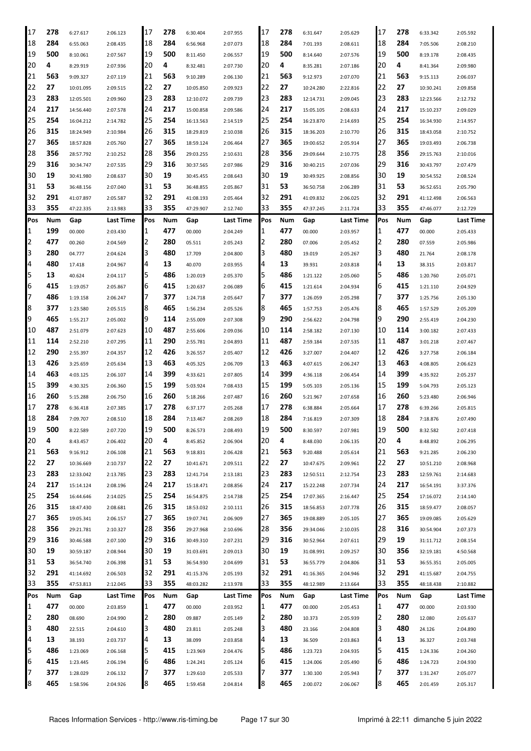| 17     | 278        | 6:27.617             | 2:06.123             | 17  | 278        | 6:30.404             | 2:07.955             | 17  | 278        | 6:31.647             | 2:05.629             | 17     | 278        | 6:33.342             | 2:05.592             |
|--------|------------|----------------------|----------------------|-----|------------|----------------------|----------------------|-----|------------|----------------------|----------------------|--------|------------|----------------------|----------------------|
| 18     | 284        | 6:55.063             | 2:08.435             | 18  | 284        | 6:56.968             | 2:07.073             | 18  | 284        | 7:01.193             | 2:08.611             | 18     | 284        | 7:05.506             | 2:08.210             |
| 19     | 500        | 8:10.061             | 2:07.567             | 19  | 500        | 8:11.450             | 2:06.557             | 19  | 500        | 8:14.640             | 2:07.576             | 19     | 500        | 8:19.178             | 2:08.435             |
| 20     | 4          | 8:29.919             | 2:07.936             | 20  | 4          | 8:32.481             | 2:07.730             | 20  | 4          | 8:35.281             | 2:07.186             | 20     | 4          | 8:41.364             | 2:09.980             |
| 21     | 563        | 9:09.327             | 2:07.119             | 21  | 563        | 9:10.289             | 2:06.130             | 21  | 563        | 9:12.973             | 2:07.070             | 21     | 563        | 9:15.113             | 2:06.037             |
| 22     | 27         | 10:01.095            | 2:09.515             | 22  | 27         | 10:05.850            | 2:09.923             | 22  | 27         | 10:24.280            | 2:22.816             | 22     | 27         | 10:30.241            | 2:09.858             |
| 23     | 283        | 12:05.501            | 2:09.960             | 23  | 283        | 12:10.072            | 2:09.739             | 23  | 283        | 12:14.731            | 2:09.045             | 23     | 283        | 12:23.566            | 2:12.732             |
| 24     | 217        | 14:56.440            | 2:07.578             | 24  | 217        | 15:00.858            | 2:09.586             | 24  | 217        | 15:05.105            | 2:08.633             | 24     | 217        | 15:10.237            | 2:09.029             |
| 25     | 254        |                      |                      | 25  | 254        |                      |                      | 25  | 254        |                      |                      | 25     | 254        | 16:34.930            |                      |
| 26     | 315        | 16:04.212            | 2:14.782             | 26  | 315        | 16:13.563            | 2:14.519             | 26  | 315        | 16:23.870            | 2:14.693             | 26     | 315        |                      | 2:14.957             |
|        | 365        | 18:24.949            | 2:10.984             |     |            | 18:29.819            | 2:10.038             |     | 365        | 18:36.203            | 2:10.770             | 27     | 365        | 18:43.058            | 2:10.752             |
| 27     |            | 18:57.828            | 2:05.760             | 27  | 365        | 18:59.124            | 2:06.464             | 27  |            | 19:00.652            | 2:05.914             |        |            | 19:03.493            | 2:06.738             |
| 28     | 356        | 28:57.792            | 2:10.252             | 28  | 356        | 29:03.255            | 2:10.631             | 28  | 356        | 29:09.644            | 2:10.775             | 28     | 356        | 29:15.763            | 2:10.016             |
| 29     | 316        | 30:34.747            | 2:07.535             | 29  | 316        | 30:37.565            | 2:07.986             | 29  | 316        | 30:40.215            | 2:07.036             | 29     | 316        | 30:43.797            | 2:07.479             |
| 30     | 19         | 30:41.980            | 2:08.637             | 30  | 19         | 30:45.455            | 2:08.643             | 30  | 19         | 30:49.925            | 2:08.856             | 30     | 19         | 30:54.552            | 2:08.524             |
| 31     | 53         | 36:48.156            | 2:07.040             | 31  | 53         | 36:48.855            | 2:05.867             | 31  | 53         | 36:50.758            | 2:06.289             | 31     | 53         | 36:52.651            | 2:05.790             |
| 32     | 291        | 41:07.897            | 2:05.587             | 32  | 291        | 41:08.193            | 2:05.464             | 32  | 291        | 41:09.832            | 2:06.025             | 32     | 291        | 41:12.498            | 2:06.563             |
| 33     | 355        | 47:22.335            | 2:13.983             | 33  | 355        | 47:29.907            | 2:12.740             | 33  | 355        | 47:37.245            | 2:11.724             | 33     | 355        | 47:46.077            | 2:12.729             |
| Pos    | Num        | Gap                  | Last Time            | Pos | Num        | Gap                  | Last Time            | Pos | Num        | Gap                  | Last Time            | Pos    | Num        | Gap                  | Last Time            |
| 1      | 199        | 00.000               | 2:03.430             | 1   | 477        | 00.000               | 2:04.249             | 1   | 477        | 00.000               | 2:03.957             | 1      | 477        | 00.000               | 2:05.433             |
| 2      | 477        | 00.260               | 2:04.569             | 2   | 280        | 05.511               | 2:05.243             | 2   | 280        | 07.006               | 2:05.452             | 2      | 280        | 07.559               | 2:05.986             |
| 3      | 280        | 04.777               | 2:04.624             | 3   | 480        | 17.709               | 2:04.800             | 3   | 480        | 19.019               | 2:05.267             | 3      | 480        | 21.764               | 2:08.178             |
| 4      | 480        | 17.418               | 2:04.967             | 4   | 13         | 40.070               | 2:03.955             | 4   | 13         | 39.931               | 2:03.818             | 4      | 13         | 38.315               | 2:03.817             |
| 5      | 13         | 40.624               | 2:04.117             | 5   | 486        | 1:20.019             | 2:05.370             | 5   | 486        | 1:21.122             | 2:05.060             | 5      | 486        | 1:20.760             | 2:05.071             |
| 6      | 415        | 1:19.057             | 2:05.867             | 6   | 415        | 1:20.637             | 2:06.089             | 6   | 415        | 1:21.614             | 2:04.934             | 6      | 415        | 1:21.110             | 2:04.929             |
| 7      | 486        | 1:19.158             | 2:06.247             | 7   | 377        | 1:24.718             | 2:05.647             | 7   | 377        | 1:26.059             | 2:05.298             | 7      | 377        | 1:25.756             | 2:05.130             |
| 8      | 377        | 1:23.580             | 2:05.515             | 8   | 465        | 1:56.234             | 2:05.526             | 8   | 465        | 1:57.753             | 2:05.476             | 8      | 465        | 1:57.529             | 2:05.209             |
| 9      | 465        | 1:55.217             | 2:05.002             | 9   | 114        | 2:55.009             | 2:07.308             | 9   | 290        | 2:56.622             | 2:04.798             | 9      | 290        | 2:55.419             | 2:04.230             |
| 10     | 487        | 2:51.079             | 2:07.623             | 10  | 487        | 2:55.606             | 2:09.036             | 10  | 114        | 2:58.182             | 2:07.130             | 10     | 114        | 3:00.182             | 2:07.433             |
| 11     | 114        | 2:52.210             | 2:07.295             | 11  | 290        | 2:55.781             | 2:04.893             | 11  | 487        | 2:59.184             | 2:07.535             | 11     | 487        | 3:01.218             | 2:07.467             |
| 12     | 290        | 2:55.397             | 2:04.357             | 12  | 426        | 3:26.557             | 2:05.407             | 12  | 426        | 3:27.007             | 2:04.407             | 12     | 426        | 3:27.758             | 2:06.184             |
| 13     | 426        | 3:25.659             | 2:05.634             | 13  | 463        | 4:05.325             | 2:06.709             | 13  | 463        | 4:07.615             | 2:06.247             | 13     | 463        | 4:08.805             | 2:06.623             |
| 14     | 463        | 4:03.125             | 2:06.107             | 14  | 399        | 4:33.621             | 2:07.805             | 14  | 399        | 4:36.118             | 2:06.454             | 14     | 399        | 4:35.922             | 2:05.237             |
| 15     | 399        | 4:30.325             |                      | 15  | 199        | 5:03.924             |                      | 15  | 199        | 5:05.103             |                      | 15     | 199        | 5:04.793             |                      |
| 16     | 260        |                      | 2:06.360             | 16  | 260        |                      | 7:08.433             | 16  | 260        |                      | 2:05.136             | 16     | 260        |                      | 2:05.123             |
|        | 278        | 5:15.288             | 2:06.750             |     | 278        | 5:18.266             | 2:07.487             | 17  | 278        | 5:21.967             | 2:07.658             | 17     | 278        | 5:23.480             | 2:06.946             |
| 17     |            | 6:36.418             | 2:07.385             | 17  |            | 6:37.177             | 2:05.268             |     |            | 6:38.884             | 2:05.664             |        |            | 6:39.266             | 2:05.815             |
| 18     | 284        | 7:09.707             | 2:08.510             | 18  | 284        | 7:13.467             | 2:08.269             | 18  | 284        | 7:16.819             | 2:07.309             | 18     | 284        | 7:18.876             | 2:07.490             |
| 19     | 500        | 8:22.589             | 2:07.720             | 19  | 500        | 8:26.573             | 2:08.493             | 19  | 500        | 8:30.597             | 2:07.981             | 19     | 500        | 8:32.582             | 2:07.418             |
| 20     | 4          | 8:43.457             | 2:06.402             | 20  | 4          | 8:45.852             | 2:06.904             | 20  | 4          | 8:48.030             | 2:06.135             | 20     | 4          | 8:48.892             | 2:06.295             |
| 21     | 563        | 9:16.912             | 2:06.108             | 21  | 563        | 9:18.831             | 2:06.428             | 21  | 563        | 9:20.488             | 2:05.614             | 21     | 563        | 9:21.285             | 2:06.230             |
| 22     | 27         | 10:36.669            | 2:10.737             | 22  | 27         | 10:41.671            | 2:09.511             | 22  | 27         | 10:47.675            | 2:09.961             | 22     | 27         | 10:51.210            | 2:08.968             |
| 23     | 283        | 12:33.042            | 2:13.785             | 23  | 283        | 12:41.714            | 2:13.181             | 23  | 283        | 12:50.511            | 2:12.754             | 23     | 283        | 12:59.761            | 2:14.683             |
| 24     | 217        | 15:14.124            | 2:08.196             | 24  | 217        | 15:18.471            | 2:08.856             | 24  | 217        | 15:22.248            | 2:07.734             | 24     | 217        | 16:54.191            | 3:37.376             |
| 25     | 254        | 16:44.646            | 2:14.025             | 25  | 254        | 16:54.875            | 2:14.738             | 25  | 254        | 17:07.365            | 2:16.447             | 25     | 254        | 17:16.072            | 2:14.140             |
| 26     | 315        | 18:47.430            | 2:08.681             | 26  | 315        | 18:53.032            | 2:10.111             | 26  | 315        | 18:56.853            | 2:07.778             | 26     | 315        | 18:59.477            | 2:08.057             |
| 27     | 365        | 19:05.341            | 2:06.157             | 27  | 365        | 19:07.741            | 2:06.909             | 27  | 365        | 19:08.889            | 2:05.105             | 27     | 365        | 19:09.085            | 2:05.629             |
| 28     | 356        | 29:21.781            | 2:10.327             | 28  | 356        | 29:27.968            | 2:10.696             | 28  | 356        | 29:34.046            | 2:10.035             | 28     | 316        | 30:54.904            | 2:07.373             |
| 29     | 316        | 30:46.588            | 2:07.100             | 29  | 316        | 30:49.310            | 2:07.231             | 29  | 316        | 30:52.964            | 2:07.611             | 29     | 19         | 31:11.712            | 2:08.154             |
| 30     | 19         | 30:59.187            | 2:08.944             | 30  | 19         | 31:03.691            | 2:09.013             | 30  | 19         | 31:08.991            | 2:09.257             | 30     | 356        | 32:19.181            | 4:50.568             |
| 31     | 53         | 36:54.740            | 2:06.398             | 31  | 53         | 36:54.930            | 2:04.699             | 31  | 53         | 36:55.779            | 2:04.806             | 31     | 53         | 36:55.351            | 2:05.005             |
| 32     | 291        | 41:14.692            | 2:06.503             | 32  | 291        | 41:15.376            | 2:05.193             | 32  | 291        | 41:16.365            | 2:04.946             | 32     | 291        | 41:15.687            | 2:04.755             |
| 33     | 355        | 47:53.813            | 2:12.045             | 33  | 355        | 48:03.282            | 2:13.978             | 33  | 355        | 48:12.989            | 2:13.664             | 33     | 355        | 48:18.438            | 2:10.882             |
| Pos    | Num        | Gap                  | Last Time            | Pos | Num        | Gap                  | Last Time            | Pos | Num        | Gap                  | Last Time            | Pos    | Num        | Gap                  | <b>Last Time</b>     |
| 1      | 477        | 00.000               | 2:03.859             | 1   | 477        | 00.000               | 2:03.952             | 1   | 477        | 00.000               | 2:05.453             | 1      | 477        | 00.000               | 2:03.930             |
| 2      | 280        | 08.690               | 2:04.990             | 2   | 280        | 09.887               | 2:05.149             | 2   | 280        | 10.373               | 2:05.939             | 2      | 280        | 12.080               | 2:05.637             |
| 3      | 480        | 22.515               | 2:04.610             | 3   | 480        | 23.811               | 2:05.248             | 3   | 480        | 23.166               | 2:04.808             | 3      | 480        | 24.126               | 2:04.890             |
| 4      | 13         | 38.193               | 2:03.737             | 4   | 13         | 38.099               | 2:03.858             | 4   | 13         | 36.509               | 2:03.863             | 4      | 13         | 36.327               | 2:03.748             |
| 5      | 486        | 1:23.069             | 2:06.168             | 5   | 415        | 1:23.969             | 2:04.476             | 5   | 486        | 1:23.723             | 2:04.935             | 5      | 415        | 1:24.336             | 2:04.260             |
| 6      | 415        | 1:23.445             | 2:06.194             | 6   | 486        | 1:24.241             | 2:05.124             | 6   | 415        | 1:24.006             | 2:05.490             | 6      | 486        | 1:24.723             | 2:04.930             |
|        |            |                      |                      |     |            |                      |                      |     |            |                      |                      |        |            |                      |                      |
|        |            |                      |                      | 7   |            |                      |                      | 7   |            |                      |                      |        |            |                      |                      |
| 7<br>8 | 377<br>465 | 1:28.029<br>1:58.596 | 2:06.132<br>2:04.926 | 8   | 377<br>465 | 1:29.610<br>1:59.458 | 2:05.533<br>2:04.814 | 8   | 377<br>465 | 1:30.100<br>2:00.072 | 2:05.943<br>2:06.067 | 7<br>8 | 377<br>465 | 1:31.247<br>2:01.459 | 2:05.077<br>2:05.317 |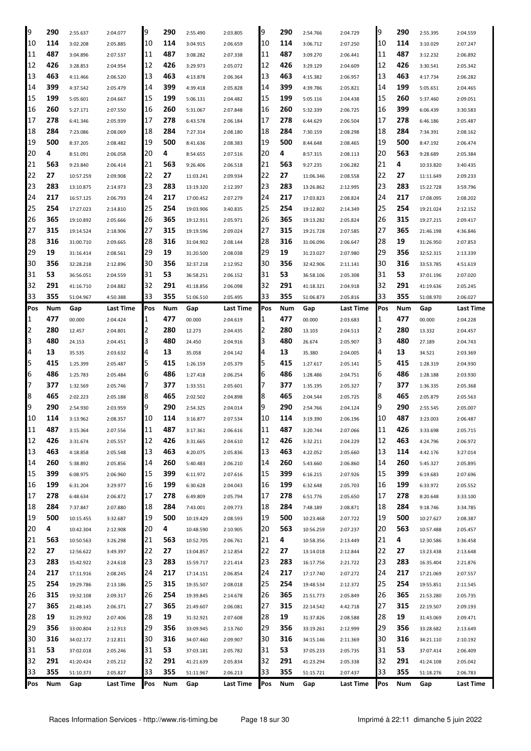| 9   | 290 | 2:55.637  | 2:04.077  | 19  | 290 | 2:55.490  | 2:03.805  | 9   | 290 | 2:54.766  | 2:04.729  | 19  | 290 | 2:55.395  | 2:04.559  |
|-----|-----|-----------|-----------|-----|-----|-----------|-----------|-----|-----|-----------|-----------|-----|-----|-----------|-----------|
| 10  | 114 | 3:02.208  | 2:05.885  | 10  | 114 | 3:04.915  | 2:06.659  | '10 | 114 | 3:06.712  | 2:07.250  | 10  | 114 | 3:10.029  | 2:07.247  |
| 11  | 487 | 3:04.896  | 2:07.537  | 11  | 487 | 3:08.282  | 2:07.338  | 11  | 487 | 3:09.270  | 2:06.441  | 11  | 487 | 3:12.232  | 2:06.892  |
| 12  | 426 | 3:28.853  | 2:04.954  | 12  | 426 | 3:29.973  | 2:05.072  | 12  | 426 | 3:29.129  | 2:04.609  | 12  | 426 | 3:30.541  | 2:05.342  |
| 13  | 463 | 4:11.466  | 2:06.520  | 13  | 463 | 4:13.878  | 2:06.364  | 13  | 463 | 4:15.382  | 2:06.957  | 13  | 463 | 4:17.734  | 2:06.282  |
| 14  | 399 | 4:37.542  | 2:05.479  | 14  | 399 | 4:39.418  | 2:05.828  | 14  | 399 | 4:39.786  | 2:05.821  | 14  | 199 | 5:05.651  | 2:04.465  |
| 15  | 199 | 5:05.601  | 2:04.667  | 15  | 199 | 5:06.131  | 2:04.482  | 15  | 199 | 5:05.116  | 2:04.438  | 15  | 260 | 5:37.460  | 2:09.051  |
| 16  | 260 | 5:27.171  | 2:07.550  | 16  | 260 | 5:31.067  | 2:07.848  | 16  | 260 | 5:32.339  | 2:06.725  | 16  | 399 | 6:06.439  | 3:30.583  |
| 17  | 278 | 6:41.346  | 2:05.939  | 17  | 278 | 6:43.578  | 2:06.184  | 17  | 278 | 6:44.629  | 2:06.504  | 17  | 278 | 6:46.186  | 2:05.487  |
| 18  | 284 | 7:23.086  | 2:08.069  | 18  | 284 | 7:27.314  | 2:08.180  | 18  | 284 | 7:30.159  | 2:08.298  | 18  | 284 | 7:34.391  | 2:08.162  |
| 19  | 500 | 8:37.205  | 2:08.482  | 19  | 500 | 8:41.636  | 2:08.383  | 19  | 500 | 8:44.648  | 2:08.465  | 19  | 500 | 8:47.192  | 2:06.474  |
| 20  | 4   | 8:51.091  | 2:06.058  | 20  | 4   | 8:54.655  | 2:07.516  | 20  | 4   | 8:57.315  | 2:08.113  | 20  | 563 | 9:28.689  | 2:05.384  |
| 21  | 563 | 9:23.840  | 2:06.414  | 21  | 563 | 9:26.406  | 2:06.518  | 21  | 563 | 9:27.235  | 2:06.282  | 21  | 4   | 10:33.820 | 3:40.435  |
| 22  | 27  | 10:57.259 | 2:09.908  | 22  | 27  | 11:03.241 | 2:09.934  | 22  | 27  | 11:06.346 | 2:08.558  | 22  | 27  | 11:11.649 | 2:09.233  |
| 23  | 283 | 13:10.875 | 2:14.973  | 23  | 283 | 13:19.320 | 2:12.397  | 23  | 283 | 13:26.862 | 2:12.995  | 23  | 283 | 15:22.728 | 3:59.796  |
| 24  | 217 | 16:57.125 | 2:06.793  | 24  | 217 | 17:00.452 | 2:07.279  | 24  | 217 | 17:03.823 | 2:08.824  | 24  | 217 | 17:08.095 | 2:08.202  |
| 25  | 254 | 17:27.023 | 2:14.810  | 25  | 254 | 19:03.906 | 3:40.835  | 25  | 254 | 19:12.802 | 2:14.349  | 25  | 254 | 19:21.024 | 2:12.152  |
| 26  | 365 | 19:10.892 | 2:05.666  | 26  | 365 | 19:12.911 | 2:05.971  | 26  | 365 | 19:13.282 | 2:05.824  | 26  | 315 | 19:27.215 | 2:09.417  |
| 27  | 315 | 19:14.524 | 2:18.906  | 27  | 315 | 19:19.596 | 2:09.024  | 27  | 315 | 19:21.728 | 2:07.585  | 27  | 365 | 21:46.198 | 4:36.846  |
| 28  | 316 | 31:00.710 | 2:09.665  | 28  | 316 | 31:04.902 | 2:08.144  | 28  | 316 | 31:06.096 | 2:06.647  | 28  | 19  | 31:26.950 | 2:07.853  |
| 29  | 19  | 31:16.414 | 2:08.561  | 29  | 19  | 31:20.500 | 2:08.038  | 29  | 19  | 31:23.027 | 2:07.980  | 29  | 356 | 32:52.315 | 2:13.339  |
| 30  | 356 | 32:28.218 | 2:12.896  | 30  | 356 | 32:37.218 | 2:12.952  | 30  | 356 | 32:42.906 | 2:11.141  | 30  | 316 | 33:53.785 | 4:51.619  |
| 31  | 53  | 36:56.051 | 2:04.559  | 31  | 53  | 36:58.251 | 2:06.152  | 31  | 53  | 36:58.106 | 2:05.308  | 31  | 53  | 37:01.196 | 2:07.020  |
| 32  | 291 | 41:16.710 | 2:04.882  | 32  | 291 | 41:18.856 | 2:06.098  | 32  | 291 | 41:18.321 | 2:04.918  | 32  | 291 | 41:19.636 | 2:05.245  |
| 33  | 355 | 51:04.967 | 4:50.388  | 33  | 355 | 51:06.510 | 2:05.495  | 33  | 355 | 51:06.873 | 2:05.816  | 33  | 355 | 51:08.970 | 2:06.027  |
| Pos | Num | Gap       | Last Time | Pos | Num | Gap       | Last Time | Pos | Num | Gap       | Last Time | Pos | Num | Gap       | Last Time |
| 1   | 477 | 00.000    | 2:04.424  | 1   | 477 | 00.000    | 2:04.619  | 1   | 477 | 00.000    | 2:03.683  | 1   | 477 | 00.000    | 2:04.228  |
| 2   | 280 | 12.457    | 2:04.801  | 2   | 280 | 12.273    | 2:04.435  | 2   | 280 | 13.103    | 2:04.513  | 2   | 280 | 13.332    | 2:04.457  |
| 3   | 480 | 24.153    | 2:04.451  | 3   | 480 | 24.450    | 2:04.916  | З   | 480 | 26.674    | 2:05.907  | 3   | 480 | 27.189    | 2:04.743  |
| 4   | 13  | 35.535    | 2:03.632  | 4   | 13  | 35.058    | 2:04.142  | 4   | 13  | 35.380    | 2:04.005  | 4   | 13  | 34.521    | 2:03.369  |
| 5   | 415 | 1:25.399  | 2:05.487  | 5   | 415 | 1:26.159  | 2:05.379  | 5   | 415 | 1:27.617  | 2:05.141  | 5   | 415 | 1:28.319  | 2:04.930  |
| 6   | 486 | 1:25.783  | 2:05.484  | 6   | 486 | 1:27.418  | 2:06.254  | 6   | 486 | 1:28.486  | 2:04.751  | 6   | 486 | 1:28.188  | 2:03.930  |
| 7   | 377 | 1:32.569  | 2:05.746  | 7   | 377 | 1:33.551  | 2:05.601  |     | 377 | 1:35.195  | 2:05.327  | 7   | 377 | 1:36.335  | 2:05.368  |
| 8   | 465 | 2:02.223  | 2:05.188  | 18  | 465 | 2:02.502  | 2:04.898  | 8   | 465 | 2:04.544  | 2:05.725  | 8   | 465 | 2:05.879  | 2:05.563  |
| 9   | 290 | 2:54.930  | 2:03.959  | 9   | 290 | 2:54.325  | 2:04.014  | 9   | 290 | 2:54.766  | 2:04.124  | 9   | 290 | 2:55.545  | 2:05.007  |
| 10  | 114 | 3:13.962  | 2:08.357  | 10  | 114 | 3:16.877  | 2:07.534  | 10  | 114 | 3:19.390  | 2:06.196  | 10  | 487 | 3:23.003  | 2:06.487  |
| 11  | 487 | 3:15.364  | 2:07.556  | 11  | 487 | 3:17.361  | 2:06.616  | 11  | 487 | 3:20.744  | 2:07.066  | 11  |     |           |           |
| 12  | 426 | 3:31.674  | 2:05.557  |     |     |           |           |     |     |           |           |     | 426 | 3:33.698  | 2:05.715  |
| 13  | 463 |           |           | 12  | 426 | 3:31.665  | 2:04.610  | 12  | 426 | 3:32.211  | 2:04.229  | 12  | 463 | 4:24.796  | 2:06.972  |
| 14  |     | 4:18.858  | 2:05.548  | 13  | 463 | 4:20.075  | 2:05.836  | 13  | 463 | 4:22.052  | 2:05.660  | 13  | 114 | 4:42.176  | 3:27.014  |
| 15  | 260 | 5:38.892  | 2:05.856  | 14  | 260 | 5:40.483  | 2:06.210  | 14  | 260 | 5:43.660  | 2:06.860  | 14  | 260 | 5:45.327  | 2:05.895  |
|     | 399 | 6:08.975  | 2:06.960  | 15  | 399 | 6:11.972  | 2:07.616  | 15  | 399 | 6:16.215  | 2:07.926  | 15  | 399 | 6:19.683  | 2:07.696  |
| 16  | 199 | 6:31.204  | 3:29.977  | 16  | 199 | 6:30.628  | 2:04.043  | 16  | 199 | 6:32.648  | 2:05.703  | 16  | 199 | 6:33.972  | 2:05.552  |
| 17  | 278 | 6:48.634  | 2:06.872  | 17  | 278 | 6:49.809  | 2:05.794  | 17  | 278 | 6:51.776  | 2:05.650  | 17  | 278 | 8:20.648  | 3:33.100  |
| 18  | 284 | 7:37.847  | 2:07.880  | 18  | 284 | 7:43.001  | 2:09.773  | 18  | 284 | 7:48.189  | 2:08.871  | 18  | 284 | 9:18.746  | 3:34.785  |
| 19  | 500 | 10:15.455 | 3:32.687  | 19  | 500 | 10:19.429 | 2:08.593  | 19  | 500 | 10:23.468 | 2:07.722  | 19  | 500 | 10:27.627 | 2:08.387  |
| 20  | 4   | 10:42.304 | 2:12.908  | 20  | 4   | 10:48.590 | 2:10.905  | 20  | 563 | 10:56.259 | 2:07.237  | 20  | 563 | 10:57.488 | 2:05.457  |
| 21  | 563 | 10:50.563 | 3:26.298  | 21  | 563 | 10:52.705 | 2:06.761  | 21  | 4   | 10:58.356 | 2:13.449  | 21  | 4   | 12:30.586 | 3:36.458  |
| 22  | 27  | 12:56.622 | 3:49.397  | 22  | 27  | 13:04.857 | 2:12.854  | 22  | 27  | 13:14.018 | 2:12.844  | 22  | 27  | 13:23.438 | 2:13.648  |
| 23  | 283 | 15:42.922 | 2:24.618  | 23  | 283 | 15:59.717 | 2:21.414  | 23  | 283 | 16:17.756 | 2:21.722  | 23  | 283 | 16:35.404 | 2:21.876  |
| 24  | 217 | 17:11.916 | 2:08.245  | 24  | 217 | 17:14.151 | 2:06.854  | 24  | 217 | 17:17.740 | 2:07.272  | 24  | 217 | 17:21.069 | 2:07.557  |
| 25  | 254 | 19:29.786 | 2:13.186  | 25  | 315 | 19:35.507 | 2:08.018  | 25  | 254 | 19:48.534 | 2:12.372  | 25  | 254 | 19:55.851 | 2:11.545  |
| 26  | 315 | 19:32.108 | 2:09.317  | 26  | 254 | 19:39.845 | 2:14.678  | 26  | 365 | 21:51.773 | 2:05.849  | 26  | 365 | 21:53.280 | 2:05.735  |
| 27  | 365 | 21:48.145 | 2:06.371  | 27  | 365 | 21:49.607 | 2:06.081  | 27  | 315 | 22:14.542 | 4:42.718  | 27  | 315 | 22:19.507 | 2:09.193  |
| 28  | 19  | 31:29.932 | 2:07.406  | 28  | 19  | 31:32.921 | 2:07.608  | 28  | 19  | 31:37.826 | 2:08.588  | 28  | 19  | 31:43.069 | 2:09.471  |
| 29  | 356 | 33:00.804 | 2:12.913  | 29  | 356 | 33:09.945 | 2:13.760  | 29  | 356 | 33:19.261 | 2:12.999  | 29  | 356 | 33:28.682 | 2:13.649  |
| 30  | 316 | 34:02.172 | 2:12.811  | 30  | 316 | 34:07.460 | 2:09.907  | 30  | 316 | 34:15.146 | 2:11.369  | 30  | 316 | 34:21.110 | 2:10.192  |
| 31  | 53  | 37:02.018 | 2:05.246  | 31  | 53  | 37:03.181 | 2:05.782  | 31  | 53  | 37:05.233 | 2:05.735  | 31  | 53  | 37:07.414 | 2:06.409  |
| 32  | 291 | 41:20.424 | 2:05.212  | 32  | 291 | 41:21.639 | 2:05.834  | 32  | 291 | 41:23.294 | 2:05.338  | 32  | 291 | 41:24.108 | 2:05.042  |
| 33  | 355 | 51:10.373 | 2:05.827  | 33  | 355 | 51:11.967 | 2:06.213  | 33  | 355 | 51:15.721 | 2:07.437  | 33  | 355 | 51:18.276 | 2:06.783  |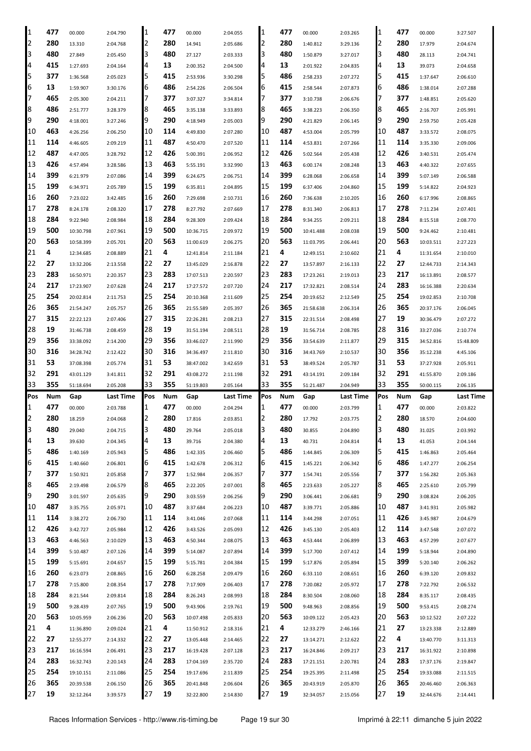| 1   | 477        |           |           | 1              | 477 |           |           | 11  | 477 |           |           | 1   | 477        |           |           |
|-----|------------|-----------|-----------|----------------|-----|-----------|-----------|-----|-----|-----------|-----------|-----|------------|-----------|-----------|
|     |            | 00.000    | 2:04.790  |                |     | 00.000    | 2:04.055  |     |     | 00.000    | 2:03.265  |     |            | 00.000    | 3:27.507  |
| 2   | 280        | 13.310    | 2:04.768  | $\overline{2}$ | 280 | 14.941    | 2:05.686  | 12  | 280 | 1:40.812  | 3:29.136  | 2   | 280        | 17.979    | 2:04.674  |
| 3   | 480        | 27.849    | 2:05.450  | 3              | 480 | 27.127    | 2:03.333  | 13  | 480 | 1:50.879  | 3:27.017  | 3   | 480        | 28.113    | 2:04.741  |
| 4   | 415        | 1:27.693  | 2:04.164  | 4              | 13  | 2:00.352  | 2:04.500  | 14  | 13  | 2:01.922  | 2:04.835  | 4   | 13         | 39.073    | 2:04.658  |
| 5   | 377        | 1:36.568  | 2:05.023  | 5              | 415 | 2:53.936  | 3:30.298  | 5   | 486 | 2:58.233  | 2:07.272  | 5   | 415        | 1:37.647  | 2:06.610  |
| 6   | 13         | 1:59.907  | 3:30.176  | 6              | 486 | 2:54.226  | 2:06.504  | 6   | 415 | 2:58.544  | 2:07.873  | 6   | 486        | 1:38.014  | 2:07.288  |
| 17  | 465        | 2:05.300  | 2:04.211  |                | 377 | 3:07.327  | 3:34.814  |     | 377 | 3:10.738  | 2:06.676  |     | 377        | 1:48.851  | 2:05.620  |
| 8   | 486        | 2:51.777  | 3:28.379  | 18             | 465 | 3:35.138  | 3:33.893  | 18  | 465 | 3:38.223  | 2:06.350  | 8   | 465        | 2:16.707  | 2:05.991  |
| 9   | 290        | 4:18.001  | 3:27.246  | 19             | 290 | 4:18.949  | 2:05.003  | 19  | 290 | 4:21.829  | 2:06.145  | 9   | 290        | 2:59.750  | 2:05.428  |
| 10  | 463        |           |           |                | 114 |           |           | 10  | 487 |           |           | 10  | 487        |           |           |
|     |            | 4:26.256  | 2:06.250  | 10             |     | 4:49.830  | 2:07.280  |     |     | 4:53.004  | 2:05.799  |     |            | 3:33.572  | 2:08.075  |
| 11  | 114        | 4:46.605  | 2:09.219  | 11             | 487 | 4:50.470  | 2:07.520  | 11  | 114 | 4:53.831  | 2:07.266  | 11  | 114        | 3:35.330  | 2:09.006  |
| 12  | 487        | 4:47.005  | 3:28.792  | 12             | 426 | 5:00.391  | 2:06.952  | 12  | 426 | 5:02.564  | 2:05.438  | 12  | 426        | 3:40.531  | 2:05.474  |
| 13  | 426        | 4:57.494  | 3:28.586  | 13             | 463 | 5:55.191  | 3:32.990  | 13  | 463 | 6:00.174  | 2:08.248  | 13  | 463        | 4:40.322  | 2:07.655  |
| 14  | 399        | 6:21.979  | 2:07.086  | 14             | 399 | 6:24.675  | 2:06.751  | 14  | 399 | 6:28.068  | 2:06.658  | 14  | 399        | 5:07.149  | 2:06.588  |
| 15  | 199        | 6:34.971  | 2:05.789  | 15             | 199 | 6:35.811  | 2:04.895  | 15  | 199 | 6:37.406  | 2:04.860  | 15  | 199        | 5:14.822  | 2:04.923  |
| 16  | 260        | 7:23.022  | 3:42.485  | 16             | 260 | 7:29.698  | 2:10.731  | 16  | 260 | 7:36.638  | 2:10.205  | 16  | 260        | 6:17.996  | 2:08.865  |
| 17  | 278        | 8:24.178  | 2:08.320  | 17             | 278 | 8:27.792  | 2:07.669  | 17  | 278 | 8:31.340  | 2:06.813  | 17  | 278        | 7:11.234  | 2:07.401  |
| 18  | 284        | 9:22.940  | 2:08.984  | 18             | 284 | 9:28.309  | 2:09.424  | 18  | 284 | 9:34.255  | 2:09.211  | 18  | 284        | 8:15.518  | 2:08.770  |
| 19  | 500        | 10:30.798 | 2:07.961  | 19             | 500 | 10:36.715 | 2:09.972  | 19  | 500 | 10:41.488 | 2:08.038  | 19  | 500        | 9:24.462  | 2:10.481  |
| 20  | 563        | 10:58.399 | 2:05.701  | 20             | 563 | 11:00.619 | 2:06.275  | 120 | 563 | 11:03.795 | 2:06.441  | 20  | 563        | 10:03.511 | 2:27.223  |
| 21  | 4          |           |           | 21             | 4   |           |           | 21  | 4   |           |           | 21  | 4          |           |           |
|     |            | 12:34.685 | 2:08.889  |                |     | 12:41.814 | 2:11.184  |     |     | 12:49.151 | 2:10.602  |     |            | 11:31.654 | 2:10.010  |
| 22  | 27         | 13:32.206 | 2:13.558  | 22             | 27  | 13:45.029 | 2:16.878  | 22  | 27  | 13:57.897 | 2:16.133  | 22  | 27         | 12:44.733 | 2:14.343  |
| 23  | 283        | 16:50.971 | 2:20.357  | 23             | 283 | 17:07.513 | 2:20.597  | 23  | 283 | 17:23.261 | 2:19.013  | 23  | 217        | 16:13.891 | 2:08.577  |
| 24  | 217        | 17:23.907 | 2:07.628  | 24             | 217 | 17:27.572 | 2:07.720  | 24  | 217 | 17:32.821 | 2:08.514  | 24  | 283        | 16:16.388 | 2:20.634  |
| 25  | 254        | 20:02.814 | 2:11.753  | 25             | 254 | 20:10.368 | 2:11.609  | 25  | 254 | 20:19.652 | 2:12.549  | 25  | 254        | 19:02.853 | 2:10.708  |
| 26  | 365        | 21:54.247 | 2:05.757  | 26             | 365 | 21:55.589 | 2:05.397  | 26  | 365 | 21:58.638 | 2:06.314  | 26  | 365        | 20:37.176 | 2:06.045  |
| 27  | 315        | 22:22.123 | 2:07.406  | 27             | 315 | 22:26.281 | 2:08.213  | 27  | 315 | 22:31.514 | 2:08.498  | 27  | 19         | 30:36.479 | 2:07.272  |
| 28  | 19         | 31:46.738 | 2:08.459  | 28             | 19  | 31:51.194 | 2:08.511  | 28  | 19  | 31:56.714 | 2:08.785  | 28  | 316        | 33:27.036 | 2:10.774  |
| 29  | 356        | 33:38.092 | 2:14.200  | 29             | 356 | 33:46.027 | 2:11.990  | 29  | 356 | 33:54.639 | 2:11.877  | 29  | 315        | 34:52.816 | 15:48.809 |
| 30  | 316        | 34:28.742 | 2:12.422  | 30             | 316 | 34:36.497 | 2:11.810  | 30  | 316 | 34:43.769 | 2:10.537  | 30  | 356        | 35:12.238 | 4:45.106  |
|     |            |           |           |                |     |           |           |     |     |           |           |     |            |           |           |
| 31  | 53         | 37:08.398 | 2:05.774  | 31             | 53  | 38:47.002 | 3:42.659  | 31  | 53  | 38:49.524 | 2:05.787  | 31  | 53         | 37:27.928 | 2:05.911  |
|     |            |           |           |                |     |           |           |     |     |           |           |     |            |           |           |
| 32  | 291<br>355 | 43:01.129 | 3:41.811  | 32             | 291 | 43:08.272 | 2:11.198  | 32  | 291 | 43:14.191 | 2:09.184  | 32  | 291<br>355 | 41:55.870 | 2:09.186  |
| 33  |            | 51:18.694 | 2:05.208  | 33             | 355 | 51:19.803 | 2:05.164  | 33  | 355 | 51:21.487 | 2:04.949  | 33  |            | 50:00.115 | 2:06.135  |
| Pos | Num        | Gap       | Last Time | Pos            | Num | Gap       | Last Time | Pos | Num | Gap       | Last Time | Pos | Num        | Gap       | Last Time |
| 1   | 477        | 00.000    | 2:03.788  | 1              | 477 | 00.000    | 2:04.294  | 11  | 477 | 00.000    | 2:03.799  | 1   | 477        | 00.000    | 2:03.822  |
| 2   | 280        | 18.259    | 2:04.068  | 2              | 280 | 17.816    | 2:03.851  | 12  | 280 | 17.792    | 2:03.775  | 2   | 280        | 18.570    | 2:04.600  |
| 3   | 480        | 29.040    | 2:04.715  | 3              | 480 | 29.764    | 2:05.018  | 13  | 480 | 30.855    | 2:04.890  | 3   | 480        | 31.025    | 2:03.992  |
| 4   | 13         | 39.630    | 2:04.345  | 4              | 13  | 39.716    | 2:04.380  | 14  | 13  | 40.731    | 2:04.814  | 4   | 13         | 41.053    | 2:04.144  |
| 5   | 486        | 1:40.169  | 2:05.943  | 5              | 486 | 1:42.335  | 2:06.460  | 15  | 486 | 1:44.845  | 2:06.309  | 5   | 415        | 1:46.863  | 2:05.464  |
| 6   | 415        | 1:40.660  | 2:06.801  | 16             | 415 | 1:42.678  | 2:06.312  | 16  | 415 | 1:45.221  | 2:06.342  | 6   | 486        | 1:47.277  | 2:06.254  |
| 17  | 377        | 1:50.921  | 2:05.858  | 7              | 377 | 1:52.984  | 2:06.357  | 17  | 377 | 1:54.741  | 2:05.556  | 7   | 377        | 1:56.282  | 2:05.363  |
| 8   | 465        | 2:19.498  | 2:06.579  | 8              | 465 | 2:22.205  | 2:07.001  | 8   | 465 | 2:23.633  | 2:05.227  | 8   | 465        | 2:25.610  | 2:05.799  |
| 9   | 290        | 3:01.597  | 2:05.635  | 19             | 290 | 3:03.559  | 2:06.256  | 19  | 290 | 3:06.441  | 2:06.681  | 9   | 290        | 3:08.824  | 2:06.205  |
| 10  | 487        | 3:35.755  | 2:05.971  | 10             | 487 | 3:37.684  | 2:06.223  | 10  | 487 | 3:39.771  | 2:05.886  | 10  | 487        | 3:41.931  | 2:05.982  |
| 11  | 114        | 3:38.272  |           | 11             | 114 | 3:41.046  |           |     | 114 | 3:44.298  |           | 11  | 426        | 3:45.987  |           |
|     |            |           | 2:06.730  |                |     |           | 2:07.068  | 11  |     |           | 2:07.051  |     |            |           | 2:04.679  |
| 12  | 426        | 3:42.727  | 2:05.984  | 12             | 426 | 3:43.526  | 2:05.093  | 12  | 426 | 3:45.130  | 2:05.403  | 12  | 114        | 3:47.548  | 2:07.072  |
| 13  | 463        | 4:46.563  | 2:10.029  | 13             | 463 | 4:50.344  | 2:08.075  | 13  | 463 | 4:53.444  | 2:06.899  | 13  | 463        | 4:57.299  | 2:07.677  |
| 14  | 399        | 5:10.487  | 2:07.126  | 14             | 399 | 5:14.087  | 2:07.894  | 14  | 399 | 5:17.700  | 2:07.412  | 14  | 199        | 5:18.944  | 2:04.890  |
| 15  | 199        | 5:15.691  | 2:04.657  | 15             | 199 | 5:15.781  | 2:04.384  | 15  | 199 | 5:17.876  | 2:05.894  | 15  | 399        | 5:20.140  | 2:06.262  |
| 16  | 260        | 6:23.073  | 2:08.865  | 16             | 260 | 6:28.258  | 2:09.479  | 16  | 260 | 6:33.110  | 2:08.651  | 16  | 260        | 6:39.120  | 2:09.832  |
| 17  | 278        | 7:15.800  | 2:08.354  | 17             | 278 | 7:17.909  | 2:06.403  | 17  | 278 | 7:20.082  | 2:05.972  | 17  | 278        | 7:22.792  | 2:06.532  |
| 18  | 284        | 8:21.544  | 2:09.814  | 18             | 284 | 8:26.243  | 2:08.993  | 18  | 284 | 8:30.504  | 2:08.060  | 18  | 284        | 8:35.117  | 2:08.435  |
| 19  | 500        | 9:28.439  | 2:07.765  | 19             | 500 | 9:43.906  | 2:19.761  | 19  | 500 | 9:48.963  | 2:08.856  | 19  | 500        | 9:53.415  | 2:08.274  |
| 20  | 563        | 10:05.959 | 2:06.236  | 20             | 563 | 10:07.498 | 2:05.833  | 20  | 563 | 10:09.122 | 2:05.423  | 20  | 563        | 10:12.522 | 2:07.222  |
| 21  | 4          | 11:36.890 | 2:09.024  | 21             | 4   | 11:50.912 | 2:18.316  | 21  | 4   | 12:33.279 | 2:46.166  | 21  | 27         | 13:23.338 | 2:12.889  |
| 22  | 27         | 12:55.277 | 2:14.332  | 22             | 27  | 13:05.448 | 2:14.465  | 22  | 27  | 13:14.271 | 2:12.622  | 22  | 4          | 13:40.770 | 3:11.313  |
| 23  | 217        | 16:16.594 | 2:06.491  | 23             | 217 | 16:19.428 | 2:07.128  | 23  | 217 | 16:24.846 | 2:09.217  | 23  | 217        | 16:31.922 | 2:10.898  |
| 24  | 283        | 16:32.743 | 2:20.143  | 24             | 283 | 17:04.169 | 2:35.720  | 24  | 283 | 17:21.151 | 2:20.781  | 24  | 283        | 17:37.176 | 2:19.847  |
| 25  | 254        | 19:10.151 | 2:11.086  | 25             | 254 | 19:17.696 | 2:11.839  | 25  | 254 | 19:25.395 | 2:11.498  | 25  | 254        | 19:33.088 | 2:11.515  |
| 26  | 365        | 20:39.538 | 2:06.150  | 26             | 365 | 20:41.848 | 2:06.604  | 26  | 365 | 20:43.919 | 2:05.870  | 26  | 365        | 20:46.460 | 2:06.363  |
| 27  | 19         | 32:12.264 | 3:39.573  | 27             | 19  | 32:22.800 | 2:14.830  | 27  | 19  | 32:34.057 | 2:15.056  | 27  | 19         | 32:44.676 | 2:14.441  |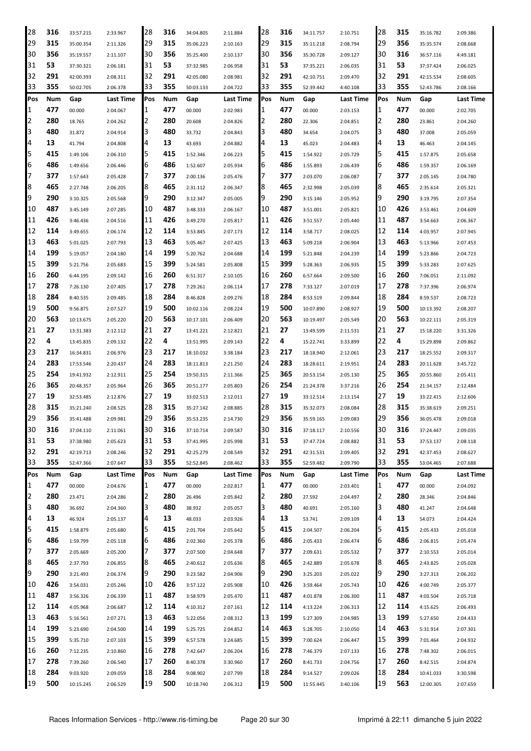| 28  | 316 | 33:57.215 | 2:33.967         | 28  | 316 | 34:04.805 | 2:11.884         | 28  | 316 | 34:11.757 | 2:10.751         | 28  | 315 | 35:16.782 | 2:09.386         |
|-----|-----|-----------|------------------|-----|-----|-----------|------------------|-----|-----|-----------|------------------|-----|-----|-----------|------------------|
| 29  | 315 | 35:00.354 | 2:11.326         | 29  | 315 | 35:06.223 | 2:10.163         | 29  | 315 | 35:11.218 | 2:08.794         | 29  | 356 | 35:35.574 | 2:08.668         |
| 30  | 356 | 35:19.557 | 2:11.107         | 30  | 356 | 35:25.400 | 2:10.137         | 30  | 356 | 35:30.728 | 2:09.127         | 30  | 316 | 36:57.116 | 4:49.181         |
| 31  | 53  | 37:30.321 | 2:06.181         | 31  | 53  | 37:32.985 | 2:06.958         | 31  | 53  | 37:35.221 | 2:06.035         | 31  | 53  | 37:37.424 | 2:06.025         |
| 32  | 291 | 42:00.393 | 2:08.311         | 32  | 291 | 42:05.080 | 2:08.981         | 32  | 291 | 42:10.751 | 2:09.470         | 32  | 291 | 42:15.534 | 2:08.605         |
| 33  | 355 | 50:02.705 | 2:06.378         | 33  | 355 | 50:03.133 | 2:04.722         | 33  | 355 | 52:39.442 | 4:40.108         | 33  | 355 | 52:43.786 | 2:08.166         |
| Pos | Num | Gap       | <b>Last Time</b> | Pos | Num | Gap       | <b>Last Time</b> | Pos | Num | Gap       | <b>Last Time</b> | Pos | Num | Gap       | Last Time        |
| 1   | 477 | 00.000    | 2:04.067         | 1   | 477 | 00.000    | 2:02.983         | 1   | 477 | 00.000    | 2:03.153         | 1   | 477 | 00.000    | 2:02.705         |
| 2   | 280 | 18.765    | 2:04.262         | 2   | 280 | 20.608    | 2:04.826         | 2   | 280 | 22.306    | 2:04.851         | 2   | 280 | 23.861    | 2:04.260         |
| 3   | 480 | 31.872    | 2:04.914         | 3   | 480 | 33.732    | 2:04.843         | 3   | 480 | 34.654    | 2:04.075         | 3   | 480 | 37.008    | 2:05.059         |
| 4   | 13  | 41.794    | 2:04.808         | 4   | 13  | 43.693    | 2:04.882         | 4   | 13  | 45.023    | 2:04.483         | 4   | 13  | 46.463    | 2:04.145         |
| 5   | 415 | 1:49.106  | 2:06.310         | 5   | 415 | 1:52.346  | 2:06.223         | 5   | 415 | 1:54.922  | 2:05.729         | 5   | 415 | 1:57.875  | 2:05.658         |
| 6   | 486 | 1:49.656  | 2:06.446         | 6   | 486 | 1:52.607  | 2:05.934         | 6   | 486 | 1:55.893  | 2:06.439         | 6   | 486 | 1:59.357  | 2:06.169         |
| 7   | 377 | 1:57.643  | 2:05.428         | 7   | 377 | 2:00.136  | 2:05.476         | 7   | 377 | 2:03.070  | 2:06.087         | 7   | 377 | 2:05.145  | 2:04.780         |
| 8   | 465 | 2:27.748  | 2:06.205         | 8   | 465 | 2:31.112  | 2:06.347         | 8   | 465 | 2:32.998  | 2:05.039         | 8   | 465 | 2:35.614  | 2:05.321         |
| 9   | 290 | 3:10.325  | 2:05.568         | 9   | 290 | 3:12.347  | 2:05.005         | 9   | 290 | 3:15.146  | 2:05.952         | 9   | 290 | 3:19.795  | 2:07.354         |
| 10  | 487 | 3:45.149  | 2:07.285         | 10  | 487 | 3:48.333  | 2:06.167         | 10  | 487 | 3:51.001  | 2:05.821         | 10  | 426 | 3:53.461  | 2:04.609         |
| 11  | 426 | 3:46.436  | 2:04.516         | 11  | 426 | 3:49.270  | 2:05.817         | 11  | 426 | 3:51.557  | 2:05.440         | 11  | 487 | 3:54.663  | 2:06.367         |
| 12  | 114 | 3:49.655  | 2:06.174         | 12  | 114 | 3:53.845  | 2:07.173         | 12  | 114 | 3:58.717  | 2:08.025         | 12  | 114 | 4:03.957  | 2:07.945         |
| 13  | 463 | 5:01.025  | 2:07.793         | 13  | 463 | 5:05.467  | 2:07.425         | 13  | 463 | 5:09.218  | 2:06.904         | 13  | 463 | 5:13.966  | 2:07.453         |
| 14  | 199 | 5:19.057  | 2:04.180         | 14  | 199 | 5:20.762  | 2:04.688         | 14  | 199 | 5:21.848  | 2:04.239         | 14  | 199 | 5:23.866  | 2:04.723         |
| 15  | 399 | 5:21.756  | 2:05.683         | 15  | 399 | 5:24.581  | 2:05.808         | 15  | 399 | 5:28.363  | 2:06.935         | 15  | 399 | 5:33.283  | 2:07.625         |
| 16  | 260 | 6:44.195  | 2:09.142         | 16  | 260 | 6:51.317  | 2:10.105         | 16  | 260 | 6:57.664  | 2:09.500         | 16  | 260 | 7:06.051  | 2:11.092         |
| 17  | 278 | 7:26.130  | 2:07.405         | 17  | 278 | 7:29.261  | 2:06.114         | 17  | 278 | 7:33.127  | 2:07.019         | 17  | 278 | 7:37.396  | 2:06.974         |
| 18  | 284 | 8:40.535  | 2:09.485         | 18  | 284 | 8:46.828  | 2:09.276         | 18  | 284 | 8:53.519  | 2:09.844         | 18  | 284 | 8:59.537  | 2:08.723         |
| 19  | 500 | 9:56.875  | 2:07.527         | 19  | 500 | 10:02.116 | 2:08.224         | 19  | 500 | 10:07.890 | 2:08.927         | 19  | 500 | 10:13.392 | 2:08.207         |
| 20  | 563 | 10:13.675 | 2:05.220         | 20  | 563 | 10:17.101 | 2:06.409         | 20  | 563 | 10:19.497 | 2:05.549         | 20  | 563 | 10:22.111 | 2:05.319         |
| 21  | 27  | 13:31.383 | 2:12.112         | 21  | 27  | 13:41.221 | 2:12.821         | 21  | 27  | 13:49.599 | 2:11.531         | 21  | 27  | 15:18.220 | 3:31.326         |
| 22  | 4   | 13:45.835 | 2:09.132         | 22  | 4   | 13:51.995 | 2:09.143         | 22  | 4   | 15:22.741 | 3:33.899         | 22  | 4   | 15:29.898 | 2:09.862         |
| 23  | 217 | 16:34.831 | 2:06.976         | 23  | 217 | 18:10.032 | 3:38.184         | 23  | 217 | 18:18.940 | 2:12.061         | 23  | 217 | 18:25.552 | 2:09.317         |
| 24  | 283 | 17:53.546 | 2:20.437         | 24  | 283 | 18:11.813 | 2:21.250         | 24  | 283 | 18:28.611 | 2:19.951         | 24  | 283 | 20:11.628 | 3:45.722         |
| 25  | 254 | 19:41.932 | 2:12.911         | 25  | 254 | 19:50.315 | 2:11.366         | 25  | 365 | 20:53.154 | 2:05.130         | 25  | 365 | 20:55.860 | 2:05.411         |
| 26  | 365 | 20:48.357 | 2:05.964         | 26  | 365 | 20:51.177 | 2:05.803         | 26  | 254 | 21:24.378 | 3:37.216         | 26  | 254 | 21:34.157 | 2:12.484         |
| 27  | 19  | 32:53.485 | 2:12.876         | 27  | 19  | 33:02.513 | 2:12.011         | 27  | 19  | 33:12.514 | 2:13.154         | 27  | 19  | 33:22.415 | 2:12.606         |
| 28  | 315 | 35:21.240 | 2:08.525         | 28  | 315 | 35:27.142 | 2:08.885         | 28  | 315 | 35:32.073 | 2:08.084         | 28  | 315 | 35:38.619 | 2:09.251         |
| 29  | 356 | 35:41.488 | 2:09.981         | 29  | 356 | 35:53.235 | 2:14.730         | 29  | 356 | 35:59.165 | 2:09.083         | 29  | 356 | 36:05.478 | 2:09.018         |
| 30  | 316 | 37:04.110 | 2:11.061         | 30  | 316 | 37:10.714 | 2:09.587         | 30  | 316 | 37:18.117 | 2:10.556         | 30  | 316 | 37:24.447 | 2:09.035         |
| 31  | 53  | 37:38.980 | 2:05.623         | 31  | 53  | 37:41.995 | 2:05.998         | 31  | 53  | 37:47.724 | 2:08.882         | 31  | 53  | 37:53.137 | 2:08.118         |
| 32  | 291 | 42:19.713 | 2:08.246         | 32  | 291 | 42:25.279 | 2:08.549         | 32  | 291 | 42:31.531 | 2:09.405         | 32  | 291 | 42:37.453 | 2:08.627         |
| 33  | 355 | 52:47.366 | 2:07.647         | 33  | 355 | 52:52.845 | 2:08.462         | 33  | 355 | 52:59.482 | 2:09.790         | 33  | 355 | 53:04.465 | 2:07.688         |
| Pos | Num | Gap       | Last Time        | Pos | Num | Gap       | Last Time        | Pos | Num | Gap       | Last Time        | Pos | Num | Gap       | <b>Last Time</b> |
| 1   | 477 | 00.000    | 2:04.676         | 1   | 477 | 00.000    | 2:02.817         | 1   | 477 | 00.000    | 2:03.401         | 1   | 477 | 00.000    | 2:04.092         |
| 2   | 280 | 23.471    | 2:04.286         | 2   | 280 | 26.496    | 2:05.842         | 2   | 280 | 27.592    | 2:04.497         | 2   | 280 | 28.346    | 2:04.846         |
| 3   | 480 | 36.692    | 2:04.360         | 3   | 480 | 38.932    | 2:05.057         | 3   | 480 | 40.691    | 2:05.160         | 3   | 480 | 41.247    | 2:04.648         |
| 4   | 13  | 46.924    | 2:05.137         | 4   | 13  | 48.033    | 2:03.926         | 4   | 13  | 53.741    | 2:09.109         | 4   | 13  | 54.073    | 2:04.424         |
| 5   | 415 | 1:58.879  | 2:05.680         | 5   | 415 | 2:01.704  | 2:05.642         | 5   | 415 | 2:04.507  | 2:06.204         | 5   | 415 | 2:05.433  | 2:05.018         |
| 6   | 486 | 1:59.799  | 2:05.118         | 6   | 486 | 2:02.360  | 2:05.378         | 6   | 486 | 2:05.433  | 2:06.474         | 6   | 486 | 2:06.815  | 2:05.474         |
| 7   | 377 | 2:05.669  | 2:05.200         | 7   | 377 | 2:07.500  | 2:04.648         | 7   | 377 | 2:09.631  | 2:05.532         | 7   | 377 | 2:10.553  | 2:05.014         |
| 8   | 465 | 2:37.793  | 2:06.855         | 8   | 465 | 2:40.612  | 2:05.636         | 8   | 465 | 2:42.889  | 2:05.678         | 8   | 465 | 2:43.825  | 2:05.028         |
| 9   | 290 | 3:21.493  | 2:06.374         | 9   | 290 | 3:23.582  | 2:04.906         | 9   | 290 | 3:25.203  | 2:05.022         | 9   | 290 | 3:27.313  | 2:06.202         |
| 10  | 426 | 3:54.031  | 2:05.246         | 10  | 426 | 3:57.122  | 2:05.908         | 10  | 426 | 3:59.464  | 2:05.743         | 10  | 426 | 4:00.749  | 2:05.377         |
| 11  | 487 | 3:56.326  | 2:06.339         | 11  | 487 | 3:58.979  | 2:05.470         | 11  | 487 | 4:01.878  | 2:06.300         | 11  | 487 | 4:03.504  | 2:05.718         |
| 12  | 114 | 4:05.968  | 2:06.687         | 12  | 114 | 4:10.312  | 2:07.161         | 12  | 114 | 4:13.224  | 2:06.313         | 12  | 114 | 4:15.625  | 2:06.493         |
| 13  | 463 | 5:16.561  | 2:07.271         | 13  | 463 | 5:22.056  | 2:08.312         | 13  | 199 | 5:27.309  | 2:04.985         | 13  | 199 | 5:27.650  | 2:04.433         |
| 14  | 199 | 5:23.690  | 2:04.500         | 14  | 199 | 5:25.725  | 2:04.852         | 14  | 463 | 5:28.705  | 2:10.050         | 14  | 463 | 5:31.914  | 2:07.301         |
| 15  | 399 | 5:35.710  | 2:07.103         | 15  | 399 | 6:57.578  | 3:24.685         | 15  | 399 | 7:00.624  | 2:06.447         | 15  | 399 | 7:01.464  | 2:04.932         |
| 16  | 260 | 7:12.235  | 2:10.860         | 16  | 278 | 7:42.647  | 2:06.204         | 16  | 278 | 7:46.379  | 2:07.133         | 16  | 278 | 7:48.302  | 2:06.015         |
| 17  | 278 | 7:39.260  | 2:06.540         | 17  | 260 | 8:40.378  | 3:30.960         | 17  | 260 | 8:41.733  | 2:04.756         | 17  | 260 | 8:42.515  | 2:04.874         |
| 18  | 284 | 9:03.920  | 2:09.059         | 18  | 284 | 9:08.902  | 2:07.799         | 18  | 284 | 9:14.527  | 2:09.026         | 18  | 284 | 10:41.033 | 3:30.598         |
| 19  | 500 | 10:15.245 | 2:06.529         | 19  | 500 | 10:18.740 | 2:06.312         | 19  | 500 | 11:55.445 | 3:40.106         | 19  | 563 | 12:00.305 | 2:07.659         |
|     |     |           |                  |     |     |           |                  |     |     |           |                  |     |     |           |                  |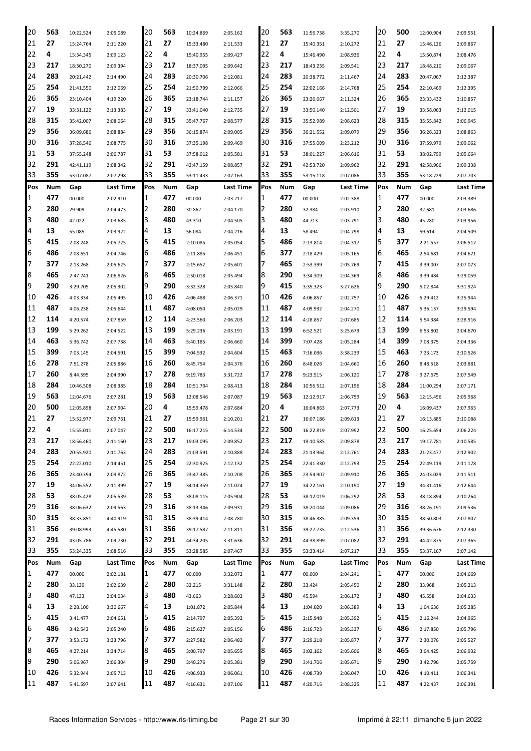| 20  | 563 | 10:22.524 | 2:05.089  | 20  | 563 | 10:24.869 | 2:05.162  | 20           | 563 | 11:56.738 | 3:35.270         | 20  | 500 | 12:00.904 | 2:09.551  |
|-----|-----|-----------|-----------|-----|-----|-----------|-----------|--------------|-----|-----------|------------------|-----|-----|-----------|-----------|
| 21  | 27  | 15:24.764 | 2:11.220  | 21  | 27  | 15:33.480 | 2:11.533  | 21           | 27  | 15:40.351 | 2:10.272         | 21  | 27  | 15:46.126 | 2:09.867  |
| 22  | 4   | 15:34.345 | 2:09.123  | 22  | 4   | 15:40.955 | 2:09.427  | 22           | 4   | 15:46.490 | 2:08.936         | 22  | 4   | 15:50.874 | 2:08.476  |
| 23  | 217 | 18:30.270 | 2:09.394  | 23  | 217 | 18:37.095 | 2:09.642  | 23           | 217 | 18:43.235 | 2:09.541         | 23  | 217 | 18:48.210 | 2:09.067  |
| 24  | 283 | 20:21.442 | 2:14.490  | 24  | 283 | 20:30.706 | 2:12.081  | 24           | 283 | 20:38.772 | 2:11.467         | 24  | 283 | 20:47.067 | 2:12.387  |
| 25  | 254 | 21:41.550 | 2:12.069  | 25  | 254 | 21:50.799 | 2:12.066  | 25           | 254 | 22:02.166 | 2:14.768         | 25  | 254 | 22:10.469 | 2:12.395  |
| 26  | 365 | 23:10.404 | 4:19.220  | 26  | 365 | 23:18.744 | 2:11.157  | 26           | 365 | 23:26.667 | 2:11.324         | 26  | 365 | 23:33.432 | 2:10.857  |
| 27  | 19  | 33:31.122 | 2:13.383  | 27  | 19  | 33:41.040 | 2:12.735  | 27           | 19  | 33:50.140 | 2:12.501         | 27  | 19  | 33:58.063 | 2:12.015  |
| 28  | 315 | 35:42.007 | 2:08.064  | 28  | 315 | 35:47.767 | 2:08.577  | 28           | 315 | 35:52.989 | 2:08.623         | 28  | 315 | 35:55.842 | 2:06.945  |
| 29  | 356 | 36:09.686 | 2:08.884  | 29  | 356 | 36:15.874 | 2:09.005  | 29           | 356 | 36:21.552 | 2:09.079         | 29  | 356 | 36:26.323 | 2:08.863  |
| 30  | 316 | 37:28.546 | 2:08.775  | 30  | 316 | 37:35.198 | 2:09.469  | 30           | 316 | 37:55.009 | 2:23.212         | 30  | 316 | 37:59.979 | 2:09.062  |
| 31  | 53  | 37:55.248 | 2:06.787  | 31  | 53  | 37:58.012 | 2:05.581  | 31           | 53  | 38:01.227 | 2:06.616         | 31  | 53  | 38:02.799 | 2:05.664  |
| 32  | 291 | 42:41.119 | 2:08.342  | 32  | 291 | 42:47.159 | 2:08.857  | 32           | 291 | 42:53.720 | 2:09.962         | 32  | 291 | 42:58.966 | 2:09.338  |
| 33  | 355 | 53:07.087 | 2:07.298  | 33  | 355 | 53:11.433 | 2:07.163  | 33           | 355 | 53:15.118 | 2:07.086         | 33  | 355 | 53:18.729 | 2:07.703  |
| Pos | Num | Gap       | Last Time | Pos | Num | Gap       | Last Time | Pos          | Num | Gap       | <b>Last Time</b> | Pos | Num | Gap       | Last Time |
| 1   | 477 | 00.000    | 2:02.910  | 1   | 477 | 00.000    | 2:03.217  | 1            | 477 | 00.000    | 2:02.388         | 1   | 477 | 00.000    | 2:03.389  |
| 2   | 280 | 29.909    | 2:04.473  | 2   | 280 | 30.862    | 2:04.170  | 2            | 280 | 32.384    | 2:03.910         | 12  | 280 | 32.681    | 2:03.686  |
| 3   | 480 | 42.022    | 2:03.685  | 3   | 480 | 43.310    | 2:04.505  | 3            | 480 | 44.713    | 2:03.791         | З   | 480 | 45.280    | 2:03.956  |
| 4   | 13  | 55.085    | 2:03.922  | 4   | 13  | 56.084    | 2:04.216  | 4            | 13  | 58.494    | 2:04.798         | 4   | 13  | 59.614    | 2:04.509  |
| 5   | 415 | 2:08.248  | 2:05.725  | 5   | 415 | 2:10.085  | 2:05.054  | 5            | 486 | 2:13.814  | 2:04.317         | 5   | 377 | 2:21.557  | 2:06.517  |
| 6   | 486 | 2:08.651  | 2:04.746  | 6   | 486 | 2:11.885  | 2:06.451  | 6            | 377 | 2:18.429  | 2:05.165         | 6   | 465 | 2:54.681  | 2:04.671  |
| 7   | 377 | 2:13.268  | 2:05.625  | 7   | 377 | 2:15.652  | 2:05.601  | 7            | 465 | 2:53.399  | 2:05.769         | 17  | 415 | 3:39.007  | 2:07.073  |
| 8   | 465 | 2:47.741  | 2:06.826  | 8   | 465 | 2:50.018  | 2:05.494  | 8            | 290 | 3:34.309  | 2:04.369         | 8   | 486 | 3:39.484  | 3:29.059  |
| 9   | 290 | 3:29.705  | 2:05.302  | 9   | 290 | 3:32.328  | 2:05.840  | 9            | 415 | 3:35.323  | 3:27.626         | 9   | 290 | 5:02.844  | 3:31.924  |
| 10  | 426 | 4:03.334  | 2:05.495  | 10  | 426 | 4:06.488  | 2:06.371  | 10           | 426 | 4:06.857  | 2:02.757         | 10  | 426 | 5:29.412  | 3:25.944  |
| 11  | 487 | 4:06.238  | 2:05.644  | 11  | 487 | 4:08.050  | 2:05.029  | 11           | 487 | 4:09.932  | 2:04.270         | 11  | 487 | 5:36.137  | 3:29.594  |
| 12  | 114 | 4:20.574  | 2:07.859  | 12  | 114 | 4:23.560  | 2:06.203  | 12           | 114 | 4:28.857  | 2:07.685         | 12  | 114 | 5:54.384  | 3:28.916  |
| 13  | 199 | 5:29.262  | 2:04.522  | 13  | 199 | 5:29.236  | 2:03.191  | 13           | 199 | 6:52.521  | 3:25.673         | 13  | 199 | 6:53.802  | 2:04.670  |
| 14  | 463 | 5:36.742  | 2:07.738  | 14  | 463 | 5:40.185  | 2:06.660  | 14           | 399 | 7:07.428  | 2:05.284         | 14  | 399 | 7:08.375  | 2:04.336  |
| 15  | 399 | 7:03.145  | 2:04.591  | 15  | 399 | 7:04.532  | 2:04.604  | 15           | 463 | 7:16.036  | 3:38.239         | 15  | 463 | 7:23.173  | 2:10.526  |
| 16  | 278 | 7:51.278  | 2:05.886  | 16  | 260 | 8:45.754  | 2:04.376  | 16           | 260 | 8:48.026  | 2:04.660         | 16  | 260 | 8:48.518  | 2:03.881  |
| 17  | 260 | 8:44.595  | 2:04.990  | 17  | 278 | 9:19.783  | 3:31.722  | 17           | 278 | 9:23.515  | 2:06.120         | 17  | 278 | 9:27.675  | 2:07.549  |
| 18  | 284 | 10:46.508 | 2:08.385  | 18  | 284 | 10:51.704 | 2:08.413  | 18           | 284 | 10:56.512 | 2:07.196         | 18  | 284 | 11:00.294 | 2:07.171  |
| 19  | 563 | 12:04.676 | 2:07.281  | 19  | 563 | 12:08.546 | 2:07.087  | 19           | 563 | 12:12.917 | 2:06.759         | 19  | 563 | 12:15.496 | 2:05.968  |
| 20  | 500 | 12:05.898 | 2:07.904  | 20  | 4   | 15:59.478 | 2:07.684  | 20           | 4   | 16:04.863 | 2:07.773         | 20  | 4   | 16:09.437 | 2:07.963  |
| 21  | 27  | 15:52.977 | 2:09.761  | 21  | 27  | 15:59.961 | 2:10.201  | 21           | 27  | 16:07.186 | 2:09.613         | 21  | 27  | 16:13.885 | 2:10.088  |
| 22  | 4   | 15:55.011 | 2:07.047  | 22  | 500 | 16:17.215 | 6:14.534  | 22           | 500 | 16:22.819 | 2:07.992         | 22  | 500 | 16:25.654 | 2:06.224  |
| 23  | 217 | 18:56.460 | 2:11.160  | 23  | 217 | 19:03.095 | 2:09.852  | 23           | 217 | 19:10.585 | 2:09.878         | 23  | 217 | 19:17.781 | 2:10.585  |
| 24  | 283 | 20:55.920 | 2:11.763  | 24  | 283 | 21:03.591 | 2:10.888  | 24           | 283 | 21:13.964 | 2:12.761         | 24  | 283 | 21:23.477 | 2:12.902  |
| 25  | 254 | 22:22.010 | 2:14.451  | 25  | 254 | 22:30.925 | 2:12.132  | 25           | 254 | 22:41.330 | 2:12.793         | 25  | 254 | 22:49.119 | 2:11.178  |
| 26  | 365 | 23:40.394 | 2:09.872  | 26  | 365 | 23:47.385 | 2:10.208  | 26           | 365 | 23:54.907 | 2:09.910         | 26  | 365 | 24:03.029 | 2:11.511  |
| 27  | 19  | 34:06.552 | 2:11.399  | 27  | 19  | 34:14.359 | 2:11.024  | 27           | 19  | 34:22.161 | 2:10.190         | 27  | 19  | 34:31.416 | 2:12.644  |
| 28  | 53  | 38:05.428 | 2:05.539  | 28  | 53  | 38:08.115 | 2:05.904  | 28           | 53  | 38:12.019 | 2:06.292         | 28  | 53  | 38:18.894 | 2:10.264  |
| 29  | 316 | 38:06.632 | 2:09.563  | 29  | 316 | 38:13.346 | 2:09.931  | 29           | 316 | 38:20.044 | 2:09.086         | 29  | 316 | 38:26.191 | 2:09.536  |
| 30  | 315 | 38:33.851 | 4:40.919  | 30  | 315 | 38:39.414 | 2:08.780  | 30           | 315 | 38:46.385 | 2:09.359         | 30  | 315 | 38:50.803 | 2:07.807  |
| 31  | 356 | 39:08.993 | 4:45.580  | 31  | 356 | 39:17.587 | 2:11.811  | 31           | 356 | 39:27.735 | 2:12.536         | 31  | 356 | 39:36.676 | 2:12.330  |
| 32  | 291 | 43:05.786 | 2:09.730  | 32  | 291 | 44:34.205 | 3:31.636  | 32           | 291 | 44:38.899 | 2:07.082         | 32  | 291 | 44:42.875 | 2:07.365  |
| 33  | 355 | 53:24.335 | 2:08.516  | 33  | 355 | 53:28.585 | 2:07.467  | 33           | 355 | 53:33.414 | 2:07.217         | 33  | 355 | 53:37.167 | 2:07.142  |
| Pos | Num | Gap       | Last Time | Pos | Num | Gap       | Last Time | Pos          | Num | Gap       | Last Time        | Pos | Num | Gap       | Last Time |
| 1   | 477 | 00.000    | 2:02.181  | 1   | 477 | 00.000    | 3:32.072  | $\mathbf{1}$ | 477 | 00.000    | 2:04.241         | 1   | 477 | 00.000    | 2:04.669  |
| 2   | 280 | 33.139    | 2:02.639  | 2   | 280 | 32.215    | 3:31.148  | 2            | 280 | 33.424    | 2:05.450         | 2   | 280 | 33.968    | 2:05.213  |
| 3   | 480 | 47.133    | 2:04.034  | 3   | 480 | 43.663    | 3:28.602  | 3            | 480 | 45.594    | 2:06.172         | 3   | 480 | 45.558    | 2:04.633  |
| 4   | 13  | 2:28.100  | 3:30.667  | 4   | 13  | 1:01.872  | 2:05.844  | 4            | 13  | 1:04.020  | 2:06.389         | 4   | 13  | 1:04.636  | 2:05.285  |
| 5   | 415 | 3:41.477  | 2:04.651  | 5   | 415 | 2:14.797  | 2:05.392  | 5            | 415 | 2:15.948  | 2:05.392         | 5   | 415 | 2:16.244  | 2:04.965  |
| 6   | 486 | 3:42.543  | 2:05.240  | 6   | 486 | 2:15.627  | 2:05.156  | 6            | 486 | 2:16.723  | 2:05.337         | 6   | 486 | 2:17.850  | 2:05.796  |
| 7   | 377 | 3:53.172  | 3:33.796  | 7   | 377 | 2:27.582  | 2:06.482  | 7            | 377 | 2:29.218  | 2:05.877         | 17  | 377 | 2:30.076  | 2:05.527  |
| 8   | 465 | 4:27.214  | 3:34.714  | 8   | 465 | 3:00.797  | 2:05.655  | 8            | 465 | 3:02.162  | 2:05.606         | 8   | 465 | 3:04.425  | 2:06.932  |
| 9   | 290 | 5:06.967  | 2:06.304  | 9   | 290 | 3:40.276  | 2:05.381  | 9            | 290 | 3:41.706  | 2:05.671         | 9   | 290 | 3:42.796  | 2:05.759  |
| 10  | 426 | 5:32.944  | 2:05.713  | 10  | 426 | 4:06.933  | 2:06.061  | 10           | 426 | 4:08.739  | 2:06.047         | 10  | 426 | 4:10.411  | 2:06.341  |
| 11  | 487 | 5:41.597  | 2:07.641  | 11  | 487 | 4:16.631  | 2:07.106  | 11           | 487 | 4:20.715  | 2:08.325         | 11  | 487 | 4:22.437  | 2:06.391  |
|     |     |           |           |     |     |           |           |              |     |           |                  |     |     |           |           |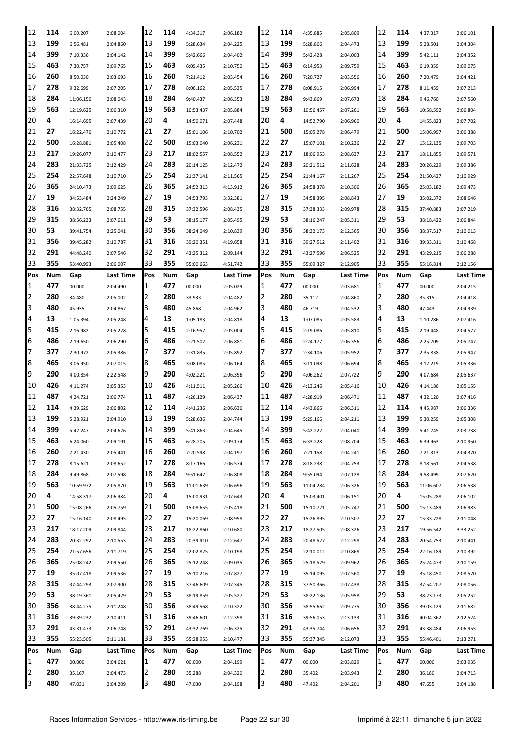| 12     | 114        | 6:00.207  | 2:08.004         | 12  | 114        | 4:34.317  | 2:06.182  | 12  | 114        | 4:35.885  | 2:05.809  | 12     | 114        | 4:37.317  | 2:06.101  |
|--------|------------|-----------|------------------|-----|------------|-----------|-----------|-----|------------|-----------|-----------|--------|------------|-----------|-----------|
| 13     | 199        | 6:56.481  | 2:04.860         | 13  | 199        | 5:28.634  | 2:04.225  | 13  | 199        | 5:28.866  | 2:04.473  | 13     | 199        | 5:28.501  | 2:04.304  |
| 14     | 399        | 7:10.336  | 2:04.142         | 14  | 399        | 5:42.666  | 2:04.402  | 14  | 399        | 5:42.428  | 2:04.003  | 14     | 399        | 5:42.111  | 2:04.352  |
| 15     | 463        | 7:30.757  | 2:09.765         | 15  | 463        | 6:09.435  | 2:10.750  | 15  | 463        | 6:14.953  | 2:09.759  | 15     | 463        | 6:19.359  | 2:09.075  |
| 16     | 260        | 8:50.030  | 2:03.693         | 16  | 260        | 7:21.412  | 2:03.454  | 16  | 260        | 7:20.727  | 2:03.556  | 16     | 260        | 7:20.479  | 2:04.421  |
| 17     | 278        | 9:32.699  | 2:07.205         | 17  | 278        | 8:06.162  | 2:05.535  | 17  | 278        | 8:08.915  | 2:06.994  | 17     | 278        | 8:11.459  | 2:07.213  |
| 18     | 284        | 11:06.156 | 2:08.043         | 18  | 284        | 9:40.437  | 2:06.353  | 18  | 284        | 9:43.869  | 2:07.673  | 18     | 284        | 9:46.760  | 2:07.560  |
| 19     | 563        | 12:19.625 | 2:06.310         | 19  | 563        | 10:53.437 | 2:05.884  | 19  | 563        | 10:56.457 | 2:07.261  | 19     | 563        | 10:58.592 | 2:06.804  |
| 20     | 4          | 16:14.695 | 2:07.439         | 20  | 4          | 14:50.071 | 2:07.448  | 20  | 4          | 14:52.790 | 2:06.960  | 20     | 4          | 14:55.823 | 2:07.702  |
| 21     | 27         | 16:22.476 | 2:10.772         | 21  | 27         | 15:01.106 | 2:10.702  | 21  | 500        | 15:05.278 | 2:06.479  | 21     | 500        | 15:06.997 | 2:06.388  |
| 22     | 500        | 16:28.881 | 2:05.408         | 22  | 500        | 15:03.040 | 2:06.231  | 22  | 27         | 15:07.101 | 2:10.236  | 22     | 27         | 15:12.135 | 2:09.703  |
| 23     | 217        |           |                  | 23  | 217        |           |           | 23  | 217        |           |           | 23     | 217        |           |           |
|        | 283        | 19:26.077 | 2:10.477         |     | 283        | 18:02.557 | 2:08.552  |     |            | 18:06.953 | 2:08.637  |        | 283        | 18:11.855 | 2:09.571  |
| 24     |            | 21:33.725 | 2:12.429         | 24  |            | 20:14.125 | 2:12.472  | 24  | 283        | 20:21.512 | 2:11.628  | 24     |            | 20:26.229 | 2:09.386  |
| 25     | 254        | 22:57.648 | 2:10.710         | 25  | 254        | 21:37.141 | 2:11.565  | 25  | 254        | 21:44.167 | 2:11.267  | 25     | 254        | 21:50.427 | 2:10.929  |
| 26     | 365        | 24:10.473 | 2:09.625         | 26  | 365        | 24:52.313 | 4:13.912  | 26  | 365        | 24:58.378 | 2:10.306  | 26     | 365        | 25:03.182 | 2:09.473  |
| 27     | 19         | 34:53.484 | 2:24.249         | 27  | 19         | 34:53.793 | 3:32.381  | 27  | 19         | 34:58.395 | 2:08.843  | 27     | 19         | 35:02.372 | 2:08.646  |
| 28     | 316        | 38:32.765 | 2:08.755         | 28  | 315        | 37:32.596 | 2:08.435  | 28  | 315        | 37:38.333 | 2:09.978  | 28     | 315        | 37:40.883 | 2:07.219  |
| 29     | 315        | 38:56.233 | 2:07.611         | 29  | 53         | 38:15.177 | 2:05.495  | 29  | 53         | 38:16.247 | 2:05.311  | 29     | 53         | 38:18.422 | 2:06.844  |
| 30     | 53         | 39:41.754 | 3:25.041         | 30  | 356        | 38:24.049 | 2:10.839  | 30  | 356        | 38:32.173 | 2:12.365  | 30     | 356        | 38:37.517 | 2:10.013  |
| 31     | 356        | 39:45.282 | 2:10.787         | 31  | 316        | 39:20.351 | 4:19.658  | 31  | 316        | 39:27.512 | 2:11.402  | 31     | 316        | 39:33.311 | 2:10.468  |
| 32     | 291        | 44:48.240 | 2:07.546         | 32  | 291        | 43:25.312 | 2:09.144  | 32  | 291        | 43:27.596 | 2:06.525  | 32     | 291        | 43:29.215 | 2:06.288  |
| 33     | 355        | 53:40.993 | 2:06.007         | 33  | 355        | 55:00.663 | 4:51.742  | 33  | 355        | 55:09.327 | 2:12.905  | 33     | 355        | 55:16.814 | 2:12.156  |
| Pos    | Num        | Gap       | <b>Last Time</b> | Pos | Num        | Gap       | Last Time | Pos | Num        | Gap       | Last Time | Pos    | Num        | Gap       | Last Time |
| 1      | 477        | 00.000    | 2:04.490         | 1   | 477        | 00.000    | 2:05.029  | 1   | 477        | 00.000    | 2:03.681  | 1      | 477        | 00.000    | 2:04.215  |
| 2      | 280        | 34.480    | 2:05.002         | 2   | 280        | 33.933    | 2:04.482  | 2   | 280        | 35.112    | 2:04.860  | 2      | 280        | 35.315    | 2:04.418  |
| 3      | 480        | 45.935    | 2:04.867         | 3   | 480        | 45.868    | 2:04.962  | З   | 480        | 46.719    | 2:04.532  | 3      | 480        | 47.443    | 2:04.939  |
| 4      | 13         | 1:05.394  | 2:05.248         | 4   | 13         | 1:05.183  | 2:04.818  | 4   | 13         | 1:07.085  | 2:05.583  | 4      | 13         | 1:10.286  | 2:07.416  |
| 5      | 415        | 2:16.982  | 2:05.228         | 5   | 415        | 2:16.957  | 2:05.004  | 5   | 415        | 2:19.086  | 2:05.810  | 5      | 415        | 2:19.448  | 2:04.577  |
| 6      | 486        | 2:19.650  | 2:06.290         | 6   | 486        | 2:21.502  | 2:06.881  | 6   | 486        | 2:24.177  | 2:06.356  | 6      | 486        | 2:25.709  | 2:05.747  |
| 7      | 377        | 2:30.972  | 2:05.386         | 7   | 377        | 2:31.835  | 2:05.892  |     | 377        | 2:34.106  | 2:05.952  | 7      | 377        | 2:35.838  | 2:05.947  |
| 8      | 465        | 3:06.950  | 2:07.015         | 8   | 465        | 3:08.085  | 2:06.164  | 8   | 465        | 3:11.098  | 2:06.694  | 8      | 465        | 3:12.219  | 2:05.336  |
| 9      | 290        | 4:00.854  | 2:22.548         | 9   | 290        | 4:02.221  | 2:06.396  | 9   | 290        | 4:06.262  | 2:07.722  | 9      | 290        | 4:07.684  | 2:05.637  |
| 10     | 426        | 4:11.274  | 2:05.353         | 10  | 426        | 4:11.511  | 2:05.266  | 10  | 426        | 4:13.246  | 2:05.416  | 10     | 426        | 4:14.186  | 2:05.155  |
| 11     | 487        | 4:24.721  | 2:06.774         | 11  | 487        | 4:26.129  | 2:06.437  | 11  | 487        | 4:28.919  | 2:06.471  | 11     | 487        | 4:32.120  | 2:07.416  |
| 12     | 114        | 4:39.629  |                  | 12  | 114        |           |           | 12  | 114        |           |           | 12     | 114        | 4:45.987  |           |
| 13     | 199        |           | 2:06.802         | 13  | 199        | 4:41.236  | 2:06.636  | 13  | 199        | 4:43.866  | 2:06.311  | 13     | 199        |           | 2:06.336  |
|        |            | 5:28.921  | 2:04.910         |     |            | 5:28.636  | 2:04.744  |     |            | 5:29.166  | 2:04.211  |        |            | 5:30.259  | 2:05.308  |
| 14     | 399        | 5:42.247  | 2:04.626         | 14  | 399        | 5:41.863  | 2:04.645  | 14  | 399        | 5:42.222  | 2:04.040  | 14     | 399        | 5:41.745  | 2:03.738  |
| 15     | 463        | 6:24.060  | 2:09.191         | 15  | 463        | 6:28.205  | 2:09.174  | 15  | 463        | 6:33.228  | 2:08.704  | 15     | 463        | 6:39.963  | 2:10.950  |
| 16     | 260        | 7:21.430  | 2:05.441         | 16  | 260        | 7:20.598  | 2:04.197  | 16  | 260        | 7:21.158  | 2:04.241  | 16     | 260        | 7:21.313  | 2:04.370  |
| 17     | 278        | 8:15.621  | 2:08.652         | 17  | 278        | 8:17.166  | 2:06.574  | 17  | 278        | 8:18.238  | 2:04.753  | 17     | 278        | 8:18.561  | 2:04.538  |
| 18     | 284        | 9:49.868  | 2:07.598         | 18  | 284        | 9:51.647  | 2:06.808  | 18  | 284        | 9:55.094  | 2:07.128  | 18     | 284        | 9:58.499  | 2:07.620  |
| 19     | 563        | 10:59.972 | 2:05.870         | 19  | 563        | 11:01.639 | 2:06.696  | 19  | 563        | 11:04.284 | 2:06.326  | 19     | 563        | 11:06.607 | 2:06.538  |
| 20     | 4          | 14:58.317 | 2:06.984         | 20  | 4          | 15:00.931 | 2:07.643  | 20  | 4          | 15:03.401 | 2:06.151  | 20     | 4          | 15:05.288 | 2:06.102  |
| 21     | 500        | 15:08.266 | 2:05.759         | 21  | 500        | 15:08.655 | 2:05.418  | 21  | 500        | 15:10.721 | 2:05.747  | 21     | 500        | 15:13.489 | 2:06.983  |
| 22     | 27         | 15:16.140 | 2:08.495         | 22  | 27         | 15:20.069 | 2:08.958  | 22  | 27         | 15:26.895 | 2:10.507  | 22     | 27         | 15:33.728 | 2:11.048  |
| 23     | 217        | 18:17.209 | 2:09.844         | 23  | 217        | 18:22.860 | 2:10.680  | 23  | 217        | 18:27.505 | 2:08.326  | 23     | 217        | 19:56.542 | 3:33.252  |
| 24     | 283        | 20:32.292 | 2:10.553         | 24  | 283        | 20:39.910 | 2:12.647  | 24  | 283        | 20:48.527 | 2:12.298  | 24     | 283        | 20:54.753 | 2:10.441  |
| 25     | 254        | 21:57.656 | 2:11.719         | 25  | 254        | 22:02.825 | 2:10.198  | 25  | 254        | 22:10.012 | 2:10.868  | 25     | 254        | 22:16.189 | 2:10.392  |
| 26     | 365        | 25:08.242 | 2:09.550         | 26  | 365        | 25:12.248 | 2:09.035  | 26  | 365        | 25:18.529 | 2:09.962  | 26     | 365        | 25:24.473 | 2:10.159  |
| 27     | 19         | 35:07.418 | 2:09.536         | 27  | 19         | 35:10.216 | 2:07.827  | 27  | 19         | 35:14.095 | 2:07.560  | 27     | 19         | 35:18.450 | 2:08.570  |
| 28     | 315        | 37:44.293 | 2:07.900         | 28  | 315        | 37:46.609 | 2:07.345  | 28  | 315        | 37:50.366 | 2:07.438  | 28     | 315        | 37:54.207 | 2:08.056  |
| 29     | 53         | 38:19.361 | 2:05.429         | 29  | 53         | 38:19.859 | 2:05.527  | 29  | 53         | 38:22.136 | 2:05.958  | 29     | 53         | 38:23.173 | 2:05.252  |
| 30     | 356        | 38:44.275 | 2:11.248         | 30  | 356        | 38:49.568 | 2:10.322  | 30  | 356        | 38:55.662 | 2:09.775  | 30     | 356        | 39:03.129 | 2:11.682  |
| 31     | 316        | 39:39.232 | 2:10.411         | 31  | 316        | 39:46.601 | 2:12.398  | 31  | 316        | 39:56.053 | 2:13.133  | 31     | 316        | 40:04.362 | 2:12.524  |
| 32     | 291        | 43:31.473 | 2:06.748         | 32  | 291        | 43:32.769 | 2:06.325  | 32  | 291        | 43:35.744 | 2:06.656  | 32     | 291        | 43:38.484 | 2:06.955  |
| 33     | 355        | 55:23.505 | 2:11.181         | 33  | 355        | 55:28.953 | 2:10.477  | 33  | 355        | 55:37.345 | 2:12.073  | 33     | 355        | 55:46.401 | 2:13.271  |
|        |            |           |                  |     |            |           |           |     |            |           |           | Pos    |            |           |           |
| Pos    | Num        | Gap       | Last Time        | Pos | Num<br>477 | Gap       | Last Time | Pos | Num        | Gap       | Last Time |        | Num        | Gap       | Last Time |
| 1<br>2 | 477<br>280 | 00.000    | 2:04.621         | 1   | 280        | 00.000    | 2:04.199  | 1   | 477<br>280 | 00.000    | 2:03.829  | 1<br>2 | 477<br>280 | 00.000    | 2:03.935  |
|        |            | 35.167    | 2:04.473         | 2   |            | 35.288    | 2:04.320  | 2   |            | 35.402    | 2:03.943  |        |            | 36.180    | 2:04.713  |
| 3      | 480        | 47.031    | 2:04.209         | 3   | 480        | 47.030    | 2:04.198  | З   | 480        | 47.402    | 2:04.201  | 3      | 480        | 47.655    | 2:04.188  |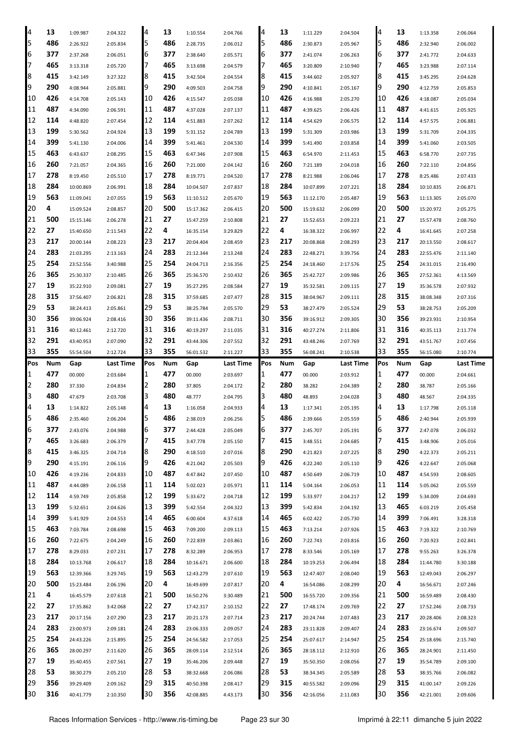| 4   | 13  | 1:09.987  | 2:04.322  | 4   | 13  | 1:10.554  | 2:04.766  | 4   | 13  | 1:11.229  | 2:04.504  | 4   | 13  | 1:13.358  | 2:06.064  |
|-----|-----|-----------|-----------|-----|-----|-----------|-----------|-----|-----|-----------|-----------|-----|-----|-----------|-----------|
| 5   | 486 | 2:26.922  | 2:05.834  | 5   | 486 | 2:28.735  | 2:06.012  | 5   | 486 | 2:30.873  | 2:05.967  | 5   | 486 | 2:32.940  | 2:06.002  |
| 6   | 377 | 2:37.268  | 2:06.051  | 6   | 377 | 2:38.640  | 2:05.571  | 6   | 377 | 2:41.074  | 2:06.263  | 6   | 377 | 2:41.772  | 2:04.633  |
| 17  | 465 | 3:13.318  | 2:05.720  | 7   | 465 | 3:13.698  | 2:04.579  | 7   | 465 | 3:20.809  | 2:10.940  | 17  | 465 | 3:23.988  | 2:07.114  |
| 8   | 415 | 3:42.149  | 3:27.322  | 8   | 415 | 3:42.504  | 2:04.554  | 8   | 415 | 3:44.602  | 2:05.927  | 8   | 415 | 3:45.295  | 2:04.628  |
| 9   | 290 | 4:08.944  | 2:05.881  | 9   | 290 | 4:09.503  | 2:04.758  | 9   | 290 | 4:10.841  | 2:05.167  | 9   | 290 | 4:12.759  | 2:05.853  |
| 10  | 426 | 4:14.708  | 2:05.143  | 10  | 426 | 4:15.547  | 2:05.038  | 10  | 426 | 4:16.988  | 2:05.270  | 10  | 426 | 4:18.087  | 2:05.034  |
| 11  | 487 | 4:34.090  | 2:06.591  | 11  | 487 | 4:37.028  | 2:07.137  | 11  | 487 | 4:39.625  | 2:06.426  | 11  | 487 | 4:41.615  | 2:05.925  |
| 12  | 114 | 4:48.820  | 2:07.454  | 12  | 114 | 4:51.883  | 2:07.262  | 12  | 114 | 4:54.629  | 2:06.575  | 12  | 114 | 4:57.575  | 2:06.881  |
| 13  | 199 | 5:30.562  | 2:04.924  | 13  | 199 | 5:31.152  | 2:04.789  | 13  | 199 | 5:31.309  | 2:03.986  | 13  | 199 | 5:31.709  | 2:04.335  |
| 14  | 399 | 5:41.130  | 2:04.006  | 14  | 399 | 5:41.461  | 2:04.530  | 14  | 399 | 5:41.490  | 2:03.858  | 14  | 399 | 5:41.060  | 2:03.505  |
| 15  | 463 | 6:43.637  | 2:08.295  | 15  | 463 | 6:47.346  | 2:07.908  | 15  | 463 | 6:54.970  | 2:11.453  | 15  | 463 | 6:58.770  | 2:07.735  |
| 16  | 260 | 7:21.057  | 2:04.365  | 16  | 260 | 7:21.000  | 2:04.142  | 16  | 260 | 7:21.189  | 2:04.018  | 116 | 260 | 7:22.110  | 2:04.856  |
| 17  | 278 | 8:19.450  | 2:05.510  | 17  | 278 | 8:19.771  | 2:04.520  | 17  | 278 | 8:21.988  | 2:06.046  | 17  | 278 | 8:25.486  | 2:07.433  |
| 18  | 284 | 10:00.869 | 2:06.991  | 18  | 284 | 10:04.507 | 2:07.837  | 18  | 284 | 10:07.899 | 2:07.221  | 18  | 284 | 10:10.835 | 2:06.871  |
| 19  | 563 | 11:09.041 | 2:07.055  | 19  | 563 | 11:10.512 | 2:05.670  | 19  | 563 | 11:12.170 | 2:05.487  | 19  | 563 | 11:13.305 | 2:05.070  |
| 20  | 4   | 15:09.524 | 2:08.857  | 20  | 500 | 15:17.362 | 2:06.415  | 20  | 500 | 15:19.632 | 2:06.099  | 20  | 500 | 15:20.972 | 2:05.275  |
| 21  | 500 |           |           | 21  | 27  |           |           | 21  | 27  |           |           | 21  | 27  |           |           |
| 22  | 27  | 15:15.146 | 2:06.278  | 22  | 4   | 15:47.259 | 2:10.808  | 22  | 4   | 15:52.653 | 2:09.223  | 22  | 4   | 15:57.478 | 2:08.760  |
| 23  | 217 | 15:40.650 | 2:11.543  | 23  | 217 | 16:35.154 | 3:29.829  | 23  | 217 | 16:38.322 | 2:06.997  | 23  | 217 | 16:41.645 | 2:07.258  |
|     | 283 | 20:00.144 | 2:08.223  | 24  | 283 | 20:04.404 | 2:08.459  | 24  | 283 | 20:08.868 | 2:08.293  |     | 283 | 20:13.550 | 2:08.617  |
| 24  |     | 21:03.295 | 2:13.163  |     |     | 21:12.344 | 2:13.248  |     |     | 22:48.271 | 3:39.756  | 24  |     | 22:55.476 | 2:11.140  |
| 25  | 254 | 23:52.556 | 3:40.988  | 25  | 254 | 24:04.713 | 2:16.356  | 25  | 254 | 24:18.460 | 2:17.576  | 25  | 254 | 24:31.015 | 2:16.490  |
| 26  | 365 | 25:30.337 | 2:10.485  | 26  | 365 | 25:36.570 | 2:10.432  | 26  | 365 | 25:42.727 | 2:09.986  | 126 | 365 | 27:52.361 | 4:13.569  |
| 27  | 19  | 35:22.910 | 2:09.081  | 27  | 19  | 35:27.295 | 2:08.584  | 27  | 19  | 35:32.581 | 2:09.115  | 27  | 19  | 35:36.578 | 2:07.932  |
| 28  | 315 | 37:56.407 | 2:06.821  | 28  | 315 | 37:59.685 | 2:07.477  | 28  | 315 | 38:04.967 | 2:09.111  | 28  | 315 | 38:08.348 | 2:07.316  |
| 29  | 53  | 38:24.413 | 2:05.861  | 29  | 53  | 38:25.784 | 2:05.570  | 29  | 53  | 38:27.479 | 2:05.524  | 29  | 53  | 38:28.753 | 2:05.209  |
| 30  | 356 | 39:06.924 | 2:08.416  | 30  | 356 | 39:11.436 | 2:08.711  | 30  | 356 | 39:16.912 | 2:09.305  | 30  | 356 | 39:23.931 | 2:10.954  |
| 31  | 316 | 40:12.461 | 2:12.720  | 31  | 316 | 40:19.297 | 2:11.035  | 31  | 316 | 40:27.274 | 2:11.806  | 31  | 316 | 40:35.113 | 2:11.774  |
| 32  | 291 | 43:40.953 | 2:07.090  | 32  | 291 | 43:44.306 | 2:07.552  | 32  | 291 | 43:48.246 | 2:07.769  | 32  | 291 | 43:51.767 | 2:07.456  |
| 33  | 355 | 55:54.504 | 2:12.724  | 33  | 355 | 56:01.532 | 2:11.227  | 33  | 355 | 56:08.241 | 2:10.538  | 33  | 355 | 56:15.080 | 2:10.774  |
|     |     |           |           |     |     |           |           |     |     |           |           |     |     |           |           |
| Pos | Num | Gap       | Last Time | Pos | Num | Gap       | Last Time | Pos | Num | Gap       | Last Time | Pos | Num | Gap       | Last Time |
| 1   | 477 | 00.000    | 2:03.684  | 1   | 477 | 00.000    | 2:03.697  | 1   | 477 | 00.000    | 2:03.912  | 1   | 477 | 00.000    | 2:04.661  |
| 2   | 280 | 37.330    | 2:04.834  | 2   | 280 | 37.805    | 2:04.172  | 2   | 280 | 38.282    | 2:04.389  | 2   | 280 | 38.787    | 2:05.166  |
| 3   | 480 | 47.679    | 2:03.708  | 3   | 480 | 48.777    | 2:04.795  | 3   | 480 | 48.893    | 2:04.028  | IЗ  | 480 | 48.567    | 2:04.335  |
| 4   | 13  | 1:14.822  | 2:05.148  | 4   | 13  | 1:16.058  | 2:04.933  | 4   | 13  | 1:17.341  | 2:05.195  | 4   | 13  | 1:17.798  | 2:05.118  |
| 5   | 486 | 2:35.460  | 2:06.204  | 5   | 486 | 2:38.019  | 2:06.256  | 5   | 486 | 2:39.666  | 2:05.559  | 5   | 486 | 2:40.944  | 2:05.939  |
| Iр  | 377 | 2:43.076  | 2:04.988  | ь   | 377 | 2:44.428  | 2:05.049  | ь   | 377 | 2:45.707  | 2:05.191  | Iр  | 377 | 2:47.078  | 2:06.032  |
| 7   | 465 | 3:26.683  | 2:06.379  | 7   | 415 | 3:47.778  | 2:05.150  | 7   | 415 | 3:48.551  | 2:04.685  | 17  | 415 | 3:48.906  | 2:05.016  |
| 8   | 415 | 3:46.325  | 2:04.714  | 8   | 290 | 4:18.510  | 2:07.016  | 8   | 290 | 4:21.823  | 2:07.225  | 8   | 290 | 4:22.373  | 2:05.211  |
| 9   | 290 | 4:15.191  | 2:06.116  | 9   | 426 | 4:21.042  | 2:05.503  | 9   | 426 | 4:22.240  | 2:05.110  | 9   | 426 | 4:22.647  | 2:05.068  |
| 10  | 426 | 4:19.236  | 2:04.833  | 10  | 487 | 4:47.842  | 2:07.450  | 10  | 487 | 4:50.649  | 2:06.719  | 10  | 487 | 4:54.593  | 2:08.605  |
| 11  | 487 | 4:44.089  | 2:06.158  | 11  | 114 | 5:02.023  | 2:05.971  | 11  | 114 | 5:04.164  | 2:06.053  | 11  | 114 | 5:05.062  | 2:05.559  |
| 12  | 114 | 4:59.749  | 2:05.858  | 12  | 199 | 5:33.672  | 2:04.718  | 12  | 199 | 5:33.977  | 2:04.217  | 12  | 199 | 5:34.009  | 2:04.693  |
| 13  | 199 | 5:32.651  | 2:04.626  | 13  | 399 | 5:42.554  | 2:04.322  | 13  | 399 | 5:42.834  | 2:04.192  | 13  | 465 | 6:03.219  | 2:05.458  |
| 14  | 399 | 5:41.929  | 2:04.553  | 14  | 465 | 6:00.604  | 4:37.618  | 14  | 465 | 6:02.422  | 2:05.730  | 14  | 399 | 7:06.491  | 3:28.318  |
| 15  | 463 | 7:03.784  | 2:08.698  | 15  | 463 | 7:09.200  | 2:09.113  | 15  | 463 | 7:13.214  | 2:07.926  | 15  | 463 | 7:19.322  | 2:10.769  |
| 16  | 260 | 7:22.675  | 2:04.249  | 16  | 260 | 7:22.839  | 2:03.861  | 16  | 260 | 7:22.743  | 2:03.816  | 16  | 260 | 7:20.923  | 2:02.841  |
| 17  | 278 | 8:29.033  | 2:07.231  | 17  | 278 | 8:32.289  | 2:06.953  | 17  | 278 | 8:33.546  | 2:05.169  | 17  | 278 | 9:55.263  | 3:26.378  |
| 18  | 284 | 10:13.768 | 2:06.617  | 18  | 284 | 10:16.671 | 2:06.600  | 18  | 284 | 10:19.253 | 2:06.494  | 18  | 284 | 11:44.780 | 3:30.188  |
| 19  | 563 | 12:39.366 | 3:29.745  | 19  | 563 | 12:43.279 | 2:07.610  | 19  | 563 | 12:47.407 | 2:08.040  | 19  | 563 | 12:49.043 | 2:06.297  |
| 20  | 500 | 15:23.484 | 2:06.196  | 20  | 4   | 16:49.699 | 2:07.817  | 20  | 4   | 16:54.086 | 2:08.299  | 120 | 4   | 16:56.671 | 2:07.246  |
| 21  | 4   | 16:45.579 | 2:07.618  | 21  | 500 | 16:50.276 | 3:30.489  | 21  | 500 | 16:55.720 | 2:09.356  | 21  | 500 | 16:59.489 | 2:08.430  |
| 22  | 27  | 17:35.862 | 3:42.068  | 22  | 27  | 17:42.317 | 2:10.152  | 22  | 27  | 17:48.174 | 2:09.769  | 22  | 27  | 17:52.246 | 2:08.733  |
| 23  | 217 | 20:17.156 | 2:07.290  | 23  | 217 | 20:21.173 | 2:07.714  | 23  | 217 | 20:24.744 | 2:07.483  | 23  | 217 | 20:28.406 | 2:08.323  |
| 24  | 283 | 23:00.973 | 2:09.181  | 24  | 283 | 23:06.333 | 2:09.057  | 24  | 283 | 23:11.828 | 2:09.407  | 24  | 283 | 23:16.674 | 2:09.507  |
| 25  | 254 | 24:43.226 | 2:15.895  | 25  | 254 | 24:56.582 | 2:17.053  | 25  | 254 | 25:07.617 | 2:14.947  | 25  | 254 | 25:18.696 | 2:15.740  |
| 26  | 365 | 28:00.297 | 2:11.620  | 26  | 365 | 28:09.114 | 2:12.514  | 26  | 365 | 28:18.112 | 2:12.910  | 26  | 365 | 28:24.901 | 2:11.450  |
| 27  | 19  | 35:40.455 | 2:07.561  | 27  | 19  | 35:46.206 | 2:09.448  | 27  | 19  | 35:50.350 | 2:08.056  | 27  | 19  | 35:54.789 | 2:09.100  |
| 28  | 53  | 38:30.279 | 2:05.210  | 28  | 53  | 38:32.668 | 2:06.086  | 28  | 53  | 38:34.345 | 2:05.589  | 28  | 53  | 38:35.766 | 2:06.082  |
| 29  | 356 | 39:29.409 | 2:09.162  | 29  | 315 | 40:50.398 | 2:08.417  | 29  | 315 | 40:55.582 | 2:09.096  | 29  | 315 | 41:00.147 | 2:09.226  |
| 30  | 316 | 40:41.779 | 2:10.350  | 30  | 356 | 42:08.885 | 4:43.173  | 30  | 356 | 42:16.056 | 2:11.083  | 30  | 356 | 42:21.001 | 2:09.606  |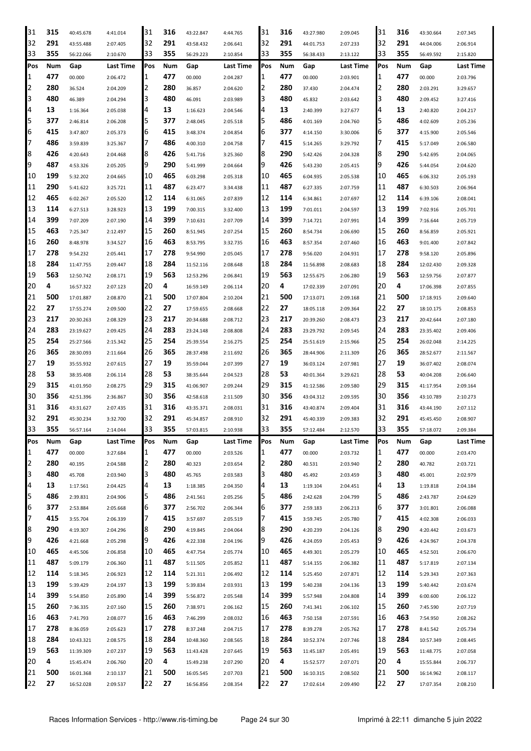| 31  | 315 | 40:45.678 | 4:41.014  | 31  | 316 | 43:22.847 | 4:44.765  | 31         | 316 | 43:27.980 | 2:09.045  | 31  | 316 | 43:30.664 | 2:07.345  |
|-----|-----|-----------|-----------|-----|-----|-----------|-----------|------------|-----|-----------|-----------|-----|-----|-----------|-----------|
| 32  | 291 | 43:55.488 | 2:07.405  | 32  | 291 | 43:58.432 | 2:06.641  | 32         | 291 | 44:01.753 | 2:07.233  | 32  | 291 | 44:04.006 | 2:06.914  |
| 33  | 355 | 56:22.066 | 2:10.670  | 33  | 355 | 56:29.223 | 2:10.854  | 33         | 355 | 56:38.433 | 2:13.122  | 33  | 355 | 56:49.592 | 2:15.820  |
| Pos | Num | Gap       | Last Time | Pos | Num | Gap       | Last Time | Pos        | Num | Gap       | Last Time | Pos | Num | Gap       | Last Time |
| 1   | 477 | 00.000    | 2:06.472  | 1   | 477 | 00.000    | 2:04.287  | 1          | 477 | 00.000    | 2:03.901  | 1   | 477 | 00.000    | 2:03.796  |
| 2   | 280 | 36.524    | 2:04.209  | 2   | 280 | 36.857    | 2:04.620  | 2          | 280 | 37.430    | 2:04.474  | 2   | 280 | 2:03.291  | 3:29.657  |
| 3   | 480 | 46.389    | 2:04.294  | 3   | 480 | 46.091    | 2:03.989  | 3          | 480 | 45.832    | 2:03.642  | 3   | 480 | 2:09.452  | 3:27.416  |
| 4   | 13  |           |           | 4   | 13  |           |           | 4          | 13  |           |           | 4   | 13  |           |           |
|     |     | 1:16.364  | 2:05.038  | 5   |     | 1:16.623  | 2:04.546  |            |     | 2:40.399  | 3:27.677  | 5   | 486 | 2:40.820  | 2:04.217  |
| 5   | 377 | 2:46.814  | 2:06.208  |     | 377 | 2:48.045  | 2:05.518  | 5          | 486 | 4:01.169  | 2:04.760  |     |     | 4:02.609  | 2:05.236  |
| 6   | 415 | 3:47.807  | 2:05.373  | 6   | 415 | 3:48.374  | 2:04.854  | 6          | 377 | 4:14.150  | 3:30.006  | 6   | 377 | 4:15.900  | 2:05.546  |
| 7   | 486 | 3:59.839  | 3:25.367  | 7   | 486 | 4:00.310  | 2:04.758  | 7          | 415 | 5:14.265  | 3:29.792  | 7   | 415 | 5:17.049  | 2:06.580  |
| 8   | 426 | 4:20.643  | 2:04.468  | 8   | 426 | 5:41.716  | 3:25.360  | 18         | 290 | 5:42.426  | 2:04.328  | 8   | 290 | 5:42.695  | 2:04.065  |
| 9   | 487 | 4:53.326  | 2:05.205  | 9   | 290 | 5:41.999  | 2:04.664  | 19         | 426 | 5:43.230  | 2:05.415  | 9   | 426 | 5:44.054  | 2:04.620  |
| 10  | 199 | 5:32.202  | 2:04.665  | 10  | 465 | 6:03.298  | 2:05.318  | 10         | 465 | 6:04.935  | 2:05.538  | 10  | 465 | 6:06.332  | 2:05.193  |
| 11  | 290 | 5:41.622  | 3:25.721  | 11  | 487 | 6:23.477  | 3:34.438  | 11         | 487 | 6:27.335  | 2:07.759  | 11  | 487 | 6:30.503  | 2:06.964  |
| 12  | 465 | 6:02.267  | 2:05.520  | 12  | 114 | 6:31.065  | 2:07.839  | 12         | 114 | 6:34.861  | 2:07.697  | 12  | 114 | 6:39.106  | 2:08.041  |
| 13  | 114 | 6:27.513  | 3:28.923  | 13  | 199 | 7:00.315  | 3:32.400  | 13         | 199 | 7:01.011  | 2:04.597  | 13  | 199 | 7:02.916  | 2:05.701  |
| 14  | 399 | 7:07.209  | 2:07.190  | 14  | 399 | 7:10.631  | 2:07.709  | 14         | 399 | 7:14.721  | 2:07.991  | 14  | 399 | 7:16.644  | 2:05.719  |
| 15  | 463 | 7:25.347  | 2:12.497  | 15  | 260 | 8:51.945  | 2:07.254  | 15         | 260 | 8:54.734  | 2:06.690  | 15  | 260 | 8:56.859  | 2:05.921  |
| 16  | 260 | 8:48.978  | 3:34.527  | 16  | 463 | 8:53.795  | 3:32.735  | 16         | 463 | 8:57.354  | 2:07.460  | 16  | 463 | 9:01.400  | 2:07.842  |
| 17  | 278 | 9:54.232  | 2:05.441  | 17  | 278 | 9:54.990  | 2:05.045  | 17         | 278 | 9:56.020  | 2:04.931  | 17  | 278 | 9:58.120  | 2:05.896  |
| 18  | 284 | 11:47.755 | 2:09.447  | 18  | 284 | 11:52.116 | 2:08.648  | 18         | 284 | 11:56.898 | 2:08.683  | 18  | 284 | 12:02.430 | 2:09.328  |
| 19  | 563 |           |           | 19  | 563 |           |           | 19         | 563 | 12:55.675 |           | 19  | 563 |           |           |
|     | 4   | 12:50.742 | 2:08.171  |     | 4   | 12:53.296 | 2:06.841  |            | 4   |           | 2:06.280  | 20  | 4   | 12:59.756 | 2:07.877  |
| 20  |     | 16:57.322 | 2:07.123  | 20  |     | 16:59.149 | 2:06.114  | 120        |     | 17:02.339 | 2:07.091  |     |     | 17:06.398 | 2:07.855  |
| 21  | 500 | 17:01.887 | 2:08.870  | 21  | 500 | 17:07.804 | 2:10.204  | 21         | 500 | 17:13.071 | 2:09.168  | 21  | 500 | 17:18.915 | 2:09.640  |
| 22  | 27  | 17:55.274 | 2:09.500  | 22  | 27  | 17:59.655 | 2:08.668  | 22         | 27  | 18:05.118 | 2:09.364  | 22  | 27  | 18:10.175 | 2:08.853  |
| 23  | 217 | 20:30.263 | 2:08.329  | 23  | 217 | 20:34.688 | 2:08.712  | 23         | 217 | 20:39.260 | 2:08.473  | 23  | 217 | 20:42.644 | 2:07.180  |
| 24  | 283 | 23:19.627 | 2:09.425  | 24  | 283 | 23:24.148 | 2:08.808  | 24         | 283 | 23:29.792 | 2:09.545  | 24  | 283 | 23:35.402 | 2:09.406  |
| 25  | 254 | 25:27.566 | 2:15.342  | 25  | 254 | 25:39.554 | 2:16.275  | 25         | 254 | 25:51.619 | 2:15.966  | 25  | 254 | 26:02.048 | 2:14.225  |
| 26  | 365 | 28:30.093 | 2:11.664  | 26  | 365 | 28:37.498 | 2:11.692  | 26         | 365 | 28:44.906 | 2:11.309  | 26  | 365 | 28:52.677 | 2:11.567  |
| 27  | 19  | 35:55.932 | 2:07.615  | 27  | 19  | 35:59.044 | 2:07.399  | 27         | 19  | 36:03.124 | 2:07.981  | 27  | 19  | 36:07.402 | 2:08.074  |
| 28  | 53  | 38:35.408 | 2:06.114  | 28  | 53  | 38:35.644 | 2:04.523  | 28         | 53  | 40:01.364 | 3:29.621  | 28  | 53  | 40:04.208 | 2:06.640  |
| 29  | 315 | 41:01.950 | 2:08.275  | 29  | 315 | 41:06.907 | 2:09.244  | 29         | 315 | 41:12.586 | 2:09.580  | 29  | 315 | 41:17.954 | 2:09.164  |
| 30  | 356 | 42:51.396 | 2:36.867  | 30  | 356 | 42:58.618 | 2:11.509  | 30         | 356 | 43:04.312 | 2:09.595  | 30  | 356 | 43:10.789 | 2:10.273  |
| 31  | 316 | 43:31.627 | 2:07.435  | 31  | 316 | 43:35.371 | 2:08.031  | 31         | 316 | 43:40.874 | 2:09.404  | 31  | 316 | 43:44.190 | 2:07.112  |
| 32  | 291 | 45:30.234 | 3:32.700  | 32  | 291 | 45:34.857 | 2:08.910  | 32         | 291 | 45:40.339 | 2:09.383  | 32  | 291 | 45:45.450 | 2:08.907  |
| 33  | 355 | 56:57.164 | 2:14.044  | 33  | 355 | 57:03.815 | 2:10.938  | 33         | 355 | 57:12.484 | 2:12.570  | 33  | 355 | 57:18.072 | 2:09.384  |
| Pos | Num | Gap       | Last Time | Pos | Num | Gap       | Last Time | <b>Pos</b> | Num | Gap       | Last Time | Pos | Num | Gap       | Last Time |
| 1   | 477 | 00.000    | 3:27.684  | 11  | 477 | 00.000    | 2:03.526  | 11         | 477 | 00.000    | 2:03.732  | 1   | 477 | 00.000    | 2:03.470  |
| 2   | 280 | 40.195    | 2:04.588  | 2   | 280 | 40.323    | 2:03.654  | 12         | 280 | 40.531    | 2:03.940  | 2   | 280 | 40.782    | 2:03.721  |
| 3   | 480 | 45.708    | 2:03.940  | 3   | 480 | 45.765    | 2:03.583  | 3          | 480 | 45.492    | 2:03.459  | 3   | 480 | 45.001    | 2:02.979  |
| 4   | 13  | 1:17.561  | 2:04.425  | 4   | 13  | 1:18.385  | 2:04.350  | 4          | 13  | 1:19.104  | 2:04.451  | 4   | 13  | 1:19.818  | 2:04.184  |
| 5   | 486 |           |           | 5   | 486 |           |           | 15         | 486 | 2:42.628  |           | 5   | 486 | 2:43.787  |           |
|     |     | 2:39.831  | 2:04.906  |     |     | 2:41.561  | 2:05.256  |            |     |           | 2:04.799  |     |     |           | 2:04.629  |
| 6   | 377 | 2:53.884  | 2:05.668  | 6   | 377 | 2:56.702  | 2:06.344  | 6          | 377 | 2:59.183  | 2:06.213  | 6   | 377 | 3:01.801  | 2:06.088  |
| 7   | 415 | 3:55.704  | 2:06.339  | 7   | 415 | 3:57.697  | 2:05.519  |            | 415 | 3:59.745  | 2:05.780  | 7   | 415 | 4:02.308  | 2:06.033  |
| 8   | 290 | 4:19.307  | 2:04.296  | 18  | 290 | 4:19.845  | 2:04.064  | 8          | 290 | 4:20.239  | 2:04.126  | 8   | 290 | 4:20.442  | 2:03.673  |
| 9   | 426 | 4:21.668  | 2:05.298  | 9   | 426 | 4:22.338  | 2:04.196  | 9          | 426 | 4:24.059  | 2:05.453  | 9   | 426 | 4:24.967  | 2:04.378  |
| 10  | 465 | 4:45.506  | 2:06.858  | 10  | 465 | 4:47.754  | 2:05.774  | 10         | 465 | 4:49.301  | 2:05.279  | 10  | 465 | 4:52.501  | 2:06.670  |
| 11  | 487 | 5:09.179  | 2:06.360  | 11  | 487 | 5:11.505  | 2:05.852  | 11         | 487 | 5:14.155  | 2:06.382  | 11  | 487 | 5:17.819  | 2:07.134  |
| 12  | 114 | 5:18.345  | 2:06.923  | 12  | 114 | 5:21.311  | 2:06.492  | 12         | 114 | 5:25.450  | 2:07.871  | 12  | 114 | 5:29.343  | 2:07.363  |
| 13  | 199 | 5:39.429  | 2:04.197  | 13  | 199 | 5:39.834  | 2:03.931  | 13         | 199 | 5:40.238  | 2:04.136  | 13  | 199 | 5:40.442  | 2:03.674  |
| 14  | 399 | 5:54.850  | 2:05.890  | 14  | 399 | 5:56.872  | 2:05.548  | 14         | 399 | 5:57.948  | 2:04.808  | 14  | 399 | 6:00.600  | 2:06.122  |
| 15  | 260 | 7:36.335  | 2:07.160  | 15  | 260 | 7:38.971  | 2:06.162  | 15         | 260 | 7:41.341  | 2:06.102  | 15  | 260 | 7:45.590  | 2:07.719  |
| 16  | 463 | 7:41.793  | 2:08.077  | 16  | 463 | 7:46.299  | 2:08.032  | 16         | 463 | 7:50.158  | 2:07.591  | 16  | 463 | 7:54.950  | 2:08.262  |
| 17  | 278 | 8:36.059  | 2:05.623  | 17  | 278 | 8:37.248  | 2:04.715  | 17         | 278 | 8:39.278  | 2:05.762  | 17  | 278 | 8:41.542  | 2:05.734  |
| 18  | 284 | 10:43.321 | 2:08.575  | 18  | 284 | 10:48.360 | 2:08.565  | 18         | 284 | 10:52.374 | 2:07.746  | 18  | 284 | 10:57.349 | 2:08.445  |
| 19  | 563 | 11:39.309 | 2:07.237  | 19  | 563 | 11:43.428 | 2:07.645  | 19         | 563 | 11:45.187 | 2:05.491  | 19  | 563 | 11:48.775 | 2:07.058  |
| 20  | 4   |           |           | 20  | 4   |           |           | 20         | 4   |           |           | 20  | 4   |           |           |
|     | 500 | 15:45.474 | 2:06.760  |     | 500 | 15:49.238 | 2:07.290  | 21         | 500 | 15:52.577 | 2:07.071  | 21  | 500 | 15:55.844 | 2:06.737  |
| 21  |     | 16:01.368 | 2:10.137  | 21  |     | 16:05.545 | 2:07.703  |            |     | 16:10.315 | 2:08.502  |     |     | 16:14.962 | 2:08.117  |
| 22  | 27  | 16:52.028 | 2:09.537  | 22  | 27  | 16:56.856 | 2:08.354  | 22         | 27  | 17:02.614 | 2:09.490  | 22  | 27  | 17:07.354 | 2:08.210  |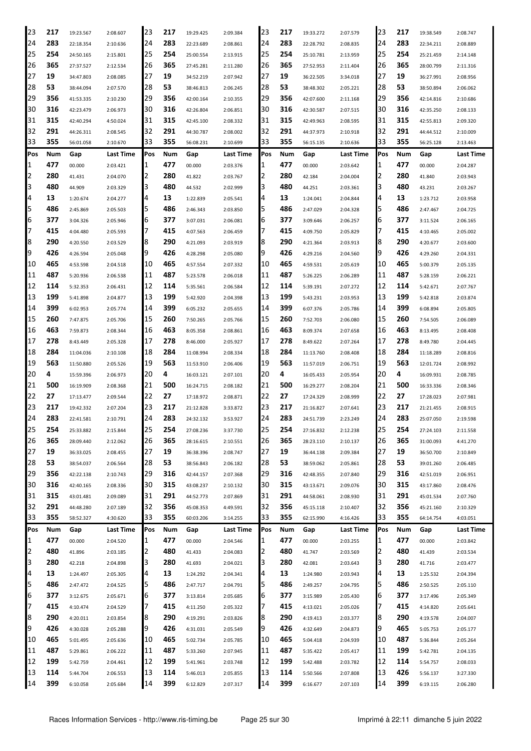| 23  | 217 | 19:23.567 | 2:08.607         | 23  | 217 | 19:29.425 | 2:09.384  | 23  | 217 | 19:33.272 | 2:07.579         | 23  | 217 | 19:38.549 | 2:08.747  |
|-----|-----|-----------|------------------|-----|-----|-----------|-----------|-----|-----|-----------|------------------|-----|-----|-----------|-----------|
| 24  | 283 | 22:18.354 | 2:10.636         | 24  | 283 | 22:23.689 | 2:08.861  | 24  | 283 | 22:28.792 | 2:08.835         | 24  | 283 | 22:34.211 | 2:08.889  |
| 25  | 254 | 24:50.165 | 2:15.801         | 25  | 254 | 25:00.554 | 2:13.915  | 25  | 254 | 25:10.781 | 2:13.959         | 25  | 254 | 25:21.459 | 2:14.148  |
| 26  | 365 | 27:37.527 | 2:12.534         | 26  | 365 | 27:45.281 | 2:11.280  | 26  | 365 | 27:52.953 | 2:11.404         | 26  | 365 | 28:00.799 | 2:11.316  |
| 27  | 19  | 34:47.803 | 2:08.085         | 27  | 19  | 34:52.219 | 2:07.942  | 27  | 19  | 36:22.505 | 3:34.018         | 27  | 19  | 36:27.991 | 2:08.956  |
| 28  | 53  | 38:44.094 | 2:07.570         | 28  | 53  | 38:46.813 | 2:06.245  | 28  | 53  | 38:48.302 | 2:05.221         | 28  | 53  | 38:50.894 | 2:06.062  |
| 29  | 356 | 41:53.335 | 2:10.230         | 29  | 356 | 42:00.164 | 2:10.355  | 29  | 356 | 42:07.600 | 2:11.168         | 29  | 356 | 42:14.816 | 2:10.686  |
| 30  | 316 | 42:23.479 | 2:06.973         | 30  | 316 | 42:26.804 | 2:06.851  | 30  | 316 | 42:30.587 | 2:07.515         | 30  | 316 | 42:35.250 | 2:08.133  |
| 31  | 315 | 42:40.294 | 4:50.024         | 31  | 315 | 42:45.100 | 2:08.332  | 31  | 315 | 42:49.963 | 2:08.595         | 31  | 315 | 42:55.813 | 2:09.320  |
| 32  | 291 | 44:26.311 | 2:08.545         | 32  | 291 | 44:30.787 | 2:08.002  | 32  | 291 | 44:37.973 | 2:10.918         | 32  | 291 | 44:44.512 | 2:10.009  |
| 33  | 355 | 56:01.058 | 2:10.670         | 33  | 355 | 56:08.231 | 2:10.699  | 33  | 355 | 56:15.135 | 2:10.636         | 33  | 355 | 56:25.128 | 2:13.463  |
| Pos | Num | Gap       | <b>Last Time</b> | Pos | Num | Gap       | Last Time | Pos | Num | Gap       | <b>Last Time</b> | Pos | Num | Gap       | Last Time |
| 1   | 477 | 00.000    | 2:03.421         | 1   | 477 | 00.000    | 2:03.376  | 1   | 477 | 00.000    | 2:03.642         | 11  | 477 | 00.000    | 2:04.287  |
| 2   | 280 | 41.431    | 2:04.070         | 2   | 280 | 41.822    | 2:03.767  | 2   | 280 | 42.184    | 2:04.004         | I2  | 280 | 41.840    | 2:03.943  |
| 3   | 480 | 44.909    | 2:03.329         | 3   | 480 | 44.532    | 2:02.999  | З   | 480 | 44.251    | 2:03.361         | 3   | 480 | 43.231    | 2:03.267  |
| 4   | 13  | 1:20.674  | 2:04.277         | 4   | 13  | 1:22.839  | 2:05.541  | 4   | 13  | 1:24.041  | 2:04.844         | 4   | 13  | 1:23.712  | 2:03.958  |
| 5   | 486 | 2:45.869  | 2:05.503         | 5   | 486 | 2:46.343  | 2:03.850  | 5   | 486 | 2:47.029  | 2:04.328         | 5   | 486 | 2:47.467  | 2:04.725  |
| 6   | 377 | 3:04.326  | 2:05.946         | 6   | 377 | 3:07.031  | 2:06.081  | 6   | 377 | 3:09.646  | 2:06.257         | 6   | 377 | 3:11.524  | 2:06.165  |
| 7   | 415 | 4:04.480  | 2:05.593         | 7   | 415 | 4:07.563  | 2:06.459  | 7   | 415 | 4:09.750  | 2:05.829         | 17  | 415 | 4:10.465  | 2:05.002  |
| 8   | 290 | 4:20.550  | 2:03.529         | 8   | 290 | 4:21.093  | 2:03.919  | 8   | 290 | 4:21.364  | 2:03.913         | 8   | 290 | 4:20.677  | 2:03.600  |
| 9   | 426 | 4:26.594  | 2:05.048         | 9   | 426 | 4:28.298  | 2:05.080  | 9   | 426 | 4:29.216  | 2:04.560         | 9   | 426 | 4:29.260  | 2:04.331  |
| 10  | 465 | 4:53.598  | 2:04.518         | 10  | 465 | 4:57.554  | 2:07.332  | 10  | 465 | 4:59.531  | 2:05.619         | 10  | 465 | 5:00.379  | 2:05.135  |
| 11  | 487 | 5:20.936  | 2:06.538         | 11  | 487 | 5:23.578  | 2:06.018  | 11  | 487 | 5:26.225  | 2:06.289         | 11  | 487 | 5:28.159  | 2:06.221  |
| 12  | 114 | 5:32.353  | 2:06.431         | 12  | 114 | 5:35.561  | 2:06.584  | 12  | 114 | 5:39.191  | 2:07.272         | 12  | 114 | 5:42.671  | 2:07.767  |
| 13  | 199 | 5:41.898  | 2:04.877         | 13  | 199 | 5:42.920  | 2:04.398  | 13  | 199 | 5:43.231  | 2:03.953         | 13  | 199 | 5:42.818  | 2:03.874  |
| 14  | 399 | 6:02.953  | 2:05.774         | 14  | 399 | 6:05.232  | 2:05.655  | 14  | 399 | 6:07.376  | 2:05.786         | 14  | 399 | 6:08.894  | 2:05.805  |
| 15  | 260 | 7:47.875  | 2:05.706         | 15  | 260 | 7:50.265  | 2:05.766  | 15  | 260 | 7:52.703  | 2:06.080         | 15  | 260 | 7:54.505  | 2:06.089  |
| 16  | 463 | 7:59.873  | 2:08.344         | 16  | 463 | 8:05.358  | 2:08.861  | 16  | 463 | 8:09.374  | 2:07.658         | 16  | 463 | 8:13.495  | 2:08.408  |
| 17  | 278 | 8:43.449  | 2:05.328         | 17  | 278 | 8:46.000  | 2:05.927  | 17  | 278 | 8:49.622  | 2:07.264         | 17  | 278 | 8:49.780  | 2:04.445  |
| 18  | 284 | 11:04.036 | 2:10.108         | 18  | 284 | 11:08.994 | 2:08.334  | 18  | 284 | 11:13.760 | 2:08.408         | 18  | 284 | 11:18.289 | 2:08.816  |
| 19  | 563 | 11:50.880 | 2:05.526         | 19  | 563 | 11:53.910 | 2:06.406  | 19  | 563 | 11:57.019 | 2:06.751         | 19  | 563 | 12:01.724 | 2:08.992  |
| 20  | 4   | 15:59.396 | 2:06.973         | 20  | 4   | 16:03.121 | 2:07.101  | 20  | 4   | 16:05.433 | 2:05.954         | 20  | 4   | 16:09.931 | 2:08.785  |
| 21  | 500 | 16:19.909 | 2:08.368         | 21  | 500 | 16:24.715 | 2:08.182  | 21  | 500 | 16:29.277 | 2:08.204         | 21  | 500 | 16:33.336 | 2:08.346  |
| 22  | 27  | 17:13.477 | 2:09.544         | 22  | 27  | 17:18.972 | 2:08.871  | 22  | 27  | 17:24.329 | 2:08.999         | 22  | 27  | 17:28.023 | 2:07.981  |
| 23  | 217 | 19:42.332 | 2:07.204         | 23  | 217 | 21:12.828 | 3:33.872  | 23  | 217 | 21:16.827 | 2:07.641         | 23  | 217 | 21:21.455 | 2:08.915  |
| 24  | 283 | 22:41.581 | 2:10.791         | 24  | 283 | 24:32.132 | 3:53.927  | 24  | 283 | 24:51.739 | 2:23.249         | 24  | 283 | 25:07.050 | 2:19.598  |
| 25  | 254 | 25:33.882 | 2:15.844         | 25  | 254 | 27:08.236 | 3:37.730  | 25  | 254 | 27:16.832 | 2:12.238         | 25  | 254 | 27:24.103 | 2:11.558  |
| 26  | 365 | 28:09.440 | 2:12.062         | 26  | 365 | 28:16.615 | 2:10.551  | 26  | 365 | 28:23.110 | 2:10.137         | 26  | 365 | 31:00.093 | 4:41.270  |
| 27  | 19  | 36:33.025 | 2:08.455         | 27  | 19  | 36:38.396 | 2:08.747  | 27  | 19  | 36:44.138 | 2:09.384         | 27  | 19  | 36:50.700 | 2:10.849  |
| 28  | 53  | 38:54.037 | 2:06.564         | 28  | 53  | 38:56.843 | 2:06.182  | 28  | 53  | 38:59.062 | 2:05.861         | 28  | 53  | 39:01.260 | 2:06.485  |
| 29  | 356 | 42:22.138 | 2:10.743         | 29  | 316 | 42:44.157 | 2:07.368  | 29  | 316 | 42:48.355 | 2:07.840         | 29  | 316 | 42:51.019 | 2:06.951  |
| 30  | 316 | 42:40.165 | 2:08.336         | 30  | 315 | 43:08.237 | 2:10.132  | 30  | 315 | 43:13.671 | 2:09.076         | 30  | 315 | 43:17.860 | 2:08.476  |
| 31  | 315 | 43:01.481 | 2:09.089         | 31  | 291 | 44:52.773 | 2:07.869  | 31  | 291 | 44:58.061 | 2:08.930         | 31  | 291 | 45:01.534 | 2:07.760  |
| 32  | 291 | 44:48.280 | 2:07.189         | 32  | 356 | 45:08.353 | 4:49.591  | 32  | 356 | 45:15.118 | 2:10.407         | 32  | 356 | 45:21.160 | 2:10.329  |
| 33  | 355 | 58:52.327 | 4:30.620         | 33  | 355 | 60:03.206 | 3:14.255  | 33  | 355 | 62:15.990 | 4:16.426         | 33  | 355 | 64:14.754 | 4:03.051  |
| Pos | Num | Gap       | Last Time        | Pos | Num | Gap       | Last Time | Pos | Num | Gap       | Last Time        | Pos | Num | Gap       | Last Time |
| 1   | 477 | 00.000    | 2:04.520         | 1   | 477 | 00.000    | 2:04.546  | 1   | 477 | 00.000    | 2:03.255         | 1   | 477 | 00.000    | 2:03.842  |
| 2   | 480 | 41.896    | 2:03.185         | 2   | 480 | 41.433    | 2:04.083  | 2   | 480 | 41.747    | 2:03.569         | 12  | 480 | 41.439    | 2:03.534  |
| 3   | 280 | 42.218    | 2:04.898         | 3   | 280 | 41.693    | 2:04.021  | 3   | 280 | 42.081    | 2:03.643         | 3   | 280 | 41.716    | 2:03.477  |
| 4   | 13  | 1:24.497  | 2:05.305         | 4   | 13  | 1:24.292  | 2:04.341  | 4   | 13  | 1:24.980  | 2:03.943         | 4   | 13  | 1:25.532  | 2:04.394  |
| 5   | 486 | 2:47.472  | 2:04.525         | 5   | 486 | 2:47.717  | 2:04.791  | 5   | 486 | 2:49.257  | 2:04.795         | 5   | 486 | 2:50.525  | 2:05.110  |
| 6   | 377 | 3:12.675  | 2:05.671         | 6   | 377 | 3:13.814  | 2:05.685  | 6   | 377 | 3:15.989  | 2:05.430         | 6   | 377 | 3:17.496  | 2:05.349  |
| 7   | 415 | 4:10.474  | 2:04.529         | 7   | 415 | 4:11.250  | 2:05.322  | 7   | 415 | 4:13.021  | 2:05.026         | 7   | 415 | 4:14.820  | 2:05.641  |
| 8   | 290 | 4:20.011  | 2:03.854         | 8   | 290 | 4:19.291  | 2:03.826  | 8   | 290 | 4:19.413  | 2:03.377         | 8   | 290 | 4:19.578  | 2:04.007  |
| 9   | 426 | 4:30.028  | 2:05.288         | 9   | 426 | 4:31.031  | 2:05.549  | 9   | 426 | 4:32.649  | 2:04.873         | 9   | 465 | 5:05.753  | 2:05.177  |
| 10  | 465 | 5:01.495  | 2:05.636         | 10  | 465 | 5:02.734  | 2:05.785  | 10  | 465 | 5:04.418  | 2:04.939         | 10  | 487 | 5:36.844  | 2:05.264  |
| 11  | 487 | 5:29.861  | 2:06.222         | 11  | 487 | 5:33.260  | 2:07.945  | 11  | 487 | 5:35.422  | 2:05.417         | 11  | 199 | 5:42.781  | 2:04.135  |
| 12  | 199 | 5:42.759  | 2:04.461         | 12  | 199 | 5:41.961  | 2:03.748  | 12  | 199 | 5:42.488  | 2:03.782         | 12  | 114 | 5:54.757  | 2:08.033  |
| 13  | 114 | 5:44.704  | 2:06.553         | 13  | 114 | 5:46.013  | 2:05.855  | 13  | 114 | 5:50.566  | 2:07.808         | 13  | 426 | 5:56.137  | 3:27.330  |
| 14  | 399 | 6:10.058  | 2:05.684         | 14  | 399 | 6:12.829  | 2:07.317  | 14  | 399 | 6:16.677  | 2:07.103         | 14  | 399 | 6:19.115  | 2:06.280  |
|     |     |           |                  |     |     |           |           |     |     |           |                  |     |     |           |           |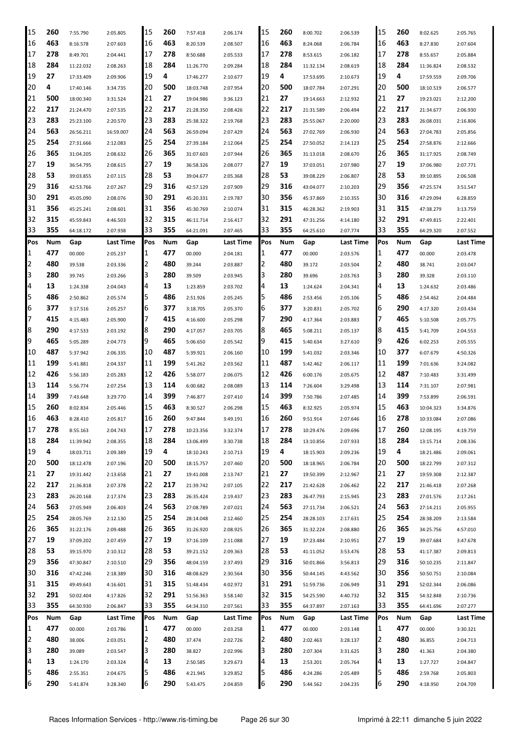| 15             | 260 | 7:55.790  | 2:05.805         | 15       | 260      | 7:57.418               | 2:06.174  | 15       | 260 | 8:00.702  | 2:06.539  | 15  | 260 | 8:02.625  | 2:05.765  |
|----------------|-----|-----------|------------------|----------|----------|------------------------|-----------|----------|-----|-----------|-----------|-----|-----|-----------|-----------|
| 16             | 463 | 8:16.578  | 2:07.603         | 16       | 463      | 8:20.539               | 2:08.507  | 16       | 463 | 8:24.068  | 2:06.784  | 16  | 463 | 8:27.830  | 2:07.604  |
| 17             | 278 | 8:49.701  | 2:04.441         | 17       | 278      | 8:50.688               | 2:05.533  | 17       | 278 | 8:53.615  | 2:06.182  | 17  | 278 | 8:55.657  | 2:05.884  |
| 18             | 284 | 11:22.032 | 2:08.263         | 18       | 284      | 11:26.770              | 2:09.284  | 18       | 284 | 11:32.134 | 2:08.619  | 18  | 284 | 11:36.824 | 2:08.532  |
| 19             | 27  | 17:33.409 | 2:09.906         | 19       | 4        | 17:46.277              | 2:10.677  | 19       | 4   | 17:53.695 | 2:10.673  | 19  | 4   | 17:59.559 | 2:09.706  |
| 20             | 4   | 17:40.146 | 3:34.735         | 20       | 500      | 18:03.748              | 2:07.954  | 20       | 500 | 18:07.784 | 2:07.291  | 20  | 500 | 18:10.519 | 2:06.577  |
| 21             | 500 | 18:00.340 | 3:31.524         | 21       | 27       | 19:04.986              | 3:36.123  | 21       | 27  | 19:14.663 | 2:12.932  | 21  | 27  | 19:23.021 | 2:12.200  |
| 22             | 217 | 21:24.470 | 2:07.535         | 22       | 217      | 21:28.350              | 2:08.426  | 22       | 217 | 21:31.589 | 2:06.494  | 22  | 217 | 21:34.677 | 2:06.930  |
| 23             | 283 | 25:23.100 | 2:20.570         | 23       | 283      | 25:38.322              | 2:19.768  | 23       | 283 | 25:55.067 | 2:20.000  | 23  | 283 | 26:08.031 | 2:16.806  |
| 24             | 563 |           |                  | 24       | 563      |                        | 2:07.429  | 24       | 563 |           |           | 24  | 563 |           |           |
| 25             | 254 | 26:56.211 | 16:59.007        | 25       | 254      | 26:59.094<br>27:39.184 |           | 25       | 254 | 27:02.769 | 2:06.930  | 25  | 254 | 27:04.783 | 2:05.856  |
|                | 365 | 27:31.666 | 2:12.083         | 26       | 365      |                        | 2:12.064  |          | 365 | 27:50.052 | 2:14.123  | 26  | 365 | 27:58.876 | 2:12.666  |
| 26             |     | 31:04.205 | 2:08.632         |          |          | 31:07.603              | 2:07.944  | 26       |     | 31:13.018 | 2:08.670  |     |     | 31:17.925 | 2:08.749  |
| 27             | 19  | 36:54.795 | 2:08.615         | 27       | 19       | 36:58.326              | 2:08.077  | 27       | 19  | 37:03.051 | 2:07.980  | 27  | 19  | 37:06.980 | 2:07.771  |
| 28             | 53  | 39:03.855 | 2:07.115         | 28       | 53       | 39:04.677              | 2:05.368  | 28       | 53  | 39:08.229 | 2:06.807  | 28  | 53  | 39:10.895 | 2:06.508  |
| 29             | 316 | 42:53.766 | 2:07.267         | 29       | 316      | 42:57.129              | 2:07.909  | 29       | 316 | 43:04.077 | 2:10.203  | 29  | 356 | 47:25.574 | 3:51.547  |
| 30             | 291 | 45:05.090 | 2:08.076         | 30       | 291      | 45:20.331              | 2:19.787  | 30       | 356 | 45:37.869 | 2:10.355  | 30  | 316 | 47:29.094 | 6:28.859  |
| 31             | 356 | 45:25.241 | 2:08.601         | 31       | 356      | 45:30.769              | 2:10.074  | 31       | 315 | 46:28.362 | 2:19.903  | 31  | 315 | 47:38.279 | 3:13.759  |
| 32             | 315 | 45:59.843 | 4:46.503         | 32       | 315      | 46:11.714              | 2:16.417  | 32       | 291 | 47:31.256 | 4:14.180  | 32  | 291 | 47:49.815 | 2:22.401  |
| 33             | 355 | 64:18.172 | 2:07.938         | 33       | 355      | 64:21.091              | 2:07.465  | 33       | 355 | 64:25.610 | 2:07.774  | 33  | 355 | 64:29.320 | 2:07.552  |
| Pos            | Num | Gap       | <b>Last Time</b> | Pos      | Num      | Gap                    | Last Time | Pos      | Num | Gap       | Last Time | Pos | Num | Gap       | Last Time |
| 1              | 477 | 00.000    | 2:05.237         | 1        | 477      | 00.000                 | 2:04.181  | 1        | 477 | 00.000    | 2:03.576  | 1   | 477 | 00.000    | 2:03.478  |
| 2              | 480 | 39.538    | 2:03.336         | 2        | 480      | 39.244                 | 2:03.887  | 2        | 480 | 39.172    | 2:03.504  | 2   | 480 | 38.741    | 2:03.047  |
| 3              | 280 | 39.745    | 2:03.266         | 3        | 280      | 39.509                 | 2:03.945  | 3        | 280 | 39.696    | 2:03.763  | 3   | 280 | 39.328    | 2:03.110  |
| 4              | 13  | 1:24.338  | 2:04.043         | 4        | 13       | 1:23.859               | 2:03.702  | 4        | 13  | 1:24.624  | 2:04.341  | 4   | 13  | 1:24.632  | 2:03.486  |
| 5              | 486 | 2:50.862  | 2:05.574         | 5        | 486      | 2:51.926               | 2:05.245  | 5        | 486 | 2:53.456  | 2:05.106  | 5   | 486 | 2:54.462  | 2:04.484  |
| 6              | 377 | 3:17.516  | 2:05.257         | 16       | 377      | 3:18.705               | 2:05.370  | 6        | 377 | 3:20.831  | 2:05.702  | 6   | 290 | 4:17.320  | 2:03.434  |
| 7              | 415 | 4:15.483  | 2:05.900         | 7        | 415      | 4:16.600               | 2:05.298  | 7        | 290 | 4:17.364  | 2:03.883  | 7   | 465 | 5:10.508  | 2:05.775  |
| 8              | 290 | 4:17.533  | 2:03.192         | 8        | 290      | 4:17.057               | 2:03.705  | 8        | 465 | 5:08.211  | 2:05.137  | 8   | 415 | 5:41.709  | 2:04.553  |
| 9              | 465 | 5:05.289  | 2:04.773         | 9        | 465      | 5:06.650               | 2:05.542  | 9        | 415 | 5:40.634  | 3:27.610  | 9   | 426 | 6:02.253  | 2:05.555  |
| 10             | 487 | 5:37.942  | 2:06.335         | 10       | 487      | 5:39.921               | 2:06.160  | 10       | 199 | 5:41.032  | 2:03.346  | 10  | 377 | 6:07.679  | 4:50.326  |
| 11             | 199 | 5:41.881  | 2:04.337         | 11       | 199      | 5:41.262               | 2:03.562  | 11       | 487 | 5:42.462  | 2:06.117  | 11  | 199 | 7:01.636  | 3:24.082  |
| 12             | 426 | 5:56.183  | 2:05.283         | 12       | 426      | 5:58.077               | 2:06.075  | 12       | 426 | 6:00.176  | 2:05.675  | 12  | 487 | 7:10.483  | 3:31.499  |
| 13             | 114 | 5:56.774  | 2:07.254         | 13       | 114      | 6:00.682               | 2:08.089  | 13       | 114 | 7:26.604  | 3:29.498  | 13  | 114 | 7:31.107  | 2:07.981  |
| 14             | 399 | 7:43.648  | 3:29.770         | 14       | 399      | 7:46.877               | 2:07.410  | 14       | 399 | 7:50.786  | 2:07.485  | 14  | 399 | 7:53.899  | 2:06.591  |
| 15             | 260 | 8:02.834  | 2:05.446         | 15       | 463      | 8:30.527               | 2:06.298  | 15       | 463 | 8:32.925  | 2:05.974  | 15  | 463 | 10:04.323 | 3:34.876  |
| 16             | 463 | 8:28.410  | 2:05.817         | 16       | 260      | 9:47.844               | 3:49.191  | 16       | 260 | 9:51.914  | 2:07.646  | 16  | 278 | 10:33.084 | 2:07.086  |
| 17             | 278 | 8:55.163  | 2:04.743         | 17       | 278      | 10:23.356              | 3:32.374  | 17       | 278 | 10:29.476 | 2:09.696  | 17  | 260 | 12:08.195 | 4:19.759  |
| 18             | 284 | 11:39.942 | 2:08.355         | 18       | 284      | 13:06.499              | 3:30.738  | 18       | 284 | 13:10.856 | 2:07.933  | 18  | 284 | 13:15.714 | 2:08.336  |
| 19             | 4   | 18:03.711 | 2:09.389         | 19       | 4        | 18:10.243              | 2:10.713  | 19       | 4   | 18:15.903 | 2:09.236  | 19  | 4   | 18:21.486 | 2:09.061  |
| 20             | 500 | 18:12.478 | 2:07.196         | 20       | 500      | 18:15.757              | 2:07.460  | 20       | 500 | 18:18.965 | 2:06.784  | 20  | 500 | 18:22.799 | 2:07.312  |
| 21             | 27  | 19:31.442 | 2:13.658         | 21       | 27       | 19:41.008              | 2:13.747  | 21       | 27  | 19:50.399 | 2:12.967  | 21  | 27  | 19:59.308 | 2:12.387  |
| 22             | 217 | 21:36.818 | 2:07.378         | 22       | 217      | 21:39.742              | 2:07.105  | 22       | 217 | 21:42.628 | 2:06.462  | 22  | 217 | 21:46.418 | 2:07.268  |
| 23             | 283 | 26:20.168 | 2:17.374         | 23       | 283      | 26:35.424              | 2:19.437  | 23       | 283 | 26:47.793 | 2:15.945  | 23  | 283 | 27:01.576 | 2:17.261  |
| 24             | 563 | 27:05.949 | 2:06.403         | 24       | 563      | 27:08.789              | 2:07.021  | 24       | 563 | 27:11.734 | 2:06.521  | 24  | 563 | 27:14.211 | 2:05.955  |
| 25             | 254 | 28:05.769 | 2:12.130         | 25       | 254      | 28:14.048              | 2:12.460  | 25       | 254 | 28:28.103 | 2:17.631  | 25  | 254 | 28:38.209 | 2:13.584  |
| 26             | 365 | 31:22.176 |                  | 26       | 365      | 31:26.920              |           | 26       | 365 |           |           | 26  | 365 |           |           |
|                | 19  |           | 2:09.488         |          |          |                        | 2:08.925  |          | 19  | 31:32.224 | 2:08.880  | 27  | 19  | 34:25.756 | 4:57.010  |
| 27<br>28       | 53  | 37:09.202 | 2:07.459         | 27<br>28 | 19<br>53 | 37:16.109              | 2:11.088  | 27<br>28 | 53  | 37:23.484 | 2:10.951  | 28  | 53  | 39:07.684 | 3:47.678  |
| 29             | 356 | 39:15.970 | 2:10.312         |          |          | 39:21.152              | 2:09.363  |          |     | 41:11.052 | 3:53.476  | 29  |     | 41:17.387 | 2:09.813  |
|                |     | 47:30.847 | 2:10.510         | 29       | 356      | 48:04.159              | 2:37.493  | 29       | 316 | 50:01.866 | 3:56.813  |     | 316 | 50:10.235 | 2:11.847  |
| 30             | 316 | 47:42.246 | 2:18.389         | 30       | 316      | 48:08.629              | 2:30.564  | 30       | 356 | 50:44.145 | 4:43.562  | 30  | 356 | 50:50.751 | 2:10.084  |
| 31             | 315 | 49:49.643 | 4:16.601         | 31       | 315      | 51:48.434              | 4:02.972  | 31       | 291 | 51:59.736 | 2:06.949  | 31  | 291 | 52:02.344 | 2:06.086  |
| 32             | 291 | 50:02.404 | 4:17.826         | 32       | 291      | 51:56.363              | 3:58.140  | 32       | 315 | 54:25.590 | 4:40.732  | 32  | 315 | 54:32.848 | 2:10.736  |
| 33             | 355 | 64:30.930 | 2:06.847         | 33       | 355      | 64:34.310              | 2:07.561  | 33       | 355 | 64:37.897 | 2:07.163  | 33  | 355 | 64:41.696 | 2:07.277  |
| Pos            | Num | Gap       | Last Time        | Pos      | Num      | Gap                    | Last Time | Pos      | Num | Gap       | Last Time | Pos | Num | Gap       | Last Time |
| $\mathbf{1}$   | 477 | 00.000    | 2:03.786         | 1        | 477      | 00.000                 | 2:03.258  | 1        | 477 | 00.000    | 2:03.148  | 1   | 477 | 00.000    | 3:30.321  |
| $\overline{2}$ | 480 | 38.006    | 2:03.051         | 2        | 480      | 37.474                 | 2:02.726  | 2        | 480 | 2:02.463  | 3:28.137  | 2   | 480 | 36.855    | 2:04.713  |
| 3              | 280 | 39.089    | 2:03.547         | 3        | 280      | 38.827                 | 2:02.996  | 3        | 280 | 2:07.304  | 3:31.625  | 3   | 280 | 41.363    | 2:04.380  |
| 4              | 13  | 1:24.170  | 2:03.324         | 4        | 13       | 2:50.585               | 3:29.673  | 4        | 13  | 2:53.201  | 2:05.764  | 4   | 13  | 1:27.727  | 2:04.847  |
| 5              | 486 | 2:55.351  | 2:04.675         | 5        | 486      | 4:21.945               | 3:29.852  | 5        | 486 | 4:24.286  | 2:05.489  | 5   | 486 | 2:59.768  | 2:05.803  |
| 6              | 290 | 5:41.874  | 3:28.340         | 6        | 290      | 5:43.475               | 2:04.859  | 6        | 290 | 5:44.562  | 2:04.235  | 6   | 290 | 4:18.950  | 2:04.709  |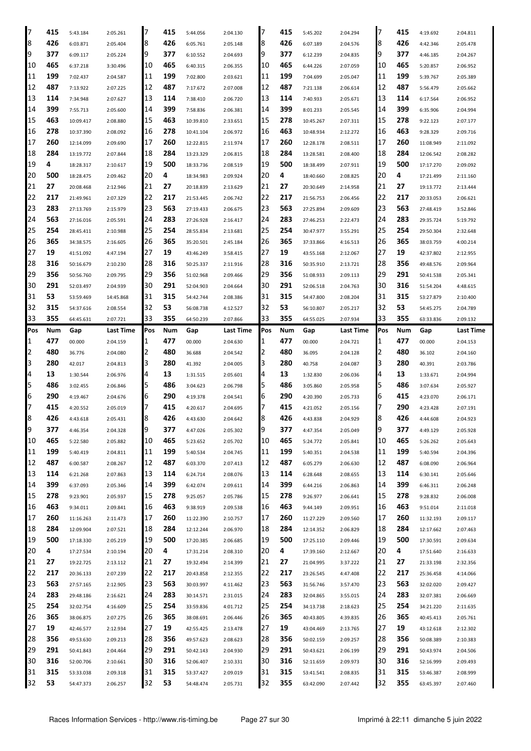| 7        | 415       | 5:43.184  | 2:05.261  | 17       | 415       | 5:44.056  | 2:04.130  | 7        | 415        | 5:45.202  | 2:04.294  | 7        | 415        | 4:19.692  | 2:04.811  |
|----------|-----------|-----------|-----------|----------|-----------|-----------|-----------|----------|------------|-----------|-----------|----------|------------|-----------|-----------|
| 8        | 426       | 6:03.871  | 2:05.404  | 8        | 426       | 6:05.761  | 2:05.148  | 8        | 426        | 6:07.189  | 2:04.576  | 8        | 426        | 4:42.346  | 2:05.478  |
| 9        | 377       | 6:09.117  | 2:05.224  | 9        | 377       | 6:10.552  | 2:04.693  | 9        | 377        | 6:12.239  | 2:04.835  | 9        | 377        | 4:46.185  | 2:04.267  |
| 10       | 465       | 6:37.218  | 3:30.496  | 10       | 465       | 6:40.315  | 2:06.355  | 10       | 465        | 6:44.226  | 2:07.059  | 10       | 465        | 5:20.857  | 2:06.952  |
| 11       | 199       | 7:02.437  | 2:04.587  | 11       | 199       | 7:02.800  | 2:03.621  | 11       | 199        | 7:04.699  | 2:05.047  | 11       | 199        | 5:39.767  | 2:05.389  |
| 12       | 487       | 7:13.922  | 2:07.225  | 12       | 487       | 7:17.672  | 2:07.008  | 12       | 487        | 7:21.138  | 2:06.614  | 12       | 487        | 5:56.479  | 2:05.662  |
| 13       | 114       | 7:34.948  | 2:07.627  | 13       | 114       | 7:38.410  | 2:06.720  | 13       | 114        | 7:40.933  | 2:05.671  | 13       | 114        | 6:17.564  | 2:06.952  |
| 14       | 399       |           |           | 14       | 399       |           |           | 14       | 399        |           |           | 14       | 399        |           |           |
|          |           | 7:55.713  | 2:05.600  |          |           | 7:58.836  | 2:06.381  |          |            | 8:01.233  | 2:05.545  |          |            | 6:35.906  | 2:04.994  |
| 15       | 463       | 10:09.417 | 2:08.880  | 15       | 463       | 10:39.810 | 2:33.651  | 15       | 278        | 10:45.267 | 2:07.311  | 15       | 278        | 9:22.123  | 2:07.177  |
| 16       | 278       | 10:37.390 | 2:08.092  | 16       | 278       | 10:41.104 | 2:06.972  | 16       | 463        | 10:48.934 | 2:12.272  | 16       | 463        | 9:28.329  | 2:09.716  |
| 17       | 260       | 12:14.099 | 2:09.690  | 17       | 260       | 12:22.815 | 2:11.974  | 17       | 260        | 12:28.178 | 2:08.511  | 17       | 260        | 11:08.949 | 2:11.092  |
| 18       | 284       | 13:19.772 | 2:07.844  | 18       | 284       | 13:23.329 | 2:06.815  | 18       | 284        | 13:28.581 | 2:08.400  | 18       | 284        | 12:06.542 | 2:08.282  |
| 19       | 4         | 18:28.317 | 2:10.617  | 19       | 500       | 18:33.736 | 2:08.519  | 19       | 500        | 18:38.499 | 2:07.911  | 19       | 500        | 17:17.270 | 2:09.092  |
| 20       | 500       | 18:28.475 | 2:09.462  | 20       | 4         | 18:34.983 | 2:09.924  | 20       | 4          | 18:40.660 | 2:08.825  | 20       | 4          | 17:21.499 | 2:11.160  |
| 21       | 27        | 20:08.468 | 2:12.946  | 21       | 27        | 20:18.839 | 2:13.629  | 21       | 27         | 20:30.649 | 2:14.958  | 21       | 27         | 19:13.772 | 2:13.444  |
| 22       | 217       | 21:49.961 |           | 22       | 217       | 21:53.445 | 2:06.742  | 22       | 217        | 21:56.753 |           | 22       | 217        | 20:33.053 |           |
|          |           |           | 2:07.329  |          |           |           |           |          |            |           | 2:06.456  |          |            |           | 2:06.621  |
| 23       | 283       | 27:13.769 | 2:15.979  | 23       | 563       | 27:19.433 | 2:06.675  | 23       | 563        | 27:25.894 | 2:09.609  | 23       | 563        | 27:48.419 | 3:52.846  |
| 24       | 563       | 27:16.016 | 2:05.591  | 24       | 283       | 27:26.928 | 2:16.417  | 24       | 283        | 27:46.253 | 2:22.473  | 24       | 283        | 29:35.724 | 5:19.792  |
| 25       | 254       | 28:45.411 | 2:10.988  | 25       | 254       | 28:55.834 | 2:13.681  | 25       | 254        | 30:47.977 | 3:55.291  | 25       | 254        | 29:50.304 | 2:32.648  |
| 26       | 365       | 34:38.575 | 2:16.605  | 26       | 365       | 35:20.501 | 2:45.184  | 26       | 365        | 37:33.866 | 4:16.513  | 26       | 365        | 38:03.759 | 4:00.214  |
| 27       | 19        | 41:51.092 | 4:47.194  | 27       | 19        | 43:46.249 | 3:58.415  | 27       | 19         | 43:55.168 | 2:12.067  | 27       | 19         | 42:37.802 | 2:12.955  |
| 28       | 316       | 50:16.679 | 2:10.230  | 28       | 316       | 50:25.337 | 2:11.916  | 28       | 316        | 50:35.910 | 2:13.721  | 28       | 356        | 49:48.576 | 2:09.964  |
| 29       | 356       | 50:56.760 | 2:09.795  | 29       | 356       | 51:02.968 | 2:09.466  | 29       | 356        | 51:08.933 | 2:09.113  | 29       | 291        | 50:41.538 | 2:05.341  |
| 30       | 291       | 52:03.497 | 2:04.939  | 30       | 291       | 52:04.903 | 2:04.664  | 30       | 291        | 52:06.518 | 2:04.763  | 30       | 316        | 51:54.204 | 4:48.615  |
| 31       | 53        | 53:59.469 | 14:45.868 | 31       | 315       | 54:42.744 | 2:08.386  | 31       | 315        | 54:47.800 | 2:08.204  | 31       | 315        | 53:27.879 | 2:10.400  |
| 32       | 315       | 54:37.616 | 2:08.554  | 32       | 53        | 56:08.738 | 4:12.527  | 32       | 53         | 56:10.807 | 2:05.217  | 32       | 53         | 54:45.275 | 2:04.789  |
| 33       | 355       | 64:45.631 | 2:07.721  | 33       | 355       | 64:50.239 | 2:07.866  | 33       | 355        | 64:55.025 | 2:07.934  | 33       | 355        | 63:33.836 | 2:09.132  |
|          |           |           |           | Pos      |           |           |           | Pos      |            |           |           | Pos      |            |           |           |
| Pos      | Num       | Gap       | Last Time |          | Num       | Gap       | Last Time |          | Num        | Gap       | Last Time |          | Num        | Gap       | Last Time |
| 1        | 477       | 00.000    | 2:04.159  | 1        | 477       | 00.000    | 2:04.630  | 1        | 477        | 00.000    | 2:04.721  | 1        | 477        | 00.000    | 2:04.153  |
| 2        | 480       | 36.776    | 2:04.080  | 2        | 480       | 36.688    | 2:04.542  | 2        |            | 36.095    | 2:04.128  | 2        | 480        | 36.102    | 2:04.160  |
|          |           |           |           |          |           |           |           |          | 480        |           |           |          |            |           |           |
| 3        | 280       | 42.017    | 2:04.813  | 3        | 280       | 41.392    | 2:04.005  | 3        | 280        | 40.758    | 2:04.087  | 3        | 280        | 40.391    | 2:03.786  |
| 4        | 13        | 1:30.544  | 2:06.976  | 4        | 13        | 1:31.515  | 2:05.601  | 4        | 13         | 1:32.830  | 2:06.036  | 4        | 13         | 1:33.671  | 2:04.994  |
| 5        | 486       | 3:02.455  | 2:06.846  | 5        | 486       | 3:04.623  | 2:06.798  | 5        | 486        | 3:05.860  | 2:05.958  | 5        | 486        | 3:07.634  | 2:05.927  |
| 6        | 290       | 4:19.467  | 2:04.676  | 6        | 290       | 4:19.378  | 2:04.541  | 6        | 290        | 4:20.390  | 2:05.733  | 6        | 415        | 4:23.070  | 2:06.171  |
| 7        | 415       | 4:20.552  | 2:05.019  | 7        | 415       | 4:20.617  | 2:04.695  | 7        | 415        | 4:21.052  | 2:05.156  | 7        | 290        | 4:23.428  | 2:07.191  |
| 8        | 426       | 4:43.618  | 2:05.431  | 8        | 426       | 4:43.630  | 2:04.642  | 8        | 426        | 4:43.838  | 2:04.929  | 8        | 426        | 4:44.608  | 2:04.923  |
| 9        | 377       | 4:46.354  | 2:04.328  | 9        | 377       | 4:47.026  | 2:05.302  | 9        | 377        | 4:47.354  | 2:05.049  | 9        | 377        | 4:49.129  | 2:05.928  |
|          |           |           |           |          |           |           |           |          |            |           |           |          |            |           |           |
| 10       | 465       | 5:22.580  | 2:05.882  | 10       | 465       | 5:23.652  | 2:05.702  | 10       | 465        | 5:24.772  | 2:05.841  | 10       | 465        | 5:26.262  | 2:05.643  |
| 11       | 199       | 5:40.419  | 2:04.811  | 11       | 199       | 5:40.534  | 2:04.745  | 11       | 199        | 5:40.351  | 2:04.538  | 11       | 199        | 5:40.594  | 2:04.396  |
| 12       | 487       | 6:00.587  | 2:08.267  | 12       | 487       | 6:03.370  | 2:07.413  | 12       | 487        | 6:05.279  | 2:06.630  | 12       | 487        | 6:08.090  | 2:06.964  |
| 13       | 114       | 6:21.268  | 2:07.863  | 13       | 114       | 6:24.714  | 2:08.076  | 13       | 114        | 6:28.648  | 2:08.655  | 13       | 114        | 6:30.141  | 2:05.646  |
| 14       | 399       | 6:37.093  | 2:05.346  | 14       | 399       | 6:42.074  | 2:09.611  | 14       | 399        | 6:44.216  | 2:06.863  | 14       | 399        | 6:46.311  | 2:06.248  |
| 15       | 278       | 9:23.901  | 2:05.937  | 15       | 278       | 9:25.057  | 2:05.786  | 15       | 278        | 9:26.977  | 2:06.641  | 15       | 278        | 9:28.832  | 2:06.008  |
| 16       | 463       | 9:34.011  | 2:09.841  | 16       | 463       | 9:38.919  | 2:09.538  | 16       | 463        | 9:44.149  | 2:09.951  | 16       | 463        | 9:51.014  | 2:11.018  |
| 17       | 260       | 11:16.263 | 2:11.473  | 17       | 260       | 11:22.390 | 2:10.757  | 17       | 260        | 11:27.229 | 2:09.560  | 17       | 260        | 11:32.193 | 2:09.117  |
| 18       | 284       | 12:09.904 | 2:07.521  | 18       | 284       | 12:12.244 | 2:06.970  | 18       | 284        | 12:14.352 | 2:06.829  | 18       | 284        | 12:17.662 | 2:07.463  |
| 19       | 500       | 17:18.330 | 2:05.219  | 19       | 500       | 17:20.385 | 2:06.685  | 19       | 500        | 17:25.110 | 2:09.446  | 19       | 500        | 17:30.591 | 2:09.634  |
| 20       | 4         | 17:27.534 | 2:10.194  | 20       | 4         | 17:31.214 | 2:08.310  | 20       | 4          | 17:39.160 | 2:12.667  | 20       | 4          | 17:51.640 | 2:16.633  |
| 21       | 27        | 19:22.725 | 2:13.112  | 21       | 27        | 19:32.494 | 2:14.399  | 21       | 27         | 21:04.995 | 3:37.222  | 21       | 27         | 21:33.198 | 2:32.356  |
| 22       | 217       | 20:36.133 | 2:07.239  | 22       | 217       | 20:43.858 | 2:12.355  | 22       | 217        | 23:26.545 | 4:47.408  | 22       | 217        | 25:36.458 | 4:14.066  |
|          | 563       |           |           |          |           |           |           |          |            |           |           |          |            |           |           |
| 23       |           | 27:57.165 | 2:12.905  | 23       | 563       | 30:03.997 | 4:11.462  | 23       | 563        | 31:56.746 | 3:57.470  | 23       | 563        | 32:02.020 | 2:09.427  |
| 24       | 283       | 29:48.186 | 2:16.621  | 24       | 283       | 30:14.571 | 2:31.015  | 24       | 283        | 32:04.865 | 3:55.015  | 24       | 283        | 32:07.381 | 2:06.669  |
| 25       | 254       | 32:02.754 | 4:16.609  | 25       | 254       | 33:59.836 | 4:01.712  | 25       | 254        | 34:13.738 | 2:18.623  | 25       | 254        | 34:21.220 | 2:11.635  |
| 26       | 365       | 38:06.875 | 2:07.275  | 26       | 365       | 38:08.691 | 2:06.446  | 26       | 365        | 40:43.805 | 4:39.835  | 26       | 365        | 40:45.413 | 2:05.761  |
| 27       | 19        | 42:46.577 | 2:12.934  | 27       | 19        | 42:55.425 | 2:13.478  | 27       | 19         | 43:04.469 | 2:13.765  | 27       | 19         | 43:12.618 | 2:12.302  |
| 28       | 356       | 49:53.630 | 2:09.213  | 28       | 356       | 49:57.623 | 2:08.623  | 28       | 356        | 50:02.159 | 2:09.257  | 28       | 356        | 50:08.389 | 2:10.383  |
| 29       | 291       | 50:41.843 | 2:04.464  | 29       | 291       | 50:42.143 | 2:04.930  | 29       | 291        | 50:43.621 | 2:06.199  | 29       | 291        | 50:43.974 | 2:04.506  |
| 30       | 316       | 52:00.706 | 2:10.661  | 30       | 316       | 52:06.407 | 2:10.331  | 30       | 316        | 52:11.659 | 2:09.973  | 30       | 316        | 52:16.999 | 2:09.493  |
| 31<br>32 | 315<br>53 | 53:33.038 | 2:09.318  | 31<br>32 | 315<br>53 | 53:37.427 | 2:09.019  | 31<br>32 | 315<br>355 | 53:41.541 | 2:08.835  | 31<br>32 | 315<br>355 | 53:46.387 | 2:08.999  |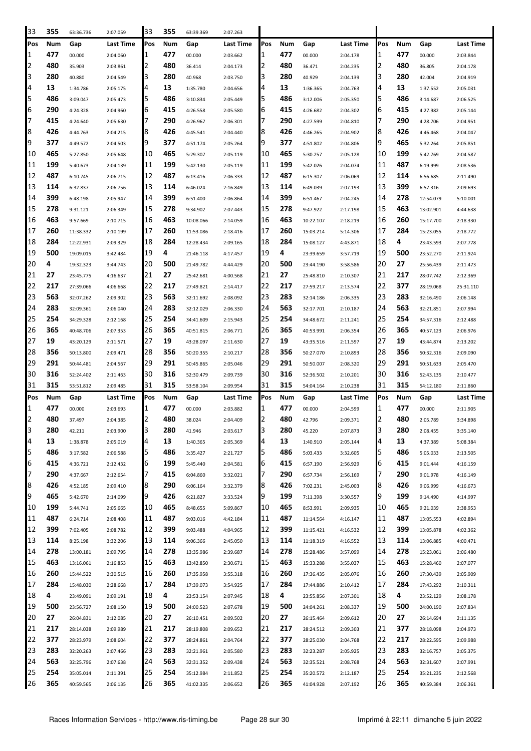| 33       | 355        | 63:36.736              | 2:07.059             | 33       | 355        | 63:39.369              | 2:07.263             |          |            |                        |                      |          |            |                        |                      |
|----------|------------|------------------------|----------------------|----------|------------|------------------------|----------------------|----------|------------|------------------------|----------------------|----------|------------|------------------------|----------------------|
| Pos      | Num        | Gap                    | Last Time            | Pos      | Num        | Gap                    | Last Time            | Pos      | Num        | Gap                    | Last Time            | Pos      | Num        | Gap                    | Last Time            |
| 1        | 477        | 00.000                 | 2:04.060             | 1        | 477        | 00.000                 | 2:03.662             | 1        | 477        | 00.000                 | 2:04.178             | 1        | 477        | 00.000                 | 2:03.844             |
| 2        | 480        | 35.903                 | 2:03.861             | 2        | 480        | 36.414                 | 2:04.173             | 2        | 480        | 36.471                 | 2:04.235             | 2        | 480        | 36.805                 | 2:04.178             |
| 3        | 280        | 40.880                 | 2:04.549             | 3        | 280        | 40.968                 | 2:03.750             | 3        | 280        | 40.929                 | 2:04.139             | 3        | 280        | 42.004                 | 2:04.919             |
| 4        | 13         | 1:34.786               | 2:05.175             | 4        | 13         | 1:35.780               | 2:04.656             | 4        | 13         | 1:36.365               | 2:04.763             | 4        | 13         | 1:37.552               | 2:05.031             |
| 5        | 486        | 3:09.047               | 2:05.473             | 5        | 486        | 3:10.834               | 2:05.449             | 5        | 486        | 3:12.006               | 2:05.350             | 5        | 486        | 3:14.687               | 2:06.525             |
| 6        | 290        | 4:24.328               | 2:04.960             | 6        | 415        | 4:26.558               | 2:05.580             | 6        | 415        | 4:26.682               | 2:04.302             | 6        | 415        | 4:27.982               | 2:05.144             |
| 7        | 415        | 4:24.640               | 2:05.630             | 7        | 290        | 4:26.967               | 2:06.301             | 7        | 290        | 4:27.599               | 2:04.810             | 7        | 290        | 4:28.706               | 2:04.951             |
| 8        | 426        | 4:44.763               | 2:04.215             | 8        | 426        | 4:45.541               | 2:04.440             | 8        | 426        | 4:46.265               | 2:04.902             | 8        | 426        | 4:46.468               | 2:04.047             |
| 9        | 377        | 4:49.572               | 2:04.503             | 9        | 377        | 4:51.174               | 2:05.264             | 9        | 377        | 4:51.802               | 2:04.806             | 9        | 465        | 5:32.264               | 2:05.851             |
| 10       | 465        | 5:27.850               | 2:05.648             | 10       | 465        | 5:29.307               | 2:05.119             | 10       | 465        | 5:30.257               | 2:05.128             | 10       | 199        | 5:42.769               | 2:04.587             |
| 11       | 199        | 5:40.673               | 2:04.139             | 11       | 199        | 5:42.130               | 2:05.119             | 11       | 199        | 5:42.026               | 2:04.074             | 11       | 487        | 6:19.999               | 2:08.536             |
| 12       | 487        | 6:10.745               | 2:06.715             | 12       | 487        | 6:13.416               | 2:06.333             | 12       | 487        | 6:15.307               | 2:06.069             | 12       | 114        | 6:56.685               | 2:11.490             |
| 13       | 114        | 6:32.837               | 2:06.756             | 13       | 114        | 6:46.024               | 2:16.849             | 13       | 114        | 6:49.039               | 2:07.193             | 13       | 399        | 6:57.316               | 2:09.693             |
| 14       | 399        | 6:48.198               | 2:05.947             | 14       | 399        | 6:51.400               | 2:06.864             | 14       | 399        | 6:51.467               | 2:04.245             | 14       | 278        | 12:54.079              | 5:10.001             |
| 15       | 278        |                        |                      | 15       | 278        | 9:34.902               |                      | 15       | 278        |                        | 2:17.198             | 15       | 463        |                        |                      |
| 16       | 463        | 9:31.121<br>9:57.669   | 2:06.349             | 16       | 463        | 10:08.066              | 2:07.443             | 16       | 463        | 9:47.922               |                      | 16       | 260        | 13:02.901              | 4:44.638             |
| 17       | 260        |                        | 2:10.715             | 17       | 260        |                        | 2:14.059             | 17       | 260        | 10:22.107              | 2:18.219             | 17       | 284        | 15:17.700              | 2:18.330             |
| 18       | 284        | 11:38.332              | 2:10.199             | 18       | 284        | 11:53.086              | 2:18.416             | 18       | 284        | 15:03.214              | 5:14.306             | 18       | 4          | 15:23.055              | 2:18.772             |
|          | 500        | 12:22.931              | 2:09.329             | 19       | 4          | 12:28.434              | 2:09.165             | 19       | 4          | 15:08.127              | 4:43.871             | 19       | 500        | 23:43.593              | 2:07.778             |
| 19       | 4          | 19:09.015              | 3:42.484             |          | 500        | 21:46.118              | 4:17.457             |          | 500        | 23:39.659              | 3:57.719             |          | 27         | 23:52.270              | 2:11.924             |
| 20       |            | 19:32.323              | 3:44.743             | 20       |            | 21:49.782              | 4:44.429             | 20       |            | 23:44.190              | 3:58.586             | 20       |            | 25:56.439              | 2:11.473             |
| 21       | 27         | 23:45.775              | 4:16.637             | 21       | 27         | 25:42.681              | 4:00.568             | 21       | 27         | 25:48.810              | 2:10.307             | 21       | 217        | 28:07.742              | 2:12.369             |
| 22       | 217        | 27:39.066              | 4:06.668             | 22       | 217        | 27:49.821              | 2:14.417             | 22<br>23 | 217        | 27:59.217              | 2:13.574             | 22       | 377        | 28:19.068              | 25:31.110            |
| 23       | 563        | 32:07.262              | 2:09.302             | 23       | 563        | 32:11.692              | 2:08.092             |          | 283        | 32:14.186              | 2:06.335             | 23       | 283        | 32:16.490              | 2:06.148             |
| 24       | 283        | 32:09.361              | 2:06.040             | 24       | 283        | 32:12.029              | 2:06.330             | 24       | 563        | 32:17.701              | 2:10.187             | 24       | 563        | 32:21.851              | 2:07.994             |
| 25       | 254        | 34:29.328              | 2:12.168             | 25       | 254        | 34:41.609              | 2:15.943             | 25<br>26 | 254        | 34:48.672              | 2:11.241             | 25       | 254        | 34:57.316              | 2:12.488             |
| 26       | 365        | 40:48.706              | 2:07.353             | 26       | 365        | 40:51.815              | 2:06.771             | 27       | 365        | 40:53.991              | 2:06.354             | 26       | 365        | 40:57.123              | 2:06.976             |
| 27       | 19         | 43:20.129              | 2:11.571             | 27       | 19         | 43:28.097              | 2:11.630             |          | 19         | 43:35.516              | 2:11.597             | 27       | 19         | 43:44.874              | 2:13.202             |
| 28       | 356        | 50:13.800              | 2:09.471             | 28       | 356        | 50:20.355              | 2:10.217             | 28       | 356        | 50:27.070              | 2:10.893             | 28       | 356        | 50:32.316              | 2:09.090             |
| 29       | 291        | 50:44.481              | 2:04.567             | 29       | 291        | 50:45.865              | 2:05.046             | 29       | 291        | 50:50.007              | 2:08.320             | 29       | 291        | 50:51.633              | 2:05.470             |
| 30       | 316        |                        |                      |          |            |                        |                      |          |            |                        |                      |          |            |                        |                      |
|          |            | 52:24.402              | 2:11.463             | 30       | 316        | 52:30.479              | 2:09.739             | 30       | 316        | 52:36.502              | 2:10.201             | 30       | 316        | 52:43.135              | 2:10.477             |
| 31       | 315        | 53:51.812              | 2:09.485             | 31       | 315        | 53:58.104              | 2:09.954             | 31       | 315        | 54:04.164              | 2:10.238             | 31       | 315        | 54:12.180              | 2:11.860             |
| Pos      | Num        | Gap                    | Last Time            | Pos      | Num        | Gap                    | Last Time            | Pos      | Num        | Gap                    | Last Time            | Pos      | Num        | Gap                    | Last Time            |
| 1        | 477        | 00.000                 | 2:03.693             | 1        | 477        | 00.000                 | 2:03.882             | 1        | 477        | 00.000                 | 2:04.599             | 1        | 477        | 00.000                 | 2:11.905             |
| 2        | 480        | 37.497                 | 2:04.385             | 2        | 480        | 38.024                 | 2:04.409             | 2        | 480        | 42.796                 | 2:09.371             | 2        | 480        | 2:05.789               | 3:34.898             |
| 3        | 280        | 42.211                 | 2:03.900             | 3        | 280        | 41.946                 | 2:03.617             | 3        | 280        | 45.220                 | 2:07.873             | 3        | 280        | 2:08.455               | 3:35.140             |
| 4        | 13         | 1:38.878               | 2:05.019             | 4        | 13         | 1:40.365               | 2:05.369             | 4        | 13         | 1:40.910               | 2:05.144             | 4        | 13         | 4:37.389               | 5:08.384             |
| 5        | 486        | 3:17.582               | 2:06.588             | 5        | 486        | 3:35.427               | 2:21.727             | 5        | 486        | 5:03.433               | 3:32.605             | 5        | 486        | 5:05.033               | 2:13.505             |
| 6        | 415        | 4:36.721               | 2:12.432             | 6        | 199        | 5:45.440               | 2:04.581             | 6        | 415        | 6:57.190               | 2:56.929             | 6        | 415        | 9:01.444               | 4:16.159             |
| 7        | 290        | 4:37.667               | 2:12.654             | 7        | 415        | 6:04.860               | 3:32.021             | 7        | 290        | 6:57.734               | 2:56.169             | 7        | 290        | 9:01.978               | 4:16.149             |
| 8        | 426        | 4:52.185               | 2:09.410             | 8        | 290        | 6:06.164               | 3:32.379             | 8        | 426        | 7:02.231               | 2:45.003             | 8        | 426        | 9:06.999               | 4:16.673             |
| 9        | 465        | 5:42.670               | 2:14.099             | 9        | 426        | 6:21.827               | 3:33.524             | 9        | 199        | 7:11.398               | 3:30.557             | 9        | 199        | 9:14.490               | 4:14.997             |
| 10       | 199        | 5:44.741               | 2:05.665             | 10       | 465        | 8:48.655               | 5:09.867             | 10       | 465        | 8:53.991               | 2:09.935             | 10       | 465        | 9:21.039               | 2:38.953             |
| 11       | 487        | 6:24.714               | 2:08.408             | 11       | 487        | 9:03.016               | 4:42.184             | 11       | 487        | 11:14.564              | 4:16.147             | 11       | 487        | 13:05.553              | 4:02.894             |
| 12       | 399        | 7:02.405               | 2:08.782             | 12       | 399        | 9:03.488               | 4:04.965             | 12       | 399        | 11:15.421              | 4:16.532             | 12       | 399        | 13:05.878              | 4:02.362             |
| 13       | 114        | 8:25.198               | 3:32.206             | 13       | 114        | 9:06.366               | 2:45.050             | 13       | 114        | 11:18.319              | 4:16.552             | 13       | 114        | 13:06.885              | 4:00.471             |
| 14       | 278        | 13:00.181              | 2:09.795             | 14       | 278        | 13:35.986              | 2:39.687             | 14       | 278        | 15:28.486              | 3:57.099             | 14       | 278        | 15:23.061              | 2:06.480             |
| 15       | 463        | 13:16.061              | 2:16.853             | 15       | 463        | 13:42.850              | 2:30.671             | 15       | 463        | 15:33.288              | 3:55.037             | 15       | 463        | 15:28.460              | 2:07.077             |
| 16       | 260        | 15:44.522              | 2:30.515             | 16       | 260        | 17:35.958              | 3:55.318             | 16       | 260        | 17:36.435              | 2:05.076             | 16       | 260        | 17:30.439              | 2:05.909             |
| 17       | 284        | 15:48.030              | 2:28.668             | 17       | 284        | 17:39.073              | 3:54.925             | 17       | 284        | 17:44.886              | 2:10.412             | 17       | 284        | 17:43.292              | 2:10.311             |
| 18       | 4          | 23:49.091              | 2:09.191             | 18       | 4          | 23:53.154              | 2:07.945             | 18       | 4          | 23:55.856              | 2:07.301             | 18       | 4          | 23:52.129              | 2:08.178             |
| 19       | 500        | 23:56.727              | 2:08.150             | 19       | 500        | 24:00.523              | 2:07.678             | 19       | 500        | 24:04.261              | 2:08.337             | 19       | 500        | 24:00.190              | 2:07.834             |
| 20       | 27         | 26:04.831              | 2:12.085             | 20       | 27         | 26:10.451              | 2:09.502             | 20       | 27         | 26:15.464              | 2:09.612             | 20       | 27         | 26:14.694              | 2:11.135             |
| 21       | 217        | 28:14.038              | 2:09.989             | 21       | 217        | 28:19.808              | 2:09.652             | 21       | 217        | 28:24.512              | 2:09.303             | 21       | 377        | 28:18.098              | 2:04.973             |
| 22       | 377        | 28:23.979              | 2:08.604             | 22       | 377        | 28:24.861              | 2:04.764             | 22       | 377        | 28:25.030              | 2:04.768             | 22       | 217        | 28:22.595              | 2:09.988             |
| 23       | 283        | 32:20.263              | 2:07.466             | 23       | 283        | 32:21.961              | 2:05.580             | 23       | 283        | 32:23.287              | 2:05.925             | 23       | 283        | 32:16.757              | 2:05.375             |
| 24       | 563        | 32:25.796              | 2:07.638             | 24       | 563        | 32:31.352              | 2:09.438             | 24       | 563        | 32:35.521              | 2:08.768             | 24       | 563        | 32:31.607              | 2:07.991             |
| 25<br>26 | 254<br>365 | 35:05.014<br>40:59.565 | 2:11.391<br>2:06.135 | 25<br>26 | 254<br>365 | 35:12.984<br>41:02.335 | 2:11.852<br>2:06.652 | 25<br>26 | 254<br>365 | 35:20.572<br>41:04.928 | 2:12.187<br>2:07.192 | 25<br>26 | 254<br>365 | 35:21.235<br>40:59.384 | 2:12.568<br>2:06.361 |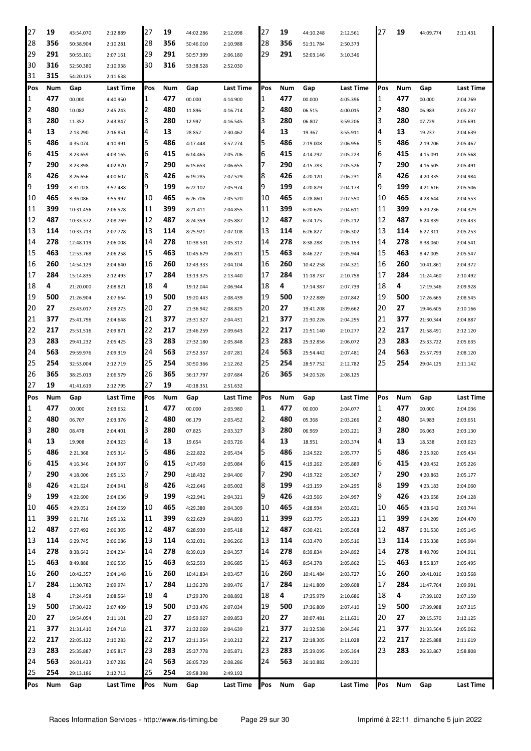| 27  | 19  | 43:54.070 | 2:12.889         | 27        | 19  | 44:02.286 | 2:12.098  | 27  | 19  | 44:10.248 | 2:12.561  | 27  | 19  | 44:09.774 | 2:11.431         |
|-----|-----|-----------|------------------|-----------|-----|-----------|-----------|-----|-----|-----------|-----------|-----|-----|-----------|------------------|
| 28  | 356 | 50:38.904 | 2:10.281         | 28        | 356 | 50:46.010 | 2:10.988  | 28  | 356 | 51:31.784 | 2:50.373  |     |     |           |                  |
| 29  | 291 | 50:55.101 | 2:07.161         | 29        | 291 | 50:57.399 | 2:06.180  | 29  | 291 | 52:03.146 | 3:10.346  |     |     |           |                  |
| 30  | 316 | 52:50.380 | 2:10.938         | 30        | 316 | 53:38.528 | 2:52.030  |     |     |           |           |     |     |           |                  |
| 31  | 315 | 54:20.125 | 2:11.638         |           |     |           |           |     |     |           |           |     |     |           |                  |
| Pos | Num | Gap       | <b>Last Time</b> | Pos       | Num | Gap       | Last Time | Pos | Num | Gap       | Last Time | Pos | Num | Gap       | <b>Last Time</b> |
| 1   | 477 | 00.000    | 4:40.950         | 1         | 477 | 00.000    | 4:14.900  | 1   | 477 | 00.000    | 4:05.396  | 1   | 477 | 00.000    | 2:04.769         |
| 2   | 480 | 10.082    | 2:45.243         | 2         | 480 | 11.896    | 4:16.714  | 2   | 480 | 06.515    | 4:00.015  | 2   | 480 | 06.983    | 2:05.237         |
| 3   | 280 | 11.352    | 2:43.847         | 3         | 280 | 12.997    | 4:16.545  | З   | 280 | 06.807    | 3:59.206  | 3   | 280 | 07.729    | 2:05.691         |
| 4   | 13  | 2:13.290  | 2:16.851         | 4         | 13  | 28.852    | 2:30.462  | 4   | 13  | 19.367    | 3:55.911  | 4   | 13  | 19.237    | 2:04.639         |
| 5   | 486 | 4:35.074  | 4:10.991         | 5         | 486 | 4:17.448  | 3:57.274  | 5   | 486 | 2:19.008  | 2:06.956  | 5   | 486 | 2:19.706  | 2:05.467         |
| 6   | 415 | 8:23.659  | 4:03.165         | 6         | 415 | 6:14.465  | 2:05.706  | 6   | 415 | 4:14.292  | 2:05.223  | 6   | 415 | 4:15.091  | 2:05.568         |
| 7   | 290 | 8:23.898  | 4:02.870         | 7         | 290 | 6:15.653  | 2:06.655  |     | 290 | 4:15.783  | 2:05.526  | 7   | 290 | 4:16.505  | 2:05.491         |
| 8   | 426 | 8:26.656  | 4:00.607         | 8         | 426 | 6:19.285  | 2:07.529  | 8   | 426 | 4:20.120  | 2:06.231  | 8   | 426 | 4:20.335  | 2:04.984         |
| 9   | 199 | 8:31.028  | 3:57.488         | 19        | 199 | 6:22.102  | 2:05.974  | 9   | 199 | 4:20.879  | 2:04.173  | 19  | 199 | 4:21.616  | 2:05.506         |
| 10  | 465 | 8:36.086  | 3:55.997         | 10        | 465 | 6:26.706  | 2:05.520  | 10  | 465 | 4:28.860  | 2:07.550  | 10  | 465 | 4:28.644  | 2:04.553         |
| 11  | 399 | 10:31.456 | 2:06.528         | 11        | 399 | 8:21.411  | 2:04.855  | 11  | 399 | 6:20.626  | 2:04.611  | 11  | 399 | 6:20.236  | 2:04.379         |
| 12  | 487 | 10:33.372 | 2:08.769         | 12        | 487 | 8:24.359  | 2:05.887  | 12  | 487 | 6:24.175  | 2:05.212  | 12  | 487 | 6:24.839  | 2:05.433         |
| 13  | 114 | 10:33.713 | 2:07.778         | 13        | 114 | 8:25.921  | 2:07.108  | 13  | 114 | 6:26.827  | 2:06.302  | 13  | 114 | 6:27.311  | 2:05.253         |
| 14  | 278 | 12:48.119 | 2:06.008         | 14        | 278 | 10:38.531 | 2:05.312  | 14  | 278 | 8:38.288  | 2:05.153  | 14  | 278 | 8:38.060  | 2:04.541         |
| 15  | 463 | 12:53.768 | 2:06.258         | 15        | 463 | 10:45.679 | 2:06.811  | 15  | 463 | 8:46.227  | 2:05.944  | 15  | 463 | 8:47.005  | 2:05.547         |
| 16  | 260 | 14:54.129 | 2:04.640         | 16        | 260 | 12:43.333 | 2:04.104  | 16  | 260 | 10:42.258 | 2:04.321  | 16  | 260 | 10:41.861 | 2:04.372         |
| 17  | 284 | 15:14.835 | 2:12.493         | 17        | 284 | 13:13.375 | 2:13.440  | 17  | 284 | 11:18.737 | 2:10.758  | 17  | 284 | 11:24.460 | 2:10.492         |
| 18  | 4   | 21:20.000 | 2:08.821         | 18        | 4   | 19:12.044 | 2:06.944  | 18  | 4   | 17:14.387 | 2:07.739  | 18  | 4   | 17:19.546 | 2:09.928         |
| 19  | 500 | 21:26.904 | 2:07.664         | 19        | 500 | 19:20.443 | 2:08.439  | 19  | 500 | 17:22.889 | 2:07.842  | 19  | 500 | 17:26.665 | 2:08.545         |
| 20  | 27  | 23:43.017 | 2:09.273         | 20        | 27  | 21:36.942 | 2:08.825  | 20  | 27  | 19:41.208 | 2:09.662  | 20  | 27  | 19:46.605 | 2:10.166         |
| 21  | 377 | 25:41.796 | 2:04.648         | 21        | 377 | 23:31.327 | 2:04.431  | 21  | 377 | 21:30.226 | 2:04.295  | 21  | 377 | 21:30.344 | 2:04.887         |
| 22  | 217 | 25:51.516 | 2:09.871         | 22        | 217 | 23:46.259 | 2:09.643  | 22  | 217 | 21:51.140 | 2:10.277  | 22  | 217 | 21:58.491 | 2:12.120         |
| 23  | 283 | 29:41.232 | 2:05.425         | 23        | 283 | 27:32.180 | 2:05.848  | 23  | 283 | 25:32.856 | 2:06.072  | 23  | 283 | 25:33.722 | 2:05.635         |
| 24  | 563 | 29:59.976 | 2:09.319         | 24        | 563 | 27:52.357 | 2:07.281  | 24  | 563 | 25:54.442 | 2:07.481  | 24  | 563 | 25:57.793 | 2:08.120         |
|     |     |           |                  |           |     |           |           |     |     |           |           |     |     |           |                  |
|     |     |           |                  |           |     |           |           |     |     |           |           |     |     |           |                  |
| 25  | 254 | 32:53.004 | 2:12.719         | 25        | 254 | 30:50.366 | 2:12.262  | 25  | 254 | 28:57.752 | 2:12.782  | 25  | 254 | 29:04.125 | 2:11.142         |
| 26  | 365 | 38:25.013 | 2:06.579         | 26        | 365 | 36:17.797 | 2:07.684  | 26  | 365 | 34:20.526 | 2:08.125  |     |     |           |                  |
| 27  | 19  | 41:41.619 | 2:12.795         | 27        | 19  | 40:18.351 | 2:51.632  |     |     |           |           |     |     |           |                  |
| Pos | Num | Gap       | Last Time        | Pos       | Num | Gap       | Last Time | Pos | Num | Gap       | Last Time | Pos | Num | Gap       | <b>Last Time</b> |
| 1   | 477 | 00.000    | 2:03.652         | 1         | 477 | 00.000    | 2:03.980  | 1   | 477 | 00.000    | 2:04.077  | 1   | 477 | 00.000    | 2:04.036         |
| 2   | 480 | 06.707    | 2:03.376         | 2         | 480 | 06.179    | 2:03.452  | 2   | 480 | 05.368    | 2:03.266  | 2   | 480 | 04.983    | 2:03.651         |
| 3   | 280 | 08.478    | 2:04.401         | 3         | 280 | 07.825    | 2:03.327  | 3   | 280 | 06.969    | 2:03.221  | 13  | 280 | 06.063    | 2:03.130         |
| 4   | 13  | 19.908    | 2:04.323         | 4         | 13  | 19.654    | 2:03.726  | 4   | 13  | 18.951    | 2:03.374  | 4   | 13  | 18.538    | 2:03.623         |
| 5   | 486 | 2:21.368  | 2:05.314         | 5         | 486 | 2:22.822  | 2:05.434  | 5   | 486 | 2:24.522  | 2:05.777  | 5   | 486 | 2:25.920  | 2:05.434         |
| 6   | 415 | 4:16.346  | 2:04.907         | 16        | 415 | 4:17.450  | 2:05.084  | 6   | 415 | 4:19.262  | 2:05.889  | 6   | 415 | 4:20.452  | 2:05.226         |
| 7   | 290 | 4:18.006  | 2:05.153         | 7         | 290 | 4:18.432  | 2:04.406  | 7   | 290 | 4:19.722  | 2:05.367  | 7   | 290 | 4:20.863  | 2:05.177         |
| 8   | 426 | 4:21.624  | 2:04.941         | 8         | 426 | 4:22.646  | 2:05.002  | 18  | 199 | 4:23.159  | 2:04.295  | 8   | 199 | 4:23.183  | 2:04.060         |
| 9   | 199 | 4:22.600  | 2:04.636         | 9         | 199 | 4:22.941  | 2:04.321  | 9   | 426 | 4:23.566  | 2:04.997  | 9   | 426 | 4:23.658  | 2:04.128         |
| 10  | 465 | 4:29.051  | 2:04.059         | 10        | 465 | 4:29.380  | 2:04.309  | 10  | 465 | 4:28.934  | 2:03.631  | 10  | 465 | 4:28.642  | 2:03.744         |
| 11  | 399 | 6:21.716  | 2:05.132         | 11        | 399 | 6:22.629  | 2:04.893  | 11  | 399 | 6:23.775  | 2:05.223  | 11  | 399 | 6:24.209  | 2:04.470         |
| 12  | 487 | 6:27.492  | 2:06.305         | 12        | 487 | 6:28.930  | 2:05.418  | 12  | 487 | 6:30.421  | 2:05.568  | 12  | 487 | 6:31.530  | 2:05.145         |
| 13  | 114 | 6:29.745  | 2:06.086         | 13        | 114 | 6:32.031  | 2:06.266  | 13  | 114 | 6:33.470  | 2:05.516  | 13  | 114 | 6:35.338  | 2:05.904         |
| 14  | 278 | 8:38.642  | 2:04.234         | 14        | 278 | 8:39.019  | 2:04.357  | 14  | 278 | 8:39.834  | 2:04.892  | 14  | 278 | 8:40.709  | 2:04.911         |
| 15  | 463 | 8:49.888  | 2:06.535         | 15        | 463 | 8:52.593  | 2:06.685  | 15  | 463 | 8:54.378  | 2:05.862  | 15  | 463 | 8:55.837  | 2:05.495         |
| 16  | 260 | 10:42.357 | 2:04.148         | 16        | 260 | 10:41.834 | 2:03.457  | 16  | 260 | 10:41.484 | 2:03.727  | 16  | 260 | 10:41.016 | 2:03.568         |
| 17  | 284 | 11:30.782 | 2:09.974         | 17        | 284 | 11:36.278 | 2:09.476  | 17  | 284 | 11:41.809 | 2:09.608  | 17  | 284 | 11:47.764 | 2:09.991         |
| 18  | 4   | 17:24.458 | 2:08.564         | 18        | 4   | 17:29.370 | 2:08.892  | 18  | 4   | 17:35.979 | 2:10.686  | 18  | 4   | 17:39.102 | 2:07.159         |
| 19  | 500 | 17:30.422 | 2:07.409         | 19        | 500 | 17:33.476 | 2:07.034  | 19  | 500 | 17:36.809 | 2:07.410  | 19  | 500 | 17:39.988 | 2:07.215         |
| 20  | 27  | 19:54.054 | 2:11.101         | 20        | 27  | 19:59.927 | 2:09.853  | 20  | 27  | 20:07.481 | 2:11.631  | 20  | 27  | 20:15.570 | 2:12.125         |
| 21  | 377 | 21:31.410 | 2:04.718         | 21        | 377 | 21:32.069 | 2:04.639  | 21  | 377 | 21:32.538 | 2:04.546  | 21  | 377 | 21:33.564 | 2:05.062         |
| 22  | 217 | 22:05.122 | 2:10.283         | 22        | 217 | 22:11.354 | 2:10.212  | 22  | 217 | 22:18.305 | 2:11.028  | 22  | 217 | 22:25.888 | 2:11.619         |
| 23  | 283 | 25:35.887 | 2:05.817         | 23        | 283 | 25:37.778 | 2:05.871  | 23  | 283 | 25:39.095 | 2:05.394  | 23  | 283 | 26:33.867 | 2:58.808         |
| 24  | 563 | 26:01.423 | 2:07.282         | 24        | 563 | 26:05.729 | 2:08.286  | 24  | 563 | 26:10.882 | 2:09.230  |     |     |           |                  |
| 25  | 254 | 29:13.186 | 2:12.713         | 25<br>Pos | 254 | 29:58.398 | 2:49.192  |     |     |           |           | Pos |     |           |                  |